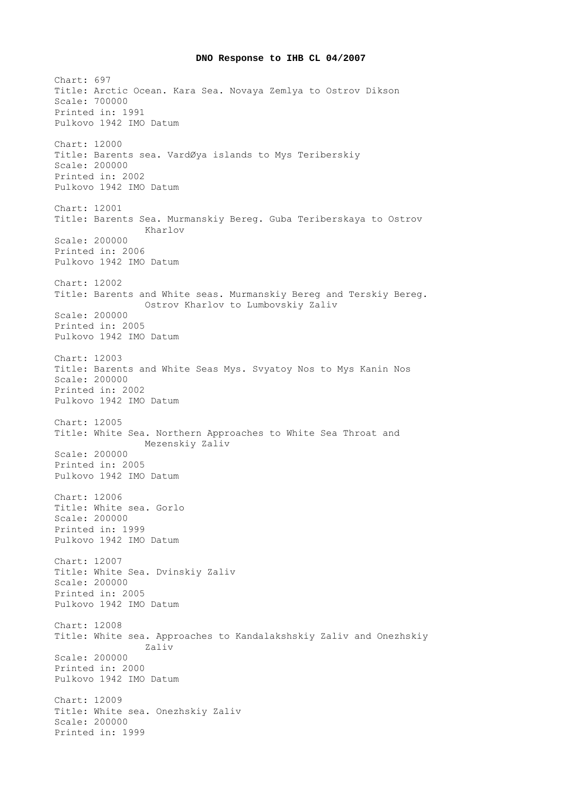## **DNO Response to IHB CL 04/2007**

Chart: 697 Title: Arctic Ocean. Kara Sea. Novaya Zemlya to Ostrov Dikson Scale: 700000 Printed in: 1991 Pulkovo 1942 IMO Datum Chart: 12000 Title: Barents sea. VardØya islands to Mys Teriberskiy Scale: 200000 Printed in: 2002 Pulkovo 1942 IMO Datum Chart: 12001 Title: Barents Sea. Murmanskiy Bereg. Guba Teriberskaya to Ostrov Kharlov Scale: 200000 Printed in: 2006 Pulkovo 1942 IMO Datum Chart: 12002 Title: Barents and White seas. Murmanskiy Bereg and Terskiy Bereg. Ostrov Kharlov to Lumbovskiy Zaliv Scale: 200000 Printed in: 2005 Pulkovo 1942 IMO Datum Chart: 12003 Title: Barents and White Seas Mys. Svyatoy Nos to Mys Kanin Nos Scale: 200000 Printed in: 2002 Pulkovo 1942 IMO Datum Chart: 12005 Title: White Sea. Northern Approaches to White Sea Throat and Mezenskiy Zaliv Scale: 200000 Printed in: 2005 Pulkovo 1942 IMO Datum Chart: 12006 Title: White sea. Gorlo Scale: 200000 Printed in: 1999 Pulkovo 1942 IMO Datum Chart: 12007 Title: White Sea. Dvinskiy Zaliv Scale: 200000 Printed in: 2005 Pulkovo 1942 IMO Datum Chart: 12008 Title: White sea. Approaches to Kandalakshskiy Zaliv and Onezhskiy Zaliv Scale: 200000 Printed in: 2000 Pulkovo 1942 IMO Datum Chart: 12009 Title: White sea. Onezhskiy Zaliv Scale: 200000 Printed in: 1999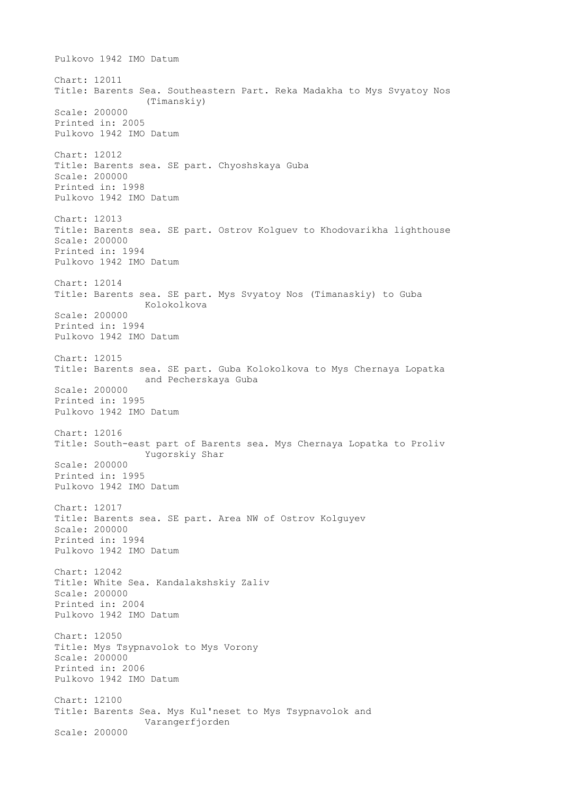Pulkovo 1942 IMO Datum Chart: 12011 Title: Barents Sea. Southeastern Part. Reka Madakha to Mys Svyatoy Nos (Timanskiy) Scale: 200000 Printed in: 2005 Pulkovo 1942 IMO Datum Chart: 12012 Title: Barents sea. SE part. Chyoshskaya Guba Scale: 200000 Printed in: 1998 Pulkovo 1942 IMO Datum Chart: 12013 Title: Barents sea. SE part. Ostrov Kolguev to Khodovarikha lighthouse Scale: 200000 Printed in: 1994 Pulkovo 1942 IMO Datum Chart: 12014 Title: Barents sea. SE part. Mys Svyatoy Nos (Timanaskiy) to Guba Kolokolkova Scale: 200000 Printed in: 1994 Pulkovo 1942 IMO Datum Chart: 12015 Title: Barents sea. SE part. Guba Kolokolkova to Mys Chernaya Lopatka and Pecherskaya Guba Scale: 200000 Printed in: 1995 Pulkovo 1942 IMO Datum Chart: 12016 Title: South-east part of Barents sea. Mys Chernaya Lopatka to Proliv Yugorskiy Shar Scale: 200000 Printed in: 1995 Pulkovo 1942 IMO Datum Chart: 12017 Title: Barents sea. SE part. Area NW of Ostrov Kolguyev Scale: 200000 Printed in: 1994 Pulkovo 1942 IMO Datum Chart: 12042 Title: White Sea. Kandalakshskiy Zaliv Scale: 200000 Printed in: 2004 Pulkovo 1942 IMO Datum Chart: 12050 Title: Mys Tsypnavolok to Mys Vorony Scale: 200000 Printed in: 2006 Pulkovo 1942 IMO Datum Chart: 12100 Title: Barents Sea. Mys Kul'neset to Mys Tsypnavolok and Varangerfjorden Scale: 200000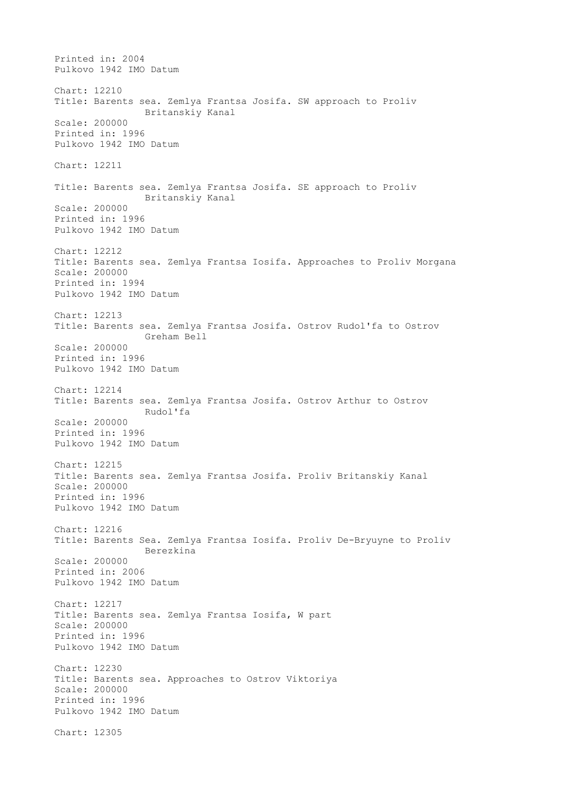Printed in: 2004 Pulkovo 1942 IMO Datum Chart: 12210 Title: Barents sea. Zemlya Frantsa Josifa. SW approach to Proliv Britanskiy Kanal Scale: 200000 Printed in: 1996 Pulkovo 1942 IMO Datum Chart: 12211 Title: Barents sea. Zemlya Frantsa Josifa. SE approach to Proliv Britanskiy Kanal Scale: 200000 Printed in: 1996 Pulkovo 1942 IMO Datum Chart: 12212 Title: Barents sea. Zemlya Frantsa Iosifa. Approaches to Proliv Morgana Scale: 200000 Printed in: 1994 Pulkovo 1942 IMO Datum Chart: 12213 Title: Barents sea. Zemlya Frantsa Josifa. Ostrov Rudol'fa to Ostrov Greham Bell Scale: 200000 Printed in: 1996 Pulkovo 1942 IMO Datum Chart: 12214 Title: Barents sea. Zemlya Frantsa Josifa. Ostrov Arthur to Ostrov Rudol'fa Scale: 200000 Printed in: 1996 Pulkovo 1942 IMO Datum Chart: 12215 Title: Barents sea. Zemlya Frantsa Josifa. Proliv Britanskiy Kanal Scale: 200000 Printed in: 1996 Pulkovo 1942 IMO Datum Chart: 12216 Title: Barents Sea. Zemlya Frantsa Iosifa. Proliv De-Bryuyne to Proliv Berezkina Scale: 200000 Printed in: 2006 Pulkovo 1942 IMO Datum Chart: 12217 Title: Barents sea. Zemlya Frantsa Iosifa, W part Scale: 200000 Printed in: 1996 Pulkovo 1942 IMO Datum Chart: 12230 Title: Barents sea. Approaches to Ostrov Viktoriya Scale: 200000 Printed in: 1996 Pulkovo 1942 IMO Datum Chart: 12305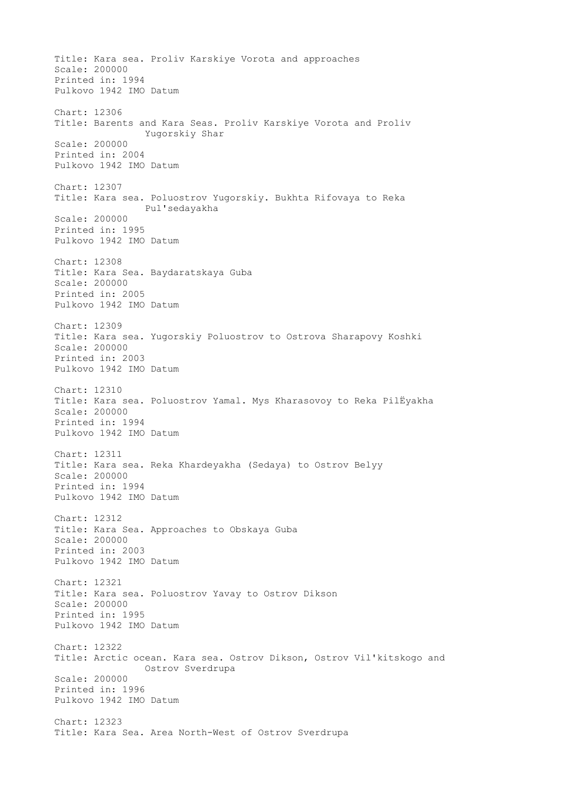Title: Kara sea. Proliv Karskiye Vorota and approaches Scale: 200000 Printed in: 1994 Pulkovo 1942 IMO Datum Chart: 12306 Title: Barents and Kara Seas. Proliv Karskiye Vorota and Proliv Yugorskiy Shar Scale: 200000 Printed in: 2004 Pulkovo 1942 IMO Datum Chart: 12307 Title: Kara sea. Poluostrov Yugorskiy. Bukhta Rifovaya to Reka Pul'sedayakha Scale: 200000 Printed in: 1995 Pulkovo 1942 IMO Datum Chart: 12308 Title: Kara Sea. Baydaratskaya Guba Scale: 200000 Printed in: 2005 Pulkovo 1942 IMO Datum Chart: 12309 Title: Kara sea. Yugorskiy Poluostrov to Ostrova Sharapovy Koshki Scale: 200000 Printed in: 2003 Pulkovo 1942 IMO Datum Chart: 12310 Title: Kara sea. Poluostrov Yamal. Mys Kharasovoy to Reka PilЁyakha Scale: 200000 Printed in: 1994 Pulkovo 1942 IMO Datum Chart: 12311 Title: Kara sea. Reka Khardeyakha (Sedaya) to Ostrov Belyy Scale: 200000 Printed in: 1994 Pulkovo 1942 IMO Datum Chart: 12312 Title: Kara Sea. Approaches to Obskaya Guba Scale: 200000 Printed in: 2003 Pulkovo 1942 IMO Datum Chart: 12321 Title: Kara sea. Poluostrov Yavay to Ostrov Dikson Scale: 200000 Printed in: 1995 Pulkovo 1942 IMO Datum Chart: 12322 Title: Arctic ocean. Kara sea. Ostrov Dikson, Ostrov Vil'kitskogo and Ostrov Sverdrupa Scale: 200000 Printed in: 1996 Pulkovo 1942 IMO Datum Chart: 12323 Title: Kara Sea. Area North-West of Ostrov Sverdrupa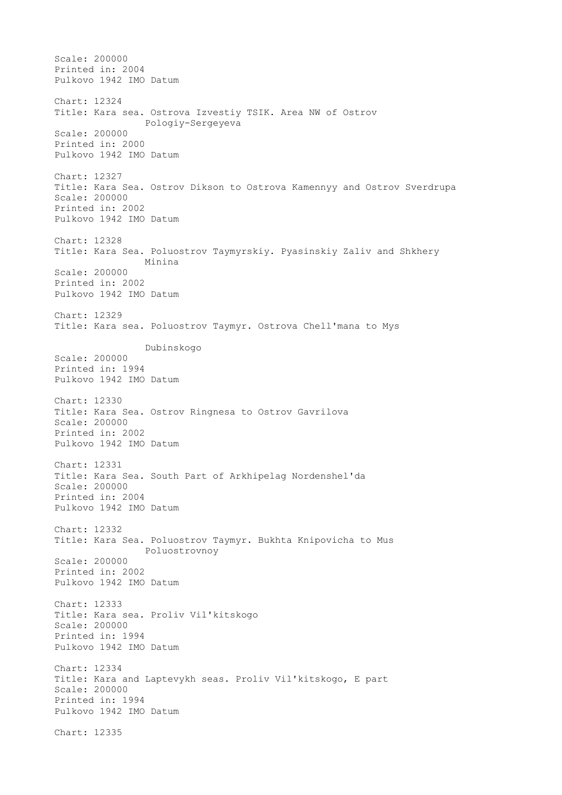Scale: 200000 Printed in: 2004 Pulkovo 1942 IMO Datum Chart: 12324 Title: Kara sea. Ostrova Izvestiy TSIK. Area NW of Ostrov Pologiy-Sergeyeva Scale: 200000 Printed in: 2000 Pulkovo 1942 IMO Datum Chart: 12327 Title: Kara Sea. Ostrov Dikson to Ostrova Kamennyy and Ostrov Sverdrupa Scale: 200000 Printed in: 2002 Pulkovo 1942 IMO Datum Chart: 12328 Title: Kara Sea. Poluostrov Taymyrskiy. Pyasinskiy Zaliv and Shkhery Minina Scale: 200000 Printed in: 2002 Pulkovo 1942 IMO Datum Chart: 12329 Title: Kara sea. Poluostrov Taymyr. Ostrova Chell'mana to Mys Dubinskogo Scale: 200000 Printed in: 1994 Pulkovo 1942 IMO Datum Chart: 12330 Title: Kara Sea. Ostrov Ringnesa to Ostrov Gavrilova Scale: 200000 Printed in: 2002 Pulkovo 1942 IMO Datum Chart: 12331 Title: Kara Sea. South Part of Arkhipelag Nordenshel'da Scale: 200000 Printed in: 2004 Pulkovo 1942 IMO Datum Chart: 12332 Title: Kara Sea. Poluostrov Taymyr. Bukhta Knipovicha to Mus Poluostrovnoy Scale: 200000 Printed in: 2002 Pulkovo 1942 IMO Datum Chart: 12333 Title: Kara sea. Proliv Vil'kitskogo Scale: 200000 Printed in: 1994 Pulkovo 1942 IMO Datum Chart: 12334 Title: Kara and Laptevykh seas. Proliv Vil'kitskogo, E part Scale: 200000 Printed in: 1994 Pulkovo 1942 IMO Datum Chart: 12335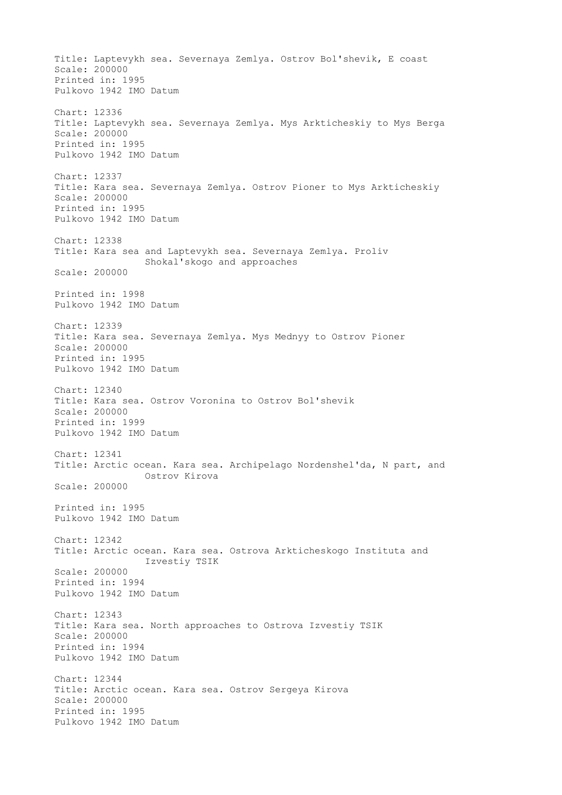Title: Laptevykh sea. Severnaya Zemlya. Ostrov Bol'shevik, E coast Scale: 200000 Printed in: 1995 Pulkovo 1942 IMO Datum Chart: 12336 Title: Laptevykh sea. Severnaya Zemlya. Mys Arkticheskiy to Mys Berga Scale: 200000 Printed in: 1995 Pulkovo 1942 IMO Datum Chart: 12337 Title: Kara sea. Severnaya Zemlya. Ostrov Pioner to Mys Arkticheskiy Scale: 200000 Printed in: 1995 Pulkovo 1942 IMO Datum Chart: 12338 Title: Kara sea and Laptevykh sea. Severnaya Zemlya. Proliv Shokal'skogo and approaches Scale: 200000 Printed in: 1998 Pulkovo 1942 IMO Datum Chart: 12339 Title: Kara sea. Severnaya Zemlya. Mys Mednyy to Ostrov Pioner Scale: 200000 Printed in: 1995 Pulkovo 1942 IMO Datum Chart: 12340 Title: Kara sea. Ostrov Voronina to Ostrov Bol'shevik Scale: 200000 Printed in: 1999 Pulkovo 1942 IMO Datum Chart: 12341 Title: Arctic ocean. Kara sea. Archipelago Nordenshel'da, N part, and Ostrov Kirova Scale: 200000 Printed in: 1995 Pulkovo 1942 IMO Datum Chart: 12342 Title: Arctic ocean. Kara sea. Ostrova Arkticheskogo Instituta and Izvestiy TSIK Scale: 200000 Printed in: 1994 Pulkovo 1942 IMO Datum Chart: 12343 Title: Kara sea. North approaches to Ostrova Izvestiy TSIK Scale: 200000 Printed in: 1994 Pulkovo 1942 IMO Datum Chart: 12344 Title: Arctic ocean. Kara sea. Ostrov Sergeya Kirova Scale: 200000 Printed in: 1995 Pulkovo 1942 IMO Datum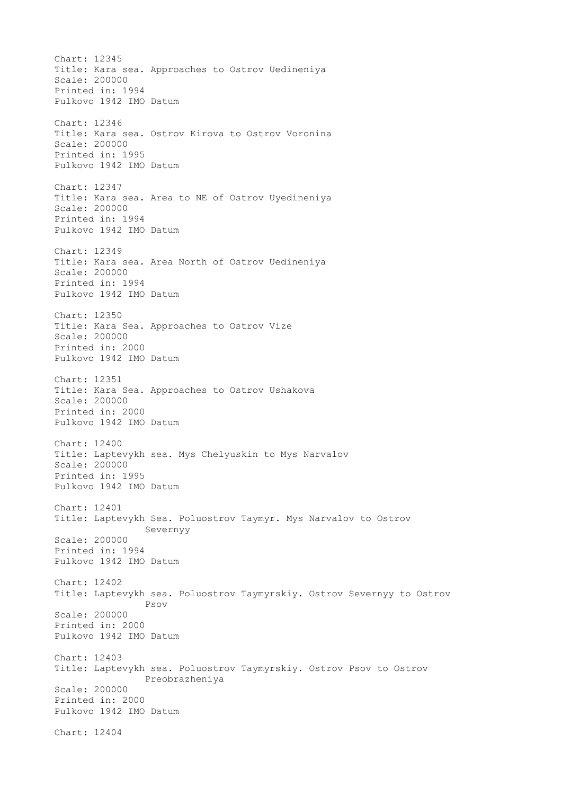Chart: 12345 Title: Kara sea. Approaches to Ostrov Uedineniya Scale: 200000 Printed in: 1994 Pulkovo 1942 IMO Datum Chart: 12346 Title: Kara sea. Ostrov Kirova to Ostrov Voronina Scale: 200000 Printed in: 1995 Pulkovo 1942 IMO Datum Chart: 12347 Title: Kara sea. Area to NE of Ostrov Uyedineniya Scale: 200000 Printed in: 1994 Pulkovo 1942 IMO Datum Chart: 12349 Title: Kara sea. Area North of Ostrov Uedineniya Scale: 200000 Printed in: 1994 Pulkovo 1942 IMO Datum Chart: 12350 Title: Kara Sea. Approaches to Ostrov Vize Scale: 200000 Printed in: 2000 Pulkovo 1942 IMO Datum Chart: 12351 Title: Kara Sea. Approaches to Ostrov Ushakova Scale: 200000 Printed in: 2000 Pulkovo 1942 IMO Datum Chart: 12400 Title: Laptevykh sea. Mys Chelyuskin to Mys Narvalov Scale: 200000 Printed in: 1995 Pulkovo 1942 IMO Datum Chart: 12401 Title: Laptevykh Sea. Poluostrov Taymyr. Mys Narvalov to Ostrov Severnyy Scale: 200000 Printed in: 1994 Pulkovo 1942 IMO Datum Chart: 12402 Title: Laptevykh sea. Poluostrov Taymyrskiy. Ostrov Severnyy to Ostrov Psov Scale: 200000 Printed in: 2000 Pulkovo 1942 IMO Datum Chart: 12403 Title: Laptevykh sea. Poluostrov Taymyrskiy. Ostrov Psov to Ostrov Preobrazheniya Scale: 200000 Printed in: 2000 Pulkovo 1942 IMO Datum Chart: 12404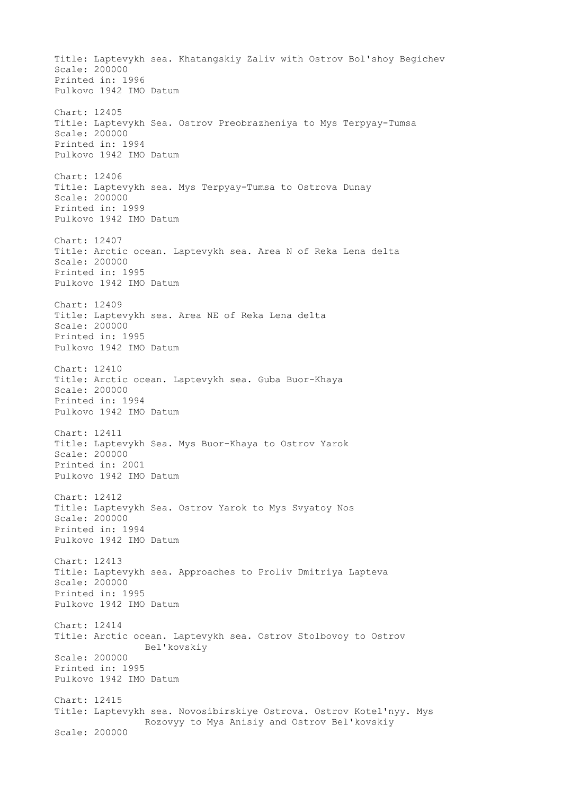Title: Laptevykh sea. Khatangskiy Zaliv with Ostrov Bol'shoy Begichev Scale: 200000 Printed in: 1996 Pulkovo 1942 IMO Datum Chart: 12405 Title: Laptevykh Sea. Ostrov Preobrazheniya to Mys Terpyay-Tumsa Scale: 200000 Printed in: 1994 Pulkovo 1942 IMO Datum Chart: 12406 Title: Laptevykh sea. Mys Terpyay-Tumsa to Ostrova Dunay Scale: 200000 Printed in: 1999 Pulkovo 1942 IMO Datum Chart: 12407 Title: Arctic ocean. Laptevykh sea. Area N of Reka Lena delta Scale: 200000 Printed in: 1995 Pulkovo 1942 IMO Datum Chart: 12409 Title: Laptevykh sea. Area NE of Reka Lena delta Scale: 200000 Printed in: 1995 Pulkovo 1942 IMO Datum Chart: 12410 Title: Arctic ocean. Laptevykh sea. Guba Buor-Khaya Scale: 200000 Printed in: 1994 Pulkovo 1942 IMO Datum Chart: 12411 Title: Laptevykh Sea. Mys Buor-Khaya to Ostrov Yarok Scale: 200000 Printed in: 2001 Pulkovo 1942 IMO Datum Chart: 12412 Title: Laptevykh Sea. Ostrov Yarok to Mys Svyatoy Nos Scale: 200000 Printed in: 1994 Pulkovo 1942 IMO Datum Chart: 12413 Title: Laptevykh sea. Approaches to Proliv Dmitriya Lapteva Scale: 200000 Printed in: 1995 Pulkovo 1942 IMO Datum Chart: 12414 Title: Arctic ocean. Laptevykh sea. Ostrov Stolbovoy to Ostrov Bel'kovskiy Scale: 200000 Printed in: 1995 Pulkovo 1942 IMO Datum Chart: 12415 Title: Laptevykh sea. Novosibirskiye Ostrova. Ostrov Kotel'nyy. Mys Rozovyy to Mys Anisiy and Ostrov Bel'kovskiy Scale: 200000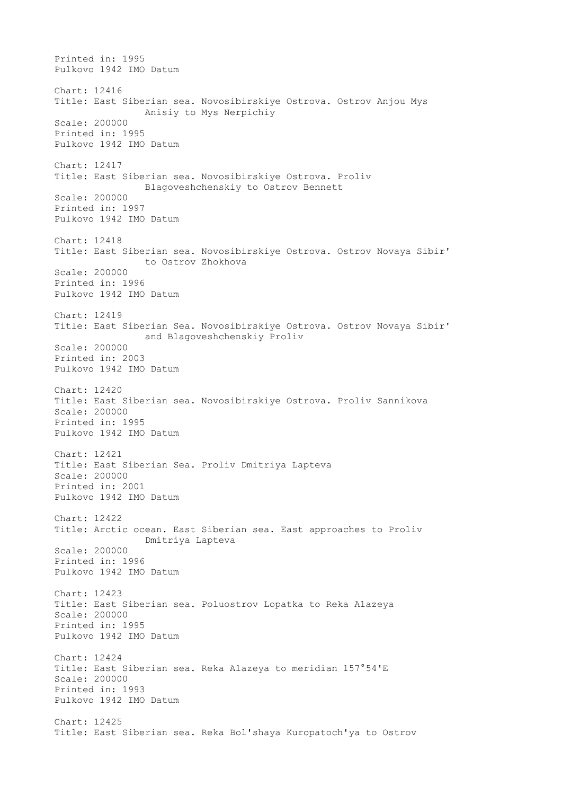Printed in: 1995 Pulkovo 1942 IMO Datum Chart: 12416 Title: East Siberian sea. Novosibirskiye Ostrova. Ostrov Anjou Mys Anisiy to Mys Nerpichiy Scale: 200000 Printed in: 1995 Pulkovo 1942 IMO Datum Chart: 12417 Title: East Siberian sea. Novosibirskiye Ostrova. Proliv Blagoveshchenskiy to Ostrov Bennett Scale: 200000 Printed in: 1997 Pulkovo 1942 IMO Datum Chart: 12418 Title: East Siberian sea. Novosibirskiye Ostrova. Ostrov Novaya Sibir' to Ostrov Zhokhova Scale: 200000 Printed in: 1996 Pulkovo 1942 IMO Datum Chart: 12419 Title: East Siberian Sea. Novosibirskiye Ostrova. Ostrov Novaya Sibir' and Blagoveshchenskiy Proliv Scale: 200000 Printed in: 2003 Pulkovo 1942 IMO Datum Chart: 12420 Title: East Siberian sea. Novosibirskiye Ostrova. Proliv Sannikova Scale: 200000 Printed in: 1995 Pulkovo 1942 IMO Datum Chart: 12421 Title: East Siberian Sea. Proliv Dmitriya Lapteva Scale: 200000 Printed in: 2001 Pulkovo 1942 IMO Datum Chart: 12422 Title: Arctic ocean. East Siberian sea. East approaches to Proliv Dmitriya Lapteva Scale: 200000 Printed in: 1996 Pulkovo 1942 IMO Datum Chart: 12423 Title: East Siberian sea. Poluostrov Lopatka to Reka Alazeya Scale: 200000 Printed in: 1995 Pulkovo 1942 IMO Datum Chart: 12424 Title: East Siberian sea. Reka Alazeya to meridian 157°54'E Scale: 200000 Printed in: 1993 Pulkovo 1942 IMO Datum Chart: 12425 Title: East Siberian sea. Reka Bol'shaya Kuropatoch'ya to Ostrov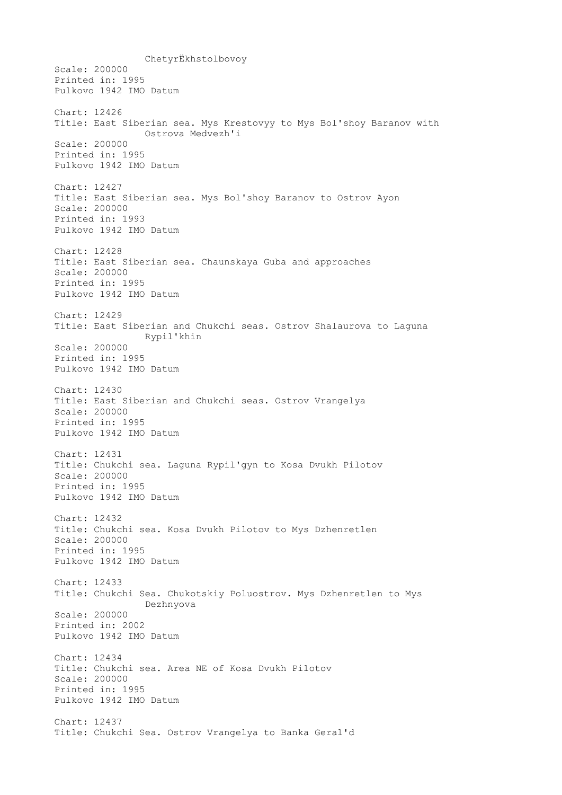ChetyrЁkhstolbovoy Scale: 200000 Printed in: 1995 Pulkovo 1942 IMO Datum Chart: 12426 Title: East Siberian sea. Mys Krestovyy to Mys Bol'shoy Baranov with Ostrova Medvezh'i Scale: 200000 Printed in: 1995 Pulkovo 1942 IMO Datum Chart: 12427 Title: East Siberian sea. Mys Bol'shoy Baranov to Ostrov Ayon Scale: 200000 Printed in: 1993 Pulkovo 1942 IMO Datum Chart: 12428 Title: East Siberian sea. Chaunskaya Guba and approaches Scale: 200000 Printed in: 1995 Pulkovo 1942 IMO Datum Chart: 12429 Title: East Siberian and Chukchi seas. Ostrov Shalaurova to Laguna Rypil'khin Scale: 200000 Printed in: 1995 Pulkovo 1942 IMO Datum Chart: 12430 Title: East Siberian and Chukchi seas. Ostrov Vrangelya Scale: 200000 Printed in: 1995 Pulkovo 1942 IMO Datum Chart: 12431 Title: Chukchi sea. Laguna Rypil'gyn to Kosa Dvukh Pilotov Scale: 200000 Printed in: 1995 Pulkovo 1942 IMO Datum Chart: 12432 Title: Chukchi sea. Kosa Dvukh Pilotov to Mys Dzhenretlen Scale: 200000 Printed in: 1995 Pulkovo 1942 IMO Datum Chart: 12433 Title: Chukchi Sea. Chukotskiy Poluostrov. Mys Dzhenretlen to Mys Dezhnyova Scale: 200000 Printed in: 2002 Pulkovo 1942 IMO Datum Chart: 12434 Title: Chukchi sea. Area NE of Kosa Dvukh Pilotov Scale: 200000 Printed in: 1995 Pulkovo 1942 IMO Datum Chart: 12437 Title: Chukchi Sea. Ostrov Vrangelya to Banka Geral'd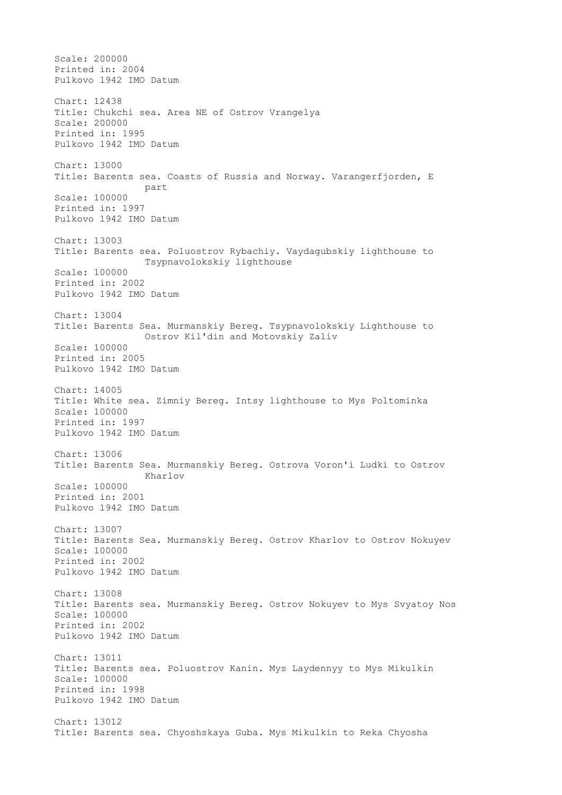Scale: 200000 Printed in: 2004 Pulkovo 1942 IMO Datum Chart: 12438 Title: Chukchi sea. Area NE of Ostrov Vrangelya Scale: 200000 Printed in: 1995 Pulkovo 1942 IMO Datum Chart: 13000 Title: Barents sea. Coasts of Russia and Norway. Varangerfjorden, E part Scale: 100000 Printed in: 1997 Pulkovo 1942 IMO Datum Chart: 13003 Title: Barents sea. Poluostrov Rybachiy. Vaydagubskiy lighthouse to Tsypnavolokskiy lighthouse Scale: 100000 Printed in: 2002 Pulkovo 1942 IMO Datum Chart: 13004 Title: Barents Sea. Murmanskiy Bereg. Tsypnavolokskiy Lighthouse to Ostrov Kil'din and Motovskiy Zaliv Scale: 100000 Printed in: 2005 Pulkovo 1942 IMO Datum Chart: 14005 Title: White sea. Zimniy Bereg. Intsy lighthouse to Mys Poltominka Scale: 100000 Printed in: 1997 Pulkovo 1942 IMO Datum Chart: 13006 Title: Barents Sea. Murmanskiy Bereg. Ostrova Voron'i Ludki to Ostrov Kharlov Scale: 100000 Printed in: 2001 Pulkovo 1942 IMO Datum Chart: 13007 Title: Barents Sea. Murmanskiy Bereg. Ostrov Kharlov to Ostrov Nokuyev Scale: 100000 Printed in: 2002 Pulkovo 1942 IMO Datum Chart: 13008 Title: Barents sea. Murmanskiy Bereg. Ostrov Nokuyev to Mys Svyatoy Nos Scale: 100000 Printed in: 2002 Pulkovo 1942 IMO Datum Chart: 13011 Title: Barents sea. Poluostrov Kanin. Mys Laydennyy to Mys Mikulkin Scale: 100000 Printed in: 1998 Pulkovo 1942 IMO Datum Chart: 13012 Title: Barents sea. Chyoshskaya Guba. Mys Mikulkin to Reka Chyosha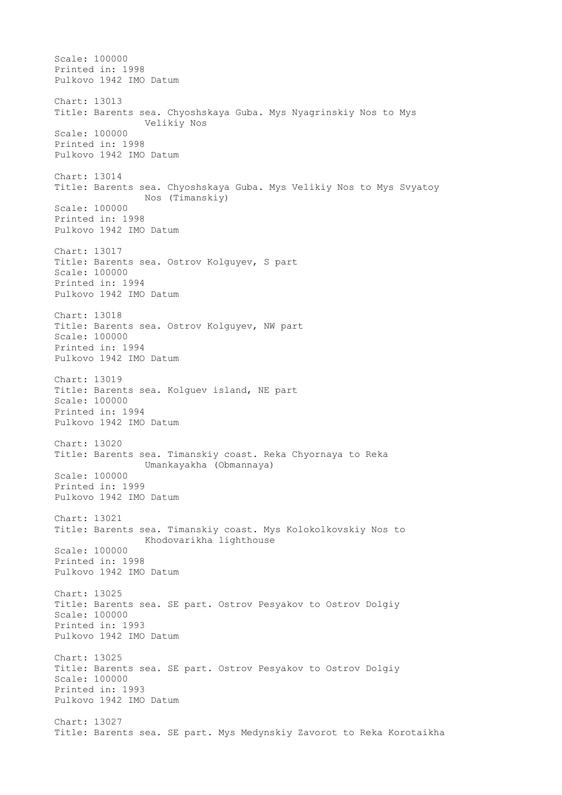Scale: 100000 Printed in: 1998 Pulkovo 1942 IMO Datum Chart: 13013 Title: Barents sea. Chyoshskaya Guba. Mys Nyagrinskiy Nos to Mys Velikiy Nos Scale: 100000 Printed in: 1998 Pulkovo 1942 IMO Datum Chart: 13014 Title: Barents sea. Chyoshskaya Guba. Mys Velikiy Nos to Mys Svyatoy Nos (Timanskiy) Scale: 100000 Printed in: 1998 Pulkovo 1942 IMO Datum Chart: 13017 Title: Barents sea. Ostrov Kolguyev, S part Scale: 100000 Printed in: 1994 Pulkovo 1942 IMO Datum Chart: 13018 Title: Barents sea. Ostrov Kolguyev, NW part Scale: 100000 Printed in: 1994 Pulkovo 1942 IMO Datum Chart: 13019 Title: Barents sea. Kolguev island, NE part Scale: 100000 Printed in: 1994 Pulkovo 1942 IMO Datum Chart: 13020 Title: Barents sea. Timanskiy coast. Reka Chyornaya to Reka Umankayakha (Obmannaya) Scale: 100000 Printed in: 1999 Pulkovo 1942 IMO Datum Chart: 13021 Title: Barents sea. Timanskiy coast. Mys Kolokolkovskiy Nos to Khodovarikha lighthouse Scale: 100000 Printed in: 1998 Pulkovo 1942 IMO Datum Chart: 13025 Title: Barents sea. SE part. Ostrov Pesyakov to Ostrov Dolgiy Scale: 100000 Printed in: 1993 Pulkovo 1942 IMO Datum Chart: 13025 Title: Barents sea. SE part. Ostrov Pesyakov to Ostrov Dolgiy Scale: 100000 Printed in: 1993 Pulkovo 1942 IMO Datum Chart: 13027 Title: Barents sea. SE part. Mys Medynskiy Zavorot to Reka Korotaikha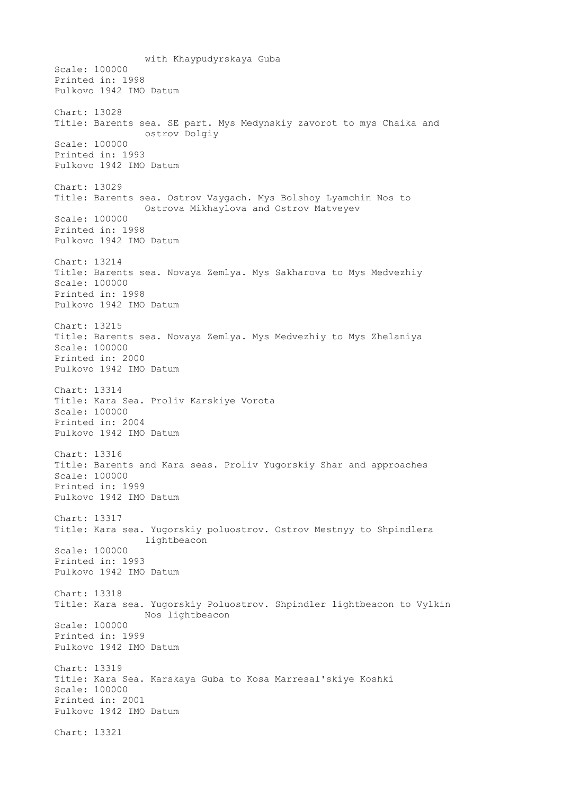with Khaypudyrskaya Guba Scale: 100000 Printed in: 1998 Pulkovo 1942 IMO Datum Chart: 13028 Title: Barents sea. SE part. Mys Medynskiy zavorot to mys Chaika and ostrov Dolgiy Scale: 100000 Printed in: 1993 Pulkovo 1942 IMO Datum Chart: 13029 Title: Barents sea. Ostrov Vaygach. Mys Bolshoy Lyamchin Nos to Ostrova Mikhaylova and Ostrov Matveyev Scale: 100000 Printed in: 1998 Pulkovo 1942 IMO Datum Chart: 13214 Title: Barents sea. Novaya Zemlya. Mys Sakharova to Mys Medvezhiy Scale: 100000 Printed in: 1998 Pulkovo 1942 IMO Datum Chart: 13215 Title: Barents sea. Novaya Zemlya. Mys Medvezhiy to Mys Zhelaniya Scale: 100000 Printed in: 2000 Pulkovo 1942 IMO Datum Chart: 13314 Title: Kara Sea. Proliv Karskiye Vorota Scale: 100000 Printed in: 2004 Pulkovo 1942 IMO Datum Chart: 13316 Title: Barents and Kara seas. Proliv Yugorskiy Shar and approaches Scale: 100000 Printed in: 1999 Pulkovo 1942 IMO Datum Chart: 13317 Title: Kara sea. Yugorskiy poluostrov. Ostrov Mestnyy to Shpindlera lightbeacon Scale: 100000 Printed in: 1993 Pulkovo 1942 IMO Datum Chart: 13318 Title: Kara sea. Yugorskiy Poluostrov. Shpindler lightbeacon to Vylkin Nos lightbeacon Scale: 100000 Printed in: 1999 Pulkovo 1942 IMO Datum Chart: 13319 Title: Kara Sea. Karskaya Guba to Kosa Marresal'skiye Koshki Scale: 100000 Printed in: 2001 Pulkovo 1942 IMO Datum Chart: 13321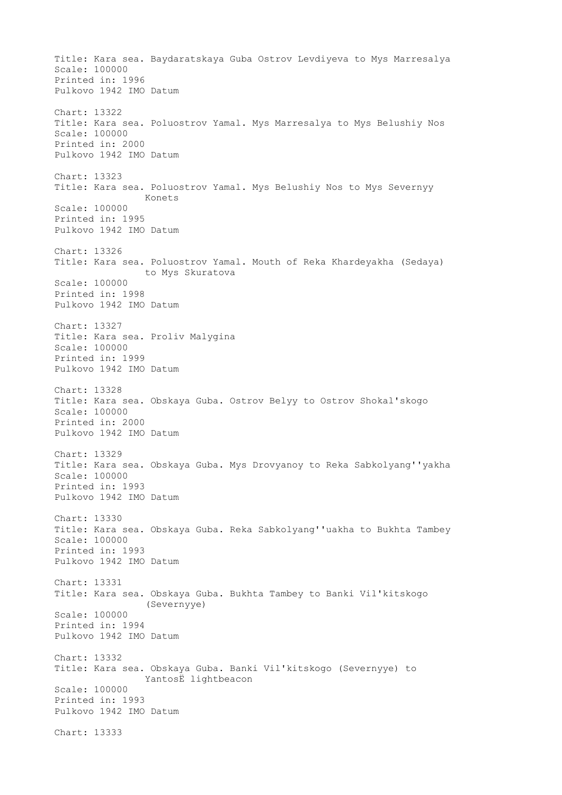Title: Kara sea. Baydaratskaya Guba Ostrov Levdiyeva to Mys Marresalya Scale: 100000 Printed in: 1996 Pulkovo 1942 IMO Datum Chart: 13322 Title: Kara sea. Poluostrov Yamal. Mys Marresalya to Mys Belushiy Nos Scale: 100000 Printed in: 2000 Pulkovo 1942 IMO Datum Chart: 13323 Title: Kara sea. Poluostrov Yamal. Mys Belushiy Nos to Mys Severnyy Konets Scale: 100000 Printed in: 1995 Pulkovo 1942 IMO Datum Chart: 13326 Title: Kara sea. Poluostrov Yamal. Mouth of Reka Khardeyakha (Sedaya) to Mys Skuratova Scale: 100000 Printed in: 1998 Pulkovo 1942 IMO Datum Chart: 13327 Title: Kara sea. Proliv Malygina Scale: 100000 Printed in: 1999 Pulkovo 1942 IMO Datum Chart: 13328 Title: Kara sea. Obskaya Guba. Ostrov Belyy to Ostrov Shokal'skogo Scale: 100000 Printed in: 2000 Pulkovo 1942 IMO Datum Chart: 13329 Title: Kara sea. Obskaya Guba. Mys Drovyanoy to Reka Sabkolyang''yakha Scale: 100000 Printed in: 1993 Pulkovo 1942 IMO Datum Chart: 13330 Title: Kara sea. Obskaya Guba. Reka Sabkolyang''uakha to Bukhta Tambey Scale: 100000 Printed in: 1993 Pulkovo 1942 IMO Datum Chart: 13331 Title: Kara sea. Obskaya Guba. Bukhta Tambey to Banki Vil'kitskogo (Severnyye) Scale: 100000 Printed in: 1994 Pulkovo 1942 IMO Datum Chart: 13332 Title: Kara sea. Obskaya Guba. Banki Vil'kitskogo (Severnyye) to YantosЁ lightbeacon Scale: 100000 Printed in: 1993 Pulkovo 1942 IMO Datum Chart: 13333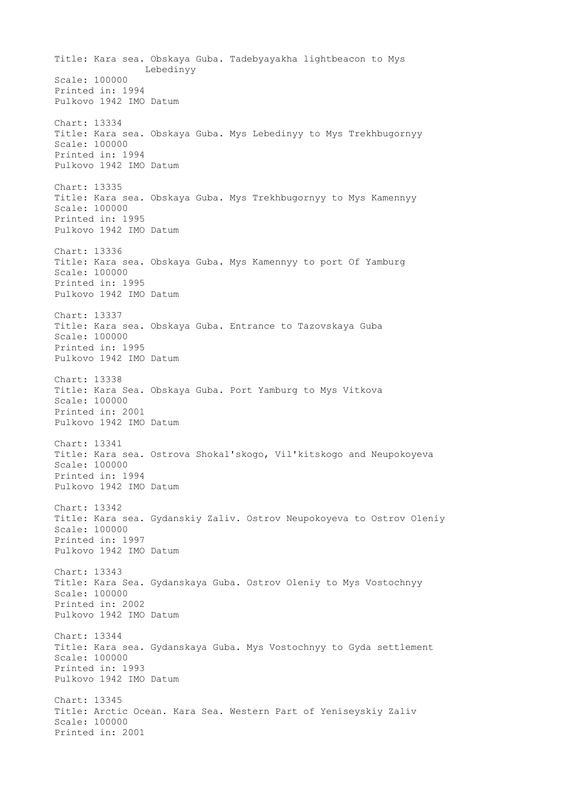Title: Kara sea. Obskaya Guba. Tadebyayakha lightbeacon to Mys Lebedinyy Scale: 100000 Printed in: 1994 Pulkovo 1942 IMO Datum Chart: 13334 Title: Kara sea. Obskaya Guba. Mys Lebedinyy to Mys Trekhbugornyy Scale: 100000 Printed in: 1994 Pulkovo 1942 IMO Datum Chart: 13335 Title: Kara sea. Obskaya Guba. Mys Trekhbugornyy to Mys Kamennyy Scale: 100000 Printed in: 1995 Pulkovo 1942 IMO Datum Chart: 13336 Title: Kara sea. Obskaya Guba. Mys Kamennyy to port Of Yamburg Scale: 100000 Printed in: 1995 Pulkovo 1942 IMO Datum Chart: 13337 Title: Kara sea. Obskaya Guba. Entrance to Tazovskaya Guba Scale: 100000 Printed in: 1995 Pulkovo 1942 IMO Datum Chart: 13338 Title: Kara Sea. Obskaya Guba. Port Yamburg to Mys Vitkova Scale: 100000 Printed in: 2001 Pulkovo 1942 IMO Datum Chart: 13341 Title: Kara sea. Ostrova Shokal'skogo, Vil'kitskogo and Neupokoyeva Scale: 100000 Printed in: 1994 Pulkovo 1942 IMO Datum Chart: 13342 Title: Kara sea. Gydanskiy Zaliv. Ostrov Neupokoyeva to Ostrov Oleniy Scale: 100000 Printed in: 1997 Pulkovo 1942 IMO Datum Chart: 13343 Title: Kara Sea. Gydanskaya Guba. Ostrov Oleniy to Mys Vostochnyy Scale: 100000 Printed in: 2002 Pulkovo 1942 IMO Datum Chart: 13344 Title: Kara sea. Gydanskaya Guba. Mys Vostochnyy to Gyda settlement Scale: 100000 Printed in: 1993 Pulkovo 1942 IMO Datum Chart: 13345 Title: Arctic Ocean. Kara Sea. Western Part of Yeniseyskiy Zaliv Scale: 100000 Printed in: 2001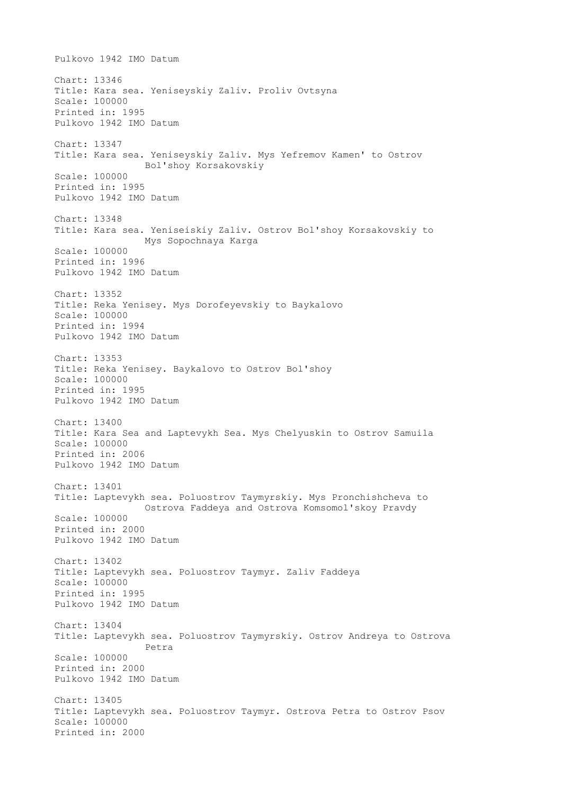Pulkovo 1942 IMO Datum Chart: 13346 Title: Kara sea. Yeniseyskiy Zaliv. Proliv Ovtsyna Scale: 100000 Printed in: 1995 Pulkovo 1942 IMO Datum Chart: 13347 Title: Kara sea. Yeniseyskiy Zaliv. Mys Yefremov Kamen' to Ostrov Bol'shoy Korsakovskiy Scale: 100000 Printed in: 1995 Pulkovo 1942 IMO Datum Chart: 13348 Title: Kara sea. Yeniseiskiy Zaliv. Ostrov Bol'shoy Korsakovskiy to Mys Sopochnaya Karga Scale: 100000 Printed in: 1996 Pulkovo 1942 IMO Datum Chart: 13352 Title: Reka Yenisey. Mys Dorofeyevskiy to Baykalovo Scale: 100000 Printed in: 1994 Pulkovo 1942 IMO Datum Chart: 13353 Title: Reka Yenisey. Baykalovo to Ostrov Bol'shoy Scale: 100000 Printed in: 1995 Pulkovo 1942 IMO Datum Chart: 13400 Title: Kara Sea and Laptevykh Sea. Mys Chelyuskin to Ostrov Samuila Scale: 100000 Printed in: 2006 Pulkovo 1942 IMO Datum Chart: 13401 Title: Laptevykh sea. Poluostrov Taymyrskiy. Mys Pronchishcheva to Ostrova Faddeya and Ostrova Komsomol'skoy Pravdy Scale: 100000 Printed in: 2000 Pulkovo 1942 IMO Datum Chart: 13402 Title: Laptevykh sea. Poluostrov Taymyr. Zaliv Faddeya Scale: 100000 Printed in: 1995 Pulkovo 1942 IMO Datum Chart: 13404 Title: Laptevykh sea. Poluostrov Taymyrskiy. Ostrov Andreya to Ostrova Petra Scale: 100000 Printed in: 2000 Pulkovo 1942 IMO Datum Chart: 13405 Title: Laptevykh sea. Poluostrov Taymyr. Ostrova Petra to Ostrov Psov Scale: 100000 Printed in: 2000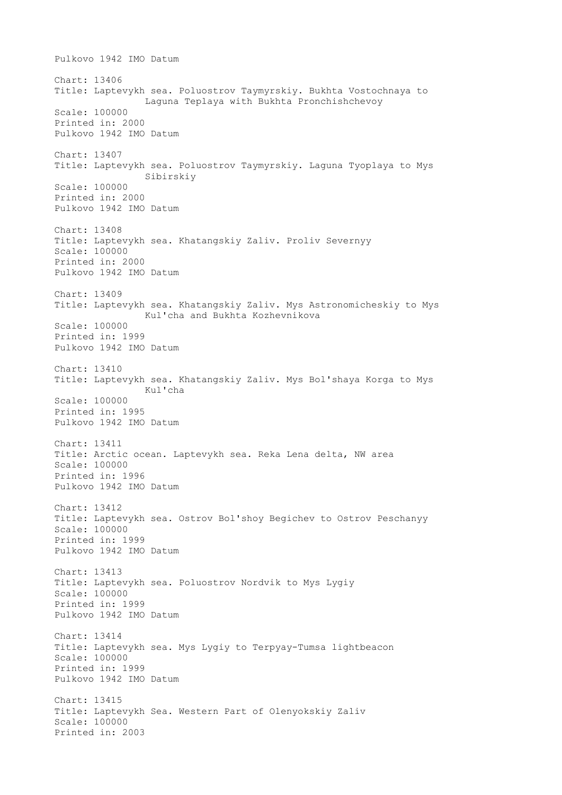Pulkovo 1942 IMO Datum Chart: 13406 Title: Laptevykh sea. Poluostrov Taymyrskiy. Bukhta Vostochnaya to Laguna Teplaya with Bukhta Pronchishchevoy Scale: 100000 Printed in: 2000 Pulkovo 1942 IMO Datum Chart: 13407 Title: Laptevykh sea. Poluostrov Taymyrskiy. Laguna Tyoplaya to Mys Sibirskiy Scale: 100000 Printed in: 2000 Pulkovo 1942 IMO Datum Chart: 13408 Title: Laptevykh sea. Khatangskiy Zaliv. Proliv Severnyy Scale: 100000 Printed in: 2000 Pulkovo 1942 IMO Datum Chart: 13409 Title: Laptevykh sea. Khatangskiy Zaliv. Mys Astronomicheskiy to Mys Kul'cha and Bukhta Kozhevnikova Scale: 100000 Printed in: 1999 Pulkovo 1942 IMO Datum Chart: 13410 Title: Laptevykh sea. Khatangskiy Zaliv. Mys Bol'shaya Korga to Mys Kul'cha Scale: 100000 Printed in: 1995 Pulkovo 1942 IMO Datum Chart: 13411 Title: Arctic ocean. Laptevykh sea. Reka Lena delta, NW area Scale: 100000 Printed in: 1996 Pulkovo 1942 IMO Datum Chart: 13412 Title: Laptevykh sea. Ostrov Bol'shoy Begichev to Ostrov Peschanyy Scale: 100000 Printed in: 1999 Pulkovo 1942 IMO Datum Chart: 13413 Title: Laptevykh sea. Poluostrov Nordvik to Mys Lygiy Scale: 100000 Printed in: 1999 Pulkovo 1942 IMO Datum Chart: 13414 Title: Laptevykh sea. Mys Lygiy to Terpyay-Tumsa lightbeacon Scale: 100000 Printed in: 1999 Pulkovo 1942 IMO Datum Chart: 13415 Title: Laptevykh Sea. Western Part of Olenyokskiy Zaliv Scale: 100000 Printed in: 2003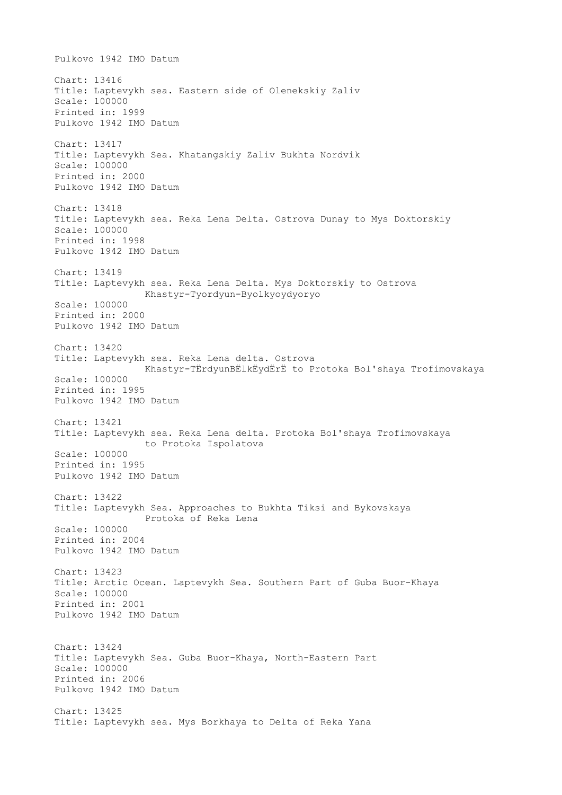Pulkovo 1942 IMO Datum Chart: 13416 Title: Laptevykh sea. Eastern side of Olenekskiy Zaliv Scale: 100000 Printed in: 1999 Pulkovo 1942 IMO Datum Chart: 13417 Title: Laptevykh Sea. Khatangskiy Zaliv Bukhta Nordvik Scale: 100000 Printed in: 2000 Pulkovo 1942 IMO Datum Chart: 13418 Title: Laptevykh sea. Reka Lena Delta. Ostrova Dunay to Mys Doktorskiy Scale: 100000 Printed in: 1998 Pulkovo 1942 IMO Datum Chart: 13419 Title: Laptevykh sea. Reka Lena Delta. Mys Doktorskiy to Ostrova Khastyr-Tyordyun-Byolkyoydyoryo Scale: 100000 Printed in: 2000 Pulkovo 1942 IMO Datum Chart: 13420 Title: Laptevykh sea. Reka Lena delta. Ostrova Khastyr-TЁrdyunBЁlkЁydЁrЁ to Protoka Bol'shaya Trofimovskaya Scale: 100000 Printed in: 1995 Pulkovo 1942 IMO Datum Chart: 13421 Title: Laptevykh sea. Reka Lena delta. Protoka Bol'shaya Trofimovskaya to Protoka Ispolatova Scale: 100000 Printed in: 1995 Pulkovo 1942 IMO Datum Chart: 13422 Title: Laptevykh Sea. Approaches to Bukhta Tiksi and Bykovskaya Protoka of Reka Lena Scale: 100000 Printed in: 2004 Pulkovo 1942 IMO Datum Chart: 13423 Title: Arctic Ocean. Laptevykh Sea. Southern Part of Guba Buor-Khaya Scale: 100000 Printed in: 2001 Pulkovo 1942 IMO Datum Chart: 13424 Title: Laptevykh Sea. Guba Buor-Khaya, North-Eastern Part Scale: 100000 Printed in: 2006 Pulkovo 1942 IMO Datum Chart: 13425 Title: Laptevykh sea. Mys Borkhaya to Delta of Reka Yana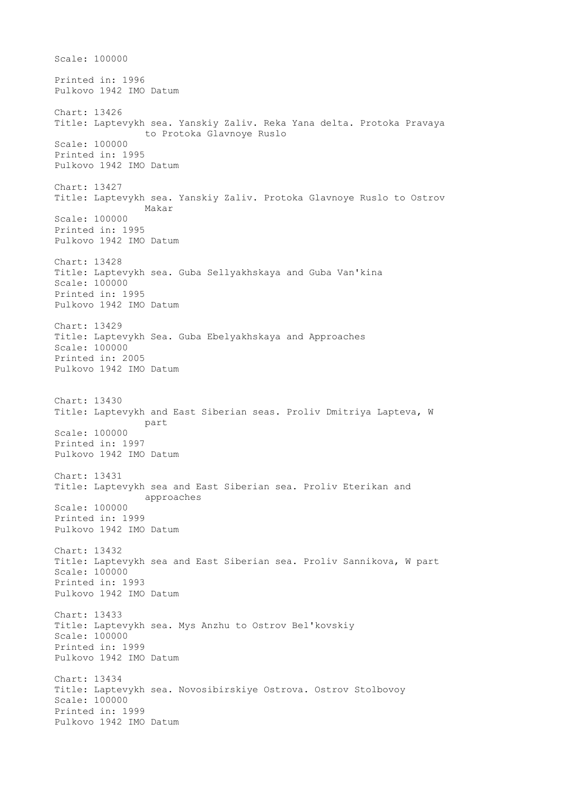Scale: 100000 Printed in: 1996 Pulkovo 1942 IMO Datum Chart: 13426 Title: Laptevykh sea. Yanskiy Zaliv. Reka Yana delta. Protoka Pravaya to Protoka Glavnoye Ruslo Scale: 100000 Printed in: 1995 Pulkovo 1942 IMO Datum Chart: 13427 Title: Laptevykh sea. Yanskiy Zaliv. Protoka Glavnoye Ruslo to Ostrov Makar Scale: 100000 Printed in: 1995 Pulkovo 1942 IMO Datum Chart: 13428 Title: Laptevykh sea. Guba Sellyakhskaya and Guba Van'kina Scale: 100000 Printed in: 1995 Pulkovo 1942 IMO Datum Chart: 13429 Title: Laptevykh Sea. Guba Ebelyakhskaya and Approaches Scale: 100000 Printed in: 2005 Pulkovo 1942 IMO Datum Chart: 13430 Title: Laptevykh and East Siberian seas. Proliv Dmitriya Lapteva, W part Scale: 100000 Printed in: 1997 Pulkovo 1942 IMO Datum Chart: 13431 Title: Laptevykh sea and East Siberian sea. Proliv Eterikan and approaches Scale: 100000 Printed in: 1999 Pulkovo 1942 IMO Datum Chart: 13432 Title: Laptevykh sea and East Siberian sea. Proliv Sannikova, W part Scale: 100000 Printed in: 1993 Pulkovo 1942 IMO Datum Chart: 13433 Title: Laptevykh sea. Mys Anzhu to Ostrov Bel'kovskiy Scale: 100000 Printed in: 1999 Pulkovo 1942 IMO Datum Chart: 13434 Title: Laptevykh sea. Novosibirskiye Ostrova. Ostrov Stolbovoy Scale: 100000 Printed in: 1999 Pulkovo 1942 IMO Datum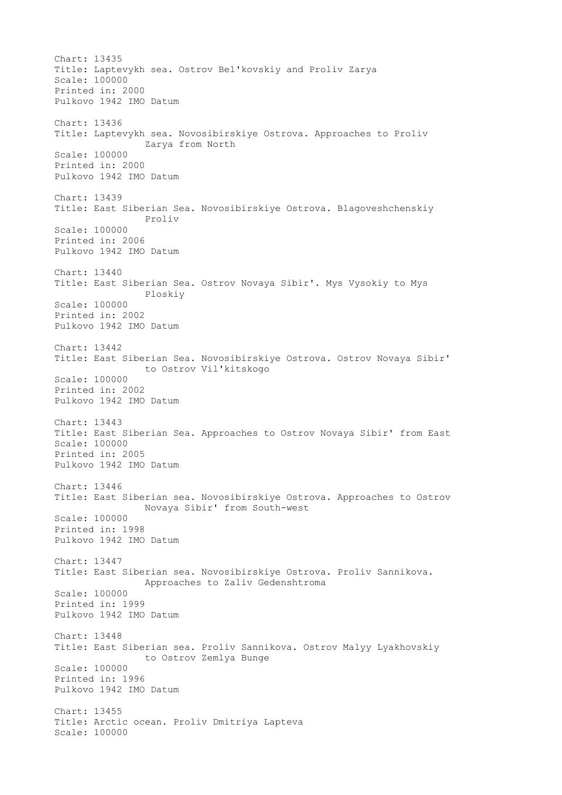Chart: 13435 Title: Laptevykh sea. Ostrov Bel'kovskiy and Proliv Zarya Scale: 100000 Printed in: 2000 Pulkovo 1942 IMO Datum Chart: 13436 Title: Laptevykh sea. Novosibirskiye Ostrova. Approaches to Proliv Zarya from North Scale: 100000 Printed in: 2000 Pulkovo 1942 IMO Datum Chart: 13439 Title: East Siberian Sea. Novosibirskiye Ostrova. Blagoveshchenskiy Proliv Scale: 100000 Printed in: 2006 Pulkovo 1942 IMO Datum Chart: 13440 Title: East Siberian Sea. Ostrov Novaya Sibir'. Mys Vysokiy to Mys Ploskiy Scale: 100000 Printed in: 2002 Pulkovo 1942 IMO Datum Chart: 13442 Title: East Siberian Sea. Novosibirskiye Ostrova. Ostrov Novaya Sibir' to Ostrov Vil'kitskogo Scale: 100000 Printed in: 2002 Pulkovo 1942 IMO Datum Chart: 13443 Title: East Siberian Sea. Approaches to Ostrov Novaya Sibir' from East Scale: 100000 Printed in: 2005 Pulkovo 1942 IMO Datum Chart: 13446 Title: East Siberian sea. Novosibirskiye Ostrova. Approaches to Ostrov Novaya Sibir' from South-west Scale: 100000 Printed in: 1998 Pulkovo 1942 IMO Datum Chart: 13447 Title: East Siberian sea. Novosibirskiye Ostrova. Proliv Sannikova. Approaches to Zaliv Gedenshtroma Scale: 100000 Printed in: 1999 Pulkovo 1942 IMO Datum Chart: 13448 Title: East Siberian sea. Proliv Sannikova. Ostrov Malyy Lyakhovskiy to Ostrov Zemlya Bunge Scale: 100000 Printed in: 1996 Pulkovo 1942 IMO Datum Chart: 13455 Title: Arctic ocean. Proliv Dmitriya Lapteva Scale: 100000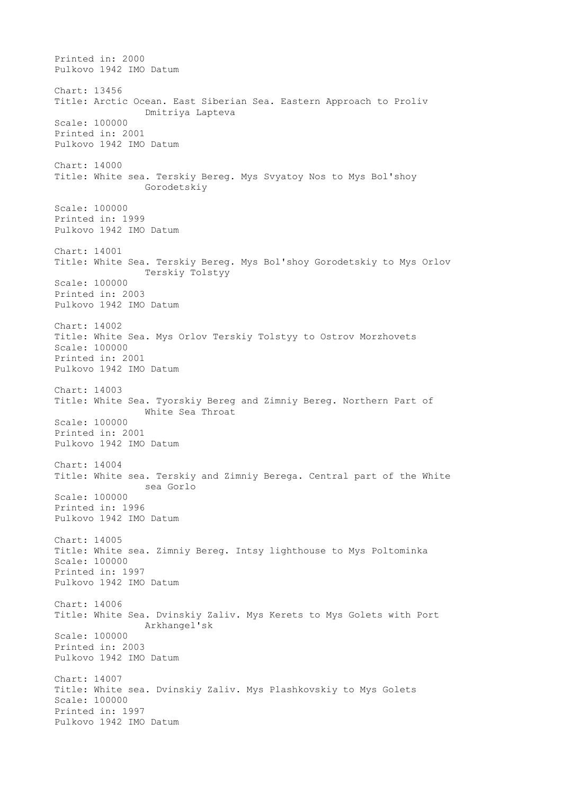Printed in: 2000 Pulkovo 1942 IMO Datum Chart: 13456 Title: Arctic Ocean. East Siberian Sea. Eastern Approach to Proliv Dmitriya Lapteva Scale: 100000 Printed in: 2001 Pulkovo 1942 IMO Datum Chart: 14000 Title: White sea. Terskiy Bereg. Mys Svyatoy Nos to Mys Bol'shoy Gorodetskiy Scale: 100000 Printed in: 1999 Pulkovo 1942 IMO Datum Chart: 14001 Title: White Sea. Terskiy Bereg. Mys Bol'shoy Gorodetskiy to Mys Orlov Terskiy Tolstyy Scale: 100000 Printed in: 2003 Pulkovo 1942 IMO Datum Chart: 14002 Title: White Sea. Mys Orlov Terskiy Tolstyy to Ostrov Morzhovets Scale: 100000 Printed in: 2001 Pulkovo 1942 IMO Datum Chart: 14003 Title: White Sea. Tyorskiy Bereg and Zimniy Bereg. Northern Part of White Sea Throat Scale: 100000 Printed in: 2001 Pulkovo 1942 IMO Datum Chart: 14004 Title: White sea. Terskiy and Zimniy Berega. Central part of the White sea Gorlo Scale: 100000 Printed in: 1996 Pulkovo 1942 IMO Datum Chart: 14005 Title: White sea. Zimniy Bereg. Intsy lighthouse to Mys Poltominka Scale: 100000 Printed in: 1997 Pulkovo 1942 IMO Datum Chart: 14006 Title: White Sea. Dvinskiy Zaliv. Mys Kerets to Mys Golets with Port Arkhangel'sk Scale: 100000 Printed in: 2003 Pulkovo 1942 IMO Datum Chart: 14007 Title: White sea. Dvinskiy Zaliv. Mys Plashkovskiy to Mys Golets Scale: 100000 Printed in: 1997 Pulkovo 1942 IMO Datum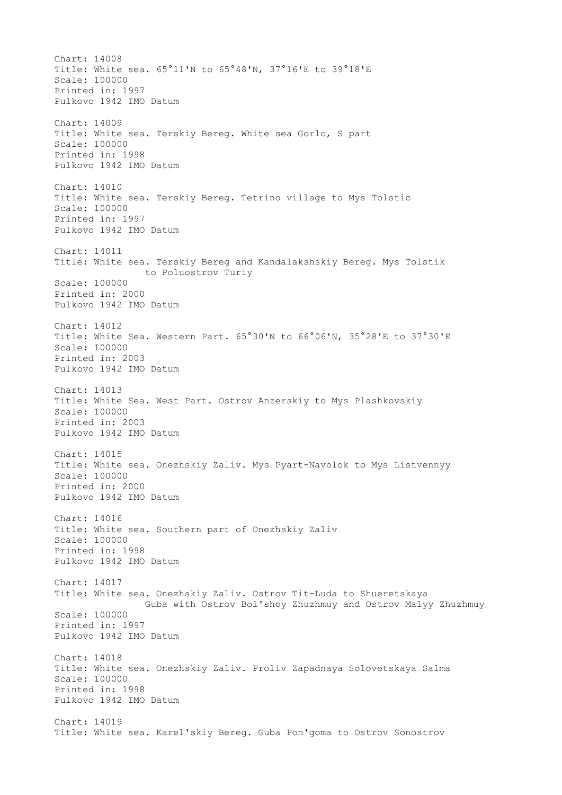Chart: 14008 Title: White sea. 65°11'N to 65°48'N, 37°16'E to 39°18'E Scale: 100000 Printed in: 1997 Pulkovo 1942 IMO Datum Chart: 14009 Title: White sea. Terskiy Bereg. White sea Gorlo, S part Scale: 100000 Printed in: 1998 Pulkovo 1942 IMO Datum Chart: 14010 Title: White sea. Terskiy Bereg. Tetrino village to Mys Tolstic Scale: 100000 Printed in: 1997 Pulkovo 1942 IMO Datum Chart: 14011 Title: White sea. Terskiy Bereg and Kandalakshskiy Bereg. Mys Tolstik to Poluostrov Turiy Scale: 100000 Printed in: 2000 Pulkovo 1942 IMO Datum Chart: 14012 Title: White Sea. Western Part. 65°30'N to 66°06'N, 35°28'E to 37°30'E Scale: 100000 Printed in: 2003 Pulkovo 1942 IMO Datum Chart: 14013 Title: White Sea. West Part. Ostrov Anzerskiy to Mys Plashkovskiy Scale: 100000 Printed in: 2003 Pulkovo 1942 IMO Datum Chart: 14015 Title: White sea. Onezhskiy Zaliv. Mys Pyart-Navolok to Mys Listvennyy Scale: 100000 Printed in: 2000 Pulkovo 1942 IMO Datum Chart: 14016 Title: White sea. Southern part of Onezhskiy Zaliv Scale: 100000 Printed in: 1998 Pulkovo 1942 IMO Datum Chart: 14017 Title: White sea. Onezhskiy Zaliv. Ostrov Tit-Luda to Shueretskaya Guba with Ostrov Bol'shoy Zhuzhmuy and Ostrov Malyy Zhuzhmuy Scale: 100000 Printed in: 1997 Pulkovo 1942 IMO Datum Chart: 14018 Title: White sea. Onezhskiy Zaliv. Proliv Zapadnaya Solovetskaya Salma Scale: 100000 Printed in: 1998 Pulkovo 1942 IMO Datum Chart: 14019 Title: White sea. Karel'skiy Bereg. Guba Pon'goma to Ostrov Sonostrov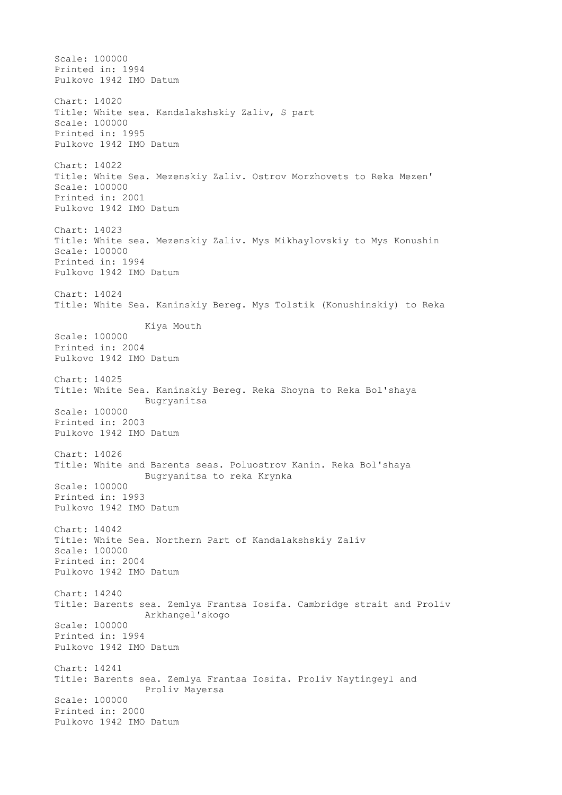Scale: 100000 Printed in: 1994 Pulkovo 1942 IMO Datum Chart: 14020 Title: White sea. Kandalakshskiy Zaliv, S part Scale: 100000 Printed in: 1995 Pulkovo 1942 IMO Datum Chart: 14022 Title: White Sea. Mezenskiy Zaliv. Ostrov Morzhovets to Reka Mezen' Scale: 100000 Printed in: 2001 Pulkovo 1942 IMO Datum Chart: 14023 Title: White sea. Mezenskiy Zaliv. Mys Mikhaylovskiy to Mys Konushin Scale: 100000 Printed in: 1994 Pulkovo 1942 IMO Datum Chart: 14024 Title: White Sea. Kaninskiy Bereg. Mys Tolstik (Konushinskiy) to Reka Kiya Mouth Scale: 100000 Printed in: 2004 Pulkovo 1942 IMO Datum Chart: 14025 Title: White Sea. Kaninskiy Bereg. Reka Shoyna to Reka Bol'shaya Bugryanitsa Scale: 100000 Printed in: 2003 Pulkovo 1942 IMO Datum Chart: 14026 Title: White and Barents seas. Poluostrov Kanin. Reka Bol'shaya Bugryanitsa to reka Krynka Scale: 100000 Printed in: 1993 Pulkovo 1942 IMO Datum Chart: 14042 Title: White Sea. Northern Part of Kandalakshskiy Zaliv Scale: 100000 Printed in: 2004 Pulkovo 1942 IMO Datum Chart: 14240 Title: Barents sea. Zemlya Frantsa Iosifa. Cambridge strait and Proliv Arkhangel'skogo Scale: 100000 Printed in: 1994 Pulkovo 1942 IMO Datum Chart: 14241 Title: Barents sea. Zemlya Frantsa Iosifa. Proliv Naytingeyl and Proliv Mayersa Scale: 100000 Printed in: 2000 Pulkovo 1942 IMO Datum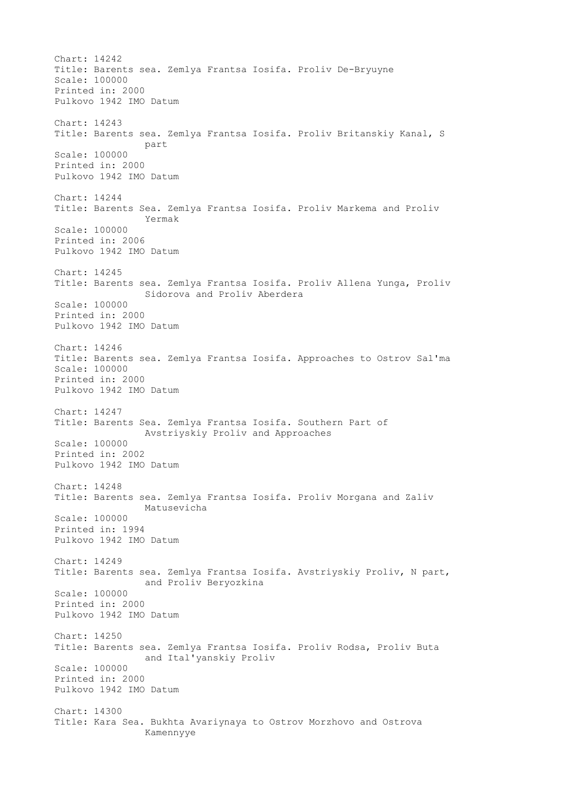Chart: 14242 Title: Barents sea. Zemlya Frantsa Iosifa. Proliv De-Bryuyne Scale: 100000 Printed in: 2000 Pulkovo 1942 IMO Datum Chart: 14243 Title: Barents sea. Zemlya Frantsa Iosifa. Proliv Britanskiy Kanal, S part Scale: 100000 Printed in: 2000 Pulkovo 1942 IMO Datum Chart: 14244 Title: Barents Sea. Zemlya Frantsa Iosifa. Proliv Markema and Proliv Yermak Scale: 100000 Printed in: 2006 Pulkovo 1942 IMO Datum Chart: 14245 Title: Barents sea. Zemlya Frantsa Iosifa. Proliv Allena Yunga, Proliv Sidorova and Proliv Aberdera Scale: 100000 Printed in: 2000 Pulkovo 1942 IMO Datum Chart: 14246 Title: Barents sea. Zemlya Frantsa Iosifa. Approaches to Ostrov Sal'ma Scale: 100000 Printed in: 2000 Pulkovo 1942 IMO Datum Chart: 14247 Title: Barents Sea. Zemlya Frantsa Iosifa. Southern Part of Avstriyskiy Proliv and Approaches Scale: 100000 Printed in: 2002 Pulkovo 1942 IMO Datum Chart: 14248 Title: Barents sea. Zemlya Frantsa Iosifa. Proliv Morgana and Zaliv Matusevicha Scale: 100000 Printed in: 1994 Pulkovo 1942 IMO Datum Chart: 14249 Title: Barents sea. Zemlya Frantsa Iosifa. Avstriyskiy Proliv, N part, and Proliv Beryozkina Scale: 100000 Printed in: 2000 Pulkovo 1942 IMO Datum Chart: 14250 Title: Barents sea. Zemlya Frantsa Iosifa. Proliv Rodsa, Proliv Buta and Ital'yanskiy Proliv Scale: 100000 Printed in: 2000 Pulkovo 1942 IMO Datum Chart: 14300 Title: Kara Sea. Bukhta Avariynaya to Ostrov Morzhovo and Ostrova Kamennyye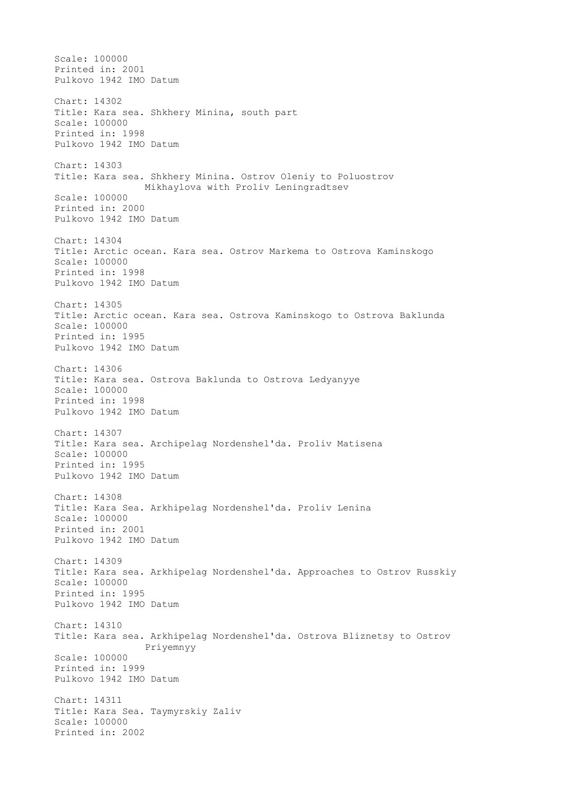Scale: 100000 Printed in: 2001 Pulkovo 1942 IMO Datum Chart: 14302 Title: Kara sea. Shkhery Minina, south part Scale: 100000 Printed in: 1998 Pulkovo 1942 IMO Datum Chart: 14303 Title: Kara sea. Shkhery Minina. Ostrov Oleniy to Poluostrov Mikhaylova with Proliv Leningradtsev Scale: 100000 Printed in: 2000 Pulkovo 1942 IMO Datum Chart: 14304 Title: Arctic ocean. Kara sea. Ostrov Markema to Ostrova Kaminskogo Scale: 100000 Printed in: 1998 Pulkovo 1942 IMO Datum Chart: 14305 Title: Arctic ocean. Kara sea. Ostrova Kaminskogo to Ostrova Baklunda Scale: 100000 Printed in: 1995 Pulkovo 1942 IMO Datum Chart: 14306 Title: Kara sea. Ostrova Baklunda to Ostrova Ledyanyye Scale: 100000 Printed in: 1998 Pulkovo 1942 IMO Datum Chart: 14307 Title: Kara sea. Archipelag Nordenshel'da. Proliv Matisena Scale: 100000 Printed in: 1995 Pulkovo 1942 IMO Datum Chart: 14308 Title: Kara Sea. Arkhipelag Nordenshel'da. Proliv Lenina Scale: 100000 Printed in: 2001 Pulkovo 1942 IMO Datum Chart: 14309 Title: Kara sea. Arkhipelag Nordenshel'da. Approaches to Ostrov Russkiy Scale: 100000 Printed in: 1995 Pulkovo 1942 IMO Datum Chart: 14310 Title: Kara sea. Arkhipelag Nordenshel'da. Ostrova Bliznetsy to Ostrov Priyemnyy Scale: 100000 Printed in: 1999 Pulkovo 1942 IMO Datum Chart: 14311 Title: Kara Sea. Taymyrskiy Zaliv Scale: 100000 Printed in: 2002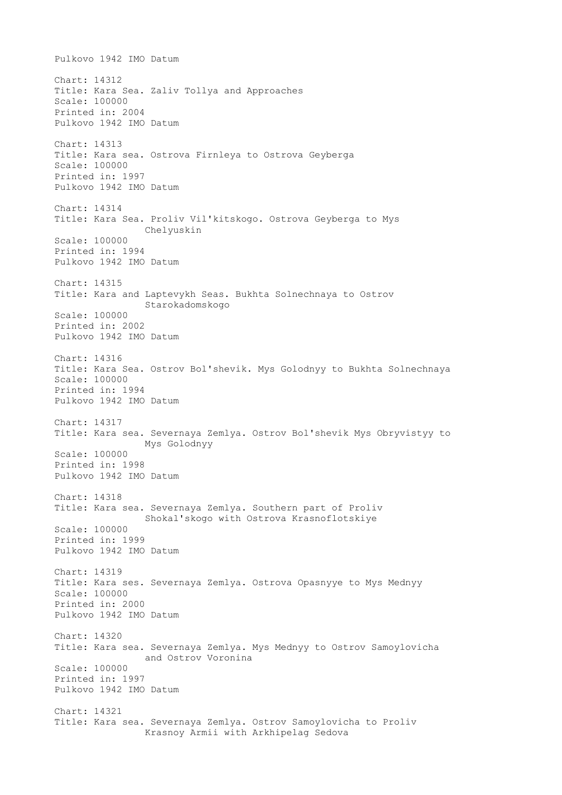Pulkovo 1942 IMO Datum Chart: 14312 Title: Kara Sea. Zaliv Tollya and Approaches Scale: 100000 Printed in: 2004 Pulkovo 1942 IMO Datum Chart: 14313 Title: Kara sea. Ostrova Firnleya to Ostrova Geyberga Scale: 100000 Printed in: 1997 Pulkovo 1942 IMO Datum Chart: 14314 Title: Kara Sea. Proliv Vil'kitskogo. Ostrova Geyberga to Mys Chelyuskin Scale: 100000 Printed in: 1994 Pulkovo 1942 IMO Datum Chart: 14315 Title: Kara and Laptevykh Seas. Bukhta Solnechnaya to Ostrov Starokadomskogo Scale: 100000 Printed in: 2002 Pulkovo 1942 IMO Datum Chart: 14316 Title: Kara Sea. Ostrov Bol'shevik. Mys Golodnyy to Bukhta Solnechnaya Scale: 100000 Printed in: 1994 Pulkovo 1942 IMO Datum Chart: 14317 Title: Kara sea. Severnaya Zemlya. Ostrov Bol'shevik Mys Obryvistyy to Mys Golodnyy Scale: 100000 Printed in: 1998 Pulkovo 1942 IMO Datum Chart: 14318 Title: Kara sea. Severnaya Zemlya. Southern part of Proliv Shokal'skogo with Ostrova Krasnoflotskiye Scale: 100000 Printed in: 1999 Pulkovo 1942 IMO Datum Chart: 14319 Title: Kara ses. Severnaya Zemlya. Ostrova Opasnyye to Mys Mednyy Scale: 100000 Printed in: 2000 Pulkovo 1942 IMO Datum Chart: 14320 Title: Kara sea. Severnaya Zemlya. Mys Mednyy to Ostrov Samoylovicha and Ostrov Voronina Scale: 100000 Printed in: 1997 Pulkovo 1942 IMO Datum Chart: 14321 Title: Kara sea. Severnaya Zemlya. Ostrov Samoylovicha to Proliv Krasnoy Armii with Arkhipelag Sedova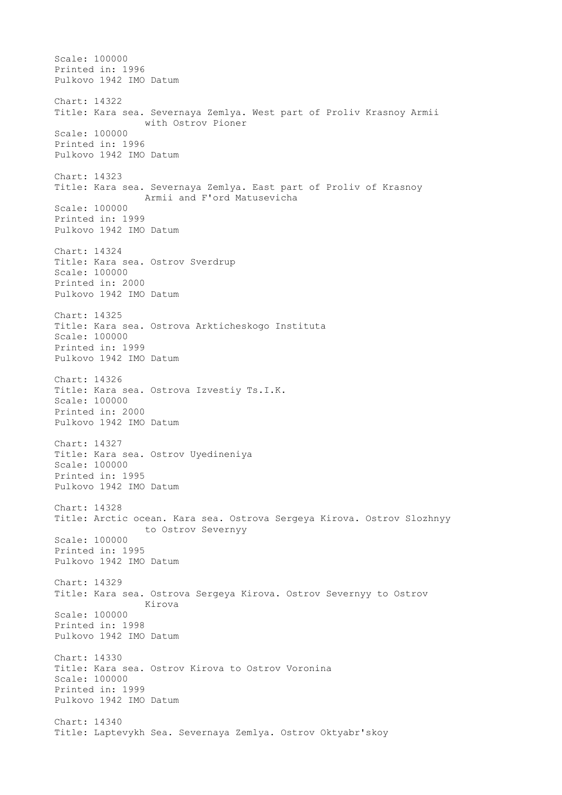Scale: 100000 Printed in: 1996 Pulkovo 1942 IMO Datum Chart: 14322 Title: Kara sea. Severnaya Zemlya. West part of Proliv Krasnoy Armii with Ostrov Pioner Scale: 100000 Printed in: 1996 Pulkovo 1942 IMO Datum Chart: 14323 Title: Kara sea. Severnaya Zemlya. East part of Proliv of Krasnoy Armii and F'ord Matusevicha Scale: 100000 Printed in: 1999 Pulkovo 1942 IMO Datum Chart: 14324 Title: Kara sea. Ostrov Sverdrup Scale: 100000 Printed in: 2000 Pulkovo 1942 IMO Datum Chart: 14325 Title: Kara sea. Ostrova Arkticheskogo Instituta Scale: 100000 Printed in: 1999 Pulkovo 1942 IMO Datum Chart: 14326 Title: Kara sea. Ostrova Izvestiy Ts.I.K. Scale: 100000 Printed in: 2000 Pulkovo 1942 IMO Datum Chart: 14327 Title: Kara sea. Ostrov Uyedineniya Scale: 100000 Printed in: 1995 Pulkovo 1942 IMO Datum Chart: 14328 Title: Arctic ocean. Kara sea. Ostrova Sergeya Kirova. Ostrov Slozhnyy to Ostrov Severnyy Scale: 100000 Printed in: 1995 Pulkovo 1942 IMO Datum Chart: 14329 Title: Kara sea. Ostrova Sergeya Kirova. Ostrov Severnyy to Ostrov Kirova Scale: 100000 Printed in: 1998 Pulkovo 1942 IMO Datum Chart: 14330 Title: Kara sea. Ostrov Kirova to Ostrov Voronina Scale: 100000 Printed in: 1999 Pulkovo 1942 IMO Datum Chart: 14340 Title: Laptevykh Sea. Severnaya Zemlya. Ostrov Oktyabr'skoy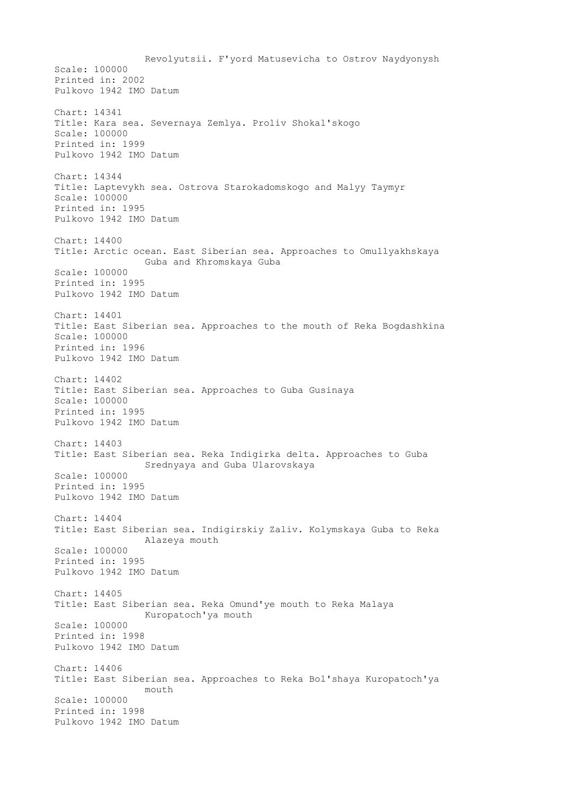Revolyutsii. F'yord Matusevicha to Ostrov Naydyonysh Scale: 100000 Printed in: 2002 Pulkovo 1942 IMO Datum Chart: 14341 Title: Kara sea. Severnaya Zemlya. Proliv Shokal'skogo Scale: 100000 Printed in: 1999 Pulkovo 1942 IMO Datum Chart: 14344 Title: Laptevykh sea. Ostrova Starokadomskogo and Malyy Taymyr Scale: 100000 Printed in: 1995 Pulkovo 1942 IMO Datum Chart: 14400 Title: Arctic ocean. East Siberian sea. Approaches to Omullyakhskaya Guba and Khromskaya Guba Scale: 100000 Printed in: 1995 Pulkovo 1942 IMO Datum Chart: 14401 Title: East Siberian sea. Approaches to the mouth of Reka Bogdashkina Scale: 100000 Printed in: 1996 Pulkovo 1942 IMO Datum Chart: 14402 Title: East Siberian sea. Approaches to Guba Gusinaya Scale: 100000 Printed in: 1995 Pulkovo 1942 IMO Datum Chart: 14403 Title: East Siberian sea. Reka Indigirka delta. Approaches to Guba Srednyaya and Guba Ularovskaya Scale: 100000 Printed in: 1995 Pulkovo 1942 IMO Datum Chart: 14404 Title: East Siberian sea. Indigirskiy Zaliv. Kolymskaya Guba to Reka Alazeya mouth Scale: 100000 Printed in: 1995 Pulkovo 1942 IMO Datum Chart: 14405 Title: East Siberian sea. Reka Omund'ye mouth to Reka Malaya Kuropatoch'ya mouth Scale: 100000 Printed in: 1998 Pulkovo 1942 IMO Datum Chart: 14406 Title: East Siberian sea. Approaches to Reka Bol'shaya Kuropatoch'ya  $m$ outh Scale: 100000 Printed in: 1998 Pulkovo 1942 IMO Datum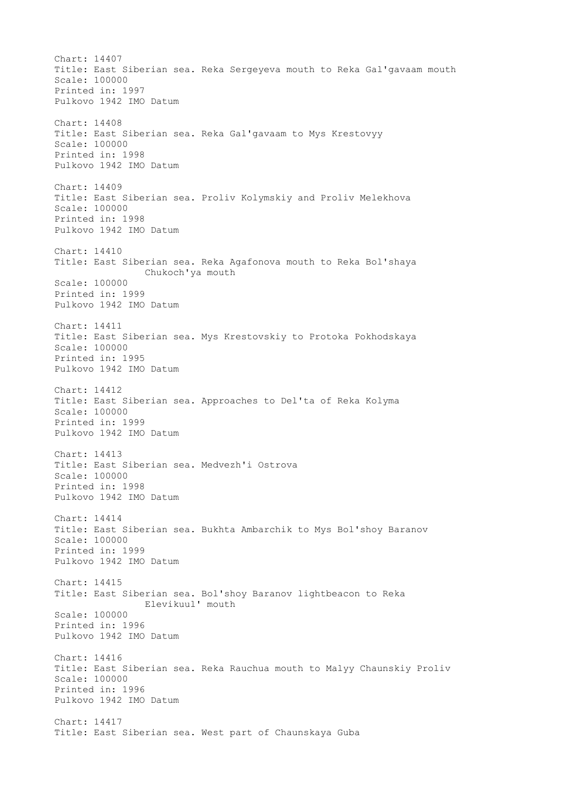Chart: 14407 Title: East Siberian sea. Reka Sergeyeva mouth to Reka Gal'gavaam mouth Scale: 100000 Printed in: 1997 Pulkovo 1942 IMO Datum Chart: 14408 Title: East Siberian sea. Reka Gal'gavaam to Mys Krestovyy Scale: 100000 Printed in: 1998 Pulkovo 1942 IMO Datum Chart: 14409 Title: East Siberian sea. Proliv Kolymskiy and Proliv Melekhova Scale: 100000 Printed in: 1998 Pulkovo 1942 IMO Datum Chart: 14410 Title: East Siberian sea. Reka Agafonova mouth to Reka Bol'shaya Chukoch'ya mouth Scale: 100000 Printed in: 1999 Pulkovo 1942 IMO Datum Chart: 14411 Title: East Siberian sea. Mys Krestovskiy to Protoka Pokhodskaya Scale: 100000 Printed in: 1995 Pulkovo 1942 IMO Datum Chart: 14412 Title: East Siberian sea. Approaches to Del'ta of Reka Kolyma Scale: 100000 Printed in: 1999 Pulkovo 1942 IMO Datum Chart: 14413 Title: East Siberian sea. Medvezh'i Ostrova Scale: 100000 Printed in: 1998 Pulkovo 1942 IMO Datum Chart: 14414 Title: East Siberian sea. Bukhta Ambarchik to Mys Bol'shoy Baranov Scale: 100000 Printed in: 1999 Pulkovo 1942 IMO Datum Chart: 14415 Title: East Siberian sea. Bol'shoy Baranov lightbeacon to Reka Elevikuul' mouth Scale: 100000 Printed in: 1996 Pulkovo 1942 IMO Datum Chart: 14416 Title: East Siberian sea. Reka Rauchua mouth to Malyy Chaunskiy Proliv Scale: 100000 Printed in: 1996 Pulkovo 1942 IMO Datum Chart: 14417 Title: East Siberian sea. West part of Chaunskaya Guba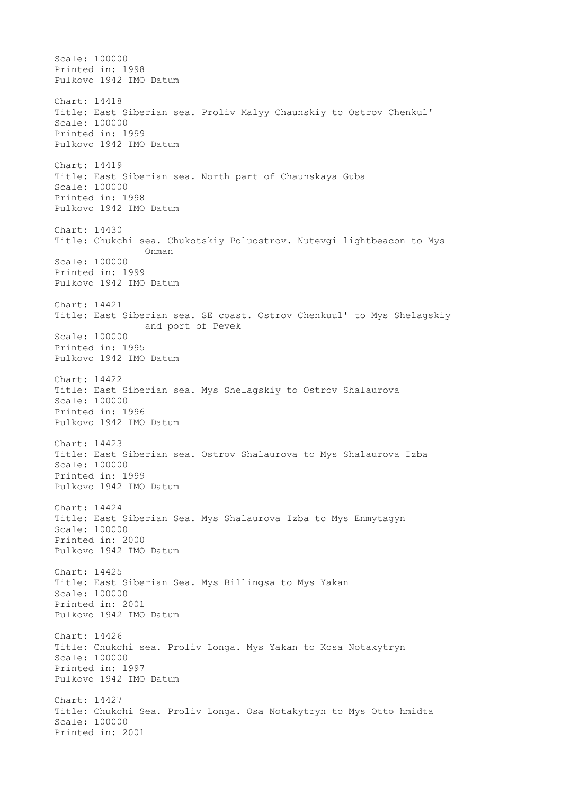Scale: 100000 Printed in: 1998 Pulkovo 1942 IMO Datum Chart: 14418 Title: East Siberian sea. Proliv Malyy Chaunskiy to Ostrov Chenkul' Scale: 100000 Printed in: 1999 Pulkovo 1942 IMO Datum Chart: 14419 Title: East Siberian sea. North part of Chaunskaya Guba Scale: 100000 Printed in: 1998 Pulkovo 1942 IMO Datum Chart: 14430 Title: Chukchi sea. Chukotskiy Poluostrov. Nutevgi lightbeacon to Mys Onman Scale: 100000 Printed in: 1999 Pulkovo 1942 IMO Datum Chart: 14421 Title: East Siberian sea. SE coast. Ostrov Chenkuul' to Mys Shelagskiy and port of Pevek Scale: 100000 Printed in: 1995 Pulkovo 1942 IMO Datum Chart: 14422 Title: East Siberian sea. Mys Shelagskiy to Ostrov Shalaurova Scale: 100000 Printed in: 1996 Pulkovo 1942 IMO Datum Chart: 14423 Title: East Siberian sea. Ostrov Shalaurova to Mys Shalaurova Izba Scale: 100000 Printed in: 1999 Pulkovo 1942 IMO Datum Chart: 14424 Title: East Siberian Sea. Mys Shalaurova Izba to Mys Enmytagyn Scale: 100000 Printed in: 2000 Pulkovo 1942 IMO Datum Chart: 14425 Title: East Siberian Sea. Mys Billingsa to Mys Yakan Scale: 100000 Printed in: 2001 Pulkovo 1942 IMO Datum Chart: 14426 Title: Chukchi sea. Proliv Longa. Mys Yakan to Kosa Notakytryn Scale: 100000 Printed in: 1997 Pulkovo 1942 IMO Datum Chart: 14427 Title: Chukchi Sea. Proliv Longa. Osa Notakytryn to Mys Otto hmidta Scale: 100000 Printed in: 2001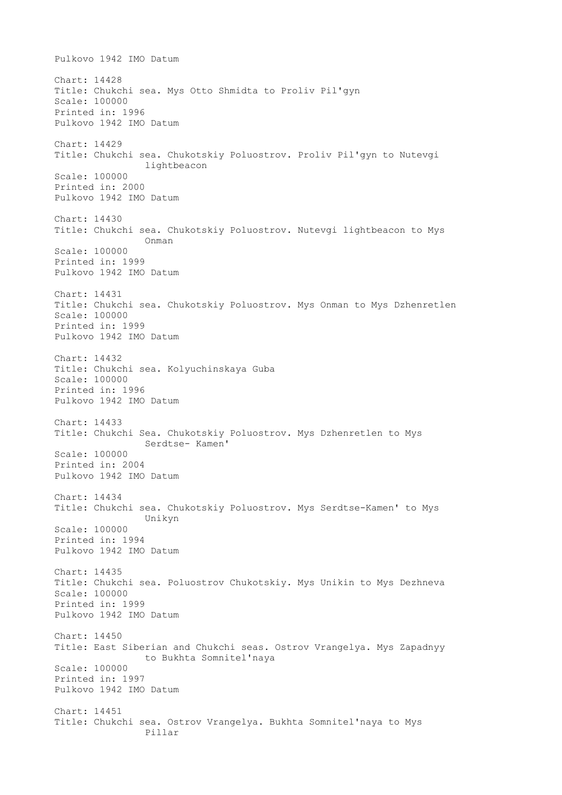Pulkovo 1942 IMO Datum Chart: 14428 Title: Chukchi sea. Mys Otto Shmidta to Proliv Pil'gyn Scale: 100000 Printed in: 1996 Pulkovo 1942 IMO Datum Chart: 14429 Title: Chukchi sea. Chukotskiy Poluostrov. Proliv Pil'gyn to Nutevgi lightbeacon Scale: 100000 Printed in: 2000 Pulkovo 1942 IMO Datum Chart: 14430 Title: Chukchi sea. Chukotskiy Poluostrov. Nutevgi lightbeacon to Mys Onman Scale: 100000 Printed in: 1999 Pulkovo 1942 IMO Datum Chart: 14431 Title: Chukchi sea. Chukotskiy Poluostrov. Mys Onman to Mys Dzhenretlen Scale: 100000 Printed in: 1999 Pulkovo 1942 IMO Datum Chart: 14432 Title: Chukchi sea. Kolyuchinskaya Guba Scale: 100000 Printed in: 1996 Pulkovo 1942 IMO Datum Chart: 14433 Title: Chukchi Sea. Chukotskiy Poluostrov. Mys Dzhenretlen to Mys Serdtse- Kamen' Scale: 100000 Printed in: 2004 Pulkovo 1942 IMO Datum Chart: 14434 Title: Chukchi sea. Chukotskiy Poluostrov. Mys Serdtse-Kamen' to Mys Unikyn Scale: 100000 Printed in: 1994 Pulkovo 1942 IMO Datum Chart: 14435 Title: Chukchi sea. Poluostrov Chukotskiy. Mys Unikin to Mys Dezhneva Scale: 100000 Printed in: 1999 Pulkovo 1942 IMO Datum Chart: 14450 Title: East Siberian and Chukchi seas. Ostrov Vrangelya. Mys Zapadnyy to Bukhta Somnitel'naya Scale: 100000 Printed in: 1997 Pulkovo 1942 IMO Datum Chart: 14451 Title: Chukchi sea. Ostrov Vrangelya. Bukhta Somnitel'naya to Mys Pillar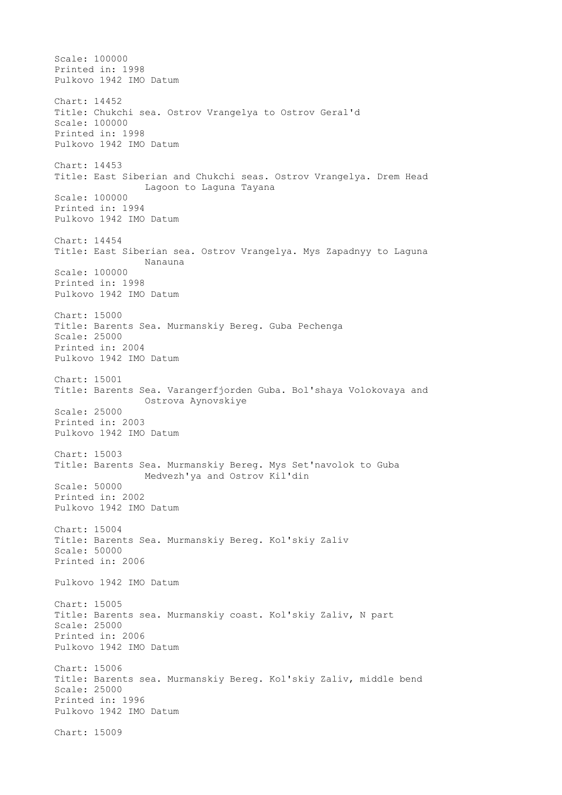Scale: 100000 Printed in: 1998 Pulkovo 1942 IMO Datum Chart: 14452 Title: Chukchi sea. Ostrov Vrangelya to Ostrov Geral'd Scale: 100000 Printed in: 1998 Pulkovo 1942 IMO Datum Chart: 14453 Title: East Siberian and Chukchi seas. Ostrov Vrangelya. Drem Head Lagoon to Laguna Tayana Scale: 100000 Printed in: 1994 Pulkovo 1942 IMO Datum Chart: 14454 Title: East Siberian sea. Ostrov Vrangelya. Mys Zapadnyy to Laguna Nanauna Scale: 100000 Printed in: 1998 Pulkovo 1942 IMO Datum Chart: 15000 Title: Barents Sea. Murmanskiy Bereg. Guba Pechenga Scale: 25000 Printed in: 2004 Pulkovo 1942 IMO Datum Chart: 15001 Title: Barents Sea. Varangerfjorden Guba. Bol'shaya Volokovaya and Ostrova Aynovskiye Scale: 25000 Printed in: 2003 Pulkovo 1942 IMO Datum Chart: 15003 Title: Barents Sea. Murmanskiy Bereg. Mys Set'navolok to Guba Medvezh'ya and Ostrov Kil'din Scale: 50000 Printed in: 2002 Pulkovo 1942 IMO Datum Chart: 15004 Title: Barents Sea. Murmanskiy Bereg. Kol'skiy Zaliv Scale: 50000 Printed in: 2006 Pulkovo 1942 IMO Datum Chart: 15005 Title: Barents sea. Murmanskiy coast. Kol'skiy Zaliv, N part Scale: 25000 Printed in: 2006 Pulkovo 1942 IMO Datum Chart: 15006 Title: Barents sea. Murmanskiy Bereg. Kol'skiy Zaliv, middle bend Scale: 25000 Printed in: 1996 Pulkovo 1942 IMO Datum Chart: 15009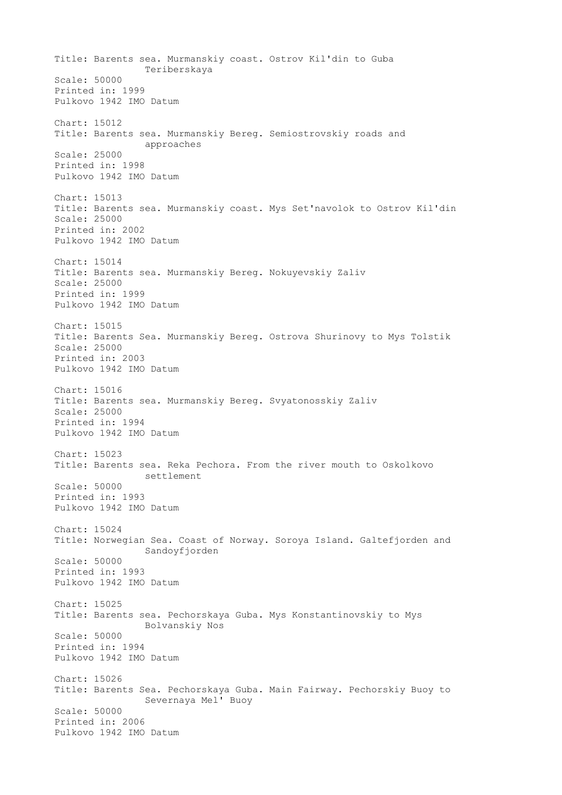Title: Barents sea. Murmanskiy coast. Ostrov Kil'din to Guba Teriberskaya Scale: 50000 Printed in: 1999 Pulkovo 1942 IMO Datum Chart: 15012 Title: Barents sea. Murmanskiy Bereg. Semiostrovskiy roads and approaches Scale: 25000 Printed in: 1998 Pulkovo 1942 IMO Datum Chart: 15013 Title: Barents sea. Murmanskiy coast. Mys Set'navolok to Ostrov Kil'din Scale: 25000 Printed in: 2002 Pulkovo 1942 IMO Datum Chart: 15014 Title: Barents sea. Murmanskiy Bereg. Nokuyevskiy Zaliv Scale: 25000 Printed in: 1999 Pulkovo 1942 IMO Datum Chart: 15015 Title: Barents Sea. Murmanskiy Bereg. Ostrova Shurinovy to Mys Tolstik Scale: 25000 Printed in: 2003 Pulkovo 1942 IMO Datum Chart: 15016 Title: Barents sea. Murmanskiy Bereg. Svyatonosskiy Zaliv Scale: 25000 Printed in: 1994 Pulkovo 1942 IMO Datum Chart: 15023 Title: Barents sea. Reka Pechora. From the river mouth to Oskolkovo settlement Scale: 50000 Printed in: 1993 Pulkovo 1942 IMO Datum Chart: 15024 Title: Norwegian Sea. Coast of Norway. Soroya Island. Galtefjorden and Sandoyfjorden Scale: 50000 Printed in: 1993 Pulkovo 1942 IMO Datum Chart: 15025 Title: Barents sea. Pechorskaya Guba. Mys Konstantinovskiy to Mys Bolvanskiy Nos Scale: 50000 Printed in: 1994 Pulkovo 1942 IMO Datum Chart: 15026 Title: Barents Sea. Pechorskaya Guba. Main Fairway. Pechorskiy Buoy to Severnaya Mel' Buoy Scale: 50000 Printed in: 2006 Pulkovo 1942 IMO Datum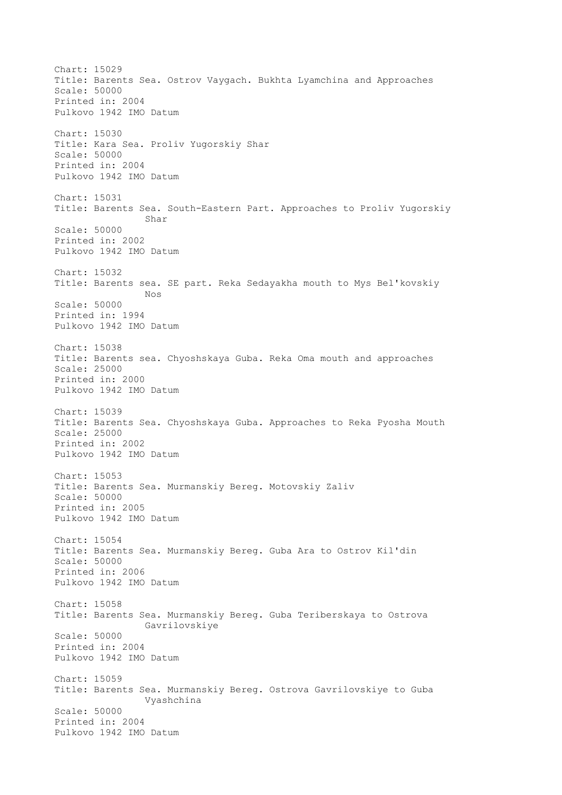Chart: 15029 Title: Barents Sea. Ostrov Vaygach. Bukhta Lyamchina and Approaches Scale: 50000 Printed in: 2004 Pulkovo 1942 IMO Datum Chart: 15030 Title: Kara Sea. Proliv Yugorskiy Shar Scale: 50000 Printed in: 2004 Pulkovo 1942 IMO Datum Chart: 15031 Title: Barents Sea. South-Eastern Part. Approaches to Proliv Yugorskiy Shar Scale: 50000 Printed in: 2002 Pulkovo 1942 IMO Datum Chart: 15032 Title: Barents sea. SE part. Reka Sedayakha mouth to Mys Bel'kovskiy Nos Scale: 50000 Printed in: 1994 Pulkovo 1942 IMO Datum Chart: 15038 Title: Barents sea. Chyoshskaya Guba. Reka Oma mouth and approaches Scale: 25000 Printed in: 2000 Pulkovo 1942 IMO Datum Chart: 15039 Title: Barents Sea. Chyoshskaya Guba. Approaches to Reka Pyosha Mouth Scale: 25000 Printed in: 2002 Pulkovo 1942 IMO Datum Chart: 15053 Title: Barents Sea. Murmanskiy Bereg. Motovskiy Zaliv Scale: 50000 Printed in: 2005 Pulkovo 1942 IMO Datum Chart: 15054 Title: Barents Sea. Murmanskiy Bereg. Guba Ara to Ostrov Kil'din Scale: 50000 Printed in: 2006 Pulkovo 1942 IMO Datum Chart: 15058 Title: Barents Sea. Murmanskiy Bereg. Guba Teriberskaya to Ostrova Gavrilovskiye Scale: 50000 Printed in: 2004 Pulkovo 1942 IMO Datum Chart: 15059 Title: Barents Sea. Murmanskiy Bereg. Ostrova Gavrilovskiye to Guba Vyashchina Scale: 50000 Printed in: 2004 Pulkovo 1942 IMO Datum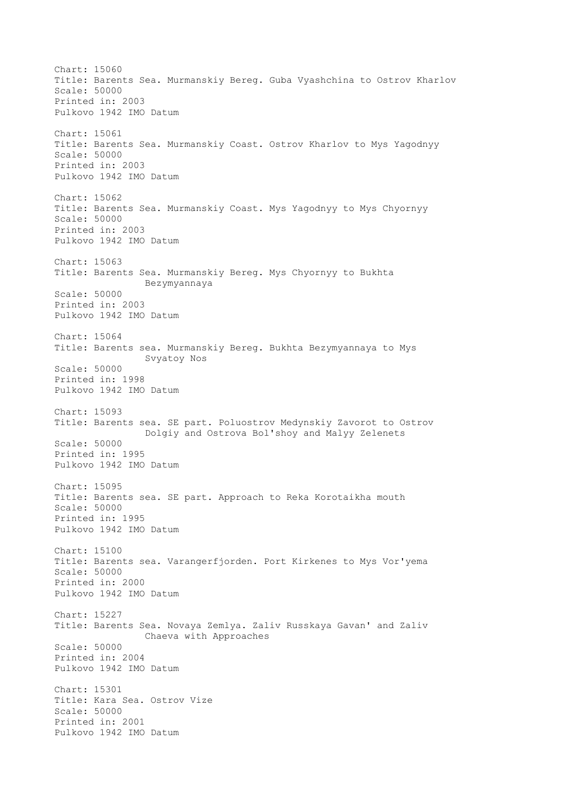Chart: 15060 Title: Barents Sea. Murmanskiy Bereg. Guba Vyashchina to Ostrov Kharlov Scale: 50000 Printed in: 2003 Pulkovo 1942 IMO Datum Chart: 15061 Title: Barents Sea. Murmanskiy Coast. Ostrov Kharlov to Mys Yagodnyy Scale: 50000 Printed in: 2003 Pulkovo 1942 IMO Datum Chart: 15062 Title: Barents Sea. Murmanskiy Coast. Mys Yagodnyy to Mys Chyornyy Scale: 50000 Printed in: 2003 Pulkovo 1942 IMO Datum Chart: 15063 Title: Barents Sea. Murmanskiy Bereg. Mys Chyornyy to Bukhta Bezymyannaya Scale: 50000 Printed in: 2003 Pulkovo 1942 IMO Datum Chart: 15064 Title: Barents sea. Murmanskiy Bereg. Bukhta Bezymyannaya to Mys Svyatoy Nos Scale: 50000 Printed in: 1998 Pulkovo 1942 IMO Datum Chart: 15093 Title: Barents sea. SE part. Poluostrov Medynskiy Zavorot to Ostrov Dolgiy and Ostrova Bol'shoy and Malyy Zelenets Scale: 50000 Printed in: 1995 Pulkovo 1942 IMO Datum Chart: 15095 Title: Barents sea. SE part. Approach to Reka Korotaikha mouth Scale: 50000 Printed in: 1995 Pulkovo 1942 IMO Datum Chart: 15100 Title: Barents sea. Varangerfjorden. Port Kirkenes to Mys Vor'yema Scale: 50000 Printed in: 2000 Pulkovo 1942 IMO Datum Chart: 15227 Title: Barents Sea. Novaya Zemlya. Zaliv Russkaya Gavan' and Zaliv Chaeva with Approaches Scale: 50000 Printed in: 2004 Pulkovo 1942 IMO Datum Chart: 15301 Title: Kara Sea. Ostrov Vize Scale: 50000 Printed in: 2001 Pulkovo 1942 IMO Datum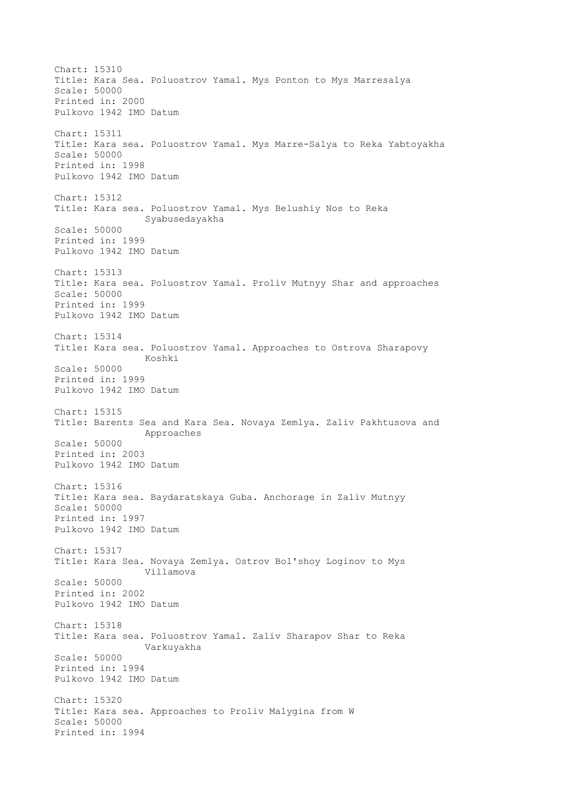Chart: 15310 Title: Kara Sea. Poluostrov Yamal. Mys Ponton to Mys Marresalya Scale: 50000 Printed in: 2000 Pulkovo 1942 IMO Datum Chart: 15311 Title: Kara sea. Poluostrov Yamal. Mys Marre-Salya to Reka Yabtoyakha Scale: 50000 Printed in: 1998 Pulkovo 1942 IMO Datum Chart: 15312 Title: Kara sea. Poluostrov Yamal. Mys Belushiy Nos to Reka Syabusedayakha Scale: 50000 Printed in: 1999 Pulkovo 1942 IMO Datum Chart: 15313 Title: Kara sea. Poluostrov Yamal. Proliv Mutnyy Shar and approaches Scale: 50000 Printed in: 1999 Pulkovo 1942 IMO Datum Chart: 15314 Title: Kara sea. Poluostrov Yamal. Approaches to Ostrova Sharapovy Koshki Scale: 50000 Printed in: 1999 Pulkovo 1942 IMO Datum Chart: 15315 Title: Barents Sea and Kara Sea. Novaya Zemlya. Zaliv Pakhtusova and Approaches Scale: 50000 Printed in: 2003 Pulkovo 1942 IMO Datum Chart: 15316 Title: Kara sea. Baydaratskaya Guba. Anchorage in Zaliv Mutnyy Scale: 50000 Printed in: 1997 Pulkovo 1942 IMO Datum Chart: 15317 Title: Kara Sea. Novaya Zemlya. Ostrov Bol'shoy Loginov to Mys Villamova Scale: 50000 Printed in: 2002 Pulkovo 1942 IMO Datum Chart: 15318 Title: Kara sea. Poluostrov Yamal. Zaliv Sharapov Shar to Reka Varkuyakha Scale: 50000 Printed in: 1994 Pulkovo 1942 IMO Datum Chart: 15320 Title: Kara sea. Approaches to Proliv Malygina from W Scale: 50000 Printed in: 1994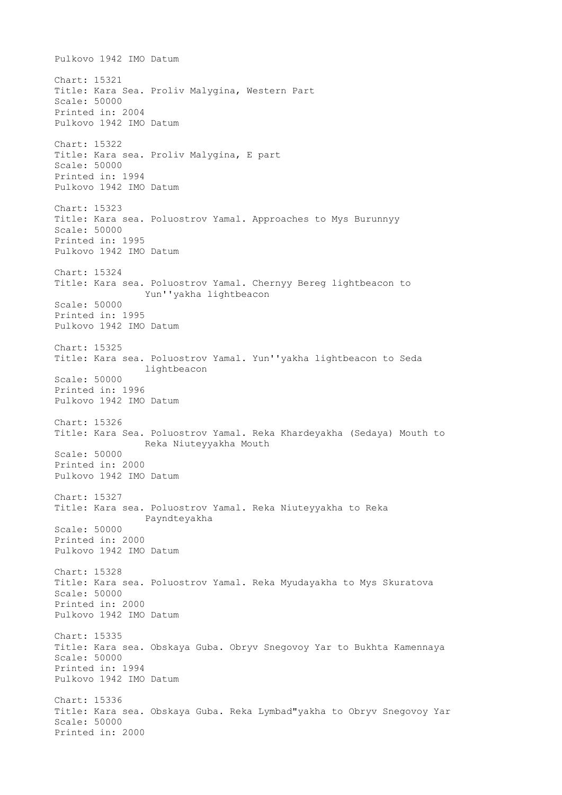Pulkovo 1942 IMO Datum Chart: 15321 Title: Kara Sea. Proliv Malygina, Western Part Scale: 50000 Printed in: 2004 Pulkovo 1942 IMO Datum Chart: 15322 Title: Kara sea. Proliv Malygina, E part Scale: 50000 Printed in: 1994 Pulkovo 1942 IMO Datum Chart: 15323 Title: Kara sea. Poluostrov Yamal. Approaches to Mys Burunnyy Scale: 50000 Printed in: 1995 Pulkovo 1942 IMO Datum Chart: 15324 Title: Kara sea. Poluostrov Yamal. Chernyy Bereg lightbeacon to Yun''yakha lightbeacon Scale: 50000 Printed in: 1995 Pulkovo 1942 IMO Datum Chart: 15325 Title: Kara sea. Poluostrov Yamal. Yun''yakha lightbeacon to Seda lightbeacon Scale: 50000 Printed in: 1996 Pulkovo 1942 IMO Datum Chart: 15326 Title: Kara Sea. Poluostrov Yamal. Reka Khardeyakha (Sedaya) Mouth to Reka Niuteyyakha Mouth Scale: 50000 Printed in: 2000 Pulkovo 1942 IMO Datum Chart: 15327 Title: Kara sea. Poluostrov Yamal. Reka Niuteyyakha to Reka Payndteyakha Scale: 50000 Printed in: 2000 Pulkovo 1942 IMO Datum Chart: 15328 Title: Kara sea. Poluostrov Yamal. Reka Myudayakha to Mys Skuratova Scale: 50000 Printed in: 2000 Pulkovo 1942 IMO Datum Chart: 15335 Title: Kara sea. Obskaya Guba. Obryv Snegovoy Yar to Bukhta Kamennaya Scale: 50000 Printed in: 1994 Pulkovo 1942 IMO Datum Chart: 15336 Title: Kara sea. Obskaya Guba. Reka Lymbad"yakha to Obryv Snegovoy Yar Scale: 50000 Printed in: 2000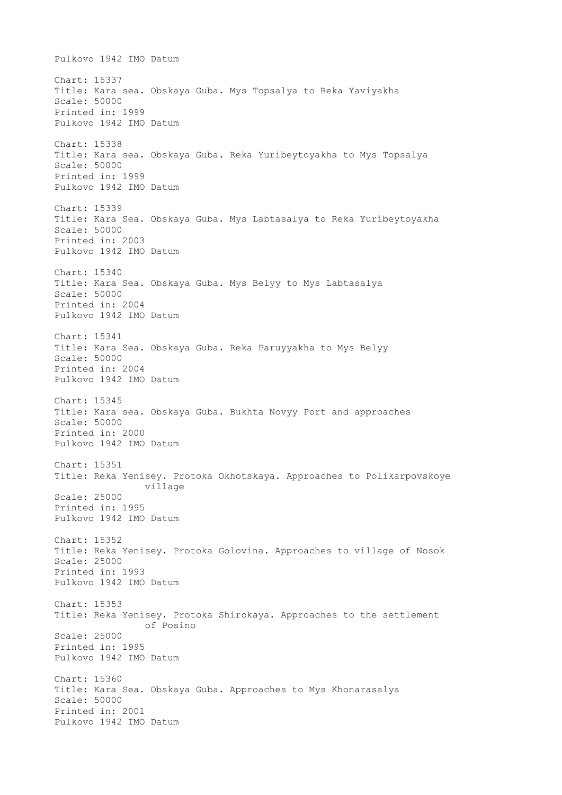Pulkovo 1942 IMO Datum Chart: 15337 Title: Kara sea. Obskaya Guba. Mys Topsalya to Reka Yaviyakha Scale: 50000 Printed in: 1999 Pulkovo 1942 IMO Datum Chart: 15338 Title: Kara sea. Obskaya Guba. Reka Yuribeytoyakha to Mys Topsalya Scale: 50000 Printed in: 1999 Pulkovo 1942 IMO Datum Chart: 15339 Title: Kara Sea. Obskaya Guba. Mys Labtasalya to Reka Yuribeytoyakha Scale: 50000 Printed in: 2003 Pulkovo 1942 IMO Datum Chart: 15340 Title: Kara Sea. Obskaya Guba. Mys Belyy to Mys Labtasalya Scale: 50000 Printed in: 2004 Pulkovo 1942 IMO Datum Chart: 15341 Title: Kara Sea. Obskaya Guba. Reka Paruyyakha to Mys Belyy Scale: 50000 Printed in: 2004 Pulkovo 1942 IMO Datum Chart: 15345 Title: Kara sea. Obskaya Guba. Bukhta Novyy Port and approaches Scale: 50000 Printed in: 2000 Pulkovo 1942 IMO Datum Chart: 15351 Title: Reka Yenisey. Protoka Okhotskaya. Approaches to Polikarpovskoye village Scale: 25000 Printed in: 1995 Pulkovo 1942 IMO Datum Chart: 15352 Title: Reka Yenisey. Protoka Golovina. Approaches to village of Nosok Scale: 25000 Printed in: 1993 Pulkovo 1942 IMO Datum Chart: 15353 Title: Reka Yenisey. Protoka Shirokaya. Approaches to the settlement of Posino Scale: 25000 Printed in: 1995 Pulkovo 1942 IMO Datum Chart: 15360 Title: Kara Sea. Obskaya Guba. Approaches to Mys Khonarasalya Scale: 50000 Printed in: 2001 Pulkovo 1942 IMO Datum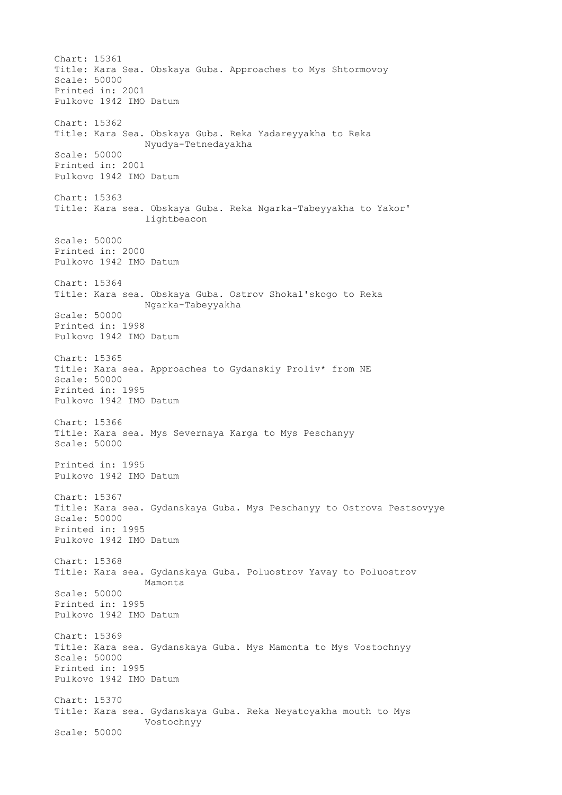Chart: 15361 Title: Kara Sea. Obskaya Guba. Approaches to Mys Shtormovoy Scale: 50000 Printed in: 2001 Pulkovo 1942 IMO Datum Chart: 15362 Title: Kara Sea. Obskaya Guba. Reka Yadareyyakha to Reka Nyudya-Tetnedayakha Scale: 50000 Printed in: 2001 Pulkovo 1942 IMO Datum Chart: 15363 Title: Kara sea. Obskaya Guba. Reka Ngarka-Tabeyyakha to Yakor' lightbeacon Scale: 50000 Printed in: 2000 Pulkovo 1942 IMO Datum Chart: 15364 Title: Kara sea. Obskaya Guba. Ostrov Shokal'skogo to Reka Ngarka-Tabeyyakha Scale: 50000 Printed in: 1998 Pulkovo 1942 IMO Datum Chart: 15365 Title: Kara sea. Approaches to Gydanskiy Proliv\* from NE Scale: 50000 Printed in: 1995 Pulkovo 1942 IMO Datum Chart: 15366 Title: Kara sea. Mys Severnaya Karga to Mys Peschanyy Scale: 50000 Printed in: 1995 Pulkovo 1942 IMO Datum Chart: 15367 Title: Kara sea. Gydanskaya Guba. Mys Peschanyy to Ostrova Pestsovyye Scale: 50000 Printed in: 1995 Pulkovo 1942 IMO Datum Chart: 15368 Title: Kara sea. Gydanskaya Guba. Poluostrov Yavay to Poluostrov Mamonta Scale: 50000 Printed in: 1995 Pulkovo 1942 IMO Datum Chart: 15369 Title: Kara sea. Gydanskaya Guba. Mys Mamonta to Mys Vostochnyy Scale: 50000 Printed in: 1995 Pulkovo 1942 IMO Datum Chart: 15370 Title: Kara sea. Gydanskaya Guba. Reka Neyatoyakha mouth to Mys Vostochnyy Scale: 50000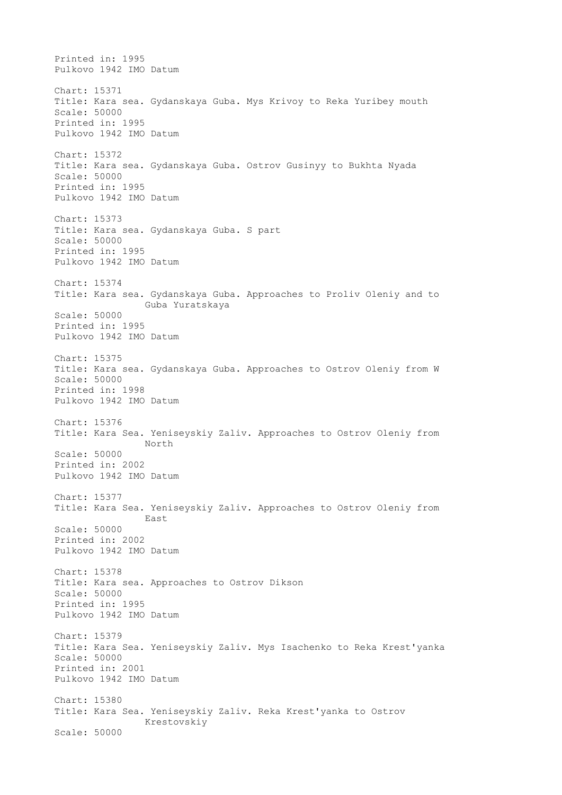Printed in: 1995 Pulkovo 1942 IMO Datum Chart: 15371 Title: Kara sea. Gydanskaya Guba. Mys Krivoy to Reka Yuribey mouth Scale: 50000 Printed in: 1995 Pulkovo 1942 IMO Datum Chart: 15372 Title: Kara sea. Gydanskaya Guba. Ostrov Gusinyy to Bukhta Nyada Scale: 50000 Printed in: 1995 Pulkovo 1942 IMO Datum Chart: 15373 Title: Kara sea. Gydanskaya Guba. S part Scale: 50000 Printed in: 1995 Pulkovo 1942 IMO Datum Chart: 15374 Title: Kara sea. Gydanskaya Guba. Approaches to Proliv Oleniy and to Guba Yuratskaya Scale: 50000 Printed in: 1995 Pulkovo 1942 IMO Datum Chart: 15375 Title: Kara sea. Gydanskaya Guba. Approaches to Ostrov Oleniy from W Scale: 50000 Printed in: 1998 Pulkovo 1942 IMO Datum Chart: 15376 Title: Kara Sea. Yeniseyskiy Zaliv. Approaches to Ostrov Oleniy from North Scale: 50000 Printed in: 2002 Pulkovo 1942 IMO Datum Chart: 15377 Title: Kara Sea. Yeniseyskiy Zaliv. Approaches to Ostrov Oleniy from East Scale: 50000 Printed in: 2002 Pulkovo 1942 IMO Datum Chart: 15378 Title: Kara sea. Approaches to Ostrov Dikson Scale: 50000 Printed in: 1995 Pulkovo 1942 IMO Datum Chart: 15379 Title: Kara Sea. Yeniseyskiy Zaliv. Mys Isachenko to Reka Krest'yanka Scale: 50000 Printed in: 2001 Pulkovo 1942 IMO Datum Chart: 15380 Title: Kara Sea. Yeniseyskiy Zaliv. Reka Krest'yanka to Ostrov Krestovskiy Scale: 50000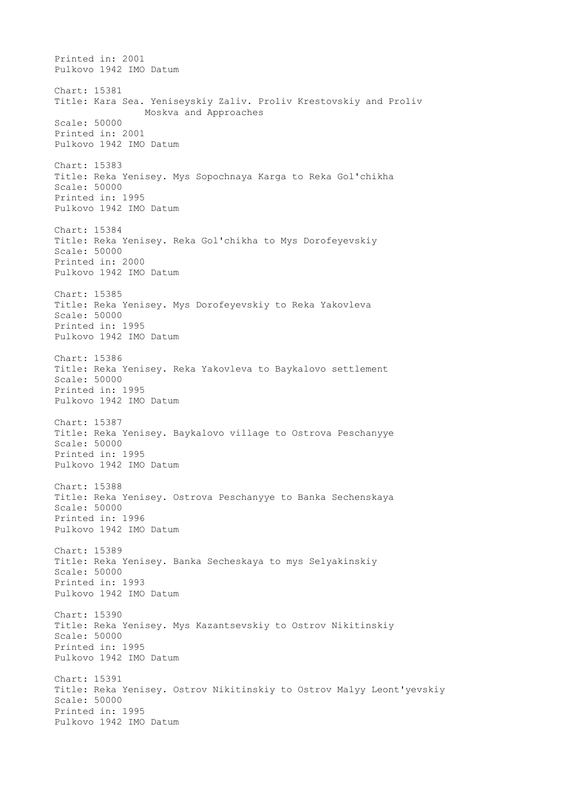Printed in: 2001 Pulkovo 1942 IMO Datum Chart: 15381 Title: Kara Sea. Yeniseyskiy Zaliv. Proliv Krestovskiy and Proliv Moskva and Approaches Scale: 50000 Printed in: 2001 Pulkovo 1942 IMO Datum Chart: 15383 Title: Reka Yenisey. Mys Sopochnaya Karga to Reka Gol'chikha Scale: 50000 Printed in: 1995 Pulkovo 1942 IMO Datum Chart: 15384 Title: Reka Yenisey. Reka Gol'chikha to Mys Dorofeyevskiy Scale: 50000 Printed in: 2000 Pulkovo 1942 IMO Datum Chart: 15385 Title: Reka Yenisey. Mys Dorofeyevskiy to Reka Yakovleva Scale: 50000 Printed in: 1995 Pulkovo 1942 IMO Datum Chart: 15386 Title: Reka Yenisey. Reka Yakovleva to Baykalovo settlement Scale: 50000 Printed in: 1995 Pulkovo 1942 IMO Datum Chart: 15387 Title: Reka Yenisey. Baykalovo village to Ostrova Peschanyye Scale: 50000 Printed in: 1995 Pulkovo 1942 IMO Datum Chart: 15388 Title: Reka Yenisey. Ostrova Peschanyye to Banka Sechenskaya Scale: 50000 Printed in: 1996 Pulkovo 1942 IMO Datum Chart: 15389 Title: Reka Yenisey. Banka Secheskaya to mys Selyakinskiy Scale: 50000 Printed in: 1993 Pulkovo 1942 IMO Datum Chart: 15390 Title: Reka Yenisey. Mys Kazantsevskiy to Ostrov Nikitinskiy Scale: 50000 Printed in: 1995 Pulkovo 1942 IMO Datum Chart: 15391 Title: Reka Yenisey. Ostrov Nikitinskiy to Ostrov Malyy Leont'yevskiy Scale: 50000 Printed in: 1995 Pulkovo 1942 IMO Datum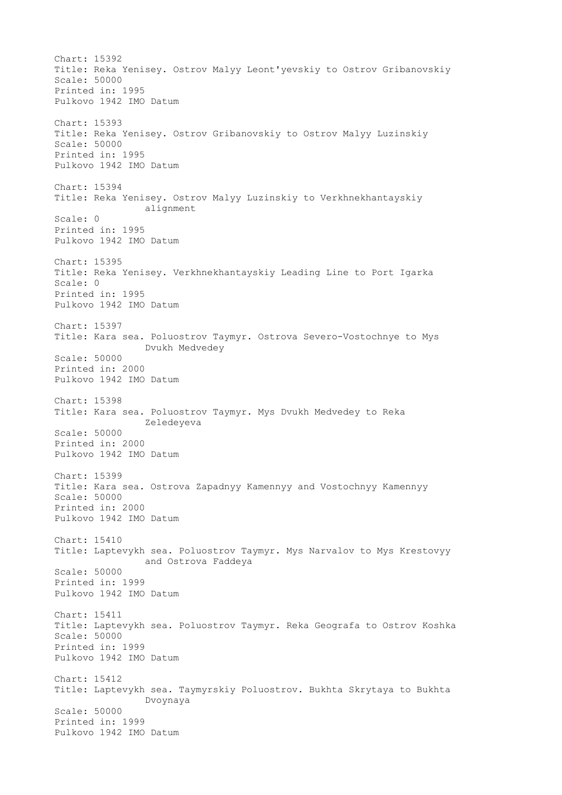Chart: 15392 Title: Reka Yenisey. Ostrov Malyy Leont'yevskiy to Ostrov Gribanovskiy Scale: 50000 Printed in: 1995 Pulkovo 1942 IMO Datum Chart: 15393 Title: Reka Yenisey. Ostrov Gribanovskiy to Ostrov Malyy Luzinskiy Scale: 50000 Printed in: 1995 Pulkovo 1942 IMO Datum Chart: 15394 Title: Reka Yenisey. Ostrov Malyy Luzinskiy to Verkhnekhantayskiy alignment Scale: 0 Printed in: 1995 Pulkovo 1942 IMO Datum Chart: 15395 Title: Reka Yenisey. Verkhnekhantayskiy Leading Line to Port Igarka Scale: 0 Printed in: 1995 Pulkovo 1942 IMO Datum Chart: 15397 Title: Kara sea. Poluostrov Taymyr. Ostrova Severo-Vostochnye to Mys Dvukh Medvedey Scale: 50000 Printed in: 2000 Pulkovo 1942 IMO Datum Chart: 15398 Title: Kara sea. Poluostrov Taymyr. Mys Dvukh Medvedey to Reka Zeledeyeva Scale: 50000 Printed in: 2000 Pulkovo 1942 IMO Datum Chart: 15399 Title: Kara sea. Ostrova Zapadnyy Kamennyy and Vostochnyy Kamennyy Scale: 50000 Printed in: 2000 Pulkovo 1942 IMO Datum Chart: 15410 Title: Laptevykh sea. Poluostrov Taymyr. Mys Narvalov to Mys Krestovyy and Ostrova Faddeya Scale: 50000 Printed in: 1999 Pulkovo 1942 IMO Datum Chart: 15411 Title: Laptevykh sea. Poluostrov Taymyr. Reka Geografa to Ostrov Koshka Scale: 50000 Printed in: 1999 Pulkovo 1942 IMO Datum Chart: 15412 Title: Laptevykh sea. Taymyrskiy Poluostrov. Bukhta Skrytaya to Bukhta Dvoynaya Scale: 50000 Printed in: 1999 Pulkovo 1942 IMO Datum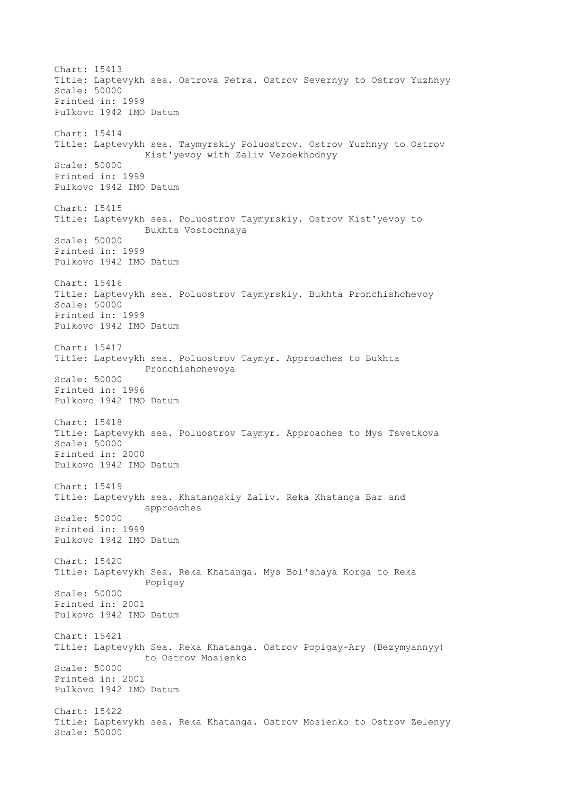Chart: 15413 Title: Laptevykh sea. Ostrova Petra. Ostrov Severnyy to Ostrov Yuzhnyy Scale: 50000 Printed in: 1999 Pulkovo 1942 IMO Datum Chart: 15414 Title: Laptevykh sea. Taymyrskiy Poluostrov. Ostrov Yuzhnyy to Ostrov Kist'yevoy with Zaliv Vezdekhodnyy Scale: 50000 Printed in: 1999 Pulkovo 1942 IMO Datum Chart: 15415 Title: Laptevykh sea. Poluostrov Taymyrskiy. Ostrov Kist'yevoy to Bukhta Vostochnaya Scale: 50000 Printed in: 1999 Pulkovo 1942 IMO Datum Chart: 15416 Title: Laptevykh sea. Poluostrov Taymyrskiy. Bukhta Pronchishchevoy Scale: 50000 Printed in: 1999 Pulkovo 1942 IMO Datum Chart: 15417 Title: Laptevykh sea. Poluostrov Taymyr. Approaches to Bukhta Pronchishchevoya Scale: 50000 Printed in: 1996 Pulkovo 1942 IMO Datum Chart: 15418 Title: Laptevykh sea. Poluostrov Taymyr. Approaches to Mys Tsvetkova Scale: 50000 Printed in: 2000 Pulkovo 1942 IMO Datum Chart: 15419 Title: Laptevykh sea. Khatangskiy Zaliv. Reka Khatanga Bar and approaches Scale: 50000 Printed in: 1999 Pulkovo 1942 IMO Datum Chart: 15420 Title: Laptevykh Sea. Reka Khatanga. Mys Bol'shaya Korga to Reka Popigay Scale: 50000 Printed in: 2001 Pulkovo 1942 IMO Datum Chart: 15421 Title: Laptevykh Sea. Reka Khatanga. Ostrov Popigay-Ary (Bezymyannyy) to Ostrov Mosienko Scale: 50000 Printed in: 2001 Pulkovo 1942 IMO Datum Chart: 15422 Title: Laptevykh sea. Reka Khatanga. Ostrov Mosienko to Ostrov Zelenyy Scale: 50000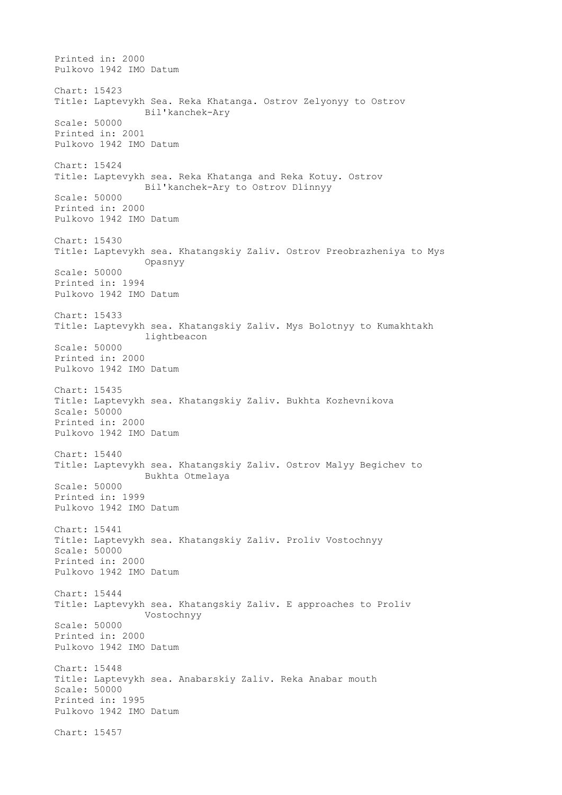Printed in: 2000 Pulkovo 1942 IMO Datum Chart: 15423 Title: Laptevykh Sea. Reka Khatanga. Ostrov Zelyonyy to Ostrov Bil'kanchek-Ary Scale: 50000 Printed in: 2001 Pulkovo 1942 IMO Datum Chart: 15424 Title: Laptevykh sea. Reka Khatanga and Reka Kotuy. Ostrov Bil'kanchek-Ary to Ostrov Dlinnyy Scale: 50000 Printed in: 2000 Pulkovo 1942 IMO Datum Chart: 15430 Title: Laptevykh sea. Khatangskiy Zaliv. Ostrov Preobrazheniya to Mys Opasnyy Scale: 50000 Printed in: 1994 Pulkovo 1942 IMO Datum Chart: 15433 Title: Laptevykh sea. Khatangskiy Zaliv. Mys Bolotnyy to Kumakhtakh lightbeacon Scale: 50000 Printed in: 2000 Pulkovo 1942 IMO Datum Chart: 15435 Title: Laptevykh sea. Khatangskiy Zaliv. Bukhta Kozhevnikova Scale: 50000 Printed in: 2000 Pulkovo 1942 IMO Datum Chart: 15440 Title: Laptevykh sea. Khatangskiy Zaliv. Ostrov Malyy Begichev to Bukhta Otmelaya Scale: 50000 Printed in: 1999 Pulkovo 1942 IMO Datum Chart: 15441 Title: Laptevykh sea. Khatangskiy Zaliv. Proliv Vostochnyy Scale: 50000 Printed in: 2000 Pulkovo 1942 IMO Datum Chart: 15444 Title: Laptevykh sea. Khatangskiy Zaliv. E approaches to Proliv Vostochnyy Scale: 50000 Printed in: 2000 Pulkovo 1942 IMO Datum Chart: 15448 Title: Laptevykh sea. Anabarskiy Zaliv. Reka Anabar mouth Scale: 50000 Printed in: 1995 Pulkovo 1942 IMO Datum Chart: 15457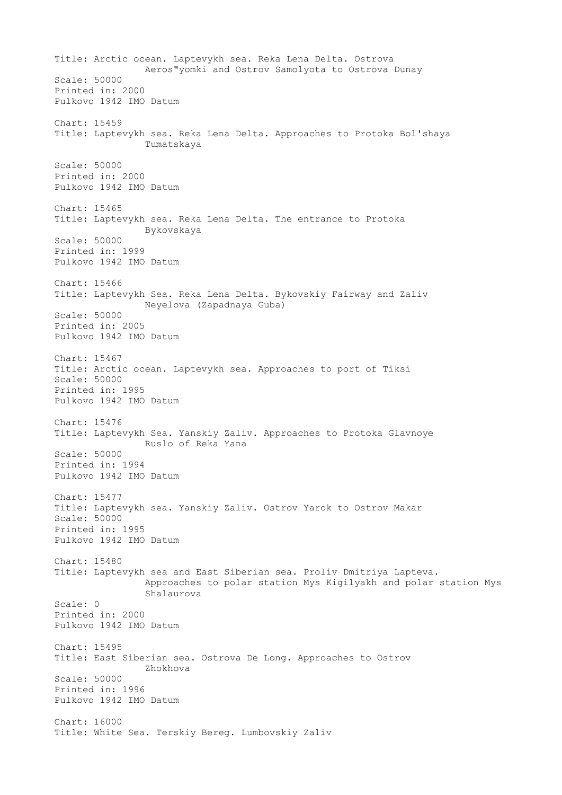Title: Arctic ocean. Laptevykh sea. Reka Lena Delta. Ostrova Aeros"yomki and Ostrov Samolyota to Ostrova Dunay Scale: 50000 Printed in: 2000 Pulkovo 1942 IMO Datum Chart: 15459 Title: Laptevykh sea. Reka Lena Delta. Approaches to Protoka Bol'shaya Tumatskaya Scale: 50000 Printed in: 2000 Pulkovo 1942 IMO Datum Chart: 15465 Title: Laptevykh sea. Reka Lena Delta. The entrance to Protoka Bykovskaya Scale: 50000 Printed in: 1999 Pulkovo 1942 IMO Datum Chart: 15466 Title: Laptevykh Sea. Reka Lena Delta. Bykovskiy Fairway and Zaliv Neyelova (Zapadnaya Guba) Scale: 50000 Printed in: 2005 Pulkovo 1942 IMO Datum Chart: 15467 Title: Arctic ocean. Laptevykh sea. Approaches to port of Tiksi Scale: 50000 Printed in: 1995 Pulkovo 1942 IMO Datum Chart: 15476 Title: Laptevykh Sea. Yanskiy Zaliv. Approaches to Protoka Glavnoye Ruslo of Reka Yana Scale: 50000 Printed in: 1994 Pulkovo 1942 IMO Datum Chart: 15477 Title: Laptevykh sea. Yanskiy Zaliv. Ostrov Yarok to Ostrov Makar Scale: 50000 Printed in: 1995 Pulkovo 1942 IMO Datum Chart: 15480 Title: Laptevykh sea and East Siberian sea. Proliv Dmitriya Lapteva. Approaches to polar station Mys Kigilyakh and polar station Mys Shalaurova Scale: 0 Printed in: 2000 Pulkovo 1942 IMO Datum Chart: 15495 Title: East Siberian sea. Ostrova De Long. Approaches to Ostrov Zhokhova Scale: 50000 Printed in: 1996 Pulkovo 1942 IMO Datum Chart: 16000 Title: White Sea. Terskiy Bereg. Lumbovskiy Zaliv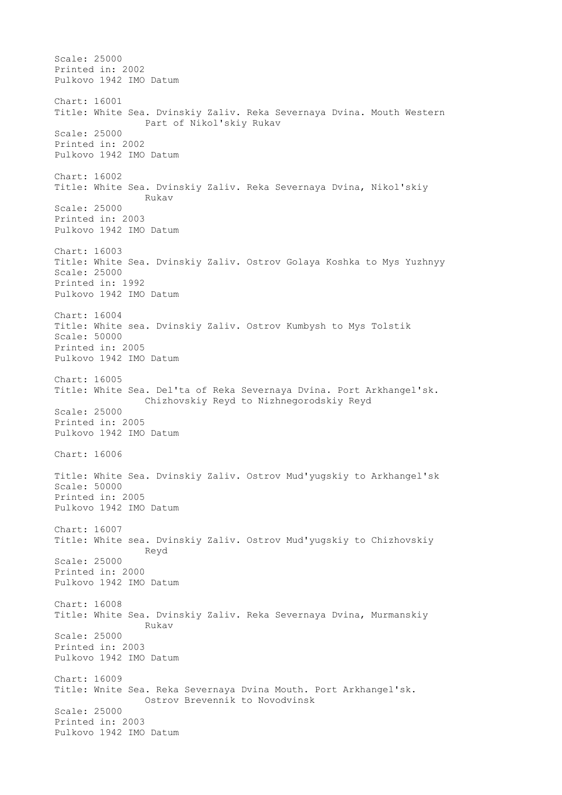Scale: 25000 Printed in: 2002 Pulkovo 1942 IMO Datum Chart: 16001 Title: White Sea. Dvinskiy Zaliv. Reka Severnaya Dvina. Mouth Western Part of Nikol'skiy Rukav Scale: 25000 Printed in: 2002 Pulkovo 1942 IMO Datum Chart: 16002 Title: White Sea. Dvinskiy Zaliv. Reka Severnaya Dvina, Nikol'skiy Rukav Scale: 25000 Printed in: 2003 Pulkovo 1942 IMO Datum Chart: 16003 Title: White Sea. Dvinskiy Zaliv. Ostrov Golaya Koshka to Mys Yuzhnyy Scale: 25000 Printed in: 1992 Pulkovo 1942 IMO Datum Chart: 16004 Title: White sea. Dvinskiy Zaliv. Ostrov Kumbysh to Mys Tolstik Scale: 50000 Printed in: 2005 Pulkovo 1942 IMO Datum Chart: 16005 Title: White Sea. Del'ta of Reka Severnaya Dvina. Port Arkhangel'sk. Chizhovskiy Reyd to Nizhnegorodskiy Reyd Scale: 25000 Printed in: 2005 Pulkovo 1942 IMO Datum Chart: 16006 Title: White Sea. Dvinskiy Zaliv. Ostrov Mud'yugskiy to Arkhangel'sk Scale: 50000 Printed in: 2005 Pulkovo 1942 IMO Datum Chart: 16007 Title: White sea. Dvinskiy Zaliv. Ostrov Mud'yugskiy to Chizhovskiy Reyd Scale: 25000 Printed in: 2000 Pulkovo 1942 IMO Datum Chart: 16008 Title: White Sea. Dvinskiy Zaliv. Reka Severnaya Dvina, Murmanskiy Rukav Scale: 25000 Printed in: 2003 Pulkovo 1942 IMO Datum Chart: 16009 Title: Wnite Sea. Reka Severnaya Dvina Mouth. Port Arkhangel'sk. Ostrov Brevennik to Novodvinsk Scale: 25000 Printed in: 2003 Pulkovo 1942 IMO Datum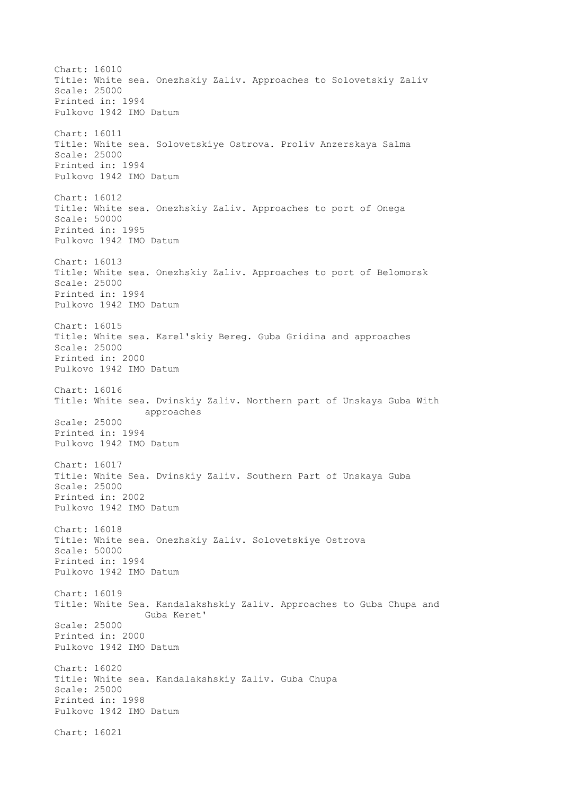Chart: 16010 Title: White sea. Onezhskiy Zaliv. Approaches to Solovetskiy Zaliv Scale: 25000 Printed in: 1994 Pulkovo 1942 IMO Datum Chart: 16011 Title: White sea. Solovetskiye Ostrova. Proliv Anzerskaya Salma Scale: 25000 Printed in: 1994 Pulkovo 1942 IMO Datum Chart: 16012 Title: White sea. Onezhskiy Zaliv. Approaches to port of Onega Scale: 50000 Printed in: 1995 Pulkovo 1942 IMO Datum Chart: 16013 Title: White sea. Onezhskiy Zaliv. Approaches to port of Belomorsk Scale: 25000 Printed in: 1994 Pulkovo 1942 IMO Datum Chart: 16015 Title: White sea. Karel'skiy Bereg. Guba Gridina and approaches Scale: 25000 Printed in: 2000 Pulkovo 1942 IMO Datum Chart: 16016 Title: White sea. Dvinskiy Zaliv. Northern part of Unskaya Guba With approaches Scale: 25000 Printed in: 1994 Pulkovo 1942 IMO Datum Chart: 16017 Title: White Sea. Dvinskiy Zaliv. Southern Part of Unskaya Guba Scale: 25000 Printed in: 2002 Pulkovo 1942 IMO Datum Chart: 16018 Title: White sea. Onezhskiy Zaliv. Solovetskiye Ostrova Scale: 50000 Printed in: 1994 Pulkovo 1942 IMO Datum Chart: 16019 Title: White Sea. Kandalakshskiy Zaliv. Approaches to Guba Chupa and Guba Keret' Scale: 25000 Printed in: 2000 Pulkovo 1942 IMO Datum Chart: 16020 Title: White sea. Kandalakshskiy Zaliv. Guba Chupa Scale: 25000 Printed in: 1998 Pulkovo 1942 IMO Datum Chart: 16021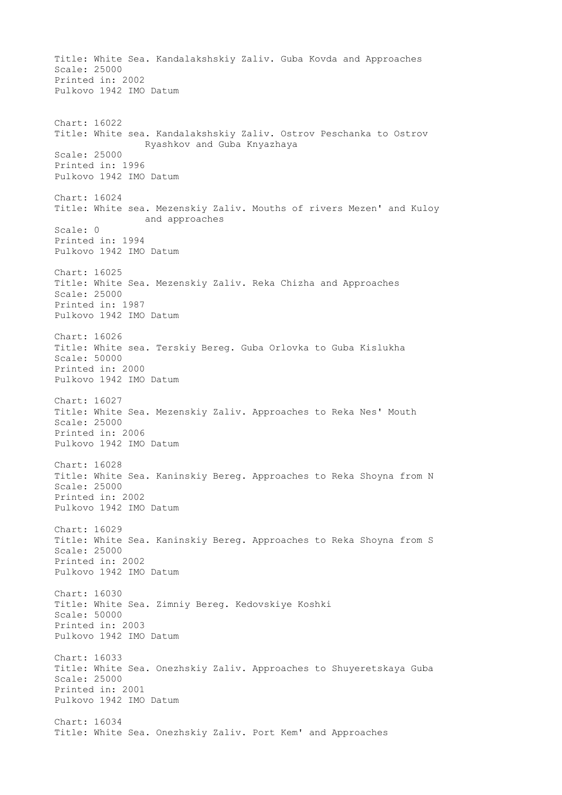Title: White Sea. Kandalakshskiy Zaliv. Guba Kovda and Approaches Scale: 25000 Printed in: 2002 Pulkovo 1942 IMO Datum Chart: 16022 Title: White sea. Kandalakshskiy Zaliv. Ostrov Peschanka to Ostrov Ryashkov and Guba Knyazhaya Scale: 25000 Printed in: 1996 Pulkovo 1942 IMO Datum Chart: 16024 Title: White sea. Mezenskiy Zaliv. Mouths of rivers Mezen' and Kuloy and approaches Scale: 0 Printed in: 1994 Pulkovo 1942 IMO Datum Chart: 16025 Title: White Sea. Mezenskiy Zaliv. Reka Chizha and Approaches Scale: 25000 Printed in: 1987 Pulkovo 1942 IMO Datum Chart: 16026 Title: White sea. Terskiy Bereg. Guba Orlovka to Guba Kislukha Scale: 50000 Printed in: 2000 Pulkovo 1942 IMO Datum Chart: 16027 Title: White Sea. Mezenskiy Zaliv. Approaches to Reka Nes' Mouth Scale: 25000 Printed in: 2006 Pulkovo 1942 IMO Datum Chart: 16028 Title: White Sea. Kaninskiy Bereg. Approaches to Reka Shoyna from N Scale: 25000 Printed in: 2002 Pulkovo 1942 IMO Datum Chart: 16029 Title: White Sea. Kaninskiy Bereg. Approaches to Reka Shoyna from S Scale: 25000 Printed in: 2002 Pulkovo 1942 IMO Datum Chart: 16030 Title: White Sea. Zimniy Bereg. Kedovskiye Koshki Scale: 50000 Printed in: 2003 Pulkovo 1942 IMO Datum Chart: 16033 Title: White Sea. Onezhskiy Zaliv. Approaches to Shuyeretskaya Guba Scale: 25000 Printed in: 2001 Pulkovo 1942 IMO Datum Chart: 16034 Title: White Sea. Onezhskiy Zaliv. Port Kem' and Approaches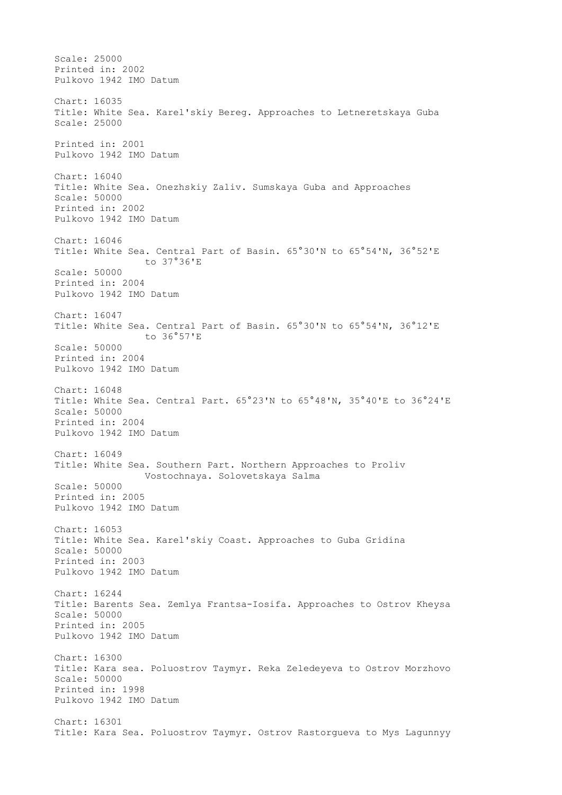Scale: 25000 Printed in: 2002 Pulkovo 1942 IMO Datum Chart: 16035 Title: White Sea. Karel'skiy Bereg. Approaches to Letneretskaya Guba Scale: 25000 Printed in: 2001 Pulkovo 1942 IMO Datum Chart: 16040 Title: White Sea. Onezhskiy Zaliv. Sumskaya Guba and Approaches Scale: 50000 Printed in: 2002 Pulkovo 1942 IMO Datum Chart: 16046 Title: White Sea. Central Part of Basin. 65°30'N to 65°54'N, 36°52'E to 37°36'E Scale: 50000 Printed in: 2004 Pulkovo 1942 IMO Datum Chart: 16047 Title: White Sea. Central Part of Basin. 65°30'N to 65°54'N, 36°12'E to 36°57'E Scale: 50000 Printed in: 2004 Pulkovo 1942 IMO Datum Chart: 16048 Title: White Sea. Central Part. 65°23'N to 65°48'N, 35°40'E to 36°24'E Scale: 50000 Printed in: 2004 Pulkovo 1942 IMO Datum Chart: 16049 Title: White Sea. Southern Part. Northern Approaches to Proliv Vostochnaya. Solovetskaya Salma Scale: 50000 Printed in: 2005 Pulkovo 1942 IMO Datum Chart: 16053 Title: White Sea. Karel'skiy Coast. Approaches to Guba Gridina Scale: 50000 Printed in: 2003 Pulkovo 1942 IMO Datum Chart: 16244 Title: Barents Sea. Zemlya Frantsa-Iosifa. Approaches to Ostrov Kheysa Scale: 50000 Printed in: 2005 Pulkovo 1942 IMO Datum Chart: 16300 Title: Kara sea. Poluostrov Taymyr. Reka Zeledeyeva to Ostrov Morzhovo Scale: 50000 Printed in: 1998 Pulkovo 1942 IMO Datum Chart: 16301 Title: Kara Sea. Poluostrov Taymyr. Ostrov Rastorgueva to Mys Lagunnyy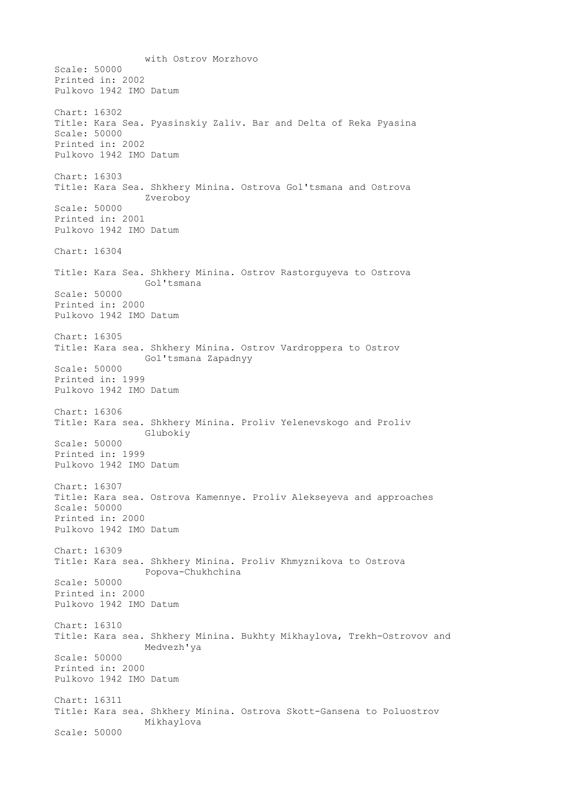with Ostrov Morzhovo Scale: 50000 Printed in: 2002 Pulkovo 1942 IMO Datum Chart: 16302 Title: Kara Sea. Pyasinskiy Zaliv. Bar and Delta of Reka Pyasina Scale: 50000 Printed in: 2002 Pulkovo 1942 IMO Datum Chart: 16303 Title: Kara Sea. Shkhery Minina. Ostrova Gol'tsmana and Ostrova Zveroboy Scale: 50000 Printed in: 2001 Pulkovo 1942 IMO Datum Chart: 16304 Title: Kara Sea. Shkhery Minina. Ostrov Rastorguyeva to Ostrova Gol'tsmana Scale: 50000 Printed in: 2000 Pulkovo 1942 IMO Datum Chart: 16305 Title: Kara sea. Shkhery Minina. Ostrov Vardroppera to Ostrov Gol'tsmana Zapadnyy Scale: 50000 Printed in: 1999 Pulkovo 1942 IMO Datum Chart: 16306 Title: Kara sea. Shkhery Minina. Proliv Yelenevskogo and Proliv Glubokiy Scale: 50000 Printed in: 1999 Pulkovo 1942 IMO Datum Chart: 16307 Title: Kara sea. Ostrova Kamennye. Proliv Alekseyeva and approaches Scale: 50000 Printed in: 2000 Pulkovo 1942 IMO Datum Chart: 16309 Title: Kara sea. Shkhery Minina. Proliv Khmyznikova to Ostrova Popova-Chukhchina Scale: 50000 Printed in: 2000 Pulkovo 1942 IMO Datum Chart: 16310 Title: Kara sea. Shkhery Minina. Bukhty Mikhaylova, Trekh-Ostrovov and Medvezh'ya Scale: 50000 Printed in: 2000 Pulkovo 1942 IMO Datum Chart: 16311 Title: Kara sea. Shkhery Minina. Ostrova Skott-Gansena to Poluostrov Mikhaylova Scale: 50000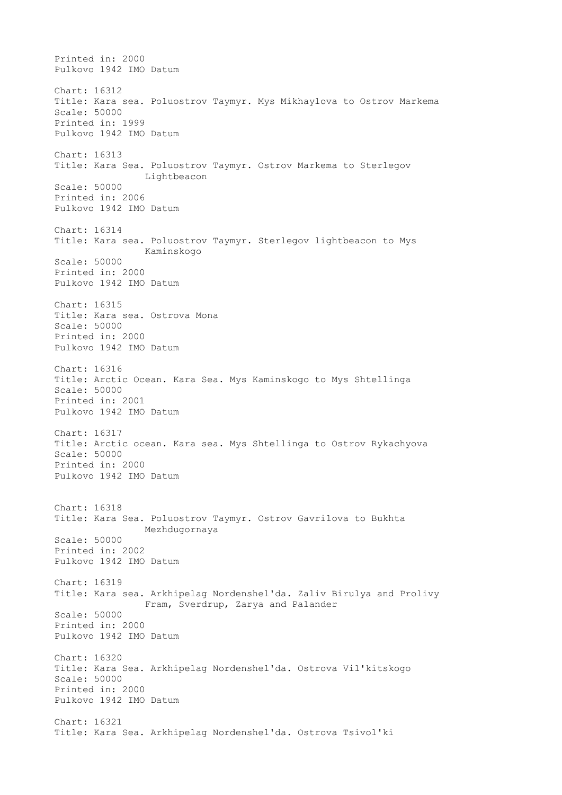Printed in: 2000 Pulkovo 1942 IMO Datum Chart: 16312 Title: Kara sea. Poluostrov Taymyr. Mys Mikhaylova to Ostrov Markema Scale: 50000 Printed in: 1999 Pulkovo 1942 IMO Datum Chart: 16313 Title: Kara Sea. Poluostrov Taymyr. Ostrov Markema to Sterlegov Lightbeacon Scale: 50000 Printed in: 2006 Pulkovo 1942 IMO Datum Chart: 16314 Title: Kara sea. Poluostrov Taymyr. Sterlegov lightbeacon to Mys Kaminskogo Scale: 50000 Printed in: 2000 Pulkovo 1942 IMO Datum Chart: 16315 Title: Kara sea. Ostrova Mona Scale: 50000 Printed in: 2000 Pulkovo 1942 IMO Datum Chart: 16316 Title: Arctic Ocean. Kara Sea. Mys Kaminskogo to Mys Shtellinga Scale: 50000 Printed in: 2001 Pulkovo 1942 IMO Datum Chart: 16317 Title: Arctic ocean. Kara sea. Mys Shtellinga to Ostrov Rykachyova Scale: 50000 Printed in: 2000 Pulkovo 1942 IMO Datum Chart: 16318 Title: Kara Sea. Poluostrov Taymyr. Ostrov Gavrilova to Bukhta Mezhdugornaya Scale: 50000 Printed in: 2002 Pulkovo 1942 IMO Datum Chart: 16319 Title: Kara sea. Arkhipelag Nordenshel'da. Zaliv Birulya and Prolivy Fram, Sverdrup, Zarya and Palander Scale: 50000 Printed in: 2000 Pulkovo 1942 IMO Datum Chart: 16320 Title: Kara Sea. Arkhipelag Nordenshel'da. Ostrova Vil'kitskogo Scale: 50000 Printed in: 2000 Pulkovo 1942 IMO Datum Chart: 16321 Title: Kara Sea. Arkhipelag Nordenshel'da. Ostrova Tsivol'ki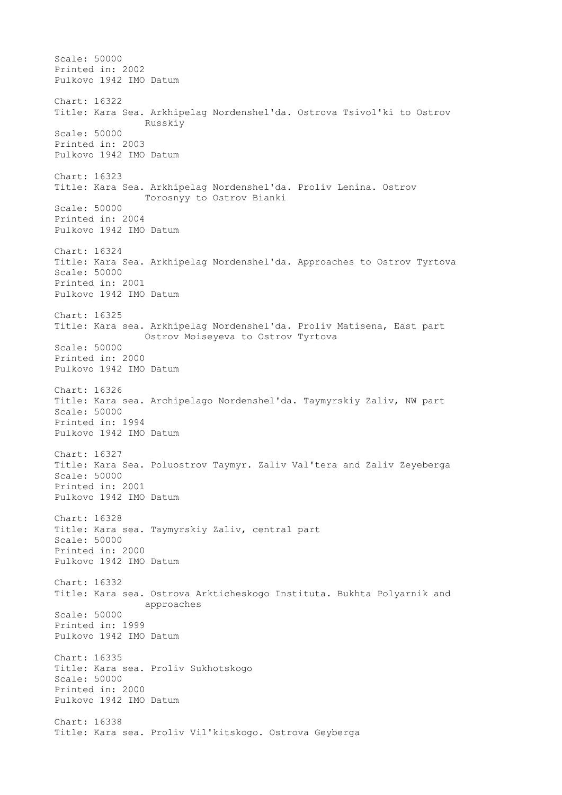Scale: 50000 Printed in: 2002 Pulkovo 1942 IMO Datum Chart: 16322 Title: Kara Sea. Arkhipelag Nordenshel'da. Ostrova Tsivol'ki to Ostrov Russkiy Scale: 50000 Printed in: 2003 Pulkovo 1942 IMO Datum Chart: 16323 Title: Kara Sea. Arkhipelag Nordenshel'da. Proliv Lenina. Ostrov Torosnyy to Ostrov Bianki Scale: 50000 Printed in: 2004 Pulkovo 1942 IMO Datum Chart: 16324 Title: Kara Sea. Arkhipelag Nordenshel'da. Approaches to Ostrov Tyrtova Scale: 50000 Printed in: 2001 Pulkovo 1942 IMO Datum Chart: 16325 Title: Kara sea. Arkhipelag Nordenshel'da. Proliv Matisena, East part Ostrov Moiseyeva to Ostrov Tyrtova Scale: 50000 Printed in: 2000 Pulkovo 1942 IMO Datum Chart: 16326 Title: Kara sea. Archipelago Nordenshel'da. Taymyrskiy Zaliv, NW part Scale: 50000 Printed in: 1994 Pulkovo 1942 IMO Datum Chart: 16327 Title: Kara Sea. Poluostrov Taymyr. Zaliv Val'tera and Zaliv Zeyeberga Scale: 50000 Printed in: 2001 Pulkovo 1942 IMO Datum Chart: 16328 Title: Kara sea. Taymyrskiy Zaliv, central part Scale: 50000 Printed in: 2000 Pulkovo 1942 IMO Datum Chart: 16332 Title: Kara sea. Ostrova Arkticheskogo Instituta. Bukhta Polyarnik and approaches Scale: 50000 Printed in: 1999 Pulkovo 1942 IMO Datum Chart: 16335 Title: Kara sea. Proliv Sukhotskogo Scale: 50000 Printed in: 2000 Pulkovo 1942 IMO Datum Chart: 16338 Title: Kara sea. Proliv Vil'kitskogo. Ostrova Geyberga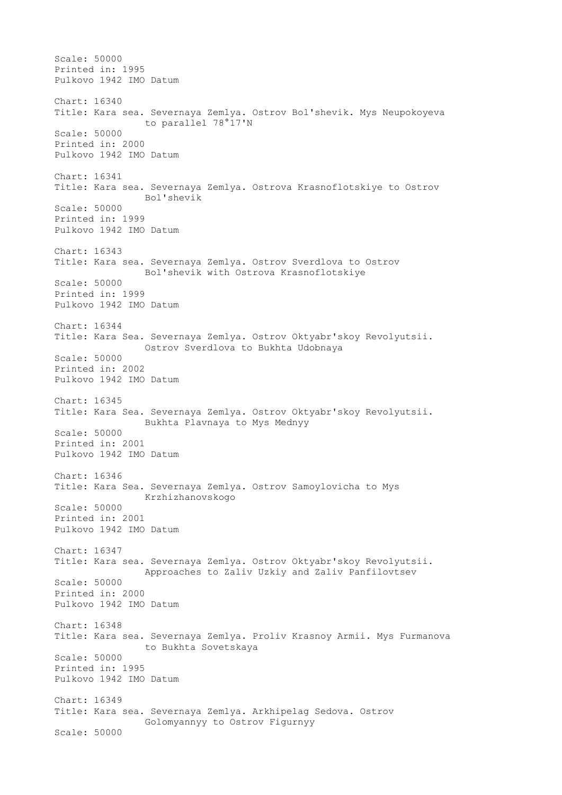Scale: 50000 Printed in: 1995 Pulkovo 1942 IMO Datum Chart: 16340 Title: Kara sea. Severnaya Zemlya. Ostrov Bol'shevik. Mys Neupokoyeva to parallel 78°17'N Scale: 50000 Printed in: 2000 Pulkovo 1942 IMO Datum Chart: 16341 Title: Kara sea. Severnaya Zemlya. Ostrova Krasnoflotskiye to Ostrov Bol'shevik Scale: 50000 Printed in: 1999 Pulkovo 1942 IMO Datum Chart: 16343 Title: Kara sea. Severnaya Zemlya. Ostrov Sverdlova to Ostrov Bol'shevik with Ostrova Krasnoflotskiye Scale: 50000 Printed in: 1999 Pulkovo 1942 IMO Datum Chart: 16344 Title: Kara Sea. Severnaya Zemlya. Ostrov Oktyabr'skoy Revolyutsii. Ostrov Sverdlova to Bukhta Udobnaya Scale: 50000 Printed in: 2002 Pulkovo 1942 IMO Datum Chart: 16345 Title: Kara Sea. Severnaya Zemlya. Ostrov Oktyabr'skoy Revolyutsii. Bukhta Plavnaya to Mys Mednyy Scale: 50000 Printed in: 2001 Pulkovo 1942 IMO Datum Chart: 16346 Title: Kara Sea. Severnaya Zemlya. Ostrov Samoylovicha to Mys Krzhizhanovskogo Scale: 50000 Printed in: 2001 Pulkovo 1942 IMO Datum Chart: 16347 Title: Kara sea. Severnaya Zemlya. Ostrov Oktyabr'skoy Revolyutsii. Approaches to Zaliv Uzkiy and Zaliv Panfilovtsev Scale: 50000 Printed in: 2000 Pulkovo 1942 IMO Datum Chart: 16348 Title: Kara sea. Severnaya Zemlya. Proliv Krasnoy Armii. Mys Furmanova to Bukhta Sovetskaya Scale: 50000 Printed in: 1995 Pulkovo 1942 IMO Datum Chart: 16349 Title: Kara sea. Severnaya Zemlya. Arkhipelag Sedova. Ostrov Golomyannyy to Ostrov Figurnyy Scale: 50000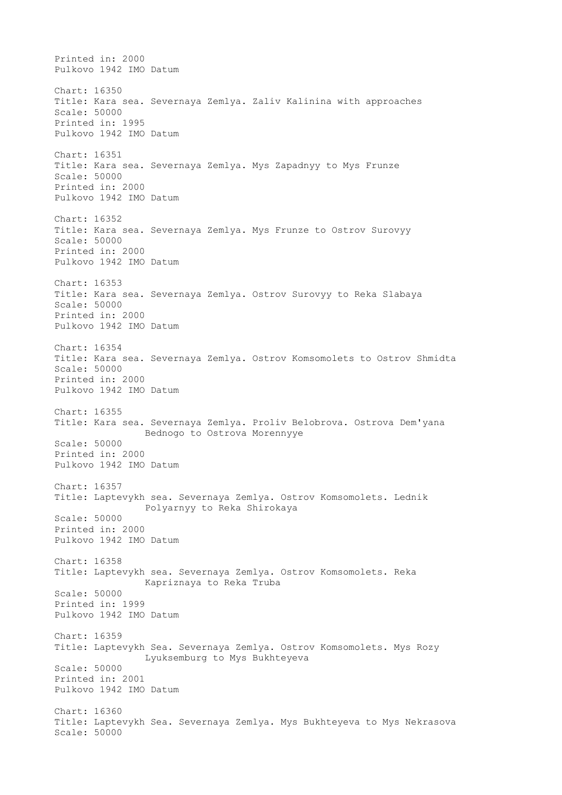Printed in: 2000 Pulkovo 1942 IMO Datum Chart: 16350 Title: Kara sea. Severnaya Zemlya. Zaliv Kalinina with approaches Scale: 50000 Printed in: 1995 Pulkovo 1942 IMO Datum Chart: 16351 Title: Kara sea. Severnaya Zemlya. Mys Zapadnyy to Mys Frunze Scale: 50000 Printed in: 2000 Pulkovo 1942 IMO Datum Chart: 16352 Title: Kara sea. Severnaya Zemlya. Mys Frunze to Ostrov Surovyy Scale: 50000 Printed in: 2000 Pulkovo 1942 IMO Datum Chart: 16353 Title: Kara sea. Severnaya Zemlya. Ostrov Surovyy to Reka Slabaya Scale: 50000 Printed in: 2000 Pulkovo 1942 IMO Datum Chart: 16354 Title: Kara sea. Severnaya Zemlya. Ostrov Komsomolets to Ostrov Shmidta Scale: 50000 Printed in: 2000 Pulkovo 1942 IMO Datum Chart: 16355 Title: Kara sea. Severnaya Zemlya. Proliv Belobrova. Ostrova Dem'yana Bednogo to Ostrova Morennyye Scale: 50000 Printed in: 2000 Pulkovo 1942 IMO Datum Chart: 16357 Title: Laptevykh sea. Severnaya Zemlya. Ostrov Komsomolets. Lednik Polyarnyy to Reka Shirokaya Scale: 50000 Printed in: 2000 Pulkovo 1942 IMO Datum Chart: 16358 Title: Laptevykh sea. Severnaya Zemlya. Ostrov Komsomolets. Reka Kapriznaya to Reka Truba Scale: 50000 Printed in: 1999 Pulkovo 1942 IMO Datum Chart: 16359 Title: Laptevykh Sea. Severnaya Zemlya. Ostrov Komsomolets. Mys Rozy Lyuksemburg to Mys Bukhteyeva Scale: 50000 Printed in: 2001 Pulkovo 1942 IMO Datum Chart: 16360 Title: Laptevykh Sea. Severnaya Zemlya. Mys Bukhteyeva to Mys Nekrasova Scale: 50000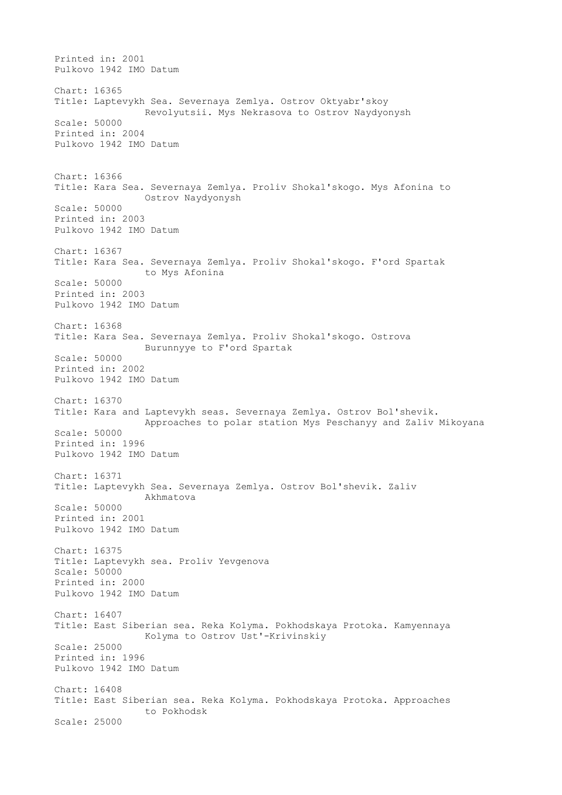Printed in: 2001 Pulkovo 1942 IMO Datum Chart: 16365 Title: Laptevykh Sea. Severnaya Zemlya. Ostrov Oktyabr'skoy Revolyutsii. Mys Nekrasova to Ostrov Naydyonysh Scale: 50000 Printed in: 2004 Pulkovo 1942 IMO Datum Chart: 16366 Title: Kara Sea. Severnaya Zemlya. Proliv Shokal'skogo. Mys Afonina to Ostrov Naydyonysh Scale: 50000 Printed in: 2003 Pulkovo 1942 IMO Datum Chart: 16367 Title: Kara Sea. Severnaya Zemlya. Proliv Shokal'skogo. F'ord Spartak to Mys Afonina Scale: 50000 Printed in: 2003 Pulkovo 1942 IMO Datum Chart: 16368 Title: Kara Sea. Severnaya Zemlya. Proliv Shokal'skogo. Ostrova Burunnyye to F'ord Spartak Scale: 50000 Printed in: 2002 Pulkovo 1942 IMO Datum Chart: 16370 Title: Kara and Laptevykh seas. Severnaya Zemlya. Ostrov Bol'shevik. Approaches to polar station Mys Peschanyy and Zaliv Mikoyana Scale: 50000 Printed in: 1996 Pulkovo 1942 IMO Datum Chart: 16371 Title: Laptevykh Sea. Severnaya Zemlya. Ostrov Bol'shevik. Zaliv Akhmatova Scale: 50000 Printed in: 2001 Pulkovo 1942 IMO Datum Chart: 16375 Title: Laptevykh sea. Proliv Yevgenova Scale: 50000 Printed in: 2000 Pulkovo 1942 IMO Datum Chart: 16407 Title: East Siberian sea. Reka Kolyma. Pokhodskaya Protoka. Kamyennaya Kolyma to Ostrov Ust'-Krivinskiy Scale: 25000 Printed in: 1996 Pulkovo 1942 IMO Datum Chart: 16408 Title: East Siberian sea. Reka Kolyma. Pokhodskaya Protoka. Approaches to Pokhodsk Scale: 25000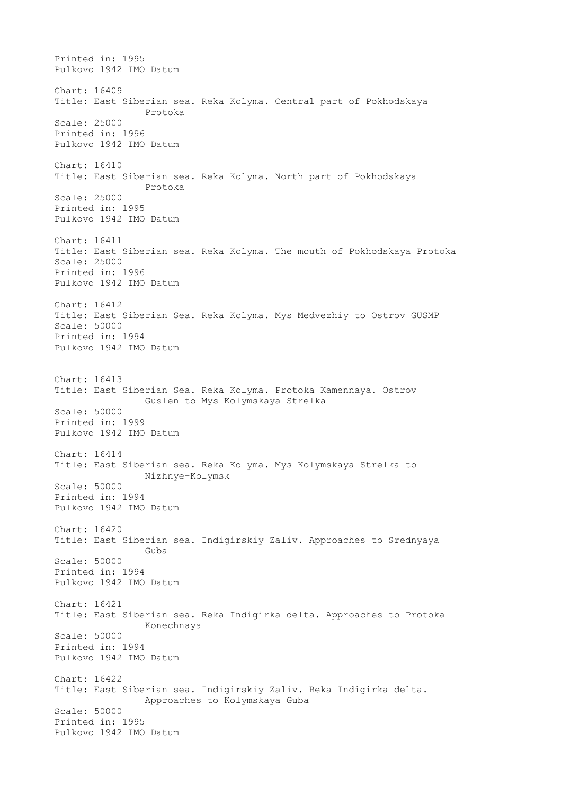Printed in: 1995 Pulkovo 1942 IMO Datum Chart: 16409 Title: East Siberian sea. Reka Kolyma. Central part of Pokhodskaya Protoka Scale: 25000 Printed in: 1996 Pulkovo 1942 IMO Datum Chart: 16410 Title: East Siberian sea. Reka Kolyma. North part of Pokhodskaya Protoka Scale: 25000 Printed in: 1995 Pulkovo 1942 IMO Datum Chart: 16411 Title: East Siberian sea. Reka Kolyma. The mouth of Pokhodskaya Protoka Scale: 25000 Printed in: 1996 Pulkovo 1942 IMO Datum Chart: 16412 Title: East Siberian Sea. Reka Kolyma. Mys Medvezhiy to Ostrov GUSMP Scale: 50000 Printed in: 1994 Pulkovo 1942 IMO Datum Chart: 16413 Title: East Siberian Sea. Reka Kolyma. Protoka Kamennaya. Ostrov Guslen to Mys Kolymskaya Strelka Scale: 50000 Printed in: 1999 Pulkovo 1942 IMO Datum Chart: 16414 Title: East Siberian sea. Reka Kolyma. Mys Kolymskaya Strelka to Nizhnye-Kolymsk Scale: 50000 Printed in: 1994 Pulkovo 1942 IMO Datum Chart: 16420 Title: East Siberian sea. Indigirskiy Zaliv. Approaches to Srednyaya Guba Scale: 50000 Printed in: 1994 Pulkovo 1942 IMO Datum Chart: 16421 Title: East Siberian sea. Reka Indigirka delta. Approaches to Protoka Konechnaya Scale: 50000 Printed in: 1994 Pulkovo 1942 IMO Datum Chart: 16422 Title: East Siberian sea. Indigirskiy Zaliv. Reka Indigirka delta. Approaches to Kolymskaya Guba Scale: 50000 Printed in: 1995 Pulkovo 1942 IMO Datum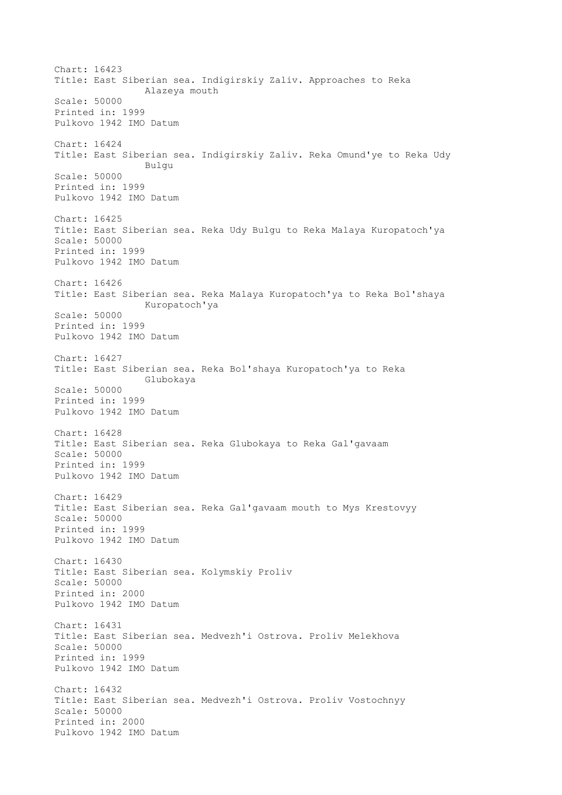Chart: 16423 Title: East Siberian sea. Indigirskiy Zaliv. Approaches to Reka Alazeya mouth Scale: 50000 Printed in: 1999 Pulkovo 1942 IMO Datum Chart: 16424 Title: East Siberian sea. Indigirskiy Zaliv. Reka Omund'ye to Reka Udy Bulgu Scale: 50000 Printed in: 1999 Pulkovo 1942 IMO Datum Chart: 16425 Title: East Siberian sea. Reka Udy Bulgu to Reka Malaya Kuropatoch'ya Scale: 50000 Printed in: 1999 Pulkovo 1942 IMO Datum Chart: 16426 Title: East Siberian sea. Reka Malaya Kuropatoch'ya to Reka Bol'shaya Kuropatoch'ya Scale: 50000 Printed in: 1999 Pulkovo 1942 IMO Datum Chart: 16427 Title: East Siberian sea. Reka Bol'shaya Kuropatoch'ya to Reka Glubokaya Scale: 50000 Printed in: 1999 Pulkovo 1942 IMO Datum Chart: 16428 Title: East Siberian sea. Reka Glubokaya to Reka Gal'gavaam Scale: 50000 Printed in: 1999 Pulkovo 1942 IMO Datum Chart: 16429 Title: East Siberian sea. Reka Gal'gavaam mouth to Mys Krestovyy Scale: 50000 Printed in: 1999 Pulkovo 1942 IMO Datum Chart: 16430 Title: East Siberian sea. Kolymskiy Proliv Scale: 50000 Printed in: 2000 Pulkovo 1942 IMO Datum Chart: 16431 Title: East Siberian sea. Medvezh'i Ostrova. Proliv Melekhova Scale: 50000 Printed in: 1999 Pulkovo 1942 IMO Datum Chart: 16432 Title: East Siberian sea. Medvezh'i Ostrova. Proliv Vostochnyy Scale: 50000 Printed in: 2000 Pulkovo 1942 IMO Datum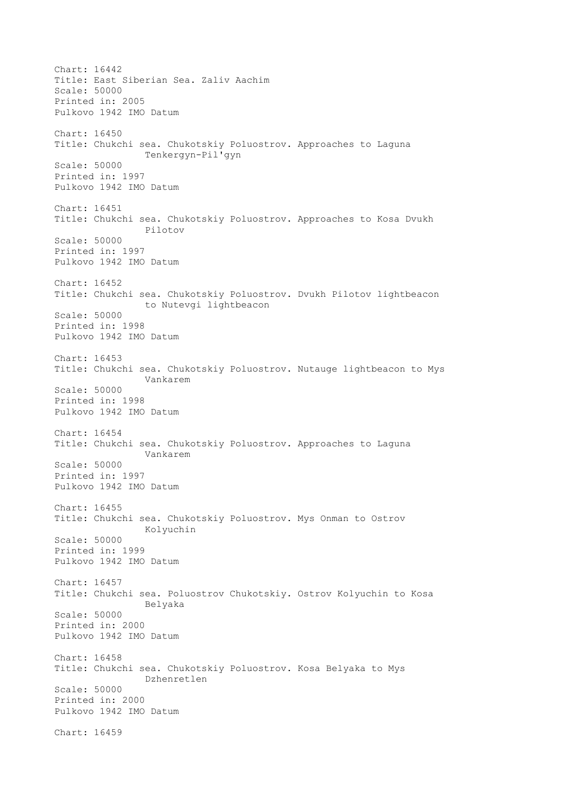Chart: 16442 Title: East Siberian Sea. Zaliv Aachim Scale: 50000 Printed in: 2005 Pulkovo 1942 IMO Datum Chart: 16450 Title: Chukchi sea. Chukotskiy Poluostrov. Approaches to Laguna Tenkergyn-Pil'gyn Scale: 50000 Printed in: 1997 Pulkovo 1942 IMO Datum Chart: 16451 Title: Chukchi sea. Chukotskiy Poluostrov. Approaches to Kosa Dvukh Pilotov Scale: 50000 Printed in: 1997 Pulkovo 1942 IMO Datum Chart: 16452 Title: Chukchi sea. Chukotskiy Poluostrov. Dvukh Pilotov lightbeacon to Nutevgi lightbeacon Scale: 50000 Printed in: 1998 Pulkovo 1942 IMO Datum Chart: 16453 Title: Chukchi sea. Chukotskiy Poluostrov. Nutauge lightbeacon to Mys Vankarem Scale: 50000 Printed in: 1998 Pulkovo 1942 IMO Datum Chart: 16454 Title: Chukchi sea. Chukotskiy Poluostrov. Approaches to Laguna Vankarem Scale: 50000 Printed in: 1997 Pulkovo 1942 IMO Datum Chart: 16455 Title: Chukchi sea. Chukotskiy Poluostrov. Mys Onman to Ostrov Kolyuchin Scale: 50000 Printed in: 1999 Pulkovo 1942 IMO Datum Chart: 16457 Title: Chukchi sea. Poluostrov Chukotskiy. Ostrov Kolyuchin to Kosa Belyaka Scale: 50000 Printed in: 2000 Pulkovo 1942 IMO Datum Chart: 16458 Title: Chukchi sea. Chukotskiy Poluostrov. Kosa Belyaka to Mys Dzhenretlen Scale: 50000 Printed in: 2000 Pulkovo 1942 IMO Datum Chart: 16459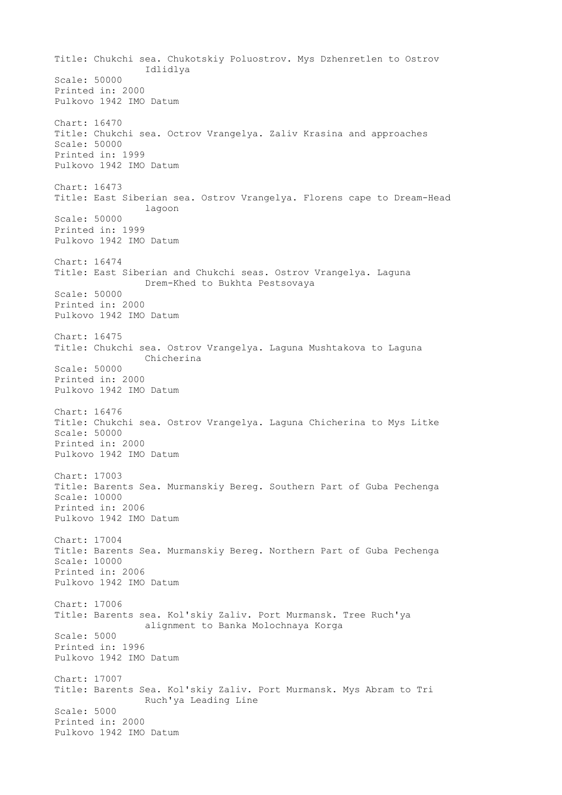Title: Chukchi sea. Chukotskiy Poluostrov. Mys Dzhenretlen to Ostrov Idlidlya Scale: 50000 Printed in: 2000 Pulkovo 1942 IMO Datum Chart: 16470 Title: Chukchi sea. Octrov Vrangelya. Zaliv Krasina and approaches Scale: 50000 Printed in: 1999 Pulkovo 1942 IMO Datum Chart: 16473 Title: East Siberian sea. Ostrov Vrangelya. Florens cape to Dream-Head lagoon Scale: 50000 Printed in: 1999 Pulkovo 1942 IMO Datum Chart: 16474 Title: East Siberian and Chukchi seas. Ostrov Vrangelya. Laguna Drem-Khed to Bukhta Pestsovaya Scale: 50000 Printed in: 2000 Pulkovo 1942 IMO Datum Chart: 16475 Title: Chukchi sea. Ostrov Vrangelya. Laguna Mushtakova to Laguna Chicherina Scale: 50000 Printed in: 2000 Pulkovo 1942 IMO Datum Chart: 16476 Title: Chukchi sea. Ostrov Vrangelya. Laguna Chicherina to Mys Litke Scale: 50000 Printed in: 2000 Pulkovo 1942 IMO Datum Chart: 17003 Title: Barents Sea. Murmanskiy Bereg. Southern Part of Guba Pechenga Scale: 10000 Printed in: 2006 Pulkovo 1942 IMO Datum Chart: 17004 Title: Barents Sea. Murmanskiy Bereg. Northern Part of Guba Pechenga Scale: 10000 Printed in: 2006 Pulkovo 1942 IMO Datum Chart: 17006 Title: Barents sea. Kol'skiy Zaliv. Port Murmansk. Tree Ruch'ya alignment to Banka Molochnaya Korga Scale: 5000 Printed in: 1996 Pulkovo 1942 IMO Datum Chart: 17007 Title: Barents Sea. Kol'skiy Zaliv. Port Murmansk. Mys Abram to Tri Ruch'ya Leading Line Scale: 5000 Printed in: 2000 Pulkovo 1942 IMO Datum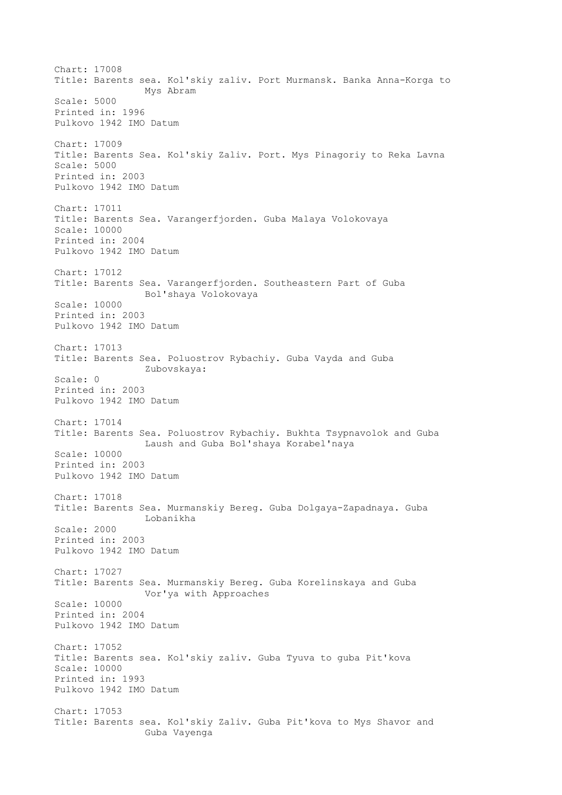Chart: 17008 Title: Barents sea. Kol'skiy zaliv. Port Murmansk. Banka Anna-Korga to Mys Abram Scale: 5000 Printed in: 1996 Pulkovo 1942 IMO Datum Chart: 17009 Title: Barents Sea. Kol'skiy Zaliv. Port. Mys Pinagoriy to Reka Lavna Scale: 5000 Printed in: 2003 Pulkovo 1942 IMO Datum Chart: 17011 Title: Barents Sea. Varangerfjorden. Guba Malaya Volokovaya Scale: 10000 Printed in: 2004 Pulkovo 1942 IMO Datum Chart: 17012 Title: Barents Sea. Varangerfjorden. Southeastern Part of Guba Bol'shaya Volokovaya Scale: 10000 Printed in: 2003 Pulkovo 1942 IMO Datum Chart: 17013 Title: Barents Sea. Poluostrov Rybachiy. Guba Vayda and Guba Zubovskaya: Scale: 0 Printed in: 2003 Pulkovo 1942 IMO Datum Chart: 17014 Title: Barents Sea. Poluostrov Rybachiy. Bukhta Tsypnavolok and Guba Laush and Guba Bol'shaya Korabel'naya Scale: 10000 Printed in: 2003 Pulkovo 1942 IMO Datum Chart: 17018 Title: Barents Sea. Murmanskiy Bereg. Guba Dolgaya-Zapadnaya. Guba Lobanikha Scale: 2000 Printed in: 2003 Pulkovo 1942 IMO Datum Chart: 17027 Title: Barents Sea. Murmanskiy Bereg. Guba Korelinskaya and Guba Vor'ya with Approaches Scale: 10000 Printed in: 2004 Pulkovo 1942 IMO Datum Chart: 17052 Title: Barents sea. Kol'skiy zaliv. Guba Tyuva to guba Pit'kova Scale: 10000 Printed in: 1993 Pulkovo 1942 IMO Datum Chart: 17053 Title: Barents sea. Kol'skiy Zaliv. Guba Pit'kova to Mys Shavor and Guba Vayenga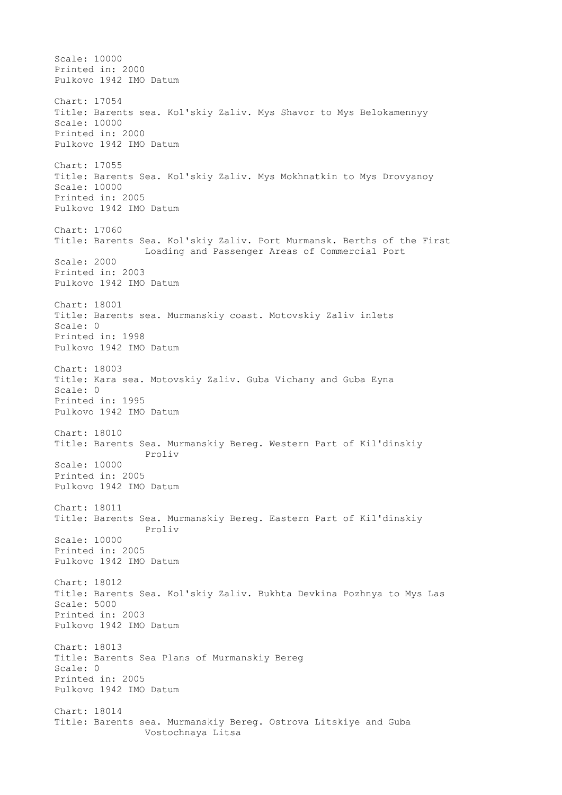Scale: 10000 Printed in: 2000 Pulkovo 1942 IMO Datum Chart: 17054 Title: Barents sea. Kol'skiy Zaliv. Mys Shavor to Mys Belokamennyy Scale: 10000 Printed in: 2000 Pulkovo 1942 IMO Datum Chart: 17055 Title: Barents Sea. Kol'skiy Zaliv. Mys Mokhnatkin to Mys Drovyanoy Scale: 10000 Printed in: 2005 Pulkovo 1942 IMO Datum Chart: 17060 Title: Barents Sea. Kol'skiy Zaliv. Port Murmansk. Berths of the First Loading and Passenger Areas of Commercial Port Scale: 2000 Printed in: 2003 Pulkovo 1942 IMO Datum Chart: 18001 Title: Barents sea. Murmanskiy coast. Motovskiy Zaliv inlets Scale: 0 Printed in: 1998 Pulkovo 1942 IMO Datum Chart: 18003 Title: Kara sea. Motovskiy Zaliv. Guba Vichany and Guba Eyna Scale: 0 Printed in: 1995 Pulkovo 1942 IMO Datum Chart: 18010 Title: Barents Sea. Murmanskiy Bereg. Western Part of Kil'dinskiy Proliv Scale: 10000 Printed in: 2005 Pulkovo 1942 IMO Datum Chart: 18011 Title: Barents Sea. Murmanskiy Bereg. Eastern Part of Kil'dinskiy Proliv Scale: 10000 Printed in: 2005 Pulkovo 1942 IMO Datum Chart: 18012 Title: Barents Sea. Kol'skiy Zaliv. Bukhta Devkina Pozhnya to Mys Las Scale: 5000 Printed in: 2003 Pulkovo 1942 IMO Datum Chart: 18013 Title: Barents Sea Plans of Murmanskiy Bereg Scale: 0 Printed in: 2005 Pulkovo 1942 IMO Datum Chart: 18014 Title: Barents sea. Murmanskiy Bereg. Ostrova Litskiye and Guba Vostochnaya Litsa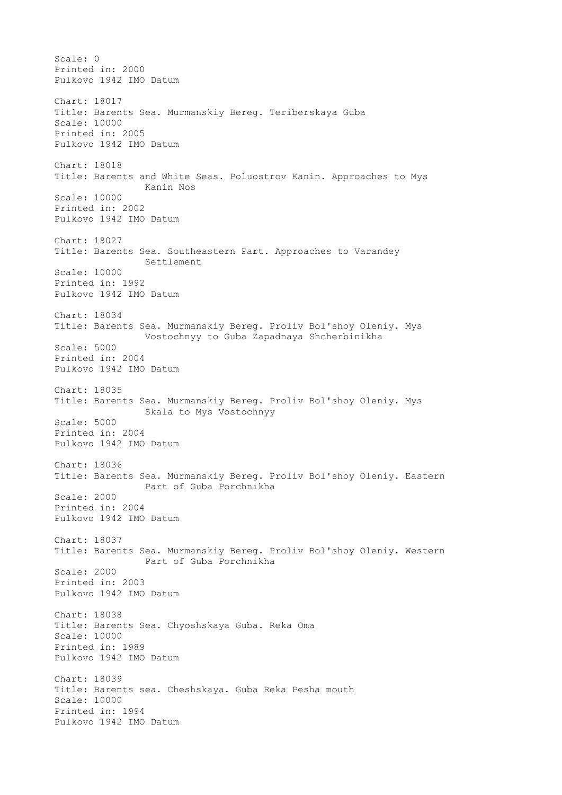Scale: 0 Printed in: 2000 Pulkovo 1942 IMO Datum Chart: 18017 Title: Barents Sea. Murmanskiy Bereg. Teriberskaya Guba Scale: 10000 Printed in: 2005 Pulkovo 1942 IMO Datum Chart: 18018 Title: Barents and White Seas. Poluostrov Kanin. Approaches to Mys Kanin Nos Scale: 10000 Printed in: 2002 Pulkovo 1942 IMO Datum Chart: 18027 Title: Barents Sea. Southeastern Part. Approaches to Varandey Settlement Scale: 10000 Printed in: 1992 Pulkovo 1942 IMO Datum Chart: 18034 Title: Barents Sea. Murmanskiy Bereg. Proliv Bol'shoy Oleniy. Mys Vostochnyy to Guba Zapadnaya Shcherbinikha Scale: 5000 Printed in: 2004 Pulkovo 1942 IMO Datum Chart: 18035 Title: Barents Sea. Murmanskiy Bereg. Proliv Bol'shoy Oleniy. Mys Skala to Mys Vostochnyy Scale: 5000 Printed in: 2004 Pulkovo 1942 IMO Datum Chart: 18036 Title: Barents Sea. Murmanskiy Bereg. Proliv Bol'shoy Oleniy. Eastern Part of Guba Porchnikha Scale: 2000 Printed in: 2004 Pulkovo 1942 IMO Datum Chart: 18037 Title: Barents Sea. Murmanskiy Bereg. Proliv Bol'shoy Oleniy. Western Part of Guba Porchnikha Scale: 2000 Printed in: 2003 Pulkovo 1942 IMO Datum Chart: 18038 Title: Barents Sea. Chyoshskaya Guba. Reka Oma Scale: 10000 Printed in: 1989 Pulkovo 1942 IMO Datum Chart: 18039 Title: Barents sea. Cheshskaya. Guba Reka Pesha mouth Scale: 10000 Printed in: 1994 Pulkovo 1942 IMO Datum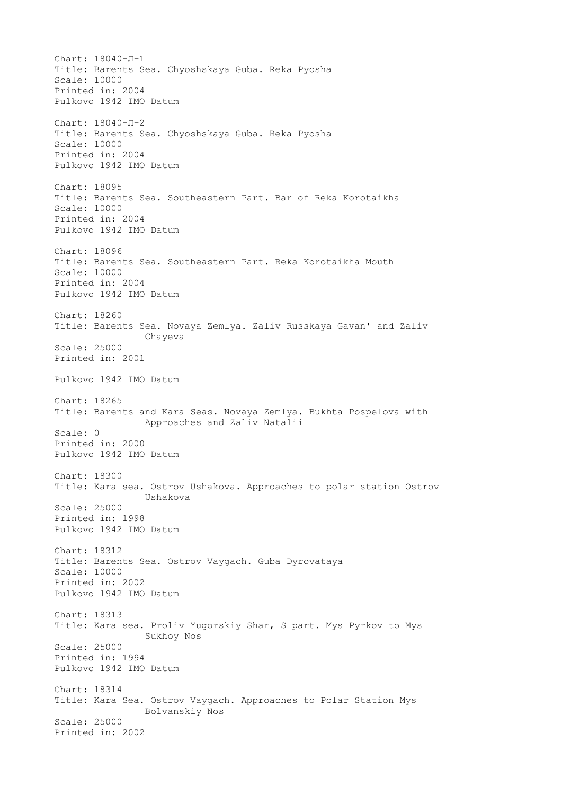Chart: 18040-Л-1 Title: Barents Sea. Chyoshskaya Guba. Reka Pyosha Scale: 10000 Printed in: 2004 Pulkovo 1942 IMO Datum Chart: 18040-Л-2 Title: Barents Sea. Chyoshskaya Guba. Reka Pyosha Scale: 10000 Printed in: 2004 Pulkovo 1942 IMO Datum Chart: 18095 Title: Barents Sea. Southeastern Part. Bar of Reka Korotaikha Scale: 10000 Printed in: 2004 Pulkovo 1942 IMO Datum Chart: 18096 Title: Barents Sea. Southeastern Part. Reka Korotaikha Mouth Scale: 10000 Printed in: 2004 Pulkovo 1942 IMO Datum Chart: 18260 Title: Barents Sea. Novaya Zemlya. Zaliv Russkaya Gavan' and Zaliv Chayeva Scale: 25000 Printed in: 2001 Pulkovo 1942 IMO Datum Chart: 18265 Title: Barents and Kara Seas. Novaya Zemlya. Bukhta Pospelova with Approaches and Zaliv Natalii Scale: 0 Printed in: 2000 Pulkovo 1942 IMO Datum Chart: 18300 Title: Kara sea. Ostrov Ushakova. Approaches to polar station Ostrov Ushakova Scale: 25000 Printed in: 1998 Pulkovo 1942 IMO Datum Chart: 18312 Title: Barents Sea. Ostrov Vaygach. Guba Dyrovataya Scale: 10000 Printed in: 2002 Pulkovo 1942 IMO Datum Chart: 18313 Title: Kara sea. Proliv Yugorskiy Shar, S part. Mys Pyrkov to Mys Sukhoy Nos Scale: 25000 Printed in: 1994 Pulkovo 1942 IMO Datum Chart: 18314 Title: Kara Sea. Ostrov Vaygach. Approaches to Polar Station Mys Bolvanskiy Nos Scale: 25000 Printed in: 2002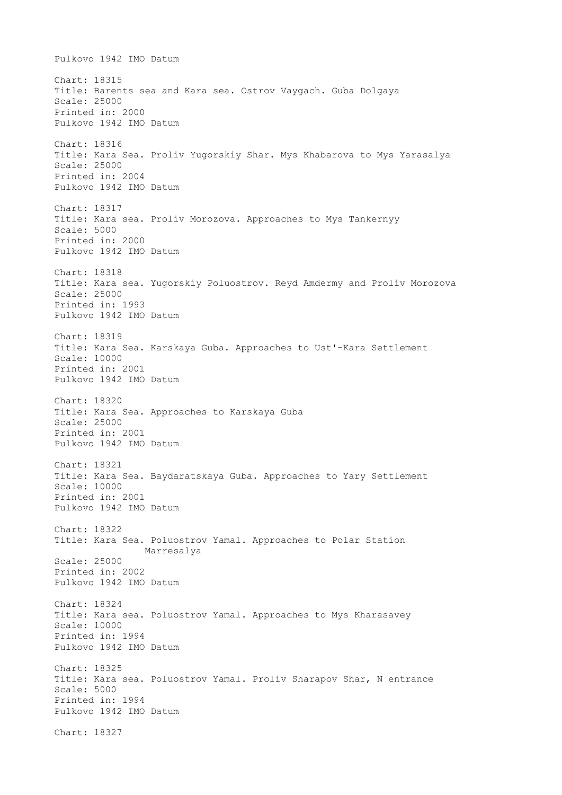Pulkovo 1942 IMO Datum Chart: 18315 Title: Barents sea and Kara sea. Ostrov Vaygach. Guba Dolgaya Scale: 25000 Printed in: 2000 Pulkovo 1942 IMO Datum Chart: 18316 Title: Kara Sea. Proliv Yugorskiy Shar. Mys Khabarova to Mys Yarasalya Scale: 25000 Printed in: 2004 Pulkovo 1942 IMO Datum Chart: 18317 Title: Kara sea. Proliv Morozova. Approaches to Mys Tankernyy Scale: 5000 Printed in: 2000 Pulkovo 1942 IMO Datum Chart: 18318 Title: Kara sea. Yugorskiy Poluostrov. Reyd Amdermy and Proliv Morozova Scale: 25000 Printed in: 1993 Pulkovo 1942 IMO Datum Chart: 18319 Title: Kara Sea. Karskaya Guba. Approaches to Ust'-Kara Settlement Scale: 10000 Printed in: 2001 Pulkovo 1942 IMO Datum Chart: 18320 Title: Kara Sea. Approaches to Karskaya Guba Scale: 25000 Printed in: 2001 Pulkovo 1942 IMO Datum Chart: 18321 Title: Kara Sea. Baydaratskaya Guba. Approaches to Yary Settlement Scale: 10000 Printed in: 2001 Pulkovo 1942 IMO Datum Chart: 18322 Title: Kara Sea. Poluostrov Yamal. Approaches to Polar Station Marresalya Scale: 25000 Printed in: 2002 Pulkovo 1942 IMO Datum Chart: 18324 Title: Kara sea. Poluostrov Yamal. Approaches to Mys Kharasavey Scale: 10000 Printed in: 1994 Pulkovo 1942 IMO Datum Chart: 18325 Title: Kara sea. Poluostrov Yamal. Proliv Sharapov Shar, N entrance Scale: 5000 Printed in: 1994 Pulkovo 1942 IMO Datum Chart: 18327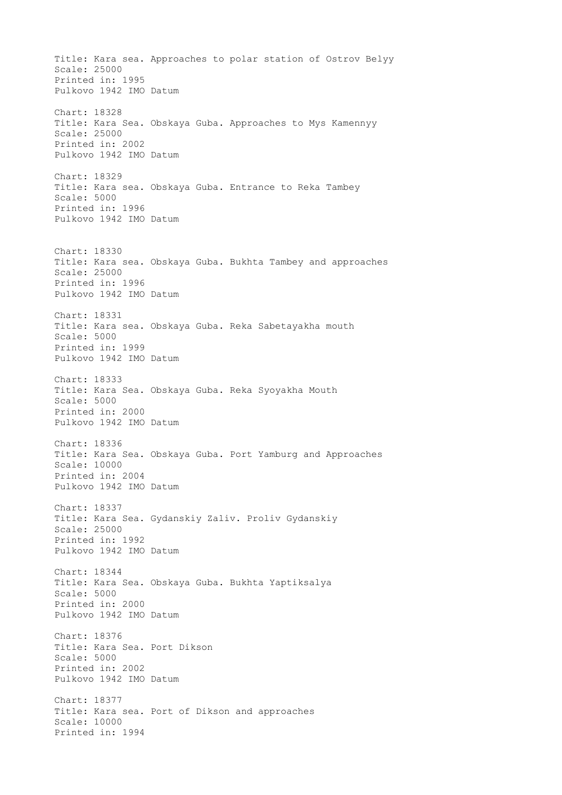Title: Kara sea. Approaches to polar station of Ostrov Belyy Scale: 25000 Printed in: 1995 Pulkovo 1942 IMO Datum Chart: 18328 Title: Kara Sea. Obskaya Guba. Approaches to Mys Kamennyy Scale: 25000 Printed in: 2002 Pulkovo 1942 IMO Datum Chart: 18329 Title: Kara sea. Obskaya Guba. Entrance to Reka Tambey Scale: 5000 Printed in: 1996 Pulkovo 1942 IMO Datum Chart: 18330 Title: Kara sea. Obskaya Guba. Bukhta Tambey and approaches Scale: 25000 Printed in: 1996 Pulkovo 1942 IMO Datum Chart: 18331 Title: Kara sea. Obskaya Guba. Reka Sabetayakha mouth Scale: 5000 Printed in: 1999 Pulkovo 1942 IMO Datum Chart: 18333 Title: Kara Sea. Obskaya Guba. Reka Syoyakha Mouth Scale: 5000 Printed in: 2000 Pulkovo 1942 IMO Datum Chart: 18336 Title: Kara Sea. Obskaya Guba. Port Yamburg and Approaches Scale: 10000 Printed in: 2004 Pulkovo 1942 IMO Datum Chart: 18337 Title: Kara Sea. Gydanskiy Zaliv. Proliv Gydanskiy Scale: 25000 Printed in: 1992 Pulkovo 1942 IMO Datum Chart: 18344 Title: Kara Sea. Obskaya Guba. Bukhta Yaptiksalya Scale: 5000 Printed in: 2000 Pulkovo 1942 IMO Datum Chart: 18376 Title: Kara Sea. Port Dikson Scale: 5000 Printed in: 2002 Pulkovo 1942 IMO Datum Chart: 18377 Title: Kara sea. Port of Dikson and approaches Scale: 10000 Printed in: 1994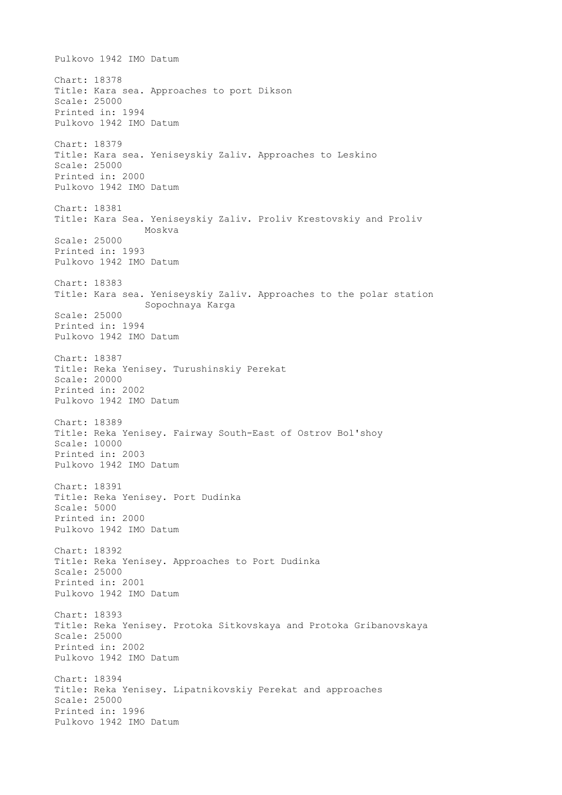Pulkovo 1942 IMO Datum Chart: 18378 Title: Kara sea. Approaches to port Dikson Scale: 25000 Printed in: 1994 Pulkovo 1942 IMO Datum Chart: 18379 Title: Kara sea. Yeniseyskiy Zaliv. Approaches to Leskino Scale: 25000 Printed in: 2000 Pulkovo 1942 IMO Datum Chart: 18381 Title: Kara Sea. Yeniseyskiy Zaliv. Proliv Krestovskiy and Proliv Moskva Scale: 25000 Printed in: 1993 Pulkovo 1942 IMO Datum Chart: 18383 Title: Kara sea. Yeniseyskiy Zaliv. Approaches to the polar station Sopochnaya Karga Scale: 25000 Printed in: 1994 Pulkovo 1942 IMO Datum Chart: 18387 Title: Reka Yenisey. Turushinskiy Perekat Scale: 20000 Printed in: 2002 Pulkovo 1942 IMO Datum Chart: 18389 Title: Reka Yenisey. Fairway South-East of Ostrov Bol'shoy Scale: 10000 Printed in: 2003 Pulkovo 1942 IMO Datum Chart: 18391 Title: Reka Yenisey. Port Dudinka Scale: 5000 Printed in: 2000 Pulkovo 1942 IMO Datum Chart: 18392 Title: Reka Yenisey. Approaches to Port Dudinka Scale: 25000 Printed in: 2001 Pulkovo 1942 IMO Datum Chart: 18393 Title: Reka Yenisey. Protoka Sitkovskaya and Protoka Gribanovskaya Scale: 25000 Printed in: 2002 Pulkovo 1942 IMO Datum Chart: 18394 Title: Reka Yenisey. Lipatnikovskiy Perekat and approaches Scale: 25000 Printed in: 1996 Pulkovo 1942 IMO Datum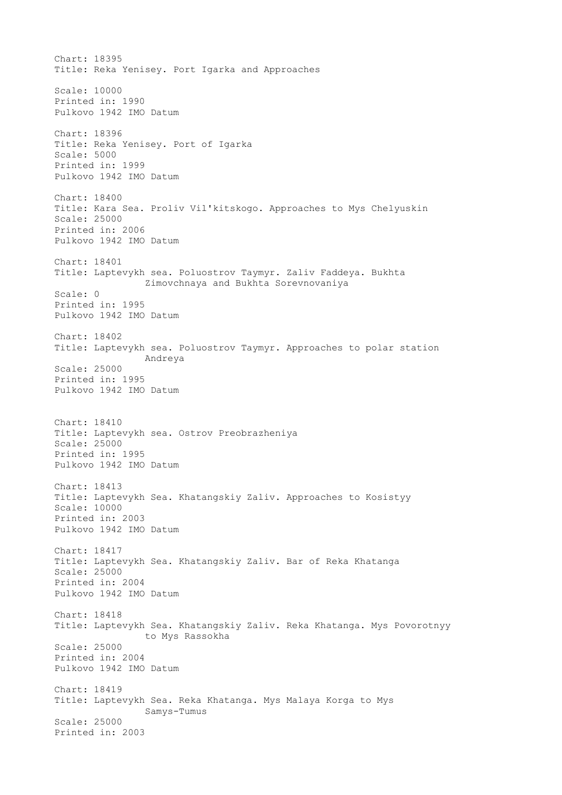Chart: 18395 Title: Reka Yenisey. Port Igarka and Approaches Scale: 10000 Printed in: 1990 Pulkovo 1942 IMO Datum Chart: 18396 Title: Reka Yenisey. Port of Igarka Scale: 5000 Printed in: 1999 Pulkovo 1942 IMO Datum Chart: 18400 Title: Kara Sea. Proliv Vil'kitskogo. Approaches to Mys Chelyuskin Scale: 25000 Printed in: 2006 Pulkovo 1942 IMO Datum Chart: 18401 Title: Laptevykh sea. Poluostrov Taymyr. Zaliv Faddeya. Bukhta Zimovchnaya and Bukhta Sorevnovaniya Scale: 0 Printed in: 1995 Pulkovo 1942 IMO Datum Chart: 18402 Title: Laptevykh sea. Poluostrov Taymyr. Approaches to polar station Andreya Scale: 25000 Printed in: 1995 Pulkovo 1942 IMO Datum Chart: 18410 Title: Laptevykh sea. Ostrov Preobrazheniya Scale: 25000 Printed in: 1995 Pulkovo 1942 IMO Datum Chart: 18413 Title: Laptevykh Sea. Khatangskiy Zaliv. Approaches to Kosistyy Scale: 10000 Printed in: 2003 Pulkovo 1942 IMO Datum Chart: 18417 Title: Laptevykh Sea. Khatangskiy Zaliv. Bar of Reka Khatanga Scale: 25000 Printed in: 2004 Pulkovo 1942 IMO Datum Chart: 18418 Title: Laptevykh Sea. Khatangskiy Zaliv. Reka Khatanga. Mys Povorotnyy to Mys Rassokha Scale: 25000 Printed in: 2004 Pulkovo 1942 IMO Datum Chart: 18419 Title: Laptevykh Sea. Reka Khatanga. Mys Malaya Korga to Mys Samys-Tumus Scale: 25000 Printed in: 2003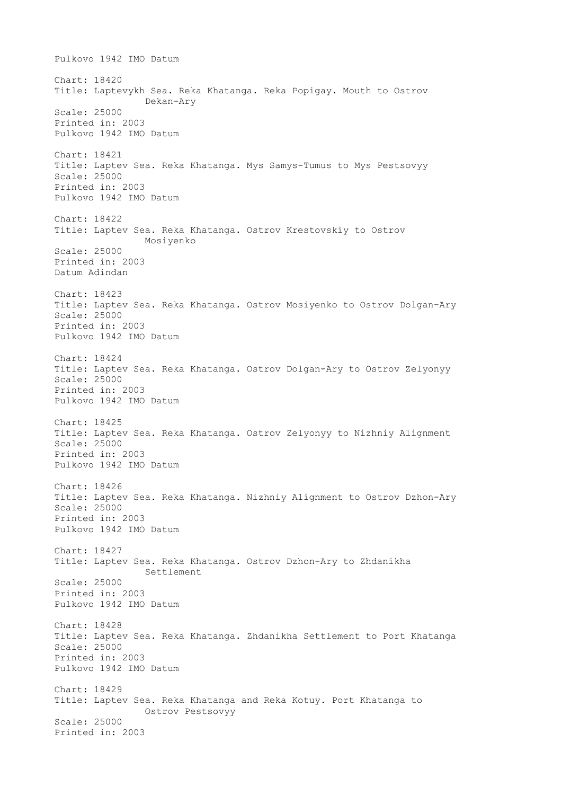Pulkovo 1942 IMO Datum Chart: 18420 Title: Laptevykh Sea. Reka Khatanga. Reka Popigay. Mouth to Ostrov Dekan-Ary Scale: 25000 Printed in: 2003 Pulkovo 1942 IMO Datum Chart: 18421 Title: Laptev Sea. Reka Khatanga. Mys Samys-Tumus to Mys Pestsovyy Scale: 25000 Printed in: 2003 Pulkovo 1942 IMO Datum Chart: 18422 Title: Laptev Sea. Reka Khatanga. Ostrov Krestovskiy to Ostrov Mosiyenko Scale: 25000 Printed in: 2003 Datum Adindan Chart: 18423 Title: Laptev Sea. Reka Khatanga. Ostrov Mosiyenko to Ostrov Dolgan-Ary Scale: 25000 Printed in: 2003 Pulkovo 1942 IMO Datum Chart: 18424 Title: Laptev Sea. Reka Khatanga. Ostrov Dolgan-Ary to Ostrov Zelyonyy Scale: 25000 Printed in: 2003 Pulkovo 1942 IMO Datum Chart: 18425 Title: Laptev Sea. Reka Khatanga. Ostrov Zelyonyy to Nizhniy Alignment Scale: 25000 Printed in: 2003 Pulkovo 1942 IMO Datum Chart: 18426 Title: Laptev Sea. Reka Khatanga. Nizhniy Alignment to Ostrov Dzhon-Ary Scale: 25000 Printed in: 2003 Pulkovo 1942 IMO Datum Chart: 18427 Title: Laptev Sea. Reka Khatanga. Ostrov Dzhon-Ary to Zhdanikha Settlement Scale: 25000 Printed in: 2003 Pulkovo 1942 IMO Datum Chart: 18428 Title: Laptev Sea. Reka Khatanga. Zhdanikha Settlement to Port Khatanga Scale: 25000 Printed in: 2003 Pulkovo 1942 IMO Datum Chart: 18429 Title: Laptev Sea. Reka Khatanga and Reka Kotuy. Port Khatanga to Ostrov Pestsovyy Scale: 25000 Printed in: 2003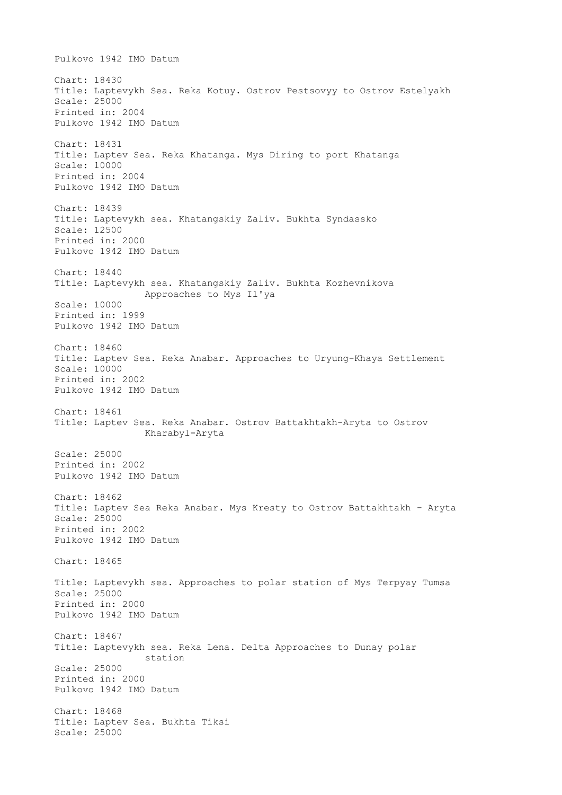Pulkovo 1942 IMO Datum Chart: 18430 Title: Laptevykh Sea. Reka Kotuy. Ostrov Pestsovyy to Ostrov Estelyakh Scale: 25000 Printed in: 2004 Pulkovo 1942 IMO Datum Chart: 18431 Title: Laptev Sea. Reka Khatanga. Mys Diring to port Khatanga Scale: 10000 Printed in: 2004 Pulkovo 1942 IMO Datum Chart: 18439 Title: Laptevykh sea. Khatangskiy Zaliv. Bukhta Syndassko Scale: 12500 Printed in: 2000 Pulkovo 1942 IMO Datum Chart: 18440 Title: Laptevykh sea. Khatangskiy Zaliv. Bukhta Kozhevnikova Approaches to Mys Il'ya Scale: 10000 Printed in: 1999 Pulkovo 1942 IMO Datum Chart: 18460 Title: Laptev Sea. Reka Anabar. Approaches to Uryung-Khaya Settlement Scale: 10000 Printed in: 2002 Pulkovo 1942 IMO Datum Chart: 18461 Title: Laptev Sea. Reka Anabar. Ostrov Battakhtakh-Aryta to Ostrov Kharabyl-Aryta Scale: 25000 Printed in: 2002 Pulkovo 1942 IMO Datum Chart: 18462 Title: Laptev Sea Reka Anabar. Mys Kresty to Ostrov Battakhtakh - Aryta Scale: 25000 Printed in: 2002 Pulkovo 1942 IMO Datum Chart: 18465 Title: Laptevykh sea. Approaches to polar station of Mys Terpyay Tumsa Scale: 25000 Printed in: 2000 Pulkovo 1942 IMO Datum Chart: 18467 Title: Laptevykh sea. Reka Lena. Delta Approaches to Dunay polar station Scale: 25000 Printed in: 2000 Pulkovo 1942 IMO Datum Chart: 18468 Title: Laptev Sea. Bukhta Tiksi Scale: 25000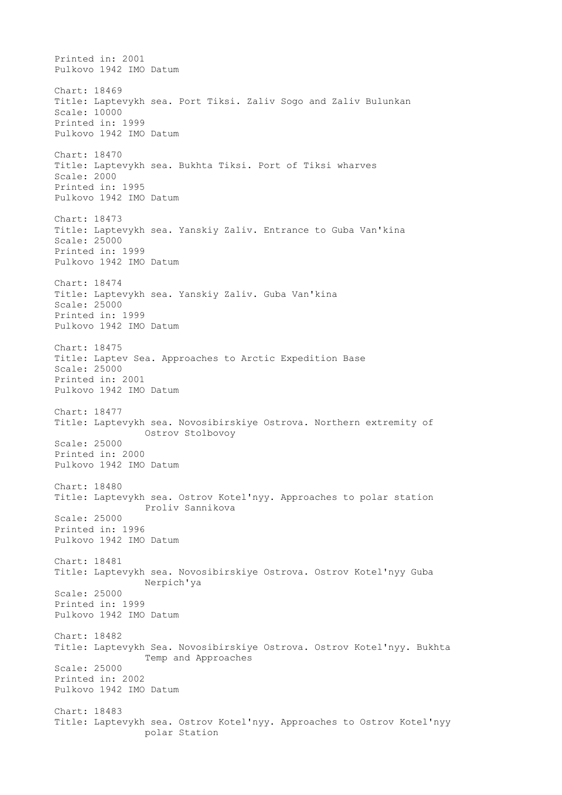Printed in: 2001 Pulkovo 1942 IMO Datum Chart: 18469 Title: Laptevykh sea. Port Tiksi. Zaliv Sogo and Zaliv Bulunkan Scale: 10000 Printed in: 1999 Pulkovo 1942 IMO Datum Chart: 18470 Title: Laptevykh sea. Bukhta Tiksi. Port of Tiksi wharves Scale: 2000 Printed in: 1995 Pulkovo 1942 IMO Datum Chart: 18473 Title: Laptevykh sea. Yanskiy Zaliv. Entrance to Guba Van'kina Scale: 25000 Printed in: 1999 Pulkovo 1942 IMO Datum Chart: 18474 Title: Laptevykh sea. Yanskiy Zaliv. Guba Van'kina Scale: 25000 Printed in: 1999 Pulkovo 1942 IMO Datum Chart: 18475 Title: Laptev Sea. Approaches to Arctic Expedition Base Scale: 25000 Printed in: 2001 Pulkovo 1942 IMO Datum Chart: 18477 Title: Laptevykh sea. Novosibirskiye Ostrova. Northern extremity of Ostrov Stolbovoy Scale: 25000 Printed in: 2000 Pulkovo 1942 IMO Datum Chart: 18480 Title: Laptevykh sea. Ostrov Kotel'nyy. Approaches to polar station Proliv Sannikova Scale: 25000 Printed in: 1996 Pulkovo 1942 IMO Datum Chart: 18481 Title: Laptevykh sea. Novosibirskiye Ostrova. Ostrov Kotel'nyy Guba Nerpich'ya Scale: 25000 Printed in: 1999 Pulkovo 1942 IMO Datum Chart: 18482 Title: Laptevykh Sea. Novosibirskiye Ostrova. Ostrov Kotel'nyy. Bukhta Temp and Approaches Scale: 25000 Printed in: 2002 Pulkovo 1942 IMO Datum Chart: 18483 Title: Laptevykh sea. Ostrov Kotel'nyy. Approaches to Ostrov Kotel'nyy polar Station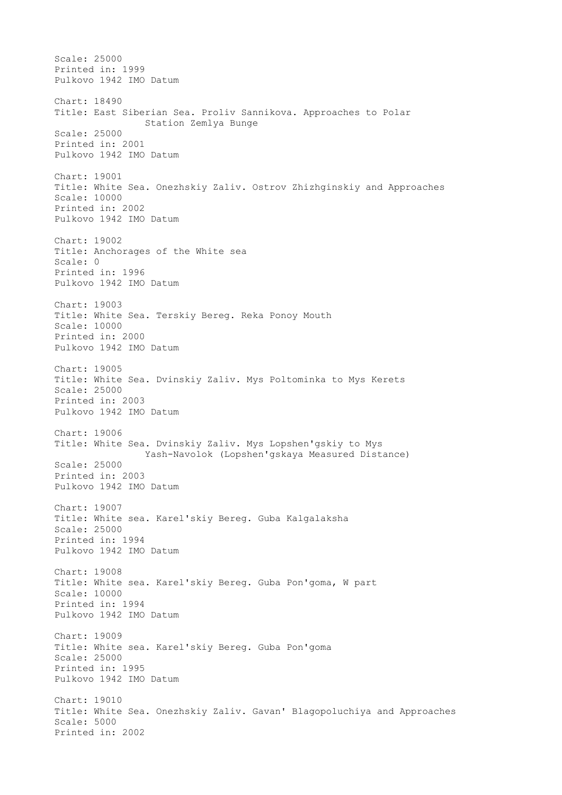Scale: 25000 Printed in: 1999 Pulkovo 1942 IMO Datum Chart: 18490 Title: East Siberian Sea. Proliv Sannikova. Approaches to Polar Station Zemlya Bunge Scale: 25000 Printed in: 2001 Pulkovo 1942 IMO Datum Chart: 19001 Title: White Sea. Onezhskiy Zaliv. Ostrov Zhizhginskiy and Approaches Scale: 10000 Printed in: 2002 Pulkovo 1942 IMO Datum Chart: 19002 Title: Anchorages of the White sea Scale: 0 Printed in: 1996 Pulkovo 1942 IMO Datum Chart: 19003 Title: White Sea. Terskiy Bereg. Reka Ponoy Mouth Scale: 10000 Printed in: 2000 Pulkovo 1942 IMO Datum Chart: 19005 Title: White Sea. Dvinskiy Zaliv. Mys Poltominka to Mys Kerets Scale: 25000 Printed in: 2003 Pulkovo 1942 IMO Datum Chart: 19006 Title: White Sea. Dvinskiy Zaliv. Mys Lopshen'gskiy to Mys Yash-Navolok (Lopshen'gskaya Measured Distance) Scale: 25000 Printed in: 2003 Pulkovo 1942 IMO Datum Chart: 19007 Title: White sea. Karel'skiy Bereg. Guba Kalgalaksha Scale: 25000 Printed in: 1994 Pulkovo 1942 IMO Datum Chart: 19008 Title: White sea. Karel'skiy Bereg. Guba Pon'goma, W part Scale: 10000 Printed in: 1994 Pulkovo 1942 IMO Datum Chart: 19009 Title: White sea. Karel'skiy Bereg. Guba Pon'goma Scale: 25000 Printed in: 1995 Pulkovo 1942 IMO Datum Chart: 19010 Title: White Sea. Onezhskiy Zaliv. Gavan' Blagopoluchiya and Approaches Scale: 5000 Printed in: 2002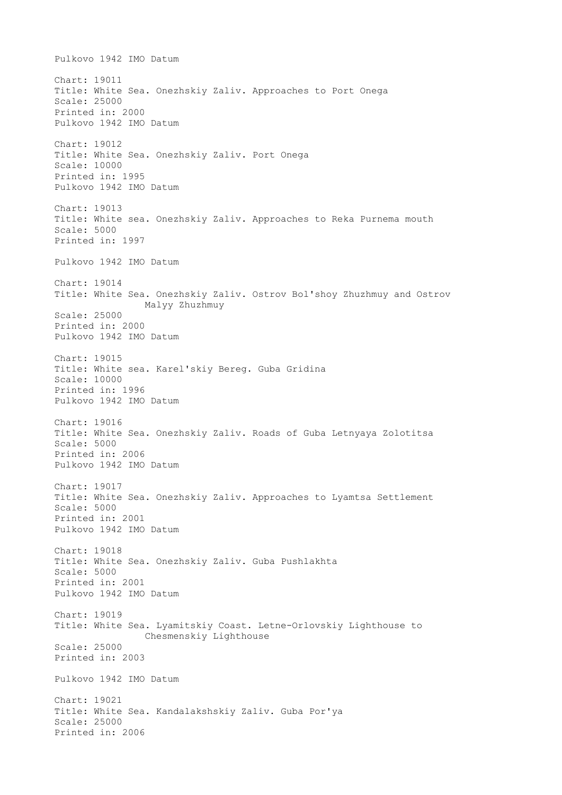Pulkovo 1942 IMO Datum Chart: 19011 Title: White Sea. Onezhskiy Zaliv. Approaches to Port Onega Scale: 25000 Printed in: 2000 Pulkovo 1942 IMO Datum Chart: 19012 Title: White Sea. Onezhskiy Zaliv. Port Onega Scale: 10000 Printed in: 1995 Pulkovo 1942 IMO Datum Chart: 19013 Title: White sea. Onezhskiy Zaliv. Approaches to Reka Purnema mouth Scale: 5000 Printed in: 1997 Pulkovo 1942 IMO Datum Chart: 19014 Title: White Sea. Onezhskiy Zaliv. Ostrov Bol'shoy Zhuzhmuy and Ostrov Malyy Zhuzhmuy Scale: 25000 Printed in: 2000 Pulkovo 1942 IMO Datum Chart: 19015 Title: White sea. Karel'skiy Bereg. Guba Gridina Scale: 10000 Printed in: 1996 Pulkovo 1942 IMO Datum Chart: 19016 Title: White Sea. Onezhskiy Zaliv. Roads of Guba Letnyaya Zolotitsa Scale: 5000 Printed in: 2006 Pulkovo 1942 IMO Datum Chart: 19017 Title: White Sea. Onezhskiy Zaliv. Approaches to Lyamtsa Settlement Scale: 5000 Printed in: 2001 Pulkovo 1942 IMO Datum Chart: 19018 Title: White Sea. Onezhskiy Zaliv. Guba Pushlakhta Scale: 5000 Printed in: 2001 Pulkovo 1942 IMO Datum Chart: 19019 Title: White Sea. Lyamitskiy Coast. Letne-Orlovskiy Lighthouse to Chesmenskiy Lighthouse Scale: 25000 Printed in: 2003 Pulkovo 1942 IMO Datum Chart: 19021 Title: White Sea. Kandalakshskiy Zaliv. Guba Por'ya Scale: 25000 Printed in: 2006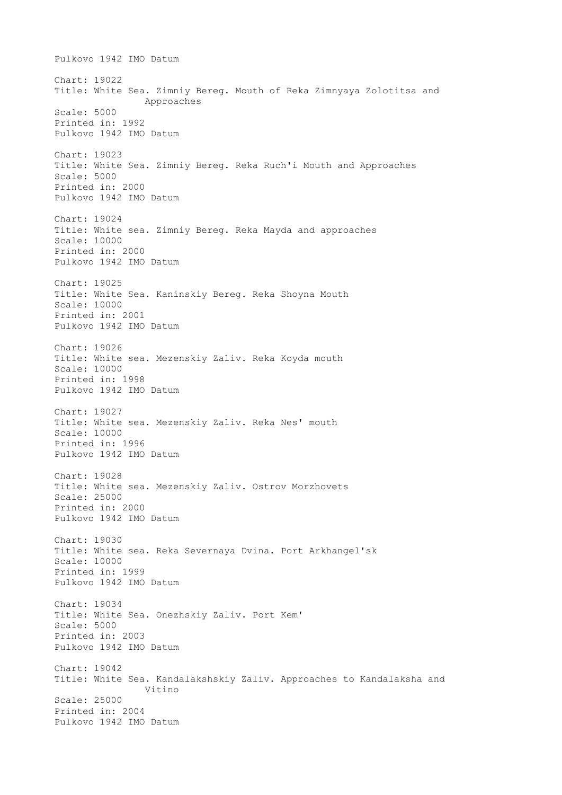Pulkovo 1942 IMO Datum Chart: 19022 Title: White Sea. Zimniy Bereg. Mouth of Reka Zimnyaya Zolotitsa and Approaches Scale: 5000 Printed in: 1992 Pulkovo 1942 IMO Datum Chart: 19023 Title: White Sea. Zimniy Bereg. Reka Ruch'i Mouth and Approaches Scale: 5000 Printed in: 2000 Pulkovo 1942 IMO Datum Chart: 19024 Title: White sea. Zimniy Bereg. Reka Mayda and approaches Scale: 10000 Printed in: 2000 Pulkovo 1942 IMO Datum Chart: 19025 Title: White Sea. Kaninskiy Bereg. Reka Shoyna Mouth Scale: 10000 Printed in: 2001 Pulkovo 1942 IMO Datum Chart: 19026 Title: White sea. Mezenskiy Zaliv. Reka Koyda mouth Scale: 10000 Printed in: 1998 Pulkovo 1942 IMO Datum Chart: 19027 Title: White sea. Mezenskiy Zaliv. Reka Nes' mouth Scale: 10000 Printed in: 1996 Pulkovo 1942 IMO Datum Chart: 19028 Title: White sea. Mezenskiy Zaliv. Ostrov Morzhovets Scale: 25000 Printed in: 2000 Pulkovo 1942 IMO Datum Chart: 19030 Title: White sea. Reka Severnaya Dvina. Port Arkhangel'sk Scale: 10000 Printed in: 1999 Pulkovo 1942 IMO Datum Chart: 19034 Title: White Sea. Onezhskiy Zaliv. Port Kem' Scale: 5000 Printed in: 2003 Pulkovo 1942 IMO Datum Chart: 19042 Title: White Sea. Kandalakshskiy Zaliv. Approaches to Kandalaksha and Vitino Scale: 25000 Printed in: 2004 Pulkovo 1942 IMO Datum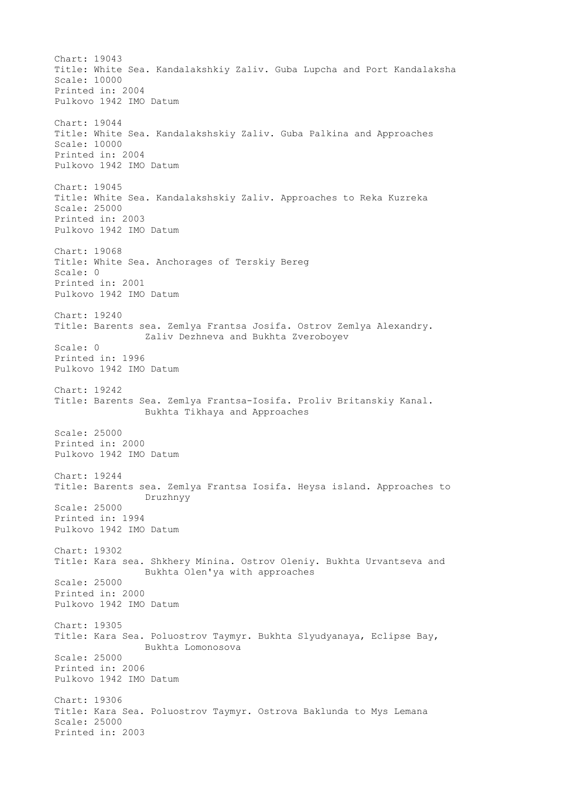Chart: 19043 Title: White Sea. Kandalakshkiy Zaliv. Guba Lupcha and Port Kandalaksha Scale: 10000 Printed in: 2004 Pulkovo 1942 IMO Datum Chart: 19044 Title: White Sea. Kandalakshskiy Zaliv. Guba Palkina and Approaches Scale: 10000 Printed in: 2004 Pulkovo 1942 IMO Datum Chart: 19045 Title: White Sea. Kandalakshskiy Zaliv. Approaches to Reka Kuzreka Scale: 25000 Printed in: 2003 Pulkovo 1942 IMO Datum Chart: 19068 Title: White Sea. Anchorages of Terskiy Bereg Scale: 0 Printed in: 2001 Pulkovo 1942 IMO Datum Chart: 19240 Title: Barents sea. Zemlya Frantsa Josifa. Ostrov Zemlya Alexandry. Zaliv Dezhneva and Bukhta Zveroboyev Scale: 0 Printed in: 1996 Pulkovo 1942 IMO Datum Chart: 19242 Title: Barents Sea. Zemlya Frantsa-Iosifa. Proliv Britanskiy Kanal. Bukhta Tikhaya and Approaches Scale: 25000 Printed in: 2000 Pulkovo 1942 IMO Datum Chart: 19244 Title: Barents sea. Zemlya Frantsa Iosifa. Heysa island. Approaches to Druzhnyy Scale: 25000 Printed in: 1994 Pulkovo 1942 IMO Datum Chart: 19302 Title: Kara sea. Shkhery Minina. Ostrov Oleniy. Bukhta Urvantseva and Bukhta Olen'ya with approaches Scale: 25000 Printed in: 2000 Pulkovo 1942 IMO Datum Chart: 19305 Title: Kara Sea. Poluostrov Taymyr. Bukhta Slyudyanaya, Eclipse Bay, Bukhta Lomonosova Scale: 25000 Printed in: 2006 Pulkovo 1942 IMO Datum Chart: 19306 Title: Kara Sea. Poluostrov Taymyr. Ostrova Baklunda to Mys Lemana Scale: 25000 Printed in: 2003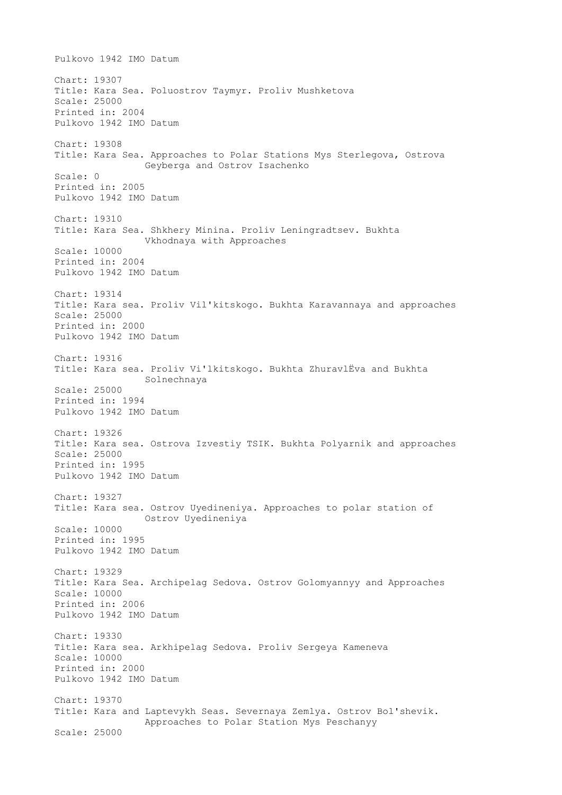Pulkovo 1942 IMO Datum Chart: 19307 Title: Kara Sea. Poluostrov Taymyr. Proliv Mushketova Scale: 25000 Printed in: 2004 Pulkovo 1942 IMO Datum Chart: 19308 Title: Kara Sea. Approaches to Polar Stations Mys Sterlegova, Ostrova Geyberga and Ostrov Isachenko Scale: 0 Printed in: 2005 Pulkovo 1942 IMO Datum Chart: 19310 Title: Kara Sea. Shkhery Minina. Proliv Leningradtsev. Bukhta Vkhodnaya with Approaches Scale: 10000 Printed in: 2004 Pulkovo 1942 IMO Datum Chart: 19314 Title: Kara sea. Proliv Vil'kitskogo. Bukhta Karavannaya and approaches Scale: 25000 Printed in: 2000 Pulkovo 1942 IMO Datum Chart: 19316 Title: Kara sea. Proliv Vi'lkitskogo. Bukhta ZhuravlЁva and Bukhta Solnechnaya Scale: 25000 Printed in: 1994 Pulkovo 1942 IMO Datum Chart: 19326 Title: Kara sea. Ostrova Izvestiy TSIK. Bukhta Polyarnik and approaches Scale: 25000 Printed in: 1995 Pulkovo 1942 IMO Datum Chart: 19327 Title: Kara sea. Ostrov Uyedineniya. Approaches to polar station of Ostrov Uyedineniya Scale: 10000 Printed in: 1995 Pulkovo 1942 IMO Datum Chart: 19329 Title: Kara Sea. Archipelag Sedova. Ostrov Golomyannyy and Approaches Scale: 10000 Printed in: 2006 Pulkovo 1942 IMO Datum Chart: 19330 Title: Kara sea. Arkhipelag Sedova. Proliv Sergeya Kameneva Scale: 10000 Printed in: 2000 Pulkovo 1942 IMO Datum Chart: 19370 Title: Kara and Laptevykh Seas. Severnaya Zemlya. Ostrov Bol'shevik. Approaches to Polar Station Mys Peschanyy Scale: 25000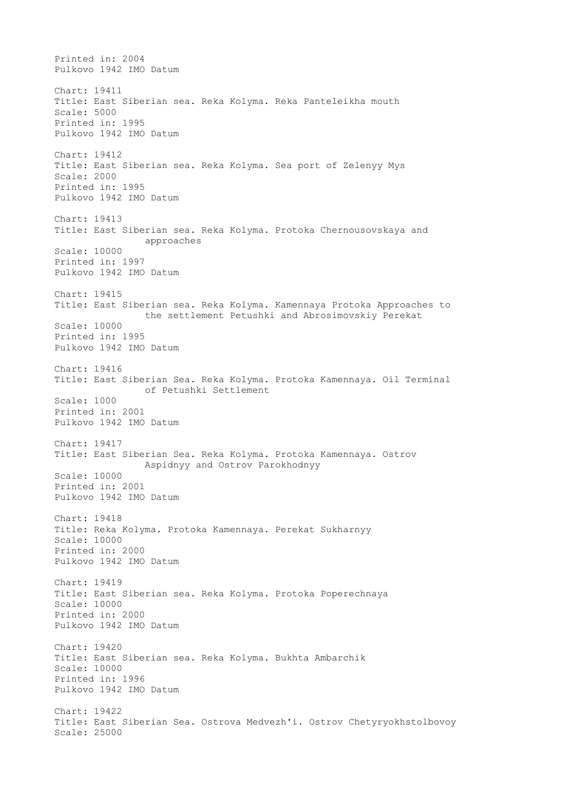Printed in: 2004 Pulkovo 1942 IMO Datum Chart: 19411 Title: East Siberian sea. Reka Kolyma. Reka Panteleikha mouth Scale: 5000 Printed in: 1995 Pulkovo 1942 IMO Datum Chart: 19412 Title: East Siberian sea. Reka Kolyma. Sea port of Zelenyy Mys Scale: 2000 Printed in: 1995 Pulkovo 1942 IMO Datum Chart: 19413 Title: East Siberian sea. Reka Kolyma. Protoka Chernousovskaya and approaches Scale: 10000 Printed in: 1997 Pulkovo 1942 IMO Datum Chart: 19415 Title: East Siberian sea. Reka Kolyma. Kamennaya Protoka Approaches to the settlement Petushki and Abrosimovskiy Perekat Scale: 10000 Printed in: 1995 Pulkovo 1942 IMO Datum Chart: 19416 Title: East Siberian Sea. Reka Kolyma. Protoka Kamennaya. Oil Terminal of Petushki Settlement Scale: 1000 Printed in: 2001 Pulkovo 1942 IMO Datum Chart: 19417 Title: East Siberian Sea. Reka Kolyma. Protoka Kamennaya. Ostrov Aspidnyy and Ostrov Parokhodnyy Scale: 10000 Printed in: 2001 Pulkovo 1942 IMO Datum Chart: 19418 Title: Reka Kolyma. Protoka Kamennaya. Perekat Sukharnyy Scale: 10000 Printed in: 2000 Pulkovo 1942 IMO Datum Chart: 19419 Title: East Siberian sea. Reka Kolyma. Protoka Poperechnaya Scale: 10000 Printed in: 2000 Pulkovo 1942 IMO Datum Chart: 19420 Title: East Siberian sea. Reka Kolyma. Bukhta Ambarchik Scale: 10000 Printed in: 1996 Pulkovo 1942 IMO Datum Chart: 19422 Title: East Siberian Sea. Ostrova Medvezh'i. Ostrov Chetyryokhstolbovoy Scale: 25000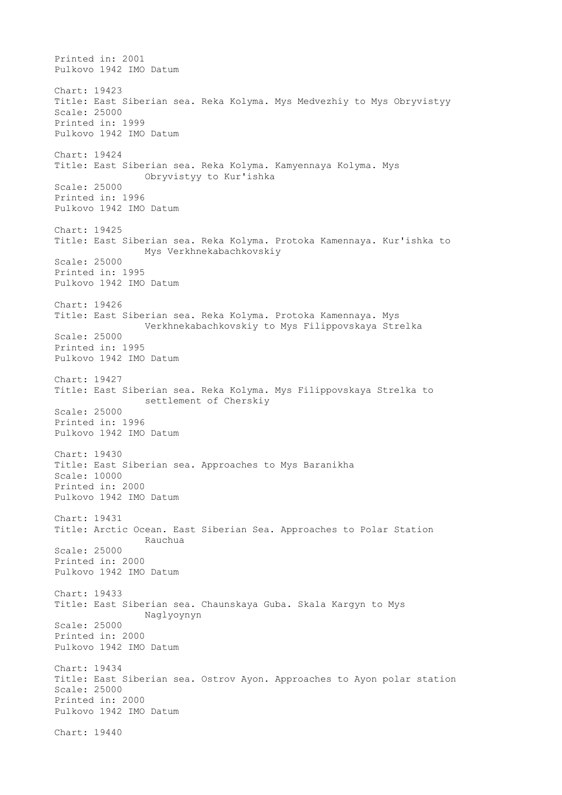Printed in: 2001 Pulkovo 1942 IMO Datum Chart: 19423 Title: East Siberian sea. Reka Kolyma. Mys Medvezhiy to Mys Obryvistyy Scale: 25000 Printed in: 1999 Pulkovo 1942 IMO Datum Chart: 19424 Title: East Siberian sea. Reka Kolyma. Kamyennaya Kolyma. Mys Obryvistyy to Kur'ishka Scale: 25000 Printed in: 1996 Pulkovo 1942 IMO Datum Chart: 19425 Title: East Siberian sea. Reka Kolyma. Protoka Kamennaya. Kur'ishka to Mys Verkhnekabachkovskiy Scale: 25000 Printed in: 1995 Pulkovo 1942 IMO Datum Chart: 19426 Title: East Siberian sea. Reka Kolyma. Protoka Kamennaya. Mys Verkhnekabachkovskiy to Mys Filippovskaya Strelka Scale: 25000 Printed in: 1995 Pulkovo 1942 IMO Datum Chart: 19427 Title: East Siberian sea. Reka Kolyma. Mys Filippovskaya Strelka to settlement of Cherskiy Scale: 25000 Printed in: 1996 Pulkovo 1942 IMO Datum Chart: 19430 Title: East Siberian sea. Approaches to Mys Baranikha Scale: 10000 Printed in: 2000 Pulkovo 1942 IMO Datum Chart: 19431 Title: Arctic Ocean. East Siberian Sea. Approaches to Polar Station Rauchua Scale: 25000 Printed in: 2000 Pulkovo 1942 IMO Datum Chart: 19433 Title: East Siberian sea. Chaunskaya Guba. Skala Kargyn to Mys Naglyoynyn Scale: 25000 Printed in: 2000 Pulkovo 1942 IMO Datum Chart: 19434 Title: East Siberian sea. Ostrov Ayon. Approaches to Ayon polar station Scale: 25000 Printed in: 2000 Pulkovo 1942 IMO Datum Chart: 19440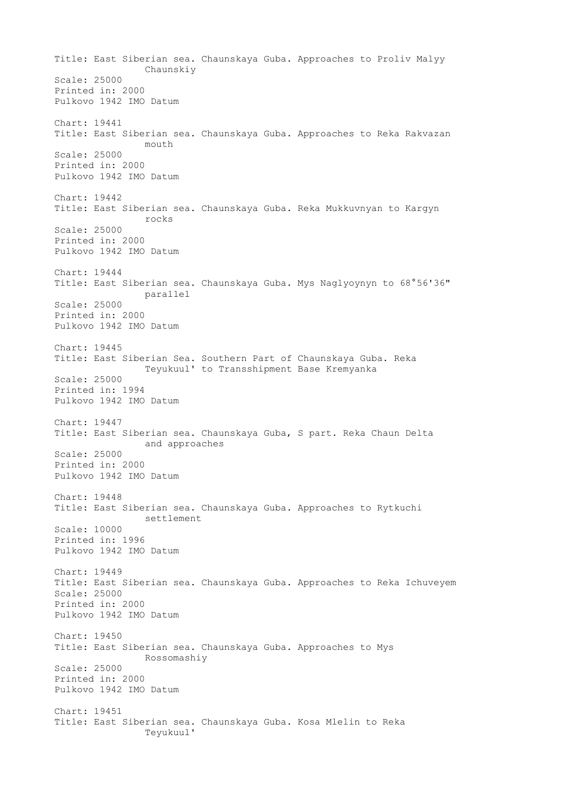Title: East Siberian sea. Chaunskaya Guba. Approaches to Proliv Malyy Chaunskiy Scale: 25000 Printed in: 2000 Pulkovo 1942 IMO Datum Chart: 19441 Title: East Siberian sea. Chaunskaya Guba. Approaches to Reka Rakvazan mouth Scale: 25000 Printed in: 2000 Pulkovo 1942 IMO Datum Chart: 19442 Title: East Siberian sea. Chaunskaya Guba. Reka Mukkuvnyan to Kargyn rocks Scale: 25000 Printed in: 2000 Pulkovo 1942 IMO Datum Chart: 19444 Title: East Siberian sea. Chaunskaya Guba. Mys Naglyoynyn to 68°56'36" parallel Scale: 25000 Printed in: 2000 Pulkovo 1942 IMO Datum Chart: 19445 Title: East Siberian Sea. Southern Part of Chaunskaya Guba. Reka Teyukuul' to Transshipment Base Kremyanka Scale: 25000 Printed in: 1994 Pulkovo 1942 IMO Datum Chart: 19447 Title: East Siberian sea. Chaunskaya Guba, S part. Reka Chaun Delta and approaches Scale: 25000 Printed in: 2000 Pulkovo 1942 IMO Datum Chart: 19448 Title: East Siberian sea. Chaunskaya Guba. Approaches to Rytkuchi settlement Scale: 10000 Printed in: 1996 Pulkovo 1942 IMO Datum Chart: 19449 Title: East Siberian sea. Chaunskaya Guba. Approaches to Reka Ichuveyem Scale: 25000 Printed in: 2000 Pulkovo 1942 IMO Datum Chart: 19450 Title: East Siberian sea. Chaunskaya Guba. Approaches to Mys Rossomashiy Scale: 25000 Printed in: 2000 Pulkovo 1942 IMO Datum Chart: 19451 Title: East Siberian sea. Chaunskaya Guba. Kosa Mlelin to Reka Teyukuul'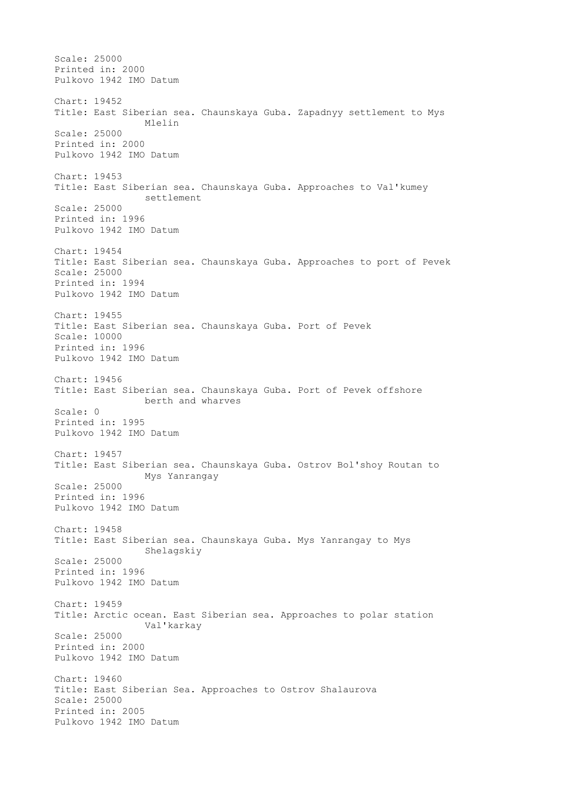Scale: 25000 Printed in: 2000 Pulkovo 1942 IMO Datum Chart: 19452 Title: East Siberian sea. Chaunskaya Guba. Zapadnyy settlement to Mys Mlelin Scale: 25000 Printed in: 2000 Pulkovo 1942 IMO Datum Chart: 19453 Title: East Siberian sea. Chaunskaya Guba. Approaches to Val'kumey settlement Scale: 25000 Printed in: 1996 Pulkovo 1942 IMO Datum Chart: 19454 Title: East Siberian sea. Chaunskaya Guba. Approaches to port of Pevek Scale: 25000 Printed in: 1994 Pulkovo 1942 IMO Datum Chart: 19455 Title: East Siberian sea. Chaunskaya Guba. Port of Pevek Scale: 10000 Printed in: 1996 Pulkovo 1942 IMO Datum Chart: 19456 Title: East Siberian sea. Chaunskaya Guba. Port of Pevek offshore berth and wharves Scale: 0 Printed in: 1995 Pulkovo 1942 IMO Datum Chart: 19457 Title: East Siberian sea. Chaunskaya Guba. Ostrov Bol'shoy Routan to Mys Yanrangay Scale: 25000 Printed in: 1996 Pulkovo 1942 IMO Datum Chart: 19458 Title: East Siberian sea. Chaunskaya Guba. Mys Yanrangay to Mys Shelagskiy Scale: 25000 Printed in: 1996 Pulkovo 1942 IMO Datum Chart: 19459 Title: Arctic ocean. East Siberian sea. Approaches to polar station Val'karkay Scale: 25000 Printed in: 2000 Pulkovo 1942 IMO Datum Chart: 19460 Title: East Siberian Sea. Approaches to Ostrov Shalaurova Scale: 25000 Printed in: 2005 Pulkovo 1942 IMO Datum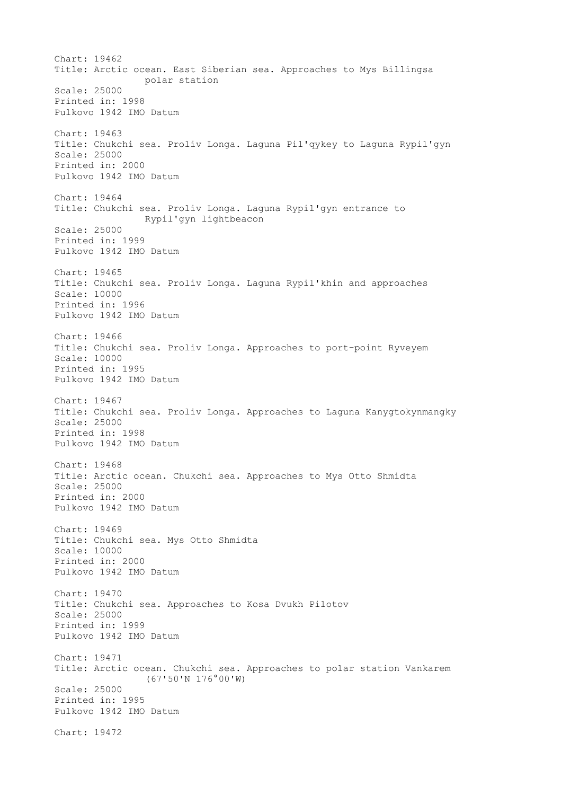Chart: 19462 Title: Arctic ocean. East Siberian sea. Approaches to Mys Billingsa polar station Scale: 25000 Printed in: 1998 Pulkovo 1942 IMO Datum Chart: 19463 Title: Chukchi sea. Proliv Longa. Laguna Pil'qykey to Laguna Rypil'gyn Scale: 25000 Printed in: 2000 Pulkovo 1942 IMO Datum Chart: 19464 Title: Chukchi sea. Proliv Longa. Laguna Rypil'gyn entrance to Rypil'gyn lightbeacon Scale: 25000 Printed in: 1999 Pulkovo 1942 IMO Datum Chart: 19465 Title: Chukchi sea. Proliv Longa. Laguna Rypil'khin and approaches Scale: 10000 Printed in: 1996 Pulkovo 1942 IMO Datum Chart: 19466 Title: Chukchi sea. Proliv Longa. Approaches to port-point Ryveyem Scale: 10000 Printed in: 1995 Pulkovo 1942 IMO Datum Chart: 19467 Title: Chukchi sea. Proliv Longa. Approaches to Laguna Kanygtokynmangky Scale: 25000 Printed in: 1998 Pulkovo 1942 IMO Datum Chart: 19468 Title: Arctic ocean. Chukchi sea. Approaches to Mys Otto Shmidta Scale: 25000 Printed in: 2000 Pulkovo 1942 IMO Datum Chart: 19469 Title: Chukchi sea. Mys Otto Shmidta Scale: 10000 Printed in: 2000 Pulkovo 1942 IMO Datum Chart: 19470 Title: Chukchi sea. Approaches to Kosa Dvukh Pilotov Scale: 25000 Printed in: 1999 Pulkovo 1942 IMO Datum Chart: 19471 Title: Arctic ocean. Chukchi sea. Approaches to polar station Vankarem (67'50'N 176°00'W) Scale: 25000 Printed in: 1995 Pulkovo 1942 IMO Datum Chart: 19472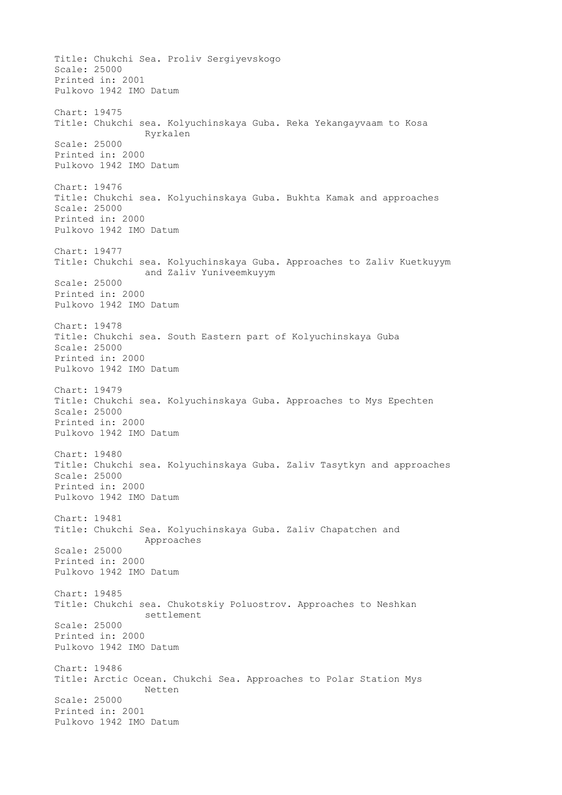Title: Chukchi Sea. Proliv Sergiyevskogo Scale: 25000 Printed in: 2001 Pulkovo 1942 IMO Datum Chart: 19475 Title: Chukchi sea. Kolyuchinskaya Guba. Reka Yekangayvaam to Kosa Ryrkalen Scale: 25000 Printed in: 2000 Pulkovo 1942 IMO Datum Chart: 19476 Title: Chukchi sea. Kolyuchinskaya Guba. Bukhta Kamak and approaches Scale: 25000 Printed in: 2000 Pulkovo 1942 IMO Datum Chart: 19477 Title: Chukchi sea. Kolyuchinskaya Guba. Approaches to Zaliv Kuetkuyym and Zaliv Yuniveemkuyym Scale: 25000 Printed in: 2000 Pulkovo 1942 IMO Datum Chart: 19478 Title: Chukchi sea. South Eastern part of Kolyuchinskaya Guba Scale: 25000 Printed in: 2000 Pulkovo 1942 IMO Datum Chart: 19479 Title: Chukchi sea. Kolyuchinskaya Guba. Approaches to Mys Epechten Scale: 25000 Printed in: 2000 Pulkovo 1942 IMO Datum Chart: 19480 Title: Chukchi sea. Kolyuchinskaya Guba. Zaliv Tasytkyn and approaches Scale: 25000 Printed in: 2000 Pulkovo 1942 IMO Datum Chart: 19481 Title: Chukchi Sea. Kolyuchinskaya Guba. Zaliv Chapatchen and Approaches Scale: 25000 Printed in: 2000 Pulkovo 1942 IMO Datum Chart: 19485 Title: Chukchi sea. Chukotskiy Poluostrov. Approaches to Neshkan settlement Scale: 25000 Printed in: 2000 Pulkovo 1942 IMO Datum Chart: 19486 Title: Arctic Ocean. Chukchi Sea. Approaches to Polar Station Mys Netten Scale: 25000 Printed in: 2001 Pulkovo 1942 IMO Datum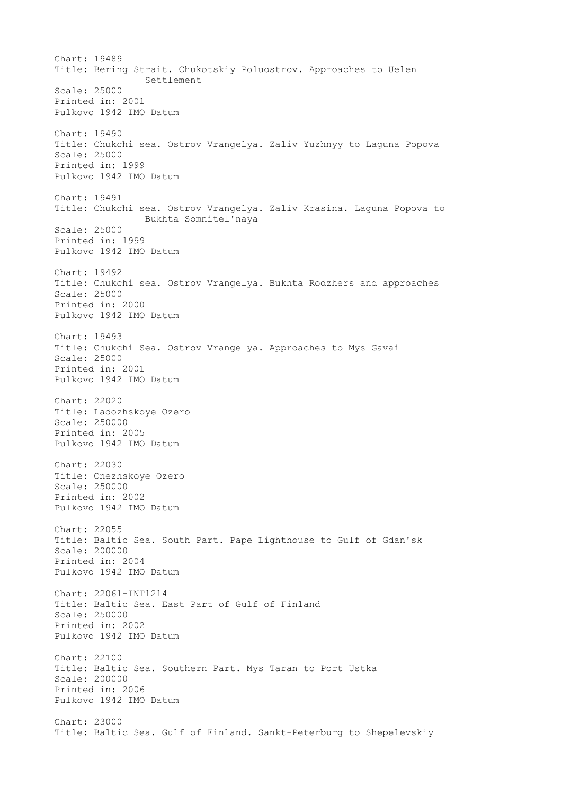Chart: 19489 Title: Bering Strait. Chukotskiy Poluostrov. Approaches to Uelen Settlement Scale: 25000 Printed in: 2001 Pulkovo 1942 IMO Datum Chart: 19490 Title: Chukchi sea. Ostrov Vrangelya. Zaliv Yuzhnyy to Laguna Popova Scale: 25000 Printed in: 1999 Pulkovo 1942 IMO Datum Chart: 19491 Title: Chukchi sea. Ostrov Vrangelya. Zaliv Krasina. Laguna Popova to Bukhta Somnitel'naya Scale: 25000 Printed in: 1999 Pulkovo 1942 IMO Datum Chart: 19492 Title: Chukchi sea. Ostrov Vrangelya. Bukhta Rodzhers and approaches Scale: 25000 Printed in: 2000 Pulkovo 1942 IMO Datum Chart: 19493 Title: Chukchi Sea. Ostrov Vrangelya. Approaches to Mys Gavai Scale: 25000 Printed in: 2001 Pulkovo 1942 IMO Datum Chart: 22020 Title: Ladozhskoye Ozero Scale: 250000 Printed in: 2005 Pulkovo 1942 IMO Datum Chart: 22030 Title: Onezhskoye Ozero Scale: 250000 Printed in: 2002 Pulkovo 1942 IMO Datum Chart: 22055 Title: Baltic Sea. South Part. Pape Lighthouse to Gulf of Gdan'sk Scale: 200000 Printed in: 2004 Pulkovo 1942 IMO Datum Chart: 22061-INT1214 Title: Baltic Sea. East Part of Gulf of Finland Scale: 250000 Printed in: 2002 Pulkovo 1942 IMO Datum Chart: 22100 Title: Baltic Sea. Southern Part. Mys Taran to Port Ustka Scale: 200000 Printed in: 2006 Pulkovo 1942 IMO Datum Chart: 23000 Title: Baltic Sea. Gulf of Finland. Sankt-Peterburg to Shepelevskiy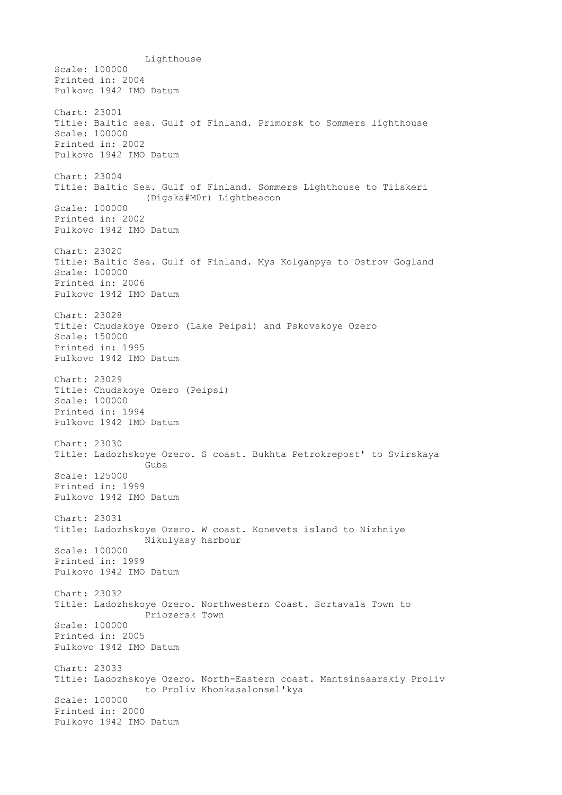Lighthouse Scale: 100000 Printed in: 2004 Pulkovo 1942 IMO Datum Chart: 23001 Title: Baltic sea. Gulf of Finland. Primorsk to Sommers lighthouse Scale: 100000 Printed in: 2002 Pulkovo 1942 IMO Datum Chart: 23004 Title: Baltic Sea. Gulf of Finland. Sommers Lighthouse to Tiiskeri (Digska#M0r) Lightbeacon Scale: 100000 Printed in: 2002 Pulkovo 1942 IMO Datum Chart: 23020 Title: Baltic Sea. Gulf of Finland. Mys Kolganpya to Ostrov Gogland Scale: 100000 Printed in: 2006 Pulkovo 1942 IMO Datum Chart: 23028 Title: Chudskoye Ozero (Lake Peipsi) and Pskovskoye Ozero Scale: 150000 Printed in: 1995 Pulkovo 1942 IMO Datum Chart: 23029 Title: Chudskoye Ozero (Peipsi) Scale: 100000 Printed in: 1994 Pulkovo 1942 IMO Datum Chart: 23030 Title: Ladozhskoye Ozero. S coast. Bukhta Petrokrepost' to Svirskaya Guba Scale: 125000 Printed in: 1999 Pulkovo 1942 IMO Datum Chart: 23031 Title: Ladozhskoye Ozero. W coast. Konevets island to Nizhniye Nikulyasy harbour Scale: 100000 Printed in: 1999 Pulkovo 1942 IMO Datum Chart: 23032 Title: Ladozhskoye Ozero. Northwestern Coast. Sortavala Town to Priozersk Town Scale: 100000 Printed in: 2005 Pulkovo 1942 IMO Datum Chart: 23033 Title: Ladozhskoye Ozero. North-Eastern coast. Mantsinsaarskiy Proliv to Proliv Khonkasalonsel'kya Scale: 100000 Printed in: 2000 Pulkovo 1942 IMO Datum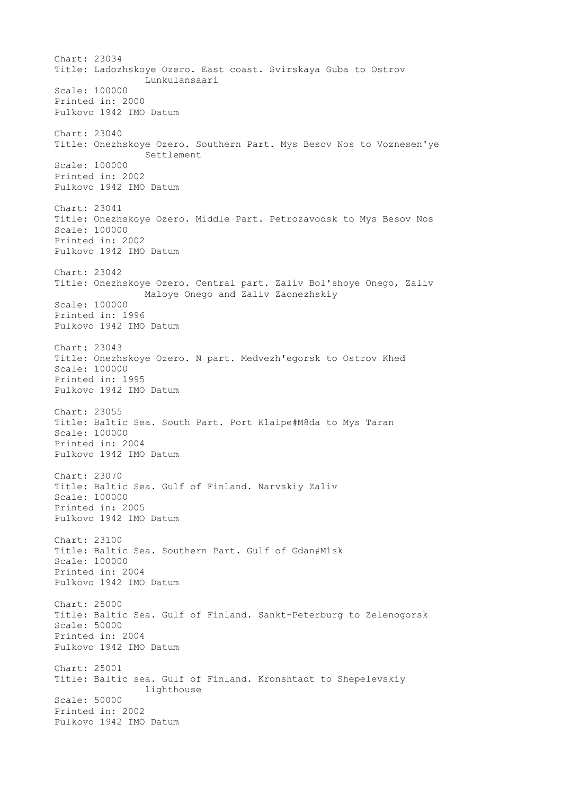Chart: 23034 Title: Ladozhskoye Ozero. East coast. Svirskaya Guba to Ostrov Lunkulansaari Scale: 100000 Printed in: 2000 Pulkovo 1942 IMO Datum Chart: 23040 Title: Onezhskoye Ozero. Southern Part. Mys Besov Nos to Voznesen'ye Settlement Scale: 100000 Printed in: 2002 Pulkovo 1942 IMO Datum Chart: 23041 Title: Onezhskoye Ozero. Middle Part. Petrozavodsk to Mys Besov Nos Scale: 100000 Printed in: 2002 Pulkovo 1942 IMO Datum Chart: 23042 Title: Onezhskoye Ozero. Central part. Zaliv Bol'shoye Onego, Zaliv Maloye Onego and Zaliv Zaonezhskiy Scale: 100000 Printed in: 1996 Pulkovo 1942 IMO Datum Chart: 23043 Title: Onezhskoye Ozero. N part. Medvezh'egorsk to Ostrov Khed Scale: 100000 Printed in: 1995 Pulkovo 1942 IMO Datum Chart: 23055 Title: Baltic Sea. South Part. Port Klaipe#M8da to Mys Taran Scale: 100000 Printed in: 2004 Pulkovo 1942 IMO Datum Chart: 23070 Title: Baltic Sea. Gulf of Finland. Narvskiy Zaliv Scale: 100000 Printed in: 2005 Pulkovo 1942 IMO Datum Chart: 23100 Title: Baltic Sea. Southern Part. Gulf of Gdan#M1sk Scale: 100000 Printed in: 2004 Pulkovo 1942 IMO Datum Chart: 25000 Title: Baltic Sea. Gulf of Finland. Sankt-Peterburg to Zelenogorsk Scale: 50000 Printed in: 2004 Pulkovo 1942 IMO Datum Chart: 25001 Title: Baltic sea. Gulf of Finland. Kronshtadt to Shepelevskiy lighthouse Scale: 50000 Printed in: 2002 Pulkovo 1942 IMO Datum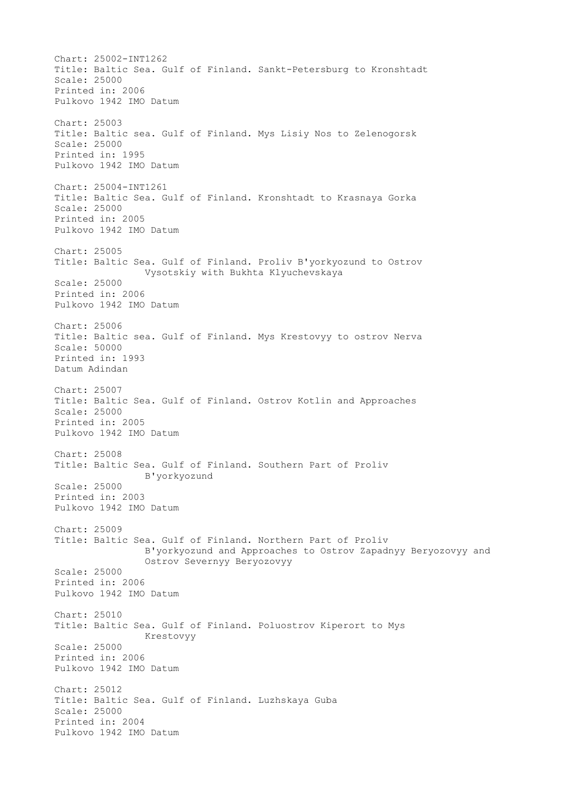Chart: 25002-INT1262 Title: Baltic Sea. Gulf of Finland. Sankt-Petersburg to Kronshtadt Scale: 25000 Printed in: 2006 Pulkovo 1942 IMO Datum Chart: 25003 Title: Baltic sea. Gulf of Finland. Mys Lisiy Nos to Zelenogorsk Scale: 25000 Printed in: 1995 Pulkovo 1942 IMO Datum Chart: 25004-INT1261 Title: Baltic Sea. Gulf of Finland. Kronshtadt to Krasnaya Gorka Scale: 25000 Printed in: 2005 Pulkovo 1942 IMO Datum Chart: 25005 Title: Baltic Sea. Gulf of Finland. Proliv B'yorkyozund to Ostrov Vysotskiy with Bukhta Klyuchevskaya Scale: 25000 Printed in: 2006 Pulkovo 1942 IMO Datum Chart: 25006 Title: Baltic sea. Gulf of Finland. Mys Krestovyy to ostrov Nerva Scale: 50000 Printed in: 1993 Datum Adindan Chart: 25007 Title: Baltic Sea. Gulf of Finland. Ostrov Kotlin and Approaches Scale: 25000 Printed in: 2005 Pulkovo 1942 IMO Datum Chart: 25008 Title: Baltic Sea. Gulf of Finland. Southern Part of Proliv B'yorkyozund Scale: 25000 Printed in: 2003 Pulkovo 1942 IMO Datum Chart: 25009 Title: Baltic Sea. Gulf of Finland. Northern Part of Proliv B'yorkyozund and Approaches to Ostrov Zapadnyy Beryozovyy and Ostrov Severnyy Beryozovyy Scale: 25000 Printed in: 2006 Pulkovo 1942 IMO Datum Chart: 25010 Title: Baltic Sea. Gulf of Finland. Poluostrov Kiperort to Mys Krestovyy Scale: 25000 Printed in: 2006 Pulkovo 1942 IMO Datum Chart: 25012 Title: Baltic Sea. Gulf of Finland. Luzhskaya Guba Scale: 25000 Printed in: 2004 Pulkovo 1942 IMO Datum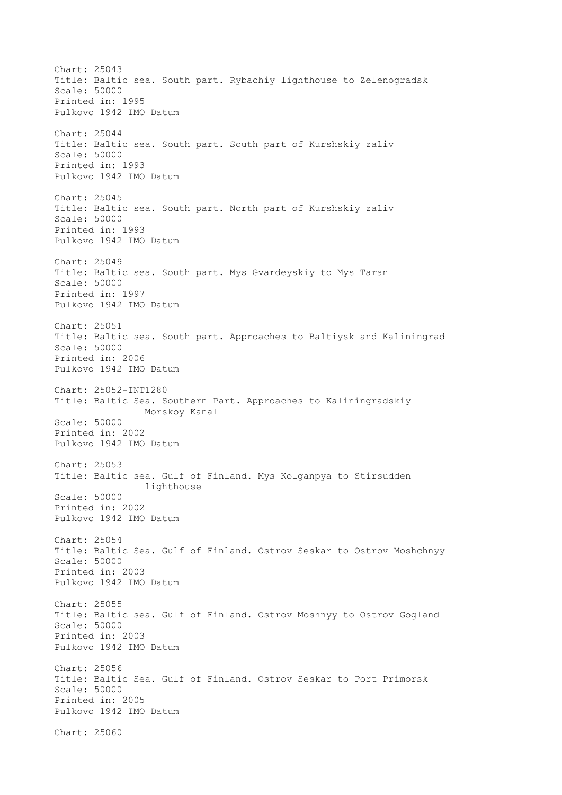Chart: 25043 Title: Baltic sea. South part. Rybachiy lighthouse to Zelenogradsk Scale: 50000 Printed in: 1995 Pulkovo 1942 IMO Datum Chart: 25044 Title: Baltic sea. South part. South part of Kurshskiy zaliv Scale: 50000 Printed in: 1993 Pulkovo 1942 IMO Datum Chart: 25045 Title: Baltic sea. South part. North part of Kurshskiy zaliv Scale: 50000 Printed in: 1993 Pulkovo 1942 IMO Datum Chart: 25049 Title: Baltic sea. South part. Mys Gvardeyskiy to Mys Taran Scale: 50000 Printed in: 1997 Pulkovo 1942 IMO Datum Chart: 25051 Title: Baltic sea. South part. Approaches to Baltiysk and Kaliningrad Scale: 50000 Printed in: 2006 Pulkovo 1942 IMO Datum Chart: 25052-INT1280 Title: Baltic Sea. Southern Part. Approaches to Kaliningradskiy Morskoy Kanal Scale: 50000 Printed in: 2002 Pulkovo 1942 IMO Datum Chart: 25053 Title: Baltic sea. Gulf of Finland. Mys Kolganpya to Stirsudden lighthouse Scale: 50000 Printed in: 2002 Pulkovo 1942 IMO Datum Chart: 25054 Title: Baltic Sea. Gulf of Finland. Ostrov Seskar to Ostrov Moshchnyy Scale: 50000 Printed in: 2003 Pulkovo 1942 IMO Datum Chart: 25055 Title: Baltic sea. Gulf of Finland. Ostrov Moshnyy to Ostrov Gogland Scale: 50000 Printed in: 2003 Pulkovo 1942 IMO Datum Chart: 25056 Title: Baltic Sea. Gulf of Finland. Ostrov Seskar to Port Primorsk Scale: 50000 Printed in: 2005 Pulkovo 1942 IMO Datum Chart: 25060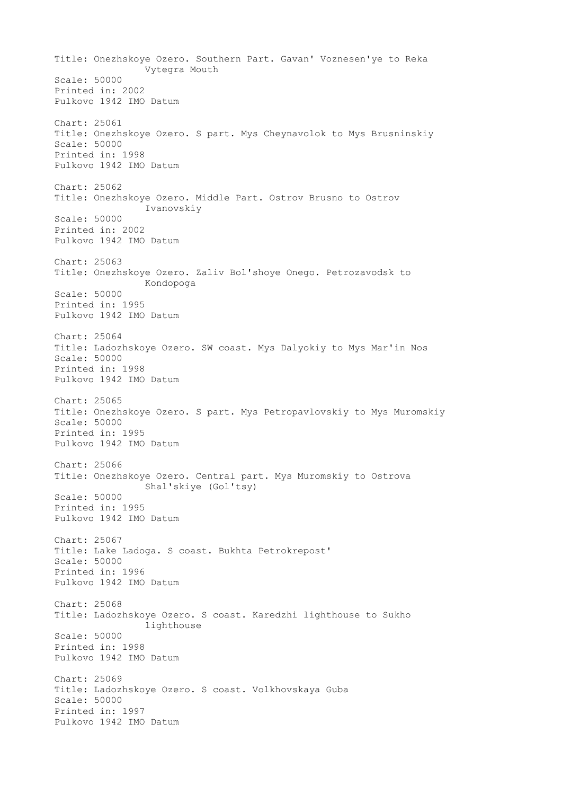Title: Onezhskoye Ozero. Southern Part. Gavan' Voznesen'ye to Reka Vytegra Mouth Scale: 50000 Printed in: 2002 Pulkovo 1942 IMO Datum Chart: 25061 Title: Onezhskoye Ozero. S part. Mys Cheynavolok to Mys Brusninskiy Scale: 50000 Printed in: 1998 Pulkovo 1942 IMO Datum Chart: 25062 Title: Onezhskoye Ozero. Middle Part. Ostrov Brusno to Ostrov Ivanovskiy Scale: 50000 Printed in: 2002 Pulkovo 1942 IMO Datum Chart: 25063 Title: Onezhskoye Ozero. Zaliv Bol'shoye Onego. Petrozavodsk to Kondopoga Scale: 50000 Printed in: 1995 Pulkovo 1942 IMO Datum Chart: 25064 Title: Ladozhskoye Ozero. SW coast. Mys Dalyokiy to Mys Mar'in Nos Scale: 50000 Printed in: 1998 Pulkovo 1942 IMO Datum Chart: 25065 Title: Onezhskoye Ozero. S part. Mys Petropavlovskiy to Mys Muromskiy Scale: 50000 Printed in: 1995 Pulkovo 1942 IMO Datum Chart: 25066 Title: Onezhskoye Ozero. Central part. Mys Muromskiy to Ostrova Shal'skiye (Gol'tsy) Scale: 50000 Printed in: 1995 Pulkovo 1942 IMO Datum Chart: 25067 Title: Lake Ladoga. S coast. Bukhta Petrokrepost' Scale: 50000 Printed in: 1996 Pulkovo 1942 IMO Datum Chart: 25068 Title: Ladozhskoye Ozero. S coast. Karedzhi lighthouse to Sukho lighthouse Scale: 50000 Printed in: 1998 Pulkovo 1942 IMO Datum Chart: 25069 Title: Ladozhskoye Ozero. S coast. Volkhovskaya Guba Scale: 50000 Printed in: 1997 Pulkovo 1942 IMO Datum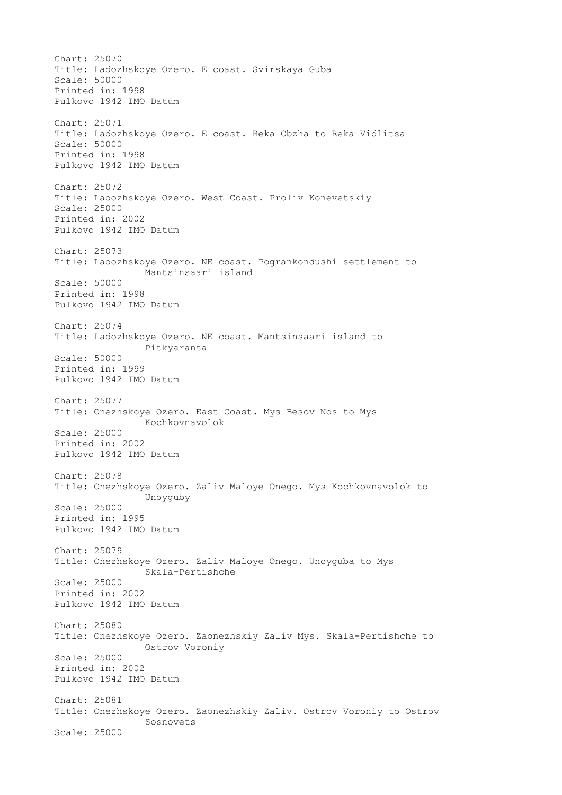Chart: 25070 Title: Ladozhskoye Ozero. E coast. Svirskaya Guba Scale: 50000 Printed in: 1998 Pulkovo 1942 IMO Datum Chart: 25071 Title: Ladozhskoye Ozero. E coast. Reka Obzha to Reka Vidlitsa Scale: 50000 Printed in: 1998 Pulkovo 1942 IMO Datum Chart: 25072 Title: Ladozhskoye Ozero. West Coast. Proliv Konevetskiy Scale: 25000 Printed in: 2002 Pulkovo 1942 IMO Datum Chart: 25073 Title: Ladozhskoye Ozero. NE coast. Pogrankondushi settlement to Mantsinsaari island Scale: 50000 Printed in: 1998 Pulkovo 1942 IMO Datum Chart: 25074 Title: Ladozhskoye Ozero. NE coast. Mantsinsaari island to Pitkyaranta Scale: 50000 Printed in: 1999 Pulkovo 1942 IMO Datum Chart: 25077 Title: Onezhskoye Ozero. East Coast. Mys Besov Nos to Mys Kochkovnavolok Scale: 25000 Printed in: 2002 Pulkovo 1942 IMO Datum Chart: 25078 Title: Onezhskoye Ozero. Zaliv Maloye Onego. Mys Kochkovnavolok to Unoyguby Scale: 25000 Printed in: 1995 Pulkovo 1942 IMO Datum Chart: 25079 Title: Onezhskoye Ozero. Zaliv Maloye Onego. Unoyguba to Mys Skala-Pertishche Scale: 25000 Printed in: 2002 Pulkovo 1942 IMO Datum Chart: 25080 Title: Onezhskoye Ozero. Zaonezhskiy Zaliv Mys. Skala-Pertishche to Ostrov Voroniy Scale: 25000 Printed in: 2002 Pulkovo 1942 IMO Datum Chart: 25081 Title: Onezhskoye Ozero. Zaonezhskiy Zaliv. Ostrov Voroniy to Ostrov Sosnovets Scale: 25000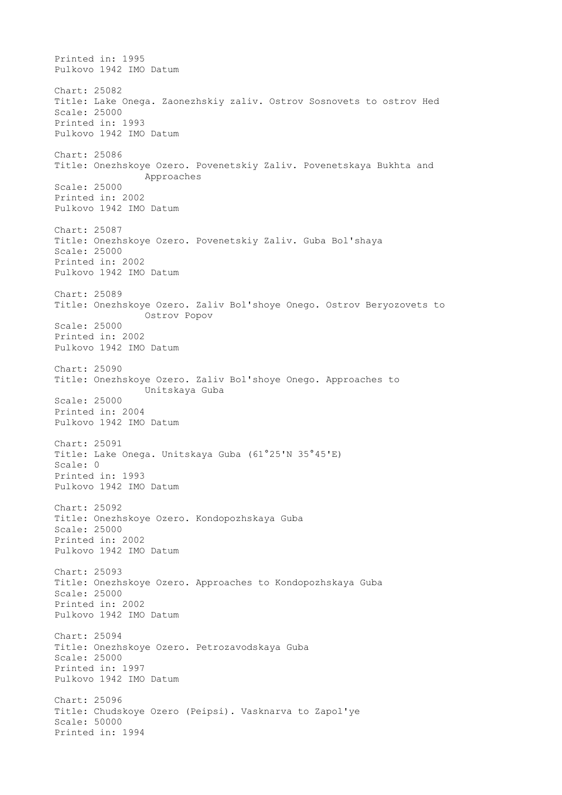Printed in: 1995 Pulkovo 1942 IMO Datum Chart: 25082 Title: Lake Onega. Zaonezhskiy zaliv. Ostrov Sosnovets to ostrov Hed Scale: 25000 Printed in: 1993 Pulkovo 1942 IMO Datum Chart: 25086 Title: Onezhskoye Ozero. Povenetskiy Zaliv. Povenetskaya Bukhta and Approaches Scale: 25000 Printed in: 2002 Pulkovo 1942 IMO Datum Chart: 25087 Title: Onezhskoye Ozero. Povenetskiy Zaliv. Guba Bol'shaya Scale: 25000 Printed in: 2002 Pulkovo 1942 IMO Datum Chart: 25089 Title: Onezhskoye Ozero. Zaliv Bol'shoye Onego. Ostrov Beryozovets to Ostrov Popov Scale: 25000 Printed in: 2002 Pulkovo 1942 IMO Datum Chart: 25090 Title: Onezhskoye Ozero. Zaliv Bol'shoye Onego. Approaches to Unitskaya Guba Scale: 25000 Printed in: 2004 Pulkovo 1942 IMO Datum Chart: 25091 Title: Lake Onega. Unitskaya Guba (61°25'N 35°45'E) Scale: 0 Printed in: 1993 Pulkovo 1942 IMO Datum Chart: 25092 Title: Onezhskoye Ozero. Kondopozhskaya Guba Scale: 25000 Printed in: 2002 Pulkovo 1942 IMO Datum Chart: 25093 Title: Onezhskoye Ozero. Approaches to Kondopozhskaya Guba Scale: 25000 Printed in: 2002 Pulkovo 1942 IMO Datum Chart: 25094 Title: Onezhskoye Ozero. Petrozavodskaya Guba Scale: 25000 Printed in: 1997 Pulkovo 1942 IMO Datum Chart: 25096 Title: Chudskoye Ozero (Peipsi). Vasknarva to Zapol'ye Scale: 50000 Printed in: 1994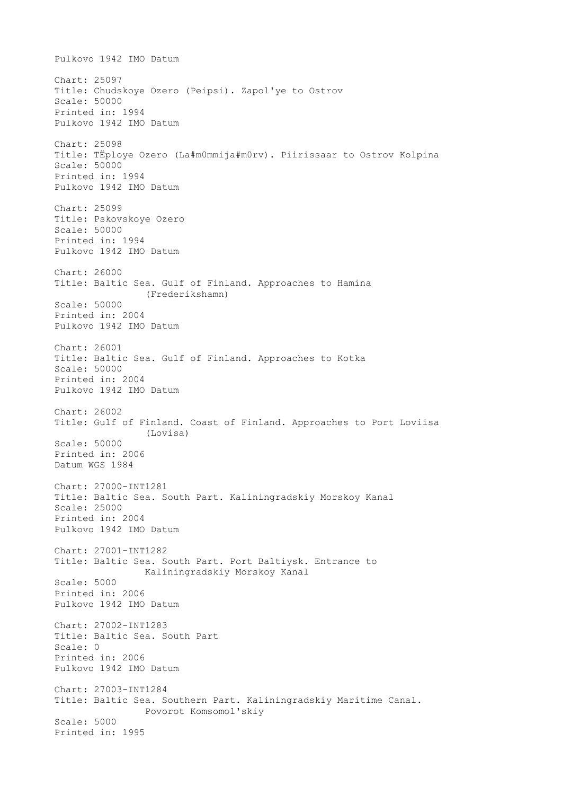Pulkovo 1942 IMO Datum Chart: 25097 Title: Chudskoye Ozero (Peipsi). Zapol'ye to Ostrov Scale: 50000 Printed in: 1994 Pulkovo 1942 IMO Datum Chart: 25098 Title: TЁploye Ozero (La#m0mmija#m0rv). Piirissaar to Ostrov Kolpina Scale: 50000 Printed in: 1994 Pulkovo 1942 IMO Datum Chart: 25099 Title: Pskovskoye Ozero Scale: 50000 Printed in: 1994 Pulkovo 1942 IMO Datum Chart: 26000 Title: Baltic Sea. Gulf of Finland. Approaches to Hamina (Frederikshamn) Scale: 50000 Printed in: 2004 Pulkovo 1942 IMO Datum Chart: 26001 Title: Baltic Sea. Gulf of Finland. Approaches to Kotka Scale: 50000 Printed in: 2004 Pulkovo 1942 IMO Datum Chart: 26002 Title: Gulf of Finland. Coast of Finland. Approaches to Port Loviisa (Lovisa) Scale: 50000 Printed in: 2006 Datum WGS 1984 Chart: 27000-INT1281 Title: Baltic Sea. South Part. Kaliningradskiy Morskoy Kanal Scale: 25000 Printed in: 2004 Pulkovo 1942 IMO Datum Chart: 27001-INT1282 Title: Baltic Sea. South Part. Port Baltiysk. Entrance to Kaliningradskiy Morskoy Kanal Scale: 5000 Printed in: 2006 Pulkovo 1942 IMO Datum Chart: 27002-INT1283 Title: Baltic Sea. South Part Scale: 0 Printed in: 2006 Pulkovo 1942 IMO Datum Chart: 27003-INT1284 Title: Baltic Sea. Southern Part. Kaliningradskiy Maritime Canal. Povorot Komsomol'skiy Scale: 5000 Printed in: 1995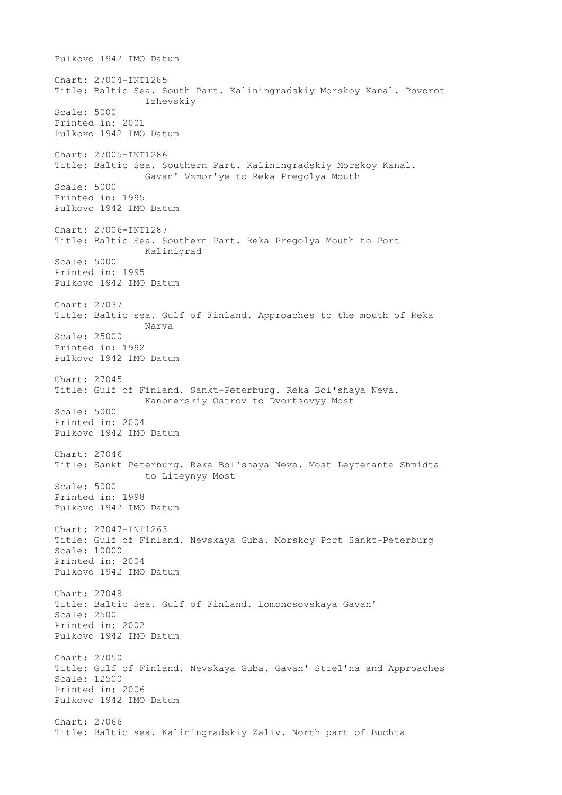Pulkovo 1942 IMO Datum Chart: 27004-INT1285 Title: Baltic Sea. South Part. Kaliningradskiy Morskoy Kanal. Povorot Izhevskiy Scale: 5000 Printed in: 2001 Pulkovo 1942 IMO Datum Chart: 27005-INT1286 Title: Baltic Sea. Southern Part. Kaliningradskiy Morskoy Kanal. Gavan' Vzmor'ye to Reka Pregolya Mouth Scale: 5000 Printed in: 1995 Pulkovo 1942 IMO Datum Chart: 27006-INT1287 Title: Baltic Sea. Southern Part. Reka Pregolya Mouth to Port Kalinigrad Scale: 5000 Printed in: 1995 Pulkovo 1942 IMO Datum Chart: 27037 Title: Baltic sea. Gulf of Finland. Approaches to the mouth of Reka Narva Scale: 25000 Printed in: 1992 Pulkovo 1942 IMO Datum Chart: 27045 Title: Gulf of Finland. Sankt-Peterburg. Reka Bol'shaya Neva. Kanonerskiy Ostrov to Dvortsovyy Most Scale: 5000 Printed in: 2004 Pulkovo 1942 IMO Datum Chart: 27046 Title: Sankt Peterburg. Reka Bol'shaya Neva. Most Leytenanta Shmidta to Liteynyy Most Scale: 5000 Printed in: 1998 Pulkovo 1942 IMO Datum Chart: 27047-INT1263 Title: Gulf of Finland. Nevskaya Guba. Morskoy Port Sankt-Peterburg Scale: 10000 Printed in: 2004 Pulkovo 1942 IMO Datum Chart: 27048 Title: Baltic Sea. Gulf of Finland. Lomonosovskaya Gavan' Scale: 2500 Printed in: 2002 Pulkovo 1942 IMO Datum Chart: 27050 Title: Gulf of Finland. Nevskaya Guba. Gavan' Strel'na and Approaches Scale: 12500 Printed in: 2006 Pulkovo 1942 IMO Datum Chart: 27066 Title: Baltic sea. Kaliningradskiy Zaliv. North part of Buchta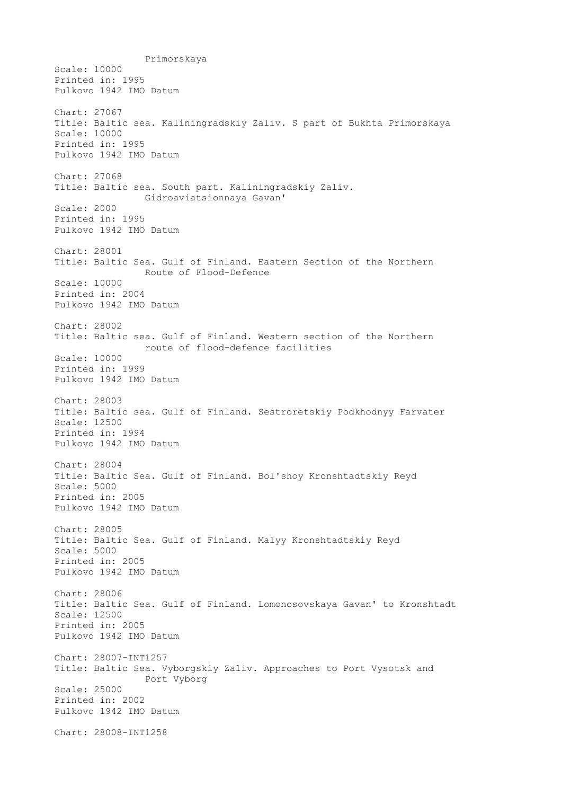Primorskaya Scale: 10000 Printed in: 1995 Pulkovo 1942 IMO Datum Chart: 27067 Title: Baltic sea. Kaliningradskiy Zaliv. S part of Bukhta Primorskaya Scale: 10000 Printed in: 1995 Pulkovo 1942 IMO Datum Chart: 27068 Title: Baltic sea. South part. Kaliningradskiy Zaliv. Gidroaviatsionnaya Gavan' Scale: 2000 Printed in: 1995 Pulkovo 1942 IMO Datum Chart: 28001 Title: Baltic Sea. Gulf of Finland. Eastern Section of the Northern Route of Flood-Defence Scale: 10000 Printed in: 2004 Pulkovo 1942 IMO Datum Chart: 28002 Title: Baltic sea. Gulf of Finland. Western section of the Northern route of flood-defence facilities Scale: 10000 Printed in: 1999 Pulkovo 1942 IMO Datum Chart: 28003 Title: Baltic sea. Gulf of Finland. Sestroretskiy Podkhodnyy Farvater Scale: 12500 Printed in: 1994 Pulkovo 1942 IMO Datum Chart: 28004 Title: Baltic Sea. Gulf of Finland. Bol'shoy Kronshtadtskiy Reyd Scale: 5000 Printed in: 2005 Pulkovo 1942 IMO Datum Chart: 28005 Title: Baltic Sea. Gulf of Finland. Malyy Kronshtadtskiy Reyd Scale: 5000 Printed in: 2005 Pulkovo 1942 IMO Datum Chart: 28006 Title: Baltic Sea. Gulf of Finland. Lomonosovskaya Gavan' to Kronshtadt Scale: 12500 Printed in: 2005 Pulkovo 1942 IMO Datum Chart: 28007-INT1257 Title: Baltic Sea. Vyborgskiy Zaliv. Approaches to Port Vysotsk and Port Vyborg Scale: 25000 Printed in: 2002 Pulkovo 1942 IMO Datum Chart: 28008-INT1258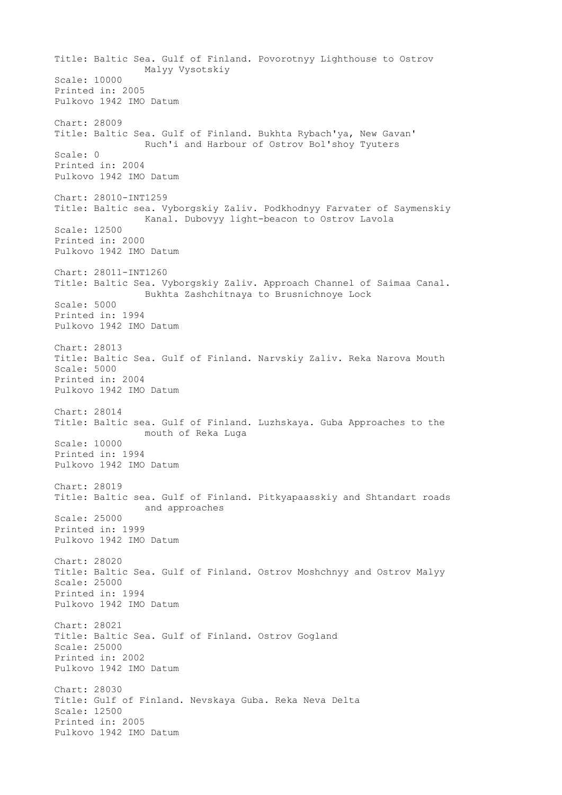Title: Baltic Sea. Gulf of Finland. Povorotnyy Lighthouse to Ostrov Malyy Vysotskiy Scale: 10000 Printed in: 2005 Pulkovo 1942 IMO Datum Chart: 28009 Title: Baltic Sea. Gulf of Finland. Bukhta Rybach'ya, New Gavan' Ruch'i and Harbour of Ostrov Bol'shoy Tyuters Scale: 0 Printed in: 2004 Pulkovo 1942 IMO Datum Chart: 28010-INT1259 Title: Baltic sea. Vyborgskiy Zaliv. Podkhodnyy Farvater of Saymenskiy Kanal. Dubovyy light-beacon to Ostrov Lavola Scale: 12500 Printed in: 2000 Pulkovo 1942 IMO Datum Chart: 28011-INT1260 Title: Baltic Sea. Vyborgskiy Zaliv. Approach Channel of Saimaa Canal. Bukhta Zashchitnaya to Brusnichnoye Lock Scale: 5000 Printed in: 1994 Pulkovo 1942 IMO Datum Chart: 28013 Title: Baltic Sea. Gulf of Finland. Narvskiy Zaliv. Reka Narova Mouth Scale: 5000 Printed in: 2004 Pulkovo 1942 IMO Datum Chart: 28014 Title: Baltic sea. Gulf of Finland. Luzhskaya. Guba Approaches to the mouth of Reka Luga Scale: 10000 Printed in: 1994 Pulkovo 1942 IMO Datum Chart: 28019 Title: Baltic sea. Gulf of Finland. Pitkyapaasskiy and Shtandart roads and approaches Scale: 25000 Printed in: 1999 Pulkovo 1942 IMO Datum Chart: 28020 Title: Baltic Sea. Gulf of Finland. Ostrov Moshchnyy and Ostrov Malyy Scale: 25000 Printed in: 1994 Pulkovo 1942 IMO Datum Chart: 28021 Title: Baltic Sea. Gulf of Finland. Ostrov Gogland Scale: 25000 Printed in: 2002 Pulkovo 1942 IMO Datum Chart: 28030 Title: Gulf of Finland. Nevskaya Guba. Reka Neva Delta Scale: 12500 Printed in: 2005 Pulkovo 1942 IMO Datum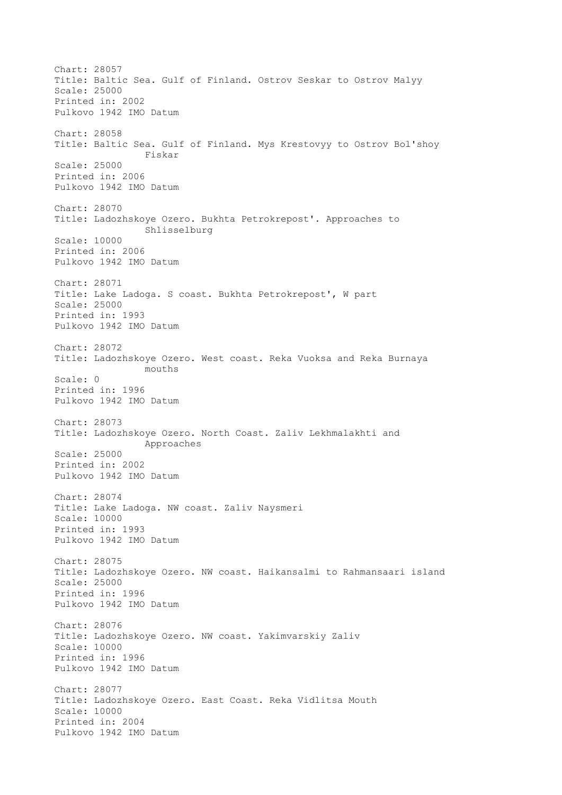Chart: 28057 Title: Baltic Sea. Gulf of Finland. Ostrov Seskar to Ostrov Malyy Scale: 25000 Printed in: 2002 Pulkovo 1942 IMO Datum Chart: 28058 Title: Baltic Sea. Gulf of Finland. Mys Krestovyy to Ostrov Bol'shoy Fiskar Scale: 25000 Printed in: 2006 Pulkovo 1942 IMO Datum Chart: 28070 Title: Ladozhskoye Ozero. Bukhta Petrokrepost'. Approaches to Shlisselburg Scale: 10000 Printed in: 2006 Pulkovo 1942 IMO Datum Chart: 28071 Title: Lake Ladoga. S coast. Bukhta Petrokrepost', W part Scale: 25000 Printed in: 1993 Pulkovo 1942 IMO Datum Chart: 28072 Title: Ladozhskoye Ozero. West coast. Reka Vuoksa and Reka Burnaya mouths Scale: 0 Printed in: 1996 Pulkovo 1942 IMO Datum Chart: 28073 Title: Ladozhskoye Ozero. North Coast. Zaliv Lekhmalakhti and Approaches Scale: 25000 Printed in: 2002 Pulkovo 1942 IMO Datum Chart: 28074 Title: Lake Ladoga. NW coast. Zaliv Naysmeri Scale: 10000 Printed in: 1993 Pulkovo 1942 IMO Datum Chart: 28075 Title: Ladozhskoye Ozero. NW coast. Haikansalmi to Rahmansaari island Scale: 25000 Printed in: 1996 Pulkovo 1942 IMO Datum Chart: 28076 Title: Ladozhskoye Ozero. NW coast. Yakimvarskiy Zaliv Scale: 10000 Printed in: 1996 Pulkovo 1942 IMO Datum Chart: 28077 Title: Ladozhskoye Ozero. East Coast. Reka Vidlitsa Mouth Scale: 10000 Printed in: 2004 Pulkovo 1942 IMO Datum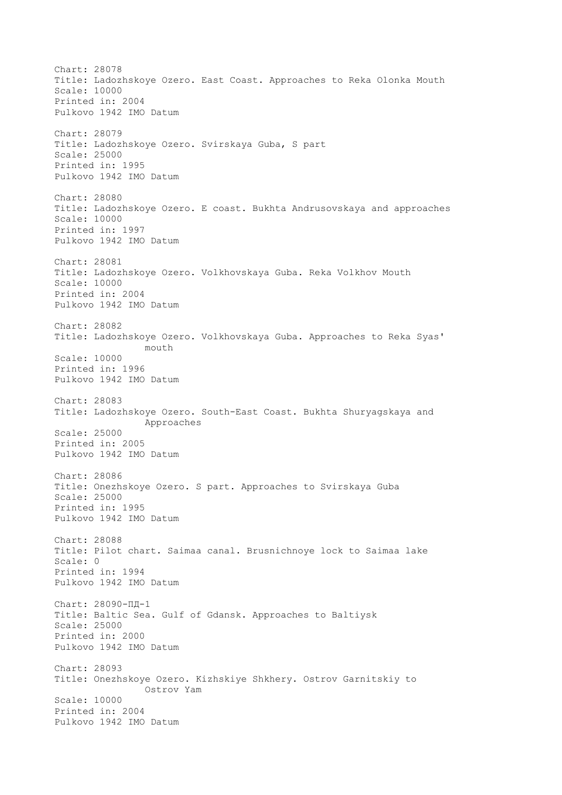Chart: 28078 Title: Ladozhskoye Ozero. East Coast. Approaches to Reka Olonka Mouth Scale: 10000 Printed in: 2004 Pulkovo 1942 IMO Datum Chart: 28079 Title: Ladozhskoye Ozero. Svirskaya Guba, S part Scale: 25000 Printed in: 1995 Pulkovo 1942 IMO Datum Chart: 28080 Title: Ladozhskoye Ozero. E coast. Bukhta Andrusovskaya and approaches Scale: 10000 Printed in: 1997 Pulkovo 1942 IMO Datum Chart: 28081 Title: Ladozhskoye Ozero. Volkhovskaya Guba. Reka Volkhov Mouth Scale: 10000 Printed in: 2004 Pulkovo 1942 IMO Datum Chart: 28082 Title: Ladozhskoye Ozero. Volkhovskaya Guba. Approaches to Reka Syas' mouth Scale: 10000 Printed in: 1996 Pulkovo 1942 IMO Datum Chart: 28083 Title: Ladozhskoye Ozero. South-East Coast. Bukhta Shuryagskaya and Approaches Scale: 25000 Printed in: 2005 Pulkovo 1942 IMO Datum Chart: 28086 Title: Onezhskoye Ozero. S part. Approaches to Svirskaya Guba Scale: 25000 Printed in: 1995 Pulkovo 1942 IMO Datum Chart: 28088 Title: Pilot chart. Saimaa canal. Brusnichnoye lock to Saimaa lake Scale: 0 Printed in: 1994 Pulkovo 1942 IMO Datum Chart: 28090-ПД-1 Title: Baltic Sea. Gulf of Gdansk. Approaches to Baltiysk Scale: 25000 Printed in: 2000 Pulkovo 1942 IMO Datum Chart: 28093 Title: Onezhskoye Ozero. Kizhskiye Shkhery. Ostrov Garnitskiy to Ostrov Yam Scale: 10000 Printed in: 2004 Pulkovo 1942 IMO Datum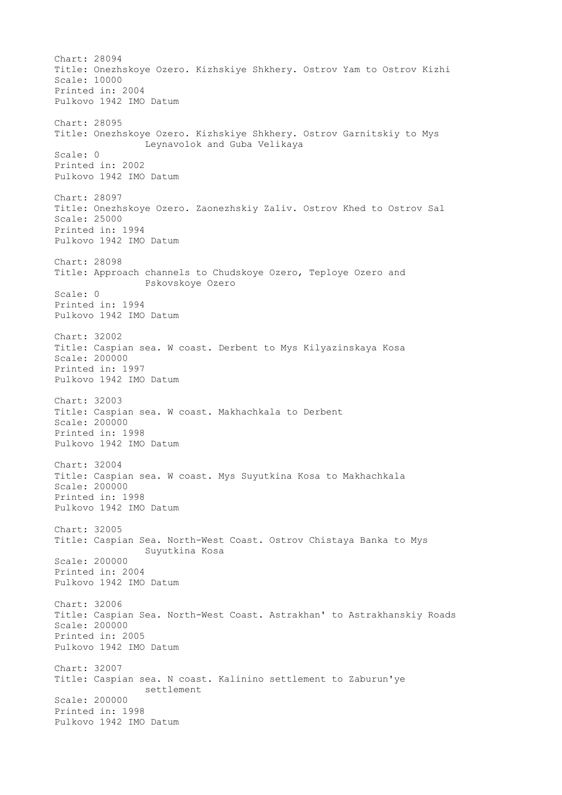Chart: 28094 Title: Onezhskoye Ozero. Kizhskiye Shkhery. Ostrov Yam to Ostrov Kizhi Scale: 10000 Printed in: 2004 Pulkovo 1942 IMO Datum Chart: 28095 Title: Onezhskoye Ozero. Kizhskiye Shkhery. Ostrov Garnitskiy to Mys Leynavolok and Guba Velikaya Scale: 0 Printed in: 2002 Pulkovo 1942 IMO Datum Chart: 28097 Title: Onezhskoye Ozero. Zaonezhskiy Zaliv. Ostrov Khed to Ostrov Sal Scale: 25000 Printed in: 1994 Pulkovo 1942 IMO Datum Chart: 28098 Title: Approach channels to Chudskoye Ozero, Teploye Ozero and Pskovskoye Ozero Scale: 0 Printed in: 1994 Pulkovo 1942 IMO Datum Chart: 32002 Title: Caspian sea. W coast. Derbent to Mys Kilyazinskaya Kosa Scale: 200000 Printed in: 1997 Pulkovo 1942 IMO Datum Chart: 32003 Title: Caspian sea. W coast. Makhachkala to Derbent Scale: 200000 Printed in: 1998 Pulkovo 1942 IMO Datum Chart: 32004 Title: Caspian sea. W coast. Mys Suyutkina Kosa to Makhachkala Scale: 200000 Printed in: 1998 Pulkovo 1942 IMO Datum Chart: 32005 Title: Caspian Sea. North-West Coast. Ostrov Chistaya Banka to Mys Suyutkina Kosa Scale: 200000 Printed in: 2004 Pulkovo 1942 IMO Datum Chart: 32006 Title: Caspian Sea. North-West Coast. Astrakhan' to Astrakhanskiy Roads Scale: 200000 Printed in: 2005 Pulkovo 1942 IMO Datum Chart: 32007 Title: Caspian sea. N coast. Kalinino settlement to Zaburun'ye settlement Scale: 200000 Printed in: 1998 Pulkovo 1942 IMO Datum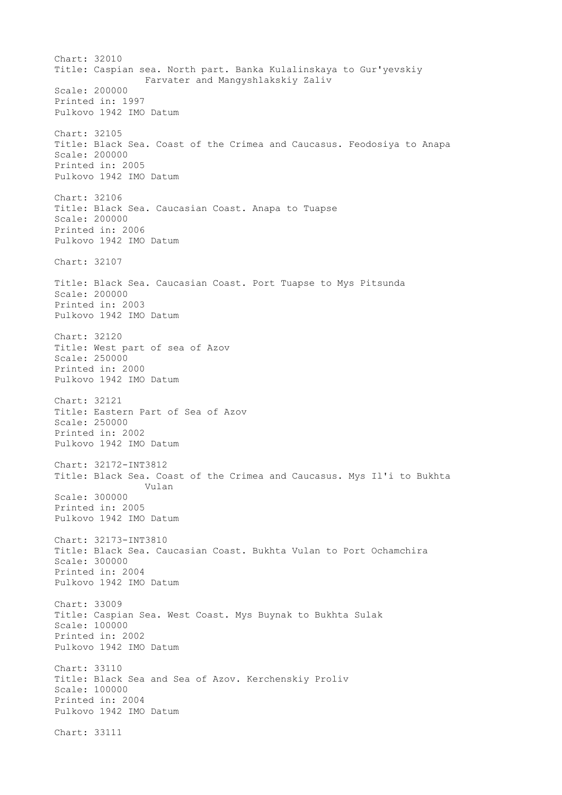Chart: 32010 Title: Caspian sea. North part. Banka Kulalinskaya to Gur'yevskiy Farvater and Mangyshlakskiy Zaliv Scale: 200000 Printed in: 1997 Pulkovo 1942 IMO Datum Chart: 32105 Title: Black Sea. Coast of the Crimea and Caucasus. Feodosiya to Anapa Scale: 200000 Printed in: 2005 Pulkovo 1942 IMO Datum Chart: 32106 Title: Black Sea. Caucasian Coast. Anapa to Tuapse Scale: 200000 Printed in: 2006 Pulkovo 1942 IMO Datum Chart: 32107 Title: Black Sea. Caucasian Coast. Port Tuapse to Mys Pitsunda Scale: 200000 Printed in: 2003 Pulkovo 1942 IMO Datum Chart: 32120 Title: West part of sea of Azov Scale: 250000 Printed in: 2000 Pulkovo 1942 IMO Datum Chart: 32121 Title: Eastern Part of Sea of Azov Scale: 250000 Printed in: 2002 Pulkovo 1942 IMO Datum Chart: 32172-INT3812 Title: Black Sea. Coast of the Crimea and Caucasus. Mys Il'i to Bukhta Vulan Scale: 300000 Printed in: 2005 Pulkovo 1942 IMO Datum Chart: 32173-INT3810 Title: Black Sea. Caucasian Coast. Bukhta Vulan to Port Ochamchira Scale: 300000 Printed in: 2004 Pulkovo 1942 IMO Datum Chart: 33009 Title: Caspian Sea. West Coast. Mys Buynak to Bukhta Sulak Scale: 100000 Printed in: 2002 Pulkovo 1942 IMO Datum Chart: 33110 Title: Black Sea and Sea of Azov. Kerchenskiy Proliv Scale: 100000 Printed in: 2004 Pulkovo 1942 IMO Datum Chart: 33111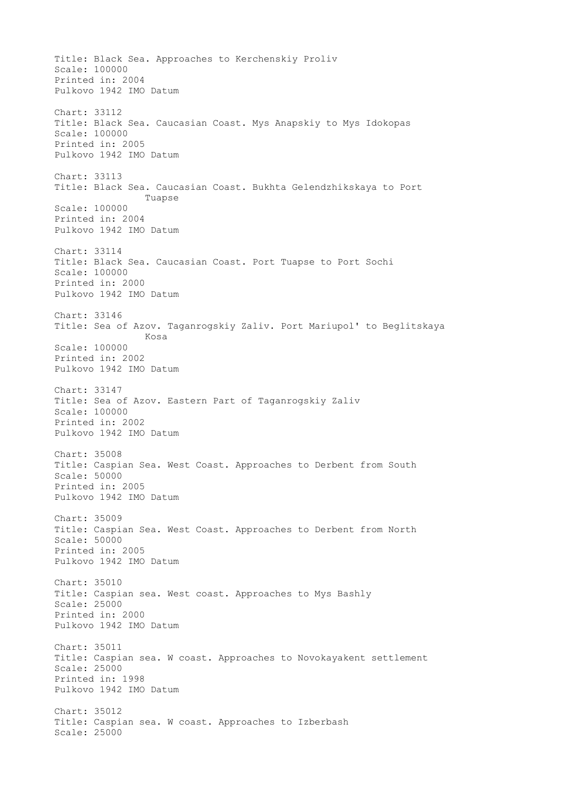Title: Black Sea. Approaches to Kerchenskiy Proliv Scale: 100000 Printed in: 2004 Pulkovo 1942 IMO Datum Chart: 33112 Title: Black Sea. Caucasian Coast. Mys Anapskiy to Mys Idokopas Scale: 100000 Printed in: 2005 Pulkovo 1942 IMO Datum Chart: 33113 Title: Black Sea. Caucasian Coast. Bukhta Gelendzhikskaya to Port Tuapse Scale: 100000 Printed in: 2004 Pulkovo 1942 IMO Datum Chart: 33114 Title: Black Sea. Caucasian Coast. Port Tuapse to Port Sochi Scale: 100000 Printed in: 2000 Pulkovo 1942 IMO Datum Chart: 33146 Title: Sea of Azov. Taganrogskiy Zaliv. Port Mariupol' to Beglitskaya Kosa Scale: 100000 Printed in: 2002 Pulkovo 1942 IMO Datum Chart: 33147 Title: Sea of Azov. Eastern Part of Taganrogskiy Zaliv Scale: 100000 Printed in: 2002 Pulkovo 1942 IMO Datum Chart: 35008 Title: Caspian Sea. West Coast. Approaches to Derbent from South Scale: 50000 Printed in: 2005 Pulkovo 1942 IMO Datum Chart: 35009 Title: Caspian Sea. West Coast. Approaches to Derbent from North Scale: 50000 Printed in: 2005 Pulkovo 1942 IMO Datum Chart: 35010 Title: Caspian sea. West coast. Approaches to Mys Bashly Scale: 25000 Printed in: 2000 Pulkovo 1942 IMO Datum Chart: 35011 Title: Caspian sea. W coast. Approaches to Novokayakent settlement Scale: 25000 Printed in: 1998 Pulkovo 1942 IMO Datum Chart: 35012 Title: Caspian sea. W coast. Approaches to Izberbash Scale: 25000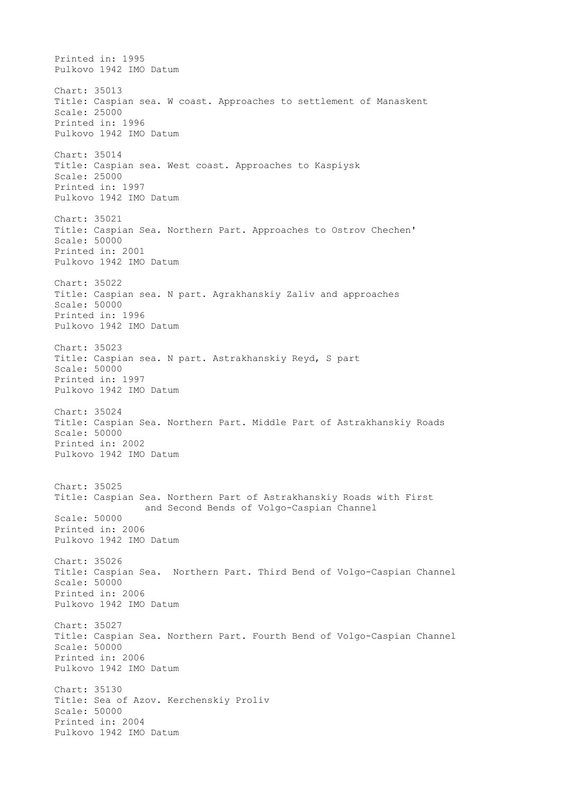Printed in: 1995 Pulkovo 1942 IMO Datum Chart: 35013 Title: Caspian sea. W coast. Approaches to settlement of Manaskent Scale: 25000 Printed in: 1996 Pulkovo 1942 IMO Datum Chart: 35014 Title: Caspian sea. West coast. Approaches to Kaspiysk Scale: 25000 Printed in: 1997 Pulkovo 1942 IMO Datum Chart: 35021 Title: Caspian Sea. Northern Part. Approaches to Ostrov Chechen' Scale: 50000 Printed in: 2001 Pulkovo 1942 IMO Datum Chart: 35022 Title: Caspian sea. N part. Agrakhanskiy Zaliv and approaches Scale: 50000 Printed in: 1996 Pulkovo 1942 IMO Datum Chart: 35023 Title: Caspian sea. N part. Astrakhanskiy Reyd, S part Scale: 50000 Printed in: 1997 Pulkovo 1942 IMO Datum Chart: 35024 Title: Caspian Sea. Northern Part. Middle Part of Astrakhanskiy Roads Scale: 50000 Printed in: 2002 Pulkovo 1942 IMO Datum Chart: 35025 Title: Caspian Sea. Northern Part of Astrakhanskiy Roads with First and Second Bends of Volgo-Caspian Channel Scale: 50000 Printed in: 2006 Pulkovo 1942 IMO Datum Chart: 35026 Title: Caspian Sea. Northern Part. Third Bend of Volgo-Caspian Channel Scale: 50000 Printed in: 2006 Pulkovo 1942 IMO Datum Chart: 35027 Title: Caspian Sea. Northern Part. Fourth Bend of Volgo-Caspian Channel Scale: 50000 Printed in: 2006 Pulkovo 1942 IMO Datum Chart: 35130 Title: Sea of Azov. Kerchenskiy Proliv Scale: 50000 Printed in: 2004 Pulkovo 1942 IMO Datum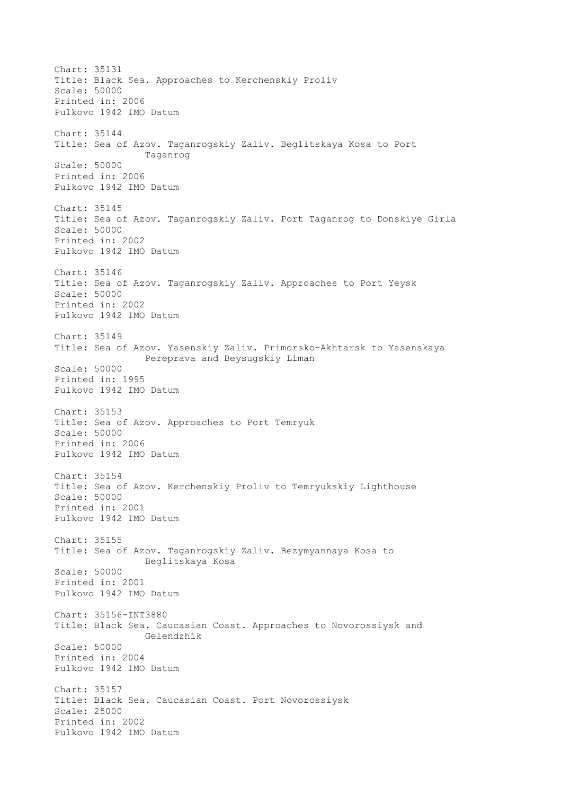Chart: 35131 Title: Black Sea. Approaches to Kerchenskiy Proliv Scale: 50000 Printed in: 2006 Pulkovo 1942 IMO Datum Chart: 35144 Title: Sea of Azov. Taganrogskiy Zaliv. Beglitskaya Kosa to Port Taganrog Scale: 50000 Printed in: 2006 Pulkovo 1942 IMO Datum Chart: 35145 Title: Sea of Azov. Taganrogskiy Zaliv. Port Taganrog to Donskiye Girla Scale: 50000 Printed in: 2002 Pulkovo 1942 IMO Datum Chart: 35146 Title: Sea of Azov. Taganrogskiy Zaliv. Approaches to Port Yeysk Scale: 50000 Printed in: 2002 Pulkovo 1942 IMO Datum Chart: 35149 Title: Sea of Azov. Yasenskiy Zaliv. Primorsko-Akhtarsk to Yasenskaya Pereprava and Beysugskiy Liman Scale: 50000 Printed in: 1995 Pulkovo 1942 IMO Datum Chart: 35153 Title: Sea of Azov. Approaches to Port Temryuk Scale: 50000 Printed in: 2006 Pulkovo 1942 IMO Datum Chart: 35154 Title: Sea of Azov. Kerchenskiy Proliv to Temryukskiy Lighthouse Scale: 50000 Printed in: 2001 Pulkovo 1942 IMO Datum Chart: 35155 Title: Sea of Azov. Taganrogskiy Zaliv. Bezymyannaya Kosa to Beglitskaya Kosa Scale: 50000 Printed in: 2001 Pulkovo 1942 IMO Datum Chart: 35156-INT3880 Title: Black Sea. Caucasian Coast. Approaches to Novorossiysk and Gelendzhik Scale: 50000 Printed in: 2004 Pulkovo 1942 IMO Datum Chart: 35157 Title: Black Sea. Caucasian Coast. Port Novorossiysk Scale: 25000 Printed in: 2002 Pulkovo 1942 IMO Datum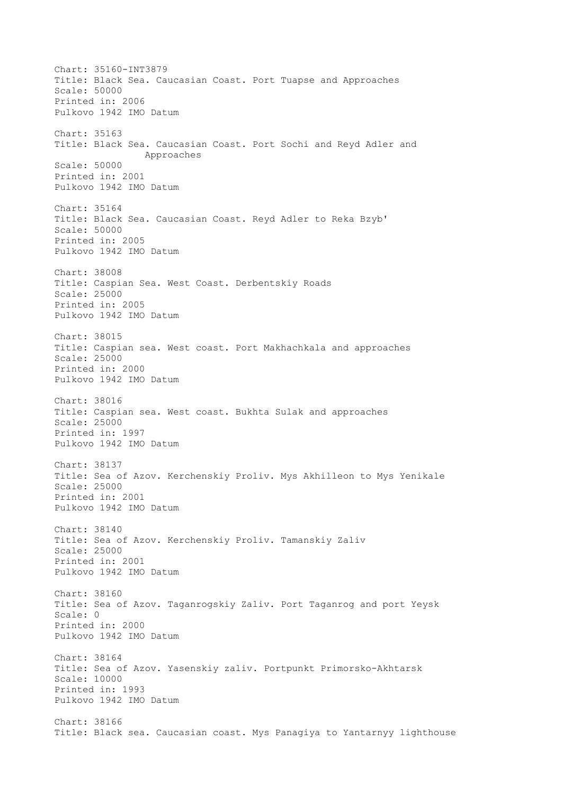Chart: 35160-INT3879 Title: Black Sea. Caucasian Coast. Port Tuapse and Approaches Scale: 50000 Printed in: 2006 Pulkovo 1942 IMO Datum Chart: 35163 Title: Black Sea. Caucasian Coast. Port Sochi and Reyd Adler and Approaches Scale: 50000 Printed in: 2001 Pulkovo 1942 IMO Datum Chart: 35164 Title: Black Sea. Caucasian Coast. Reyd Adler to Reka Bzyb' Scale: 50000 Printed in: 2005 Pulkovo 1942 IMO Datum Chart: 38008 Title: Caspian Sea. West Coast. Derbentskiy Roads Scale: 25000 Printed in: 2005 Pulkovo 1942 IMO Datum Chart: 38015 Title: Caspian sea. West coast. Port Makhachkala and approaches Scale: 25000 Printed in: 2000 Pulkovo 1942 IMO Datum Chart: 38016 Title: Caspian sea. West coast. Bukhta Sulak and approaches Scale: 25000 Printed in: 1997 Pulkovo 1942 IMO Datum Chart: 38137 Title: Sea of Azov. Kerchenskiy Proliv. Mys Akhilleon to Mys Yenikale Scale: 25000 Printed in: 2001 Pulkovo 1942 IMO Datum Chart: 38140 Title: Sea of Azov. Kerchenskiy Proliv. Tamanskiy Zaliv Scale: 25000 Printed in: 2001 Pulkovo 1942 IMO Datum Chart: 38160 Title: Sea of Azov. Taganrogskiy Zaliv. Port Taganrog and port Yeysk Scale: 0 Printed in: 2000 Pulkovo 1942 IMO Datum Chart: 38164 Title: Sea of Azov. Yasenskiy zaliv. Portpunkt Primorsko-Akhtarsk Scale: 10000 Printed in: 1993 Pulkovo 1942 IMO Datum Chart: 38166 Title: Black sea. Caucasian coast. Mys Panagiya to Yantarnyy lighthouse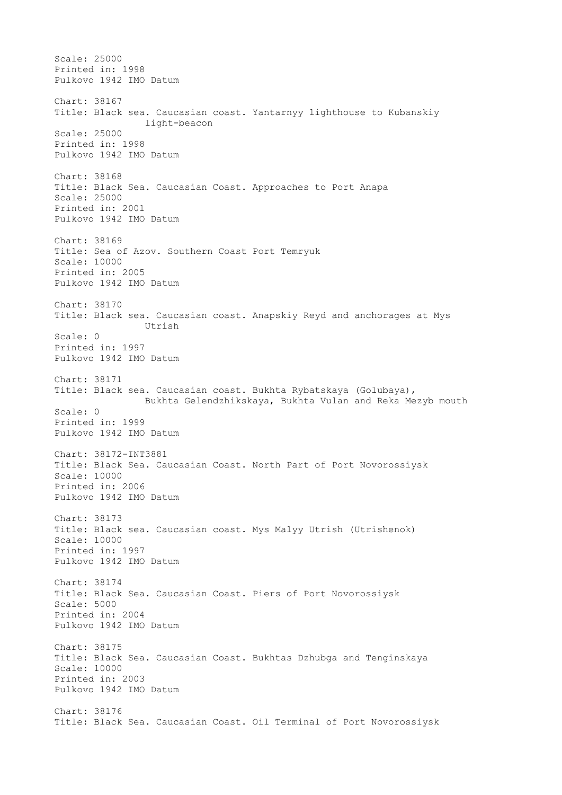Scale: 25000 Printed in: 1998 Pulkovo 1942 IMO Datum Chart: 38167 Title: Black sea. Caucasian coast. Yantarnyy lighthouse to Kubanskiy light-beacon Scale: 25000 Printed in: 1998 Pulkovo 1942 IMO Datum Chart: 38168 Title: Black Sea. Caucasian Coast. Approaches to Port Anapa Scale: 25000 Printed in: 2001 Pulkovo 1942 IMO Datum Chart: 38169 Title: Sea of Azov. Southern Coast Port Temryuk Scale: 10000 Printed in: 2005 Pulkovo 1942 IMO Datum Chart: 38170 Title: Black sea. Caucasian coast. Anapskiy Reyd and anchorages at Mys Utrish Scale: 0 Printed in: 1997 Pulkovo 1942 IMO Datum Chart: 38171 Title: Black sea. Caucasian coast. Bukhta Rybatskaya (Golubaya), Bukhta Gelendzhikskaya, Bukhta Vulan and Reka Mezyb mouth Scale: 0 Printed in: 1999 Pulkovo 1942 IMO Datum Chart: 38172-INT3881 Title: Black Sea. Caucasian Coast. North Part of Port Novorossiysk Scale: 10000 Printed in: 2006 Pulkovo 1942 IMO Datum Chart: 38173 Title: Black sea. Caucasian coast. Mys Malyy Utrish (Utrishenok) Scale: 10000 Printed in: 1997 Pulkovo 1942 IMO Datum Chart: 38174 Title: Black Sea. Caucasian Coast. Piers of Port Novorossiysk Scale: 5000 Printed in: 2004 Pulkovo 1942 IMO Datum Chart: 38175 Title: Black Sea. Caucasian Coast. Bukhtas Dzhubga and Tenginskaya Scale: 10000 Printed in: 2003 Pulkovo 1942 IMO Datum Chart: 38176 Title: Black Sea. Caucasian Coast. Oil Terminal of Port Novorossiysk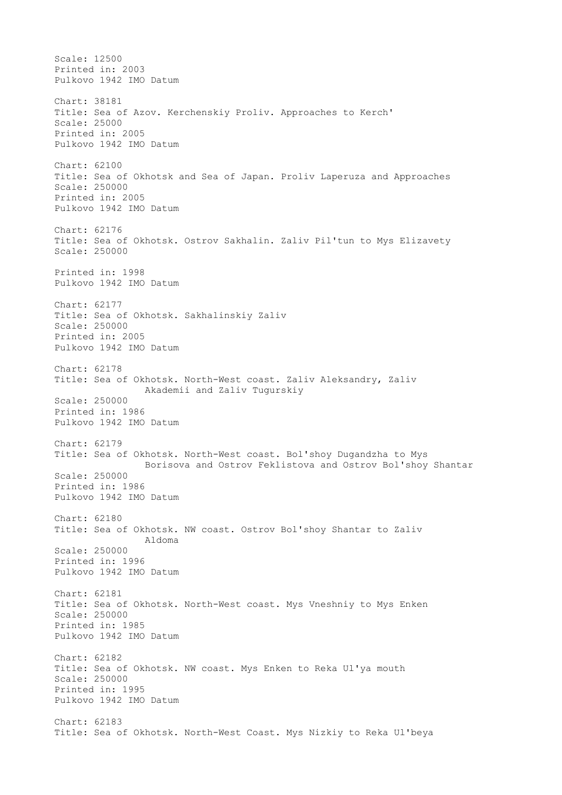Scale: 12500 Printed in: 2003 Pulkovo 1942 IMO Datum Chart: 38181 Title: Sea of Azov. Kerchenskiy Proliv. Approaches to Kerch' Scale: 25000 Printed in: 2005 Pulkovo 1942 IMO Datum Chart: 62100 Title: Sea of Okhotsk and Sea of Japan. Proliv Laperuza and Approaches Scale: 250000 Printed in: 2005 Pulkovo 1942 IMO Datum Chart: 62176 Title: Sea of Okhotsk. Ostrov Sakhalin. Zaliv Pil'tun to Mys Elizavety Scale: 250000 Printed in: 1998 Pulkovo 1942 IMO Datum Chart: 62177 Title: Sea of Okhotsk. Sakhalinskiy Zaliv Scale: 250000 Printed in: 2005 Pulkovo 1942 IMO Datum Chart: 62178 Title: Sea of Okhotsk. North-West coast. Zaliv Aleksandry, Zaliv Akademii and Zaliv Tugurskiy Scale: 250000 Printed in: 1986 Pulkovo 1942 IMO Datum Chart: 62179 Title: Sea of Okhotsk. North-West coast. Bol'shoy Dugandzha to Mys Borisova and Ostrov Feklistova and Ostrov Bol'shoy Shantar Scale: 250000 Printed in: 1986 Pulkovo 1942 IMO Datum Chart: 62180 Title: Sea of Okhotsk. NW coast. Ostrov Bol'shoy Shantar to Zaliv Aldoma Scale: 250000 Printed in: 1996 Pulkovo 1942 IMO Datum Chart: 62181 Title: Sea of Okhotsk. North-West coast. Mys Vneshniy to Mys Enken Scale: 250000 Printed in: 1985 Pulkovo 1942 IMO Datum Chart: 62182 Title: Sea of Okhotsk. NW coast. Mys Enken to Reka Ul'ya mouth Scale: 250000 Printed in: 1995 Pulkovo 1942 IMO Datum Chart: 62183 Title: Sea of Okhotsk. North-West Coast. Mys Nizkiy to Reka Ul'beya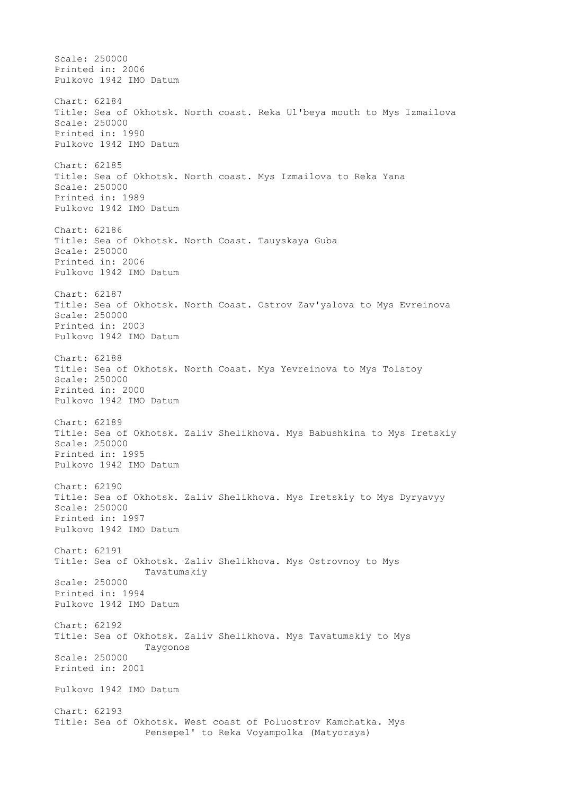Scale: 250000 Printed in: 2006 Pulkovo 1942 IMO Datum Chart: 62184 Title: Sea of Okhotsk. North coast. Reka Ul'beya mouth to Mys Izmailova Scale: 250000 Printed in: 1990 Pulkovo 1942 IMO Datum Chart: 62185 Title: Sea of Okhotsk. North coast. Mys Izmailova to Reka Yana Scale: 250000 Printed in: 1989 Pulkovo 1942 IMO Datum Chart: 62186 Title: Sea of Okhotsk. North Coast. Tauyskaya Guba Scale: 250000 Printed in: 2006 Pulkovo 1942 IMO Datum Chart: 62187 Title: Sea of Okhotsk. North Coast. Ostrov Zav'yalova to Mys Evreinova Scale: 250000 Printed in: 2003 Pulkovo 1942 IMO Datum Chart: 62188 Title: Sea of Okhotsk. North Coast. Mys Yevreinova to Mys Tolstoy Scale: 250000 Printed in: 2000 Pulkovo 1942 IMO Datum Chart: 62189 Title: Sea of Okhotsk. Zaliv Shelikhova. Mys Babushkina to Mys Iretskiy Scale: 250000 Printed in: 1995 Pulkovo 1942 IMO Datum Chart: 62190 Title: Sea of Okhotsk. Zaliv Shelikhova. Mys Iretskiy to Mys Dyryavyy Scale: 250000 Printed in: 1997 Pulkovo 1942 IMO Datum Chart: 62191 Title: Sea of Okhotsk. Zaliv Shelikhova. Mys Ostrovnoy to Mys Tavatumskiy Scale: 250000 Printed in: 1994 Pulkovo 1942 IMO Datum Chart: 62192 Title: Sea of Okhotsk. Zaliv Shelikhova. Mys Tavatumskiy to Mys Taygonos Scale: 250000 Printed in: 2001 Pulkovo 1942 IMO Datum Chart: 62193 Title: Sea of Okhotsk. West coast of Poluostrov Kamchatka. Mys Pensepel' to Reka Voyampolka (Matyoraya)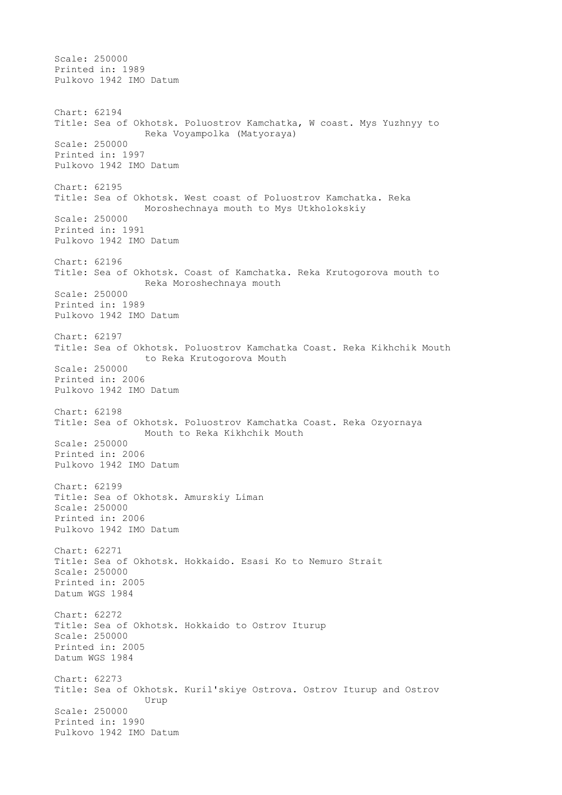Scale: 250000 Printed in: 1989 Pulkovo 1942 IMO Datum Chart: 62194 Title: Sea of Okhotsk. Poluostrov Kamchatka, W coast. Mys Yuzhnyy to Reka Voyampolka (Matyoraya) Scale: 250000 Printed in: 1997 Pulkovo 1942 IMO Datum Chart: 62195 Title: Sea of Okhotsk. West coast of Poluostrov Kamchatka. Reka Moroshechnaya mouth to Mys Utkholokskiy Scale: 250000 Printed in: 1991 Pulkovo 1942 IMO Datum Chart: 62196 Title: Sea of Okhotsk. Coast of Kamchatka. Reka Krutogorova mouth to Reka Moroshechnaya mouth Scale: 250000 Printed in: 1989 Pulkovo 1942 IMO Datum Chart: 62197 Title: Sea of Okhotsk. Poluostrov Kamchatka Coast. Reka Kikhchik Mouth to Reka Krutogorova Mouth Scale: 250000 Printed in: 2006 Pulkovo 1942 IMO Datum Chart: 62198 Title: Sea of Okhotsk. Poluostrov Kamchatka Coast. Reka Ozyornaya Mouth to Reka Kikhchik Mouth Scale: 250000 Printed in: 2006 Pulkovo 1942 IMO Datum Chart: 62199 Title: Sea of Okhotsk. Amurskiy Liman Scale: 250000 Printed in: 2006 Pulkovo 1942 IMO Datum Chart: 62271 Title: Sea of Okhotsk. Hokkaido. Esasi Ko to Nemuro Strait Scale: 250000 Printed in: 2005 Datum WGS 1984 Chart: 62272 Title: Sea of Okhotsk. Hokkaido to Ostrov Iturup Scale: 250000 Printed in: 2005 Datum WGS 1984 Chart: 62273 Title: Sea of Okhotsk. Kuril'skiye Ostrova. Ostrov Iturup and Ostrov Urup Scale: 250000 Printed in: 1990 Pulkovo 1942 IMO Datum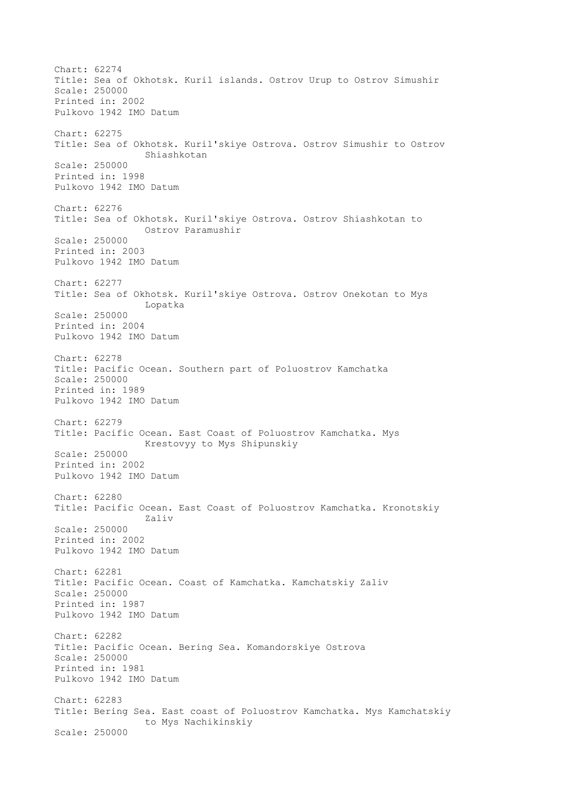Chart: 62274 Title: Sea of Okhotsk. Kuril islands. Ostrov Urup to Ostrov Simushir Scale: 250000 Printed in: 2002 Pulkovo 1942 IMO Datum Chart: 62275 Title: Sea of Okhotsk. Kuril'skiye Ostrova. Ostrov Simushir to Ostrov Shiashkotan Scale: 250000 Printed in: 1998 Pulkovo 1942 IMO Datum Chart: 62276 Title: Sea of Okhotsk. Kuril'skiye Ostrova. Ostrov Shiashkotan to Ostrov Paramushir Scale: 250000 Printed in: 2003 Pulkovo 1942 IMO Datum Chart: 62277 Title: Sea of Okhotsk. Kuril'skiye Ostrova. Ostrov Onekotan to Mys Lopatka Scale: 250000 Printed in: 2004 Pulkovo 1942 IMO Datum Chart: 62278 Title: Pacific Ocean. Southern part of Poluostrov Kamchatka Scale: 250000 Printed in: 1989 Pulkovo 1942 IMO Datum Chart: 62279 Title: Pacific Ocean. East Coast of Poluostrov Kamchatka. Mys Krestovyy to Mys Shipunskiy Scale: 250000 Printed in: 2002 Pulkovo 1942 IMO Datum Chart: 62280 Title: Pacific Ocean. East Coast of Poluostrov Kamchatka. Kronotskiy Zaliv Scale: 250000 Printed in: 2002 Pulkovo 1942 IMO Datum Chart: 62281 Title: Pacific Ocean. Coast of Kamchatka. Kamchatskiy Zaliv Scale: 250000 Printed in: 1987 Pulkovo 1942 IMO Datum Chart: 62282 Title: Pacific Ocean. Bering Sea. Komandorskiye Ostrova Scale: 250000 Printed in: 1981 Pulkovo 1942 IMO Datum Chart: 62283 Title: Bering Sea. East coast of Poluostrov Kamchatka. Mys Kamchatskiy to Mys Nachikinskiy Scale: 250000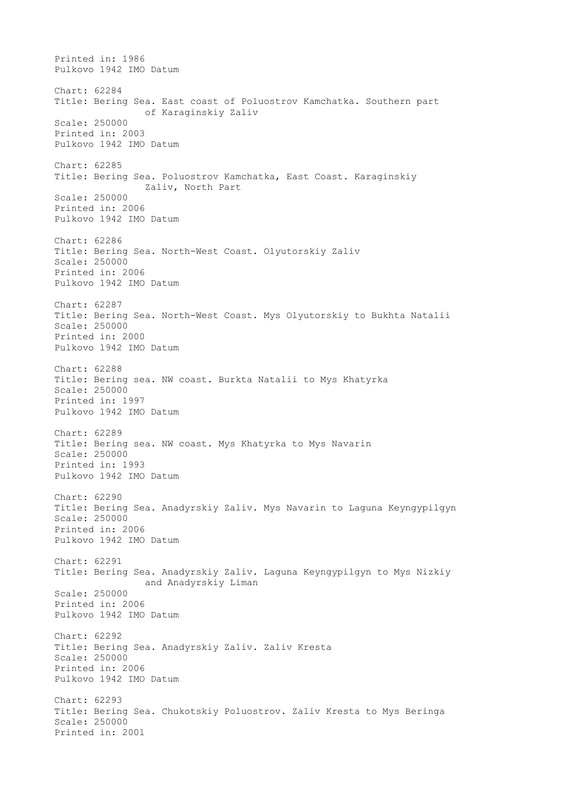Printed in: 1986 Pulkovo 1942 IMO Datum Chart: 62284 Title: Bering Sea. East coast of Poluostrov Kamchatka. Southern part of Karaginskiy Zaliv Scale: 250000 Printed in: 2003 Pulkovo 1942 IMO Datum Chart: 62285 Title: Bering Sea. Poluostrov Kamchatka, East Coast. Karaginskiy Zaliv, North Part Scale: 250000 Printed in: 2006 Pulkovo 1942 IMO Datum Chart: 62286 Title: Bering Sea. North-West Coast. Olyutorskiy Zaliv Scale: 250000 Printed in: 2006 Pulkovo 1942 IMO Datum Chart: 62287 Title: Bering Sea. North-West Coast. Mys Olyutorskiy to Bukhta Natalii Scale: 250000 Printed in: 2000 Pulkovo 1942 IMO Datum Chart: 62288 Title: Bering sea. NW coast. Burkta Natalii to Mys Khatyrka Scale: 250000 Printed in: 1997 Pulkovo 1942 IMO Datum Chart: 62289 Title: Bering sea. NW coast. Mys Khatyrka to Mys Navarin Scale: 250000 Printed in: 1993 Pulkovo 1942 IMO Datum Chart: 62290 Title: Bering Sea. Anadyrskiy Zaliv. Mys Navarin to Laguna Keyngypilgyn Scale: 250000 Printed in: 2006 Pulkovo 1942 IMO Datum Chart: 62291 Title: Bering Sea. Anadyrskiy Zaliv. Laguna Keyngypilgyn to Mys Nizkiy and Anadyrskiy Liman Scale: 250000 Printed in: 2006 Pulkovo 1942 IMO Datum Chart: 62292 Title: Bering Sea. Anadyrskiy Zaliv. Zaliv Kresta Scale: 250000 Printed in: 2006 Pulkovo 1942 IMO Datum Chart: 62293 Title: Bering Sea. Chukotskiy Poluostrov. Zaliv Kresta to Mys Beringa Scale: 250000 Printed in: 2001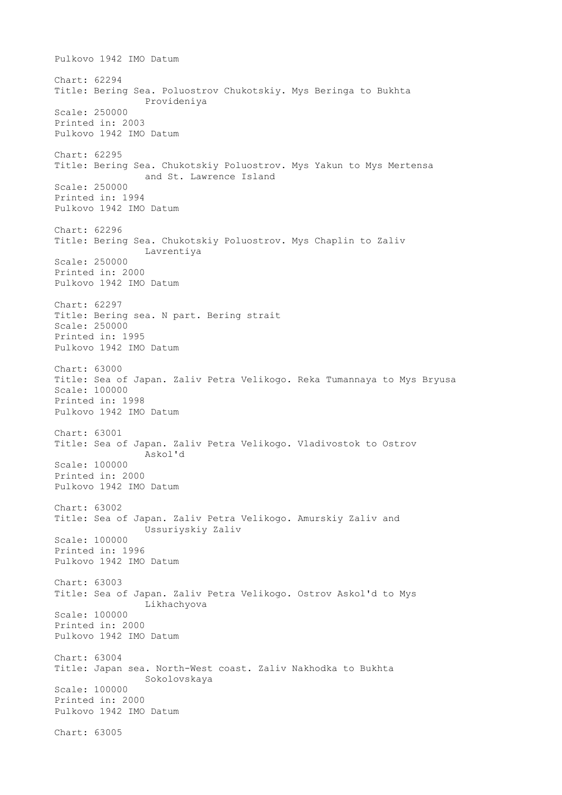Pulkovo 1942 IMO Datum Chart: 62294 Title: Bering Sea. Poluostrov Chukotskiy. Mys Beringa to Bukhta Provideniya Scale: 250000 Printed in: 2003 Pulkovo 1942 IMO Datum Chart: 62295 Title: Bering Sea. Chukotskiy Poluostrov. Mys Yakun to Mys Mertensa and St. Lawrence Island Scale: 250000 Printed in: 1994 Pulkovo 1942 IMO Datum Chart: 62296 Title: Bering Sea. Chukotskiy Poluostrov. Mys Chaplin to Zaliv Lavrentiya Scale: 250000 Printed in: 2000 Pulkovo 1942 IMO Datum Chart: 62297 Title: Bering sea. N part. Bering strait Scale: 250000 Printed in: 1995 Pulkovo 1942 IMO Datum Chart: 63000 Title: Sea of Japan. Zaliv Petra Velikogo. Reka Tumannaya to Mys Bryusa Scale: 100000 Printed in: 1998 Pulkovo 1942 IMO Datum Chart: 63001 Title: Sea of Japan. Zaliv Petra Velikogo. Vladivostok to Ostrov Askol'd Scale: 100000 Printed in: 2000 Pulkovo 1942 IMO Datum Chart: 63002 Title: Sea of Japan. Zaliv Petra Velikogo. Amurskiy Zaliv and Ussuriyskiy Zaliv Scale: 100000 Printed in: 1996 Pulkovo 1942 IMO Datum Chart: 63003 Title: Sea of Japan. Zaliv Petra Velikogo. Ostrov Askol'd to Mys Likhachyova Scale: 100000 Printed in: 2000 Pulkovo 1942 IMO Datum Chart: 63004 Title: Japan sea. North-West coast. Zaliv Nakhodka to Bukhta Sokolovskaya Scale: 100000 Printed in: 2000 Pulkovo 1942 IMO Datum Chart: 63005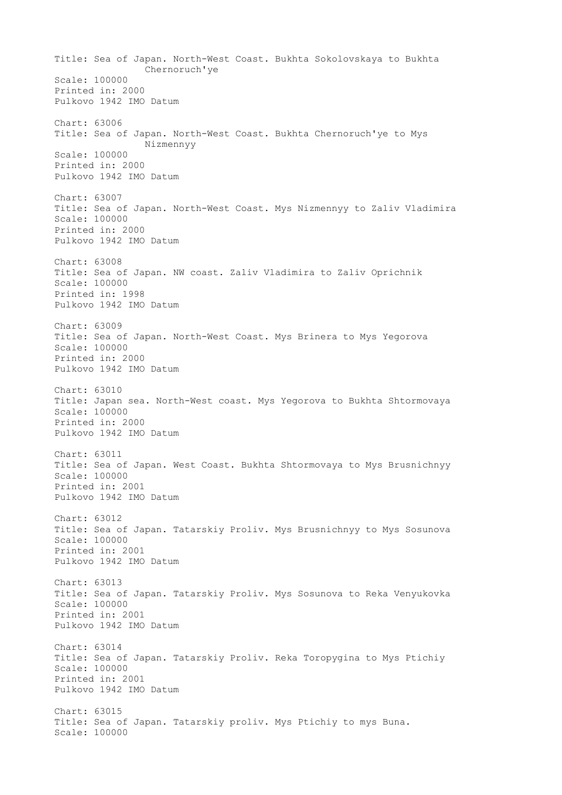Title: Sea of Japan. North-West Coast. Bukhta Sokolovskaya to Bukhta Chernoruch'ye Scale: 100000 Printed in: 2000 Pulkovo 1942 IMO Datum Chart: 63006 Title: Sea of Japan. North-West Coast. Bukhta Chernoruch'ye to Mys Nizmennyy Scale: 100000 Printed in: 2000 Pulkovo 1942 IMO Datum Chart: 63007 Title: Sea of Japan. North-West Coast. Mys Nizmennyy to Zaliv Vladimira Scale: 100000 Printed in: 2000 Pulkovo 1942 IMO Datum Chart: 63008 Title: Sea of Japan. NW coast. Zaliv Vladimira to Zaliv Oprichnik Scale: 100000 Printed in: 1998 Pulkovo 1942 IMO Datum Chart: 63009 Title: Sea of Japan. North-West Coast. Mys Brinera to Mys Yegorova Scale: 100000 Printed in: 2000 Pulkovo 1942 IMO Datum Chart: 63010 Title: Japan sea. North-West coast. Mys Yegorova to Bukhta Shtormovaya Scale: 100000 Printed in: 2000 Pulkovo 1942 IMO Datum Chart: 63011 Title: Sea of Japan. West Coast. Bukhta Shtormovaya to Mys Brusnichnyy Scale: 100000 Printed in: 2001 Pulkovo 1942 IMO Datum Chart: 63012 Title: Sea of Japan. Tatarskiy Proliv. Mys Brusnichnyy to Mys Sosunova Scale: 100000 Printed in: 2001 Pulkovo 1942 IMO Datum Chart: 63013 Title: Sea of Japan. Tatarskiy Proliv. Mys Sosunova to Reka Venyukovka Scale: 100000 Printed in: 2001 Pulkovo 1942 IMO Datum Chart: 63014 Title: Sea of Japan. Tatarskiy Proliv. Reka Toropygina to Mys Ptichiy Scale: 100000 Printed in: 2001 Pulkovo 1942 IMO Datum Chart: 63015 Title: Sea of Japan. Tatarskiy proliv. Mys Ptichiy to mys Buna. Scale: 100000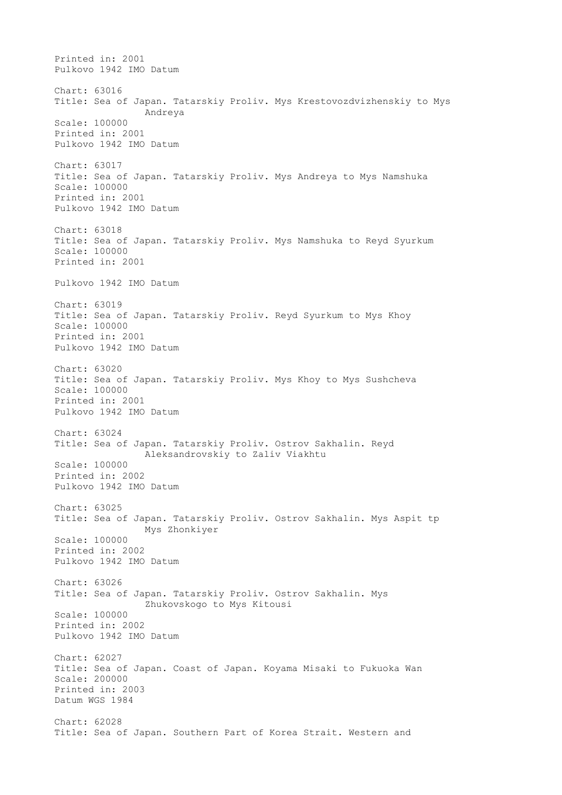Printed in: 2001 Pulkovo 1942 IMO Datum Chart: 63016 Title: Sea of Japan. Tatarskiy Proliv. Mys Krestovozdvizhenskiy to Mys Andreya Scale: 100000 Printed in: 2001 Pulkovo 1942 IMO Datum Chart: 63017 Title: Sea of Japan. Tatarskiy Proliv. Mys Andreya to Mys Namshuka Scale: 100000 Printed in: 2001 Pulkovo 1942 IMO Datum Chart: 63018 Title: Sea of Japan. Tatarskiy Proliv. Mys Namshuka to Reyd Syurkum Scale: 100000 Printed in: 2001 Pulkovo 1942 IMO Datum Chart: 63019 Title: Sea of Japan. Tatarskiy Proliv. Reyd Syurkum to Mys Khoy Scale: 100000 Printed in: 2001 Pulkovo 1942 IMO Datum Chart: 63020 Title: Sea of Japan. Tatarskiy Proliv. Mys Khoy to Mys Sushcheva Scale: 100000 Printed in: 2001 Pulkovo 1942 IMO Datum Chart: 63024 Title: Sea of Japan. Tatarskiy Proliv. Ostrov Sakhalin. Reyd Aleksandrovskiy to Zaliv Viakhtu Scale: 100000 Printed in: 2002 Pulkovo 1942 IMO Datum Chart: 63025 Title: Sea of Japan. Tatarskiy Proliv. Ostrov Sakhalin. Mys Aspit tp Mys Zhonkiyer Scale: 100000 Printed in: 2002 Pulkovo 1942 IMO Datum Chart: 63026 Title: Sea of Japan. Tatarskiy Proliv. Ostrov Sakhalin. Mys Zhukovskogo to Mys Kitousi Scale: 100000 Printed in: 2002 Pulkovo 1942 IMO Datum Chart: 62027 Title: Sea of Japan. Coast of Japan. Koyama Misaki to Fukuoka Wan Scale: 200000 Printed in: 2003 Datum WGS 1984 Chart: 62028 Title: Sea of Japan. Southern Part of Korea Strait. Western and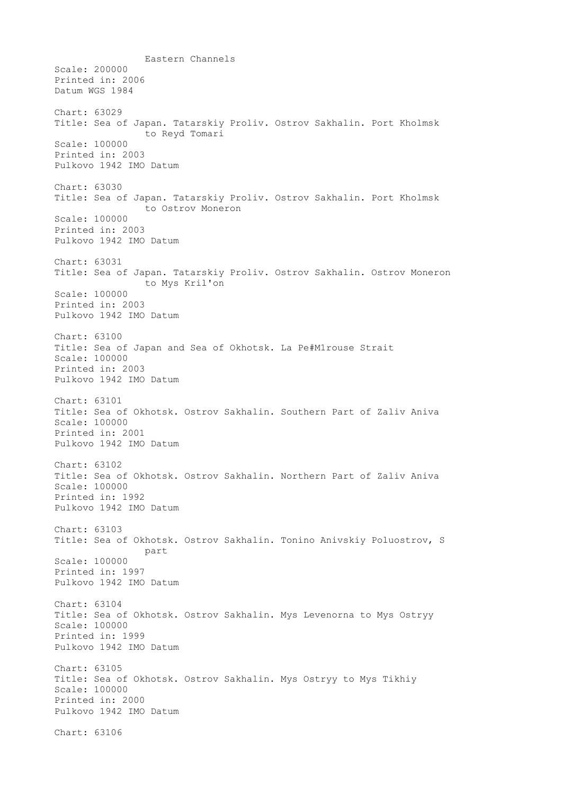Eastern Channels Scale: 200000 Printed in: 2006 Datum WGS 1984 Chart: 63029 Title: Sea of Japan. Tatarskiy Proliv. Ostrov Sakhalin. Port Kholmsk to Reyd Tomari Scale: 100000 Printed in: 2003 Pulkovo 1942 IMO Datum Chart: 63030 Title: Sea of Japan. Tatarskiy Proliv. Ostrov Sakhalin. Port Kholmsk to Ostrov Moneron Scale: 100000 Printed in: 2003 Pulkovo 1942 IMO Datum Chart: 63031 Title: Sea of Japan. Tatarskiy Proliv. Ostrov Sakhalin. Ostrov Moneron to Mys Kril'on Scale: 100000 Printed in: 2003 Pulkovo 1942 IMO Datum Chart: 63100 Title: Sea of Japan and Sea of Okhotsk. La Pe#M1rouse Strait Scale: 100000 Printed in: 2003 Pulkovo 1942 IMO Datum Chart: 63101 Title: Sea of Okhotsk. Ostrov Sakhalin. Southern Part of Zaliv Aniva Scale: 100000 Printed in: 2001 Pulkovo 1942 IMO Datum Chart: 63102 Title: Sea of Okhotsk. Ostrov Sakhalin. Northern Part of Zaliv Aniva Scale: 100000 Printed in: 1992 Pulkovo 1942 IMO Datum Chart: 63103 Title: Sea of Okhotsk. Ostrov Sakhalin. Tonino Anivskiy Poluostrov, S part Scale: 100000 Printed in: 1997 Pulkovo 1942 IMO Datum Chart: 63104 Title: Sea of Okhotsk. Ostrov Sakhalin. Mys Levenorna to Mys Ostryy Scale: 100000 Printed in: 1999 Pulkovo 1942 IMO Datum Chart: 63105 Title: Sea of Okhotsk. Ostrov Sakhalin. Mys Ostryy to Mys Tikhiy Scale: 100000 Printed in: 2000 Pulkovo 1942 IMO Datum Chart: 63106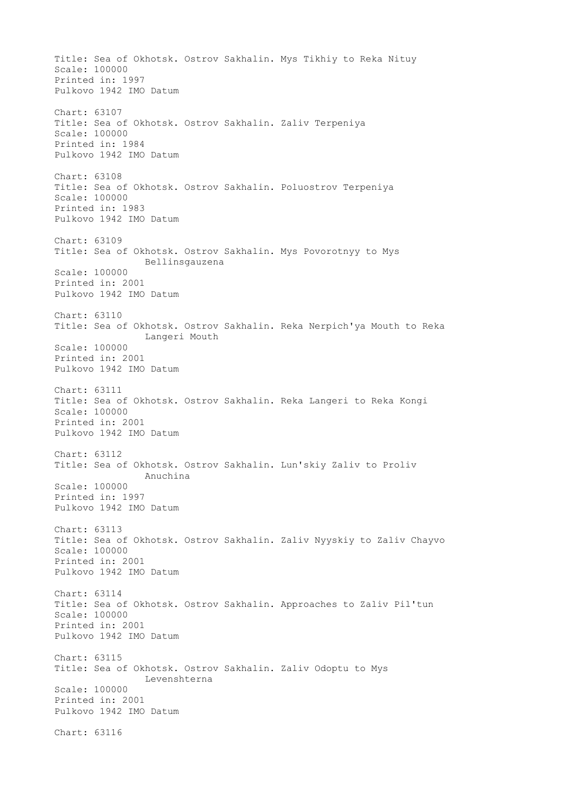Title: Sea of Okhotsk. Ostrov Sakhalin. Mys Tikhiy to Reka Nituy Scale: 100000 Printed in: 1997 Pulkovo 1942 IMO Datum Chart: 63107 Title: Sea of Okhotsk. Ostrov Sakhalin. Zaliv Terpeniya Scale: 100000 Printed in: 1984 Pulkovo 1942 IMO Datum Chart: 63108 Title: Sea of Okhotsk. Ostrov Sakhalin. Poluostrov Terpeniya Scale: 100000 Printed in: 1983 Pulkovo 1942 IMO Datum Chart: 63109 Title: Sea of Okhotsk. Ostrov Sakhalin. Mys Povorotnyy to Mys Bellinsgauzena Scale: 100000 Printed in: 2001 Pulkovo 1942 IMO Datum Chart: 63110 Title: Sea of Okhotsk. Ostrov Sakhalin. Reka Nerpich'ya Mouth to Reka Langeri Mouth Scale: 100000 Printed in: 2001 Pulkovo 1942 IMO Datum Chart: 63111 Title: Sea of Okhotsk. Ostrov Sakhalin. Reka Langeri to Reka Kongi Scale: 100000 Printed in: 2001 Pulkovo 1942 IMO Datum Chart: 63112 Title: Sea of Okhotsk. Ostrov Sakhalin. Lun'skiy Zaliv to Proliv Anuchina Scale: 100000 Printed in: 1997 Pulkovo 1942 IMO Datum Chart: 63113 Title: Sea of Okhotsk. Ostrov Sakhalin. Zaliv Nyyskiy to Zaliv Chayvo Scale: 100000 Printed in: 2001 Pulkovo 1942 IMO Datum Chart: 63114 Title: Sea of Okhotsk. Ostrov Sakhalin. Approaches to Zaliv Pil'tun Scale: 100000 Printed in: 2001 Pulkovo 1942 IMO Datum Chart: 63115 Title: Sea of Okhotsk. Ostrov Sakhalin. Zaliv Odoptu to Mys Levenshterna Scale: 100000 Printed in: 2001 Pulkovo 1942 IMO Datum Chart: 63116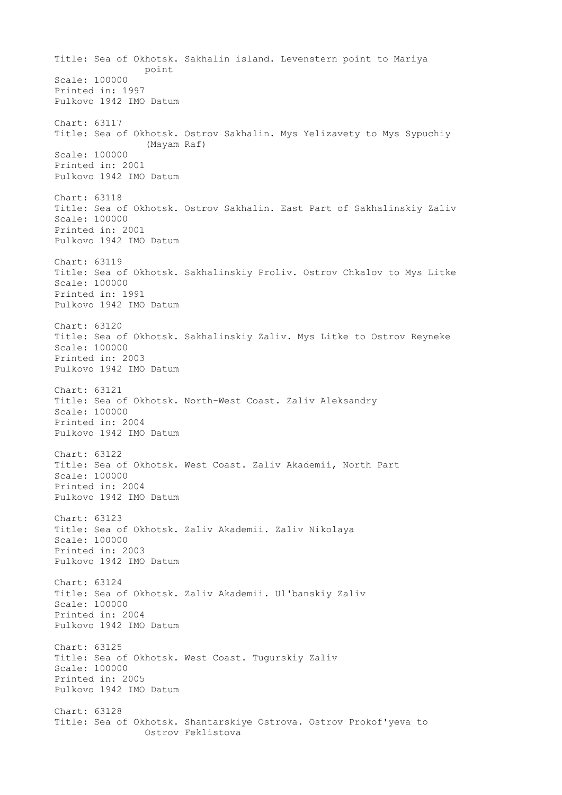Title: Sea of Okhotsk. Sakhalin island. Levenstern point to Mariya point Scale: 100000 Printed in: 1997 Pulkovo 1942 IMO Datum Chart: 63117 Title: Sea of Okhotsk. Ostrov Sakhalin. Mys Yelizavety to Mys Sypuchiy (Mayam Raf) Scale: 100000 Printed in: 2001 Pulkovo 1942 IMO Datum Chart: 63118 Title: Sea of Okhotsk. Ostrov Sakhalin. East Part of Sakhalinskiy Zaliv Scale: 100000 Printed in: 2001 Pulkovo 1942 IMO Datum Chart: 63119 Title: Sea of Okhotsk. Sakhalinskiy Proliv. Ostrov Chkalov to Mys Litke Scale: 100000 Printed in: 1991 Pulkovo 1942 IMO Datum Chart: 63120 Title: Sea of Okhotsk. Sakhalinskiy Zaliv. Mys Litke to Ostrov Reyneke Scale: 100000 Printed in: 2003 Pulkovo 1942 IMO Datum Chart: 63121 Title: Sea of Okhotsk. North-West Coast. Zaliv Aleksandry Scale: 100000 Printed in: 2004 Pulkovo 1942 IMO Datum Chart: 63122 Title: Sea of Okhotsk. West Coast. Zaliv Akademii, North Part Scale: 100000 Printed in: 2004 Pulkovo 1942 IMO Datum Chart: 63123 Title: Sea of Okhotsk. Zaliv Akademii. Zaliv Nikolaya Scale: 100000 Printed in: 2003 Pulkovo 1942 IMO Datum Chart: 63124 Title: Sea of Okhotsk. Zaliv Akademii. Ul'banskiy Zaliv Scale: 100000 Printed in: 2004 Pulkovo 1942 IMO Datum Chart: 63125 Title: Sea of Okhotsk. West Coast. Tugurskiy Zaliv Scale: 100000 Printed in: 2005 Pulkovo 1942 IMO Datum Chart: 63128 Title: Sea of Okhotsk. Shantarskiye Ostrova. Ostrov Prokof'yeva to Ostrov Feklistova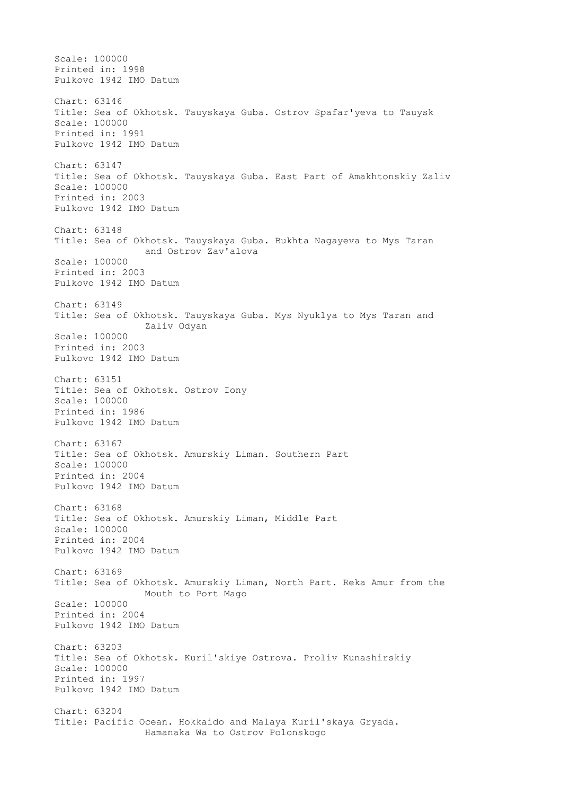Scale: 100000 Printed in: 1998 Pulkovo 1942 IMO Datum Chart: 63146 Title: Sea of Okhotsk. Tauyskaya Guba. Ostrov Spafar'yeva to Tauysk Scale: 100000 Printed in: 1991 Pulkovo 1942 IMO Datum Chart: 63147 Title: Sea of Okhotsk. Tauyskaya Guba. East Part of Amakhtonskiy Zaliv Scale: 100000 Printed in: 2003 Pulkovo 1942 IMO Datum Chart: 63148 Title: Sea of Okhotsk. Tauyskaya Guba. Bukhta Nagayeva to Mys Taran and Ostrov Zav'alova Scale: 100000 Printed in: 2003 Pulkovo 1942 IMO Datum Chart: 63149 Title: Sea of Okhotsk. Tauyskaya Guba. Mys Nyuklya to Mys Taran and Zaliv Odyan Scale: 100000 Printed in: 2003 Pulkovo 1942 IMO Datum Chart: 63151 Title: Sea of Okhotsk. Ostrov Iony Scale: 100000 Printed in: 1986 Pulkovo 1942 IMO Datum Chart: 63167 Title: Sea of Okhotsk. Amurskiy Liman. Southern Part Scale: 100000 Printed in: 2004 Pulkovo 1942 IMO Datum Chart: 63168 Title: Sea of Okhotsk. Amurskiy Liman, Middle Part Scale: 100000 Printed in: 2004 Pulkovo 1942 IMO Datum Chart: 63169 Title: Sea of Okhotsk. Amurskiy Liman, North Part. Reka Amur from the Mouth to Port Mago Scale: 100000 Printed in: 2004 Pulkovo 1942 IMO Datum Chart: 63203 Title: Sea of Okhotsk. Kuril'skiye Ostrova. Proliv Kunashirskiy Scale: 100000 Printed in: 1997 Pulkovo 1942 IMO Datum Chart: 63204 Title: Pacific Ocean. Hokkaido and Malaya Kuril'skaya Gryada. Hamanaka Wa to Ostrov Polonskogo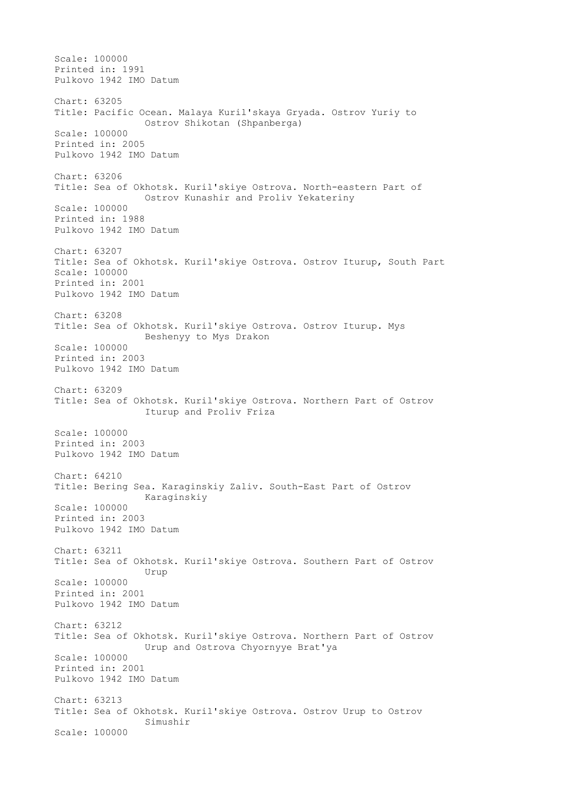Scale: 100000 Printed in: 1991 Pulkovo 1942 IMO Datum Chart: 63205 Title: Pacific Ocean. Malaya Kuril'skaya Gryada. Ostrov Yuriy to Ostrov Shikotan (Shpanberga) Scale: 100000 Printed in: 2005 Pulkovo 1942 IMO Datum Chart: 63206 Title: Sea of Okhotsk. Kuril'skiye Ostrova. North-eastern Part of Ostrov Kunashir and Proliv Yekateriny Scale: 100000 Printed in: 1988 Pulkovo 1942 IMO Datum Chart: 63207 Title: Sea of Okhotsk. Kuril'skiye Ostrova. Ostrov Iturup, South Part Scale: 100000 Printed in: 2001 Pulkovo 1942 IMO Datum Chart: 63208 Title: Sea of Okhotsk. Kuril'skiye Ostrova. Ostrov Iturup. Mys Beshenyy to Mys Drakon Scale: 100000 Printed in: 2003 Pulkovo 1942 IMO Datum Chart: 63209 Title: Sea of Okhotsk. Kuril'skiye Ostrova. Northern Part of Ostrov Iturup and Proliv Friza Scale: 100000 Printed in: 2003 Pulkovo 1942 IMO Datum Chart: 64210 Title: Bering Sea. Karaginskiy Zaliv. South-East Part of Ostrov Karaginskiy Scale: 100000 Printed in: 2003 Pulkovo 1942 IMO Datum Chart: 63211 Title: Sea of Okhotsk. Kuril'skiye Ostrova. Southern Part of Ostrov Urup Scale: 100000 Printed in: 2001 Pulkovo 1942 IMO Datum Chart: 63212 Title: Sea of Okhotsk. Kuril'skiye Ostrova. Northern Part of Ostrov Urup and Ostrova Chyornyye Brat'ya Scale: 100000 Printed in: 2001 Pulkovo 1942 IMO Datum Chart: 63213 Title: Sea of Okhotsk. Kuril'skiye Ostrova. Ostrov Urup to Ostrov Simushir Scale: 100000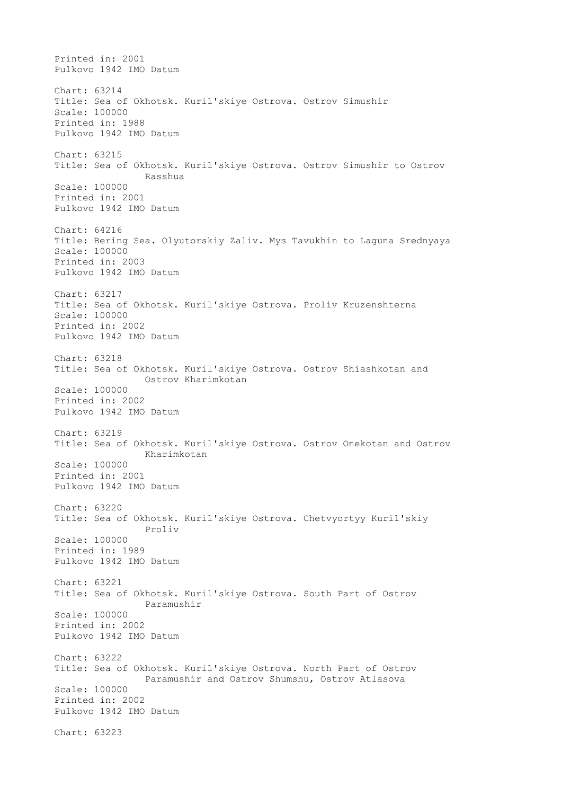Printed in: 2001 Pulkovo 1942 IMO Datum Chart: 63214 Title: Sea of Okhotsk. Kuril'skiye Ostrova. Ostrov Simushir Scale: 100000 Printed in: 1988 Pulkovo 1942 IMO Datum Chart: 63215 Title: Sea of Okhotsk. Kuril'skiye Ostrova. Ostrov Simushir to Ostrov Rasshua Scale: 100000 Printed in: 2001 Pulkovo 1942 IMO Datum Chart: 64216 Title: Bering Sea. Olyutorskiy Zaliv. Mys Tavukhin to Laguna Srednyaya Scale: 100000 Printed in: 2003 Pulkovo 1942 IMO Datum Chart: 63217 Title: Sea of Okhotsk. Kuril'skiye Ostrova. Proliv Kruzenshterna Scale: 100000 Printed in: 2002 Pulkovo 1942 IMO Datum Chart: 63218 Title: Sea of Okhotsk. Kuril'skiye Ostrova. Ostrov Shiashkotan and Ostrov Kharimkotan Scale: 100000 Printed in: 2002 Pulkovo 1942 IMO Datum Chart: 63219 Title: Sea of Okhotsk. Kuril'skiye Ostrova. Ostrov Onekotan and Ostrov Kharimkotan Scale: 100000 Printed in: 2001 Pulkovo 1942 IMO Datum Chart: 63220 Title: Sea of Okhotsk. Kuril'skiye Ostrova. Chetvyortyy Kuril'skiy Proliv Scale: 100000 Printed in: 1989 Pulkovo 1942 IMO Datum Chart: 63221 Title: Sea of Okhotsk. Kuril'skiye Ostrova. South Part of Ostrov Paramushir Scale: 100000 Printed in: 2002 Pulkovo 1942 IMO Datum Chart: 63222 Title: Sea of Okhotsk. Kuril'skiye Ostrova. North Part of Ostrov Paramushir and Ostrov Shumshu, Ostrov Atlasova Scale: 100000 Printed in: 2002 Pulkovo 1942 IMO Datum Chart: 63223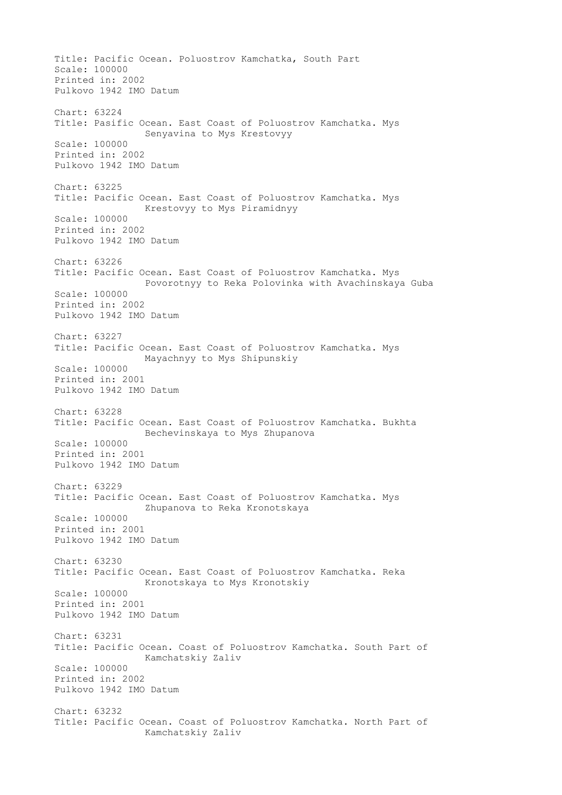Title: Pacific Ocean. Poluostrov Kamchatka, South Part Scale: 100000 Printed in: 2002 Pulkovo 1942 IMO Datum Chart: 63224 Title: Pasific Ocean. East Coast of Poluostrov Kamchatka. Mys Senyavina to Mys Krestovyy Scale: 100000 Printed in: 2002 Pulkovo 1942 IMO Datum Chart: 63225 Title: Pacific Ocean. East Coast of Poluostrov Kamchatka. Mys Krestovyy to Mys Piramidnyy Scale: 100000 Printed in: 2002 Pulkovo 1942 IMO Datum Chart: 63226 Title: Pacific Ocean. East Coast of Poluostrov Kamchatka. Mys Povorotnyy to Reka Polovinka with Avachinskaya Guba Scale: 100000 Printed in: 2002 Pulkovo 1942 IMO Datum Chart: 63227 Title: Pacific Ocean. East Coast of Poluostrov Kamchatka. Mys Mayachnyy to Mys Shipunskiy Scale: 100000 Printed in: 2001 Pulkovo 1942 IMO Datum Chart: 63228 Title: Pacific Ocean. East Coast of Poluostrov Kamchatka. Bukhta Bechevinskaya to Mys Zhupanova Scale: 100000 Printed in: 2001 Pulkovo 1942 IMO Datum Chart: 63229 Title: Pacific Ocean. East Coast of Poluostrov Kamchatka. Mys Zhupanova to Reka Kronotskaya Scale: 100000 Printed in: 2001 Pulkovo 1942 IMO Datum Chart: 63230 Title: Pacific Ocean. East Coast of Poluostrov Kamchatka. Reka Kronotskaya to Mys Kronotskiy Scale: 100000 Printed in: 2001 Pulkovo 1942 IMO Datum Chart: 63231 Title: Pacific Ocean. Coast of Poluostrov Kamchatka. South Part of Kamchatskiy Zaliv Scale: 100000 Printed in: 2002 Pulkovo 1942 IMO Datum Chart: 63232 Title: Pacific Ocean. Coast of Poluostrov Kamchatka. North Part of Kamchatskiy Zaliv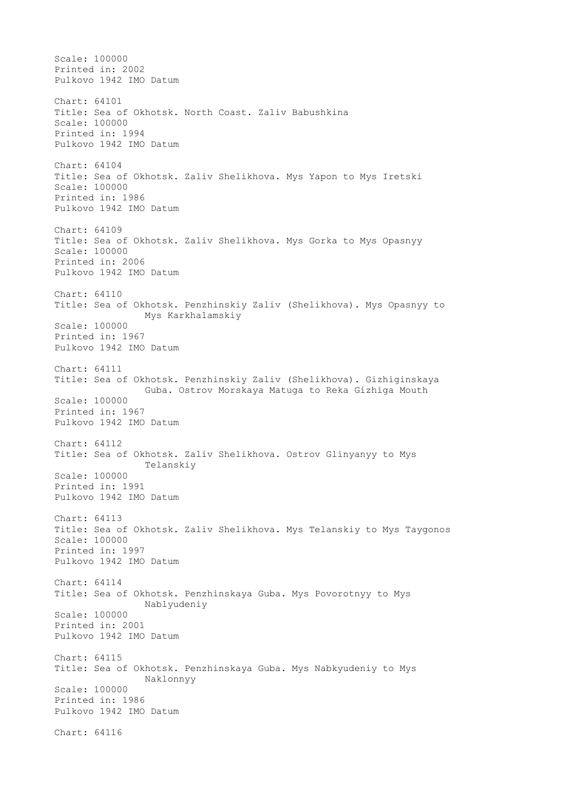Scale: 100000 Printed in: 2002 Pulkovo 1942 IMO Datum Chart: 64101 Title: Sea of Okhotsk. North Coast. Zaliv Babushkina Scale: 100000 Printed in: 1994 Pulkovo 1942 IMO Datum Chart: 64104 Title: Sea of Okhotsk. Zaliv Shelikhova. Mys Yapon to Mys Iretski Scale: 100000 Printed in: 1986 Pulkovo 1942 IMO Datum Chart: 64109 Title: Sea of Okhotsk. Zaliv Shelikhova. Mys Gorka to Mys Opasnyy Scale: 100000 Printed in: 2006 Pulkovo 1942 IMO Datum Chart: 64110 Title: Sea of Okhotsk. Penzhinskiy Zaliv (Shelikhova). Mys Opasnyy to Mys Karkhalamskiy Scale: 100000 Printed in: 1967 Pulkovo 1942 IMO Datum Chart: 64111 Title: Sea of Okhotsk. Penzhinskiy Zaliv (Shelikhova). Gizhiginskaya Guba. Ostrov Morskaya Matuga to Reka Gizhiga Mouth Scale: 100000 Printed in: 1967 Pulkovo 1942 IMO Datum Chart: 64112 Title: Sea of Okhotsk. Zaliv Shelikhova. Ostrov Glinyanyy to Mys Telanskiy Scale: 100000 Printed in: 1991 Pulkovo 1942 IMO Datum Chart: 64113 Title: Sea of Okhotsk. Zaliv Shelikhova. Mys Telanskiy to Mys Taygonos Scale: 100000 Printed in: 1997 Pulkovo 1942 IMO Datum Chart: 64114 Title: Sea of Okhotsk. Penzhinskaya Guba. Mys Povorotnyy to Mys Nablyudeniy Scale: 100000 Printed in: 2001 Pulkovo 1942 IMO Datum Chart: 64115 Title: Sea of Okhotsk. Penzhinskaya Guba. Mys Nabkyudeniy to Mys Naklonnyy Scale: 100000 Printed in: 1986 Pulkovo 1942 IMO Datum Chart: 64116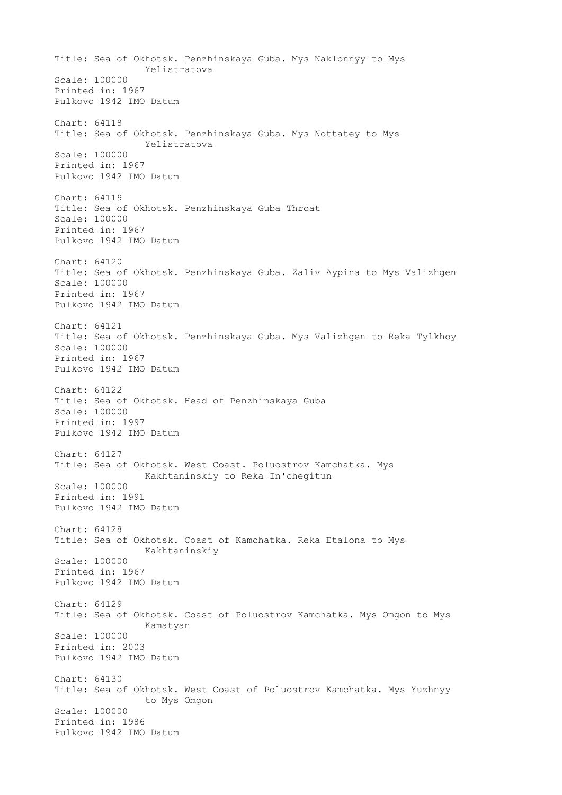Title: Sea of Okhotsk. Penzhinskaya Guba. Mys Naklonnyy to Mys Yelistratova Scale: 100000 Printed in: 1967 Pulkovo 1942 IMO Datum Chart: 64118 Title: Sea of Okhotsk. Penzhinskaya Guba. Mys Nottatey to Mys Yelistratova Scale: 100000 Printed in: 1967 Pulkovo 1942 IMO Datum Chart: 64119 Title: Sea of Okhotsk. Penzhinskaya Guba Throat Scale: 100000 Printed in: 1967 Pulkovo 1942 IMO Datum Chart: 64120 Title: Sea of Okhotsk. Penzhinskaya Guba. Zaliv Aypina to Mys Valizhgen Scale: 100000 Printed in: 1967 Pulkovo 1942 IMO Datum Chart: 64121 Title: Sea of Okhotsk. Penzhinskaya Guba. Mys Valizhgen to Reka Tylkhoy Scale: 100000 Printed in: 1967 Pulkovo 1942 IMO Datum Chart: 64122 Title: Sea of Okhotsk. Head of Penzhinskaya Guba Scale: 100000 Printed in: 1997 Pulkovo 1942 IMO Datum Chart: 64127 Title: Sea of Okhotsk. West Coast. Poluostrov Kamchatka. Mys Kakhtaninskiy to Reka In'chegitun Scale: 100000 Printed in: 1991 Pulkovo 1942 IMO Datum Chart: 64128 Title: Sea of Okhotsk. Coast of Kamchatka. Reka Etalona to Mys Kakhtaninskiy Scale: 100000 Printed in: 1967 Pulkovo 1942 IMO Datum Chart: 64129 Title: Sea of Okhotsk. Coast of Poluostrov Kamchatka. Mys Omgon to Mys Kamatyan Scale: 100000 Printed in: 2003 Pulkovo 1942 IMO Datum Chart: 64130 Title: Sea of Okhotsk. West Coast of Poluostrov Kamchatka. Mys Yuzhnyy to Mys Omgon Scale: 100000 Printed in: 1986 Pulkovo 1942 IMO Datum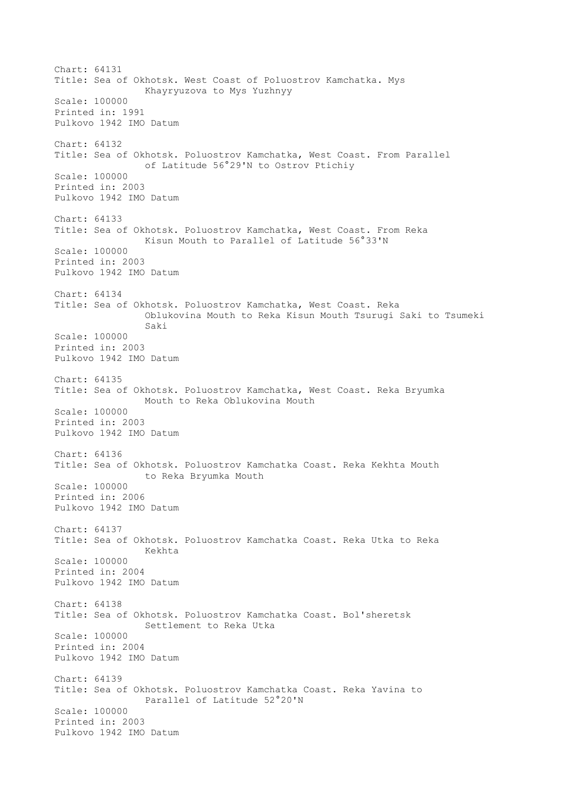Chart: 64131 Title: Sea of Okhotsk. West Coast of Poluostrov Kamchatka. Mys Khayryuzova to Mys Yuzhnyy Scale: 100000 Printed in: 1991 Pulkovo 1942 IMO Datum Chart: 64132 Title: Sea of Okhotsk. Poluostrov Kamchatka, West Coast. From Parallel of Latitude 56°29'N to Ostrov Ptichiy Scale: 100000 Printed in: 2003 Pulkovo 1942 IMO Datum Chart: 64133 Title: Sea of Okhotsk. Poluostrov Kamchatka, West Coast. From Reka Kisun Mouth to Parallel of Latitude 56°33'N Scale: 100000 Printed in: 2003 Pulkovo 1942 IMO Datum Chart: 64134 Title: Sea of Okhotsk. Poluostrov Kamchatka, West Coast. Reka Oblukovina Mouth to Reka Kisun Mouth Tsurugi Saki to Tsumeki Saki Scale: 100000 Printed in: 2003 Pulkovo 1942 IMO Datum Chart: 64135 Title: Sea of Okhotsk. Poluostrov Kamchatka, West Coast. Reka Bryumka Mouth to Reka Oblukovina Mouth Scale: 100000 Printed in: 2003 Pulkovo 1942 IMO Datum Chart: 64136 Title: Sea of Okhotsk. Poluostrov Kamchatka Coast. Reka Kekhta Mouth to Reka Bryumka Mouth Scale: 100000 Printed in: 2006 Pulkovo 1942 IMO Datum Chart: 64137 Title: Sea of Okhotsk. Poluostrov Kamchatka Coast. Reka Utka to Reka Kekhta Scale: 100000 Printed in: 2004 Pulkovo 1942 IMO Datum Chart: 64138 Title: Sea of Okhotsk. Poluostrov Kamchatka Coast. Bol'sheretsk Settlement to Reka Utka Scale: 100000 Printed in: 2004 Pulkovo 1942 IMO Datum Chart: 64139 Title: Sea of Okhotsk. Poluostrov Kamchatka Coast. Reka Yavina to Parallel of Latitude 52°20'N Scale: 100000 Printed in: 2003 Pulkovo 1942 IMO Datum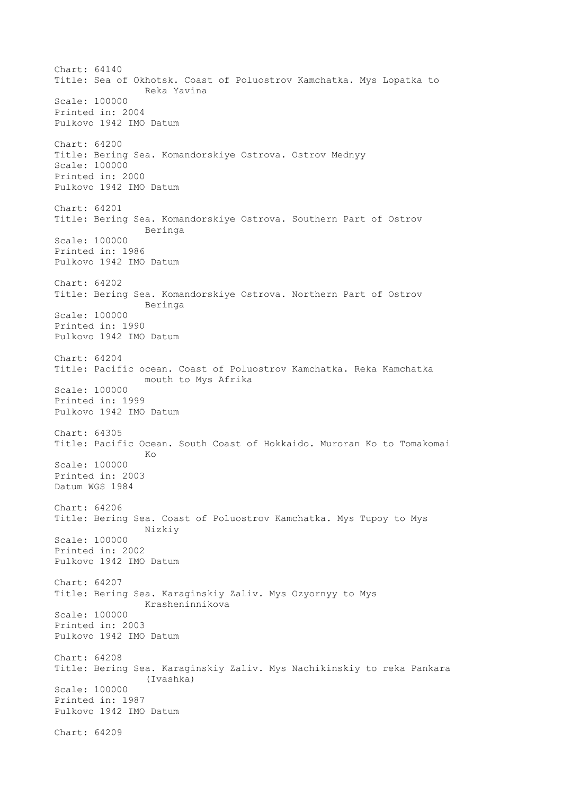Chart: 64140 Title: Sea of Okhotsk. Coast of Poluostrov Kamchatka. Mys Lopatka to Reka Yavina Scale: 100000 Printed in: 2004 Pulkovo 1942 IMO Datum Chart: 64200 Title: Bering Sea. Komandorskiye Ostrova. Ostrov Mednyy Scale: 100000 Printed in: 2000 Pulkovo 1942 IMO Datum Chart: 64201 Title: Bering Sea. Komandorskiye Ostrova. Southern Part of Ostrov Beringa Scale: 100000 Printed in: 1986 Pulkovo 1942 IMO Datum Chart: 64202 Title: Bering Sea. Komandorskiye Ostrova. Northern Part of Ostrov Beringa Scale: 100000 Printed in: 1990 Pulkovo 1942 IMO Datum Chart: 64204 Title: Pacific ocean. Coast of Poluostrov Kamchatka. Reka Kamchatka mouth to Mys Afrika Scale: 100000 Printed in: 1999 Pulkovo 1942 IMO Datum Chart: 64305 Title: Pacific Ocean. South Coast of Hokkaido. Muroran Ko to Tomakomai **Kongress of the Kongress of the Kongress of the Kongress of the Kongress of the Kongress of the Kongress of th** Scale: 100000 Printed in: 2003 Datum WGS 1984 Chart: 64206 Title: Bering Sea. Coast of Poluostrov Kamchatka. Mys Tupoy to Mys Nizkiy Scale: 100000 Printed in: 2002 Pulkovo 1942 IMO Datum Chart: 64207 Title: Bering Sea. Karaginskiy Zaliv. Mys Ozyornyy to Mys Krasheninnikova Scale: 100000 Printed in: 2003 Pulkovo 1942 IMO Datum Chart: 64208 Title: Bering Sea. Karaginskiy Zaliv. Mys Nachikinskiy to reka Pankara (Ivashka) Scale: 100000 Printed in: 1987 Pulkovo 1942 IMO Datum Chart: 64209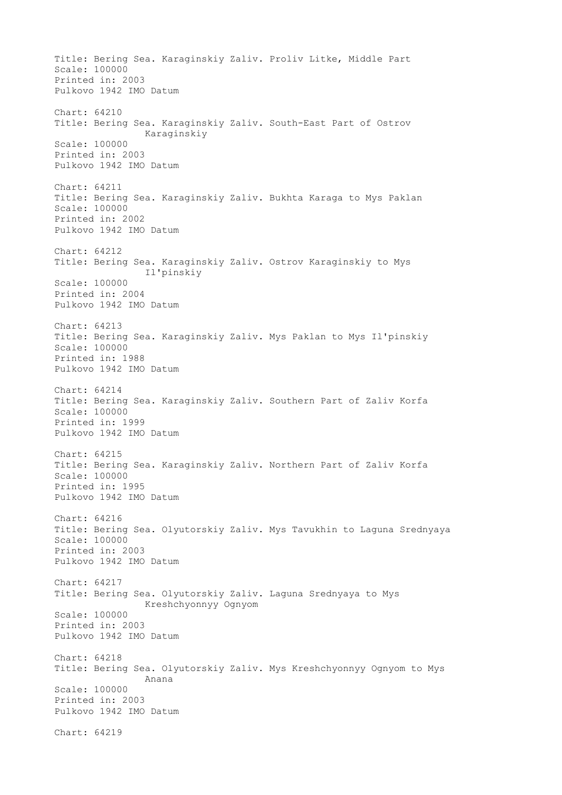Title: Bering Sea. Karaginskiy Zaliv. Proliv Litke, Middle Part Scale: 100000 Printed in: 2003 Pulkovo 1942 IMO Datum Chart: 64210 Title: Bering Sea. Karaginskiy Zaliv. South-East Part of Ostrov Karaginskiy Scale: 100000 Printed in: 2003 Pulkovo 1942 IMO Datum Chart: 64211 Title: Bering Sea. Karaginskiy Zaliv. Bukhta Karaga to Mys Paklan Scale: 100000 Printed in: 2002 Pulkovo 1942 IMO Datum Chart: 64212 Title: Bering Sea. Karaginskiy Zaliv. Ostrov Karaginskiy to Mys Il'pinskiy Scale: 100000 Printed in: 2004 Pulkovo 1942 IMO Datum Chart: 64213 Title: Bering Sea. Karaginskiy Zaliv. Mys Paklan to Mys Il'pinskiy Scale: 100000 Printed in: 1988 Pulkovo 1942 IMO Datum Chart: 64214 Title: Bering Sea. Karaginskiy Zaliv. Southern Part of Zaliv Korfa Scale: 100000 Printed in: 1999 Pulkovo 1942 IMO Datum Chart: 64215 Title: Bering Sea. Karaginskiy Zaliv. Northern Part of Zaliv Korfa Scale: 100000 Printed in: 1995 Pulkovo 1942 IMO Datum Chart: 64216 Title: Bering Sea. Olyutorskiy Zaliv. Mys Tavukhin to Laguna Srednyaya Scale: 100000 Printed in: 2003 Pulkovo 1942 IMO Datum Chart: 64217 Title: Bering Sea. Olyutorskiy Zaliv. Laguna Srednyaya to Mys Kreshchyonnyy Ognyom Scale: 100000 Printed in: 2003 Pulkovo 1942 IMO Datum Chart: 64218 Title: Bering Sea. Olyutorskiy Zaliv. Mys Kreshchyonnyy Ognyom to Mys Anana Scale: 100000 Printed in: 2003 Pulkovo 1942 IMO Datum Chart: 64219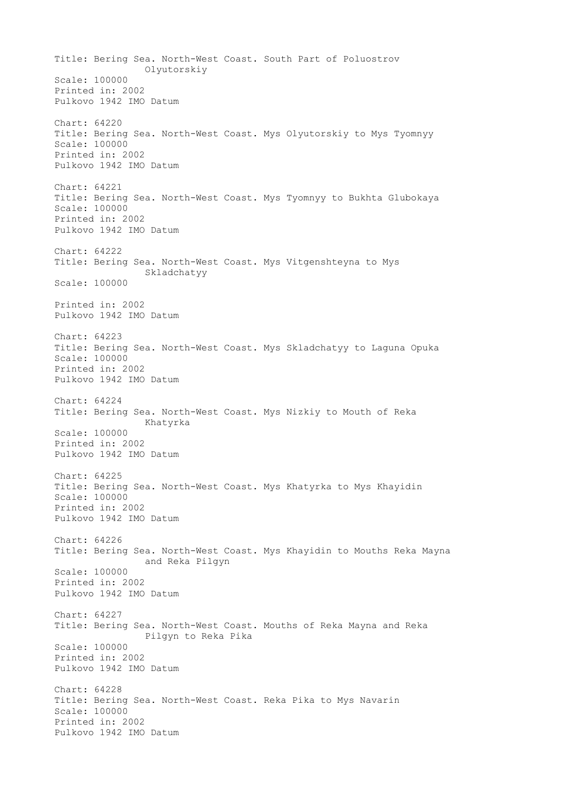Title: Bering Sea. North-West Coast. South Part of Poluostrov Olyutorskiy Scale: 100000 Printed in: 2002 Pulkovo 1942 IMO Datum Chart: 64220 Title: Bering Sea. North-West Coast. Mys Olyutorskiy to Mys Tyomnyy Scale: 100000 Printed in: 2002 Pulkovo 1942 IMO Datum Chart: 64221 Title: Bering Sea. North-West Coast. Mys Tyomnyy to Bukhta Glubokaya Scale: 100000 Printed in: 2002 Pulkovo 1942 IMO Datum Chart: 64222 Title: Bering Sea. North-West Coast. Mys Vitgenshteyna to Mys Skladchatyy Scale: 100000 Printed in: 2002 Pulkovo 1942 IMO Datum Chart: 64223 Title: Bering Sea. North-West Coast. Mys Skladchatyy to Laguna Opuka Scale: 100000 Printed in: 2002 Pulkovo 1942 IMO Datum Chart: 64224 Title: Bering Sea. North-West Coast. Mys Nizkiy to Mouth of Reka Khatyrka Scale: 100000 Printed in: 2002 Pulkovo 1942 IMO Datum Chart: 64225 Title: Bering Sea. North-West Coast. Mys Khatyrka to Mys Khayidin Scale: 100000 Printed in: 2002 Pulkovo 1942 IMO Datum Chart: 64226 Title: Bering Sea. North-West Coast. Mys Khayidin to Mouths Reka Mayna and Reka Pilgyn Scale: 100000 Printed in: 2002 Pulkovo 1942 IMO Datum Chart: 64227 Title: Bering Sea. North-West Coast. Mouths of Reka Mayna and Reka Pilgyn to Reka Pika Scale: 100000 Printed in: 2002 Pulkovo 1942 IMO Datum Chart: 64228 Title: Bering Sea. North-West Coast. Reka Pika to Mys Navarin Scale: 100000 Printed in: 2002 Pulkovo 1942 IMO Datum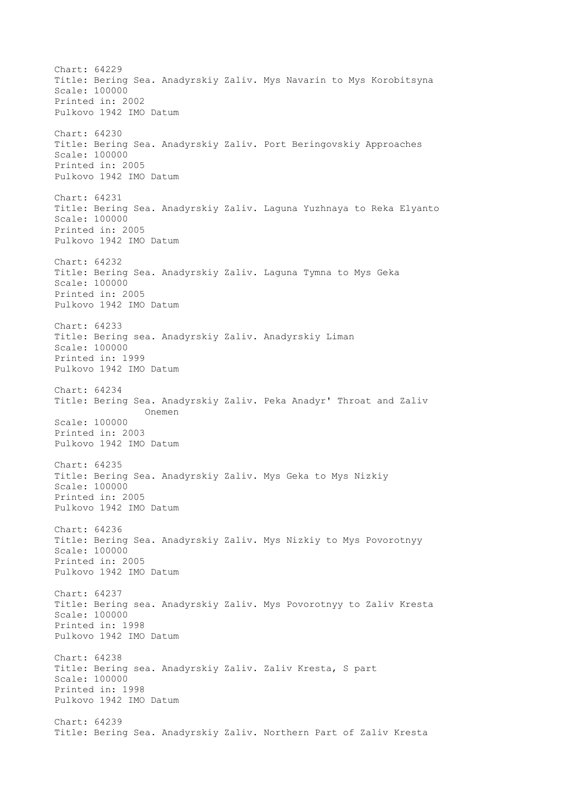Chart: 64229 Title: Bering Sea. Anadyrskiy Zaliv. Mys Navarin to Mys Korobitsyna Scale: 100000 Printed in: 2002 Pulkovo 1942 IMO Datum Chart: 64230 Title: Bering Sea. Anadyrskiy Zaliv. Port Beringovskiy Approaches Scale: 100000 Printed in: 2005 Pulkovo 1942 IMO Datum Chart: 64231 Title: Bering Sea. Anadyrskiy Zaliv. Laguna Yuzhnaya to Reka Elyanto Scale: 100000 Printed in: 2005 Pulkovo 1942 IMO Datum Chart: 64232 Title: Bering Sea. Anadyrskiy Zaliv. Laguna Tymna to Mys Geka Scale: 100000 Printed in: 2005 Pulkovo 1942 IMO Datum Chart: 64233 Title: Bering sea. Anadyrskiy Zaliv. Anadyrskiy Liman Scale: 100000 Printed in: 1999 Pulkovo 1942 IMO Datum Chart: 64234 Title: Bering Sea. Anadyrskiy Zaliv. Peka Anadyr' Throat and Zaliv Onemen Scale: 100000 Printed in: 2003 Pulkovo 1942 IMO Datum Chart: 64235 Title: Bering Sea. Anadyrskiy Zaliv. Mys Geka to Mys Nizkiy Scale: 100000 Printed in: 2005 Pulkovo 1942 IMO Datum Chart: 64236 Title: Bering Sea. Anadyrskiy Zaliv. Mys Nizkiy to Mys Povorotnyy Scale: 100000 Printed in: 2005 Pulkovo 1942 IMO Datum Chart: 64237 Title: Bering sea. Anadyrskiy Zaliv. Mys Povorotnyy to Zaliv Kresta Scale: 100000 Printed in: 1998 Pulkovo 1942 IMO Datum Chart: 64238 Title: Bering sea. Anadyrskiy Zaliv. Zaliv Kresta, S part Scale: 100000 Printed in: 1998 Pulkovo 1942 IMO Datum Chart: 64239 Title: Bering Sea. Anadyrskiy Zaliv. Northern Part of Zaliv Kresta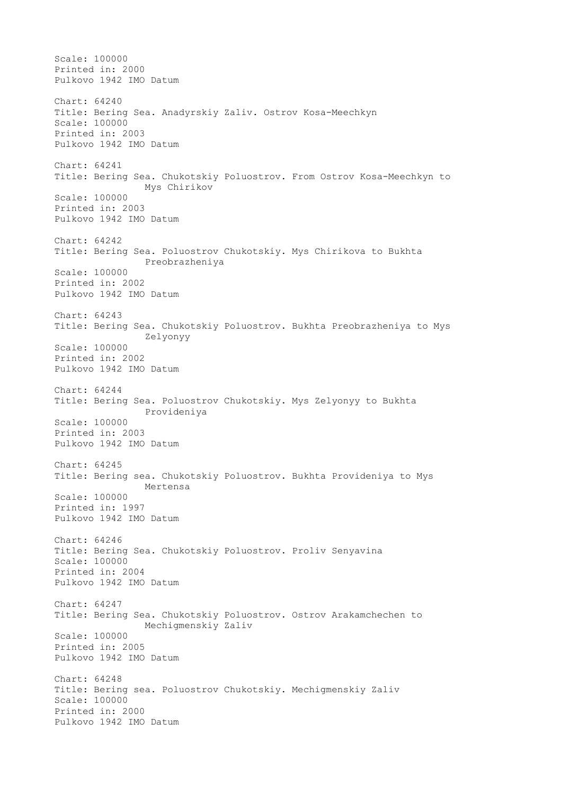Scale: 100000 Printed in: 2000 Pulkovo 1942 IMO Datum Chart: 64240 Title: Bering Sea. Anadyrskiy Zaliv. Ostrov Kosa-Meechkyn Scale: 100000 Printed in: 2003 Pulkovo 1942 IMO Datum Chart: 64241 Title: Bering Sea. Chukotskiy Poluostrov. From Ostrov Kosa-Meechkyn to Mys Chirikov Scale: 100000 Printed in: 2003 Pulkovo 1942 IMO Datum Chart: 64242 Title: Bering Sea. Poluostrov Chukotskiy. Mys Chirikova to Bukhta Preobrazheniya Scale: 100000 Printed in: 2002 Pulkovo 1942 IMO Datum Chart: 64243 Title: Bering Sea. Chukotskiy Poluostrov. Bukhta Preobrazheniya to Mys Zelyonyy Scale: 100000 Printed in: 2002 Pulkovo 1942 IMO Datum Chart: 64244 Title: Bering Sea. Poluostrov Chukotskiy. Mys Zelyonyy to Bukhta Provideniya Scale: 100000 Printed in: 2003 Pulkovo 1942 IMO Datum Chart: 64245 Title: Bering sea. Chukotskiy Poluostrov. Bukhta Provideniya to Mys Mertensa Scale: 100000 Printed in: 1997 Pulkovo 1942 IMO Datum Chart: 64246 Title: Bering Sea. Chukotskiy Poluostrov. Proliv Senyavina Scale: 100000 Printed in: 2004 Pulkovo 1942 IMO Datum Chart: 64247 Title: Bering Sea. Chukotskiy Poluostrov. Ostrov Arakamchechen to Mechigmenskiy Zaliv Scale: 100000 Printed in: 2005 Pulkovo 1942 IMO Datum Chart: 64248 Title: Bering sea. Poluostrov Chukotskiy. Mechigmenskiy Zaliv Scale: 100000 Printed in: 2000 Pulkovo 1942 IMO Datum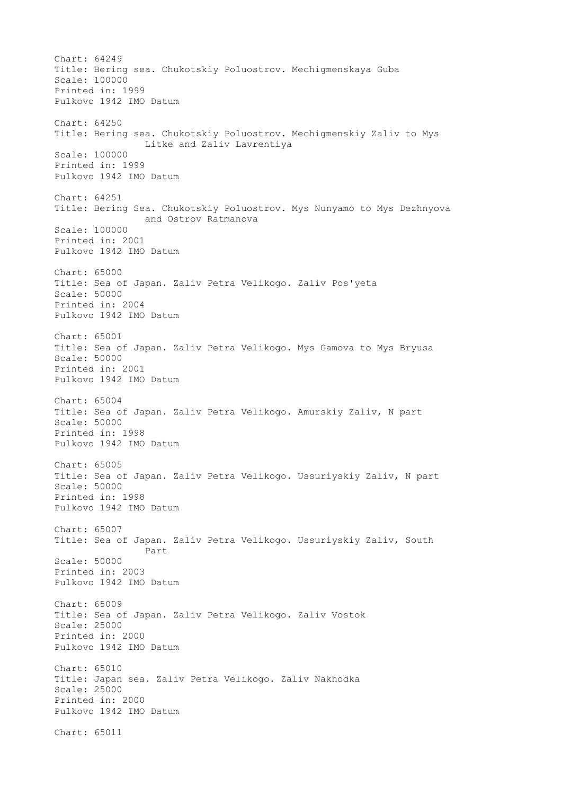Chart: 64249 Title: Bering sea. Chukotskiy Poluostrov. Mechigmenskaya Guba Scale: 100000 Printed in: 1999 Pulkovo 1942 IMO Datum Chart: 64250 Title: Bering sea. Chukotskiy Poluostrov. Mechigmenskiy Zaliv to Mys Litke and Zaliv Lavrentiya Scale: 100000 Printed in: 1999 Pulkovo 1942 IMO Datum Chart: 64251 Title: Bering Sea. Chukotskiy Poluostrov. Mys Nunyamo to Mys Dezhnyova and Ostrov Ratmanova Scale: 100000 Printed in: 2001 Pulkovo 1942 IMO Datum Chart: 65000 Title: Sea of Japan. Zaliv Petra Velikogo. Zaliv Pos'yeta Scale: 50000 Printed in: 2004 Pulkovo 1942 IMO Datum Chart: 65001 Title: Sea of Japan. Zaliv Petra Velikogo. Mys Gamova to Mys Bryusa Scale: 50000 Printed in: 2001 Pulkovo 1942 IMO Datum Chart: 65004 Title: Sea of Japan. Zaliv Petra Velikogo. Amurskiy Zaliv, N part Scale: 50000 Printed in: 1998 Pulkovo 1942 IMO Datum Chart: 65005 Title: Sea of Japan. Zaliv Petra Velikogo. Ussuriyskiy Zaliv, N part Scale: 50000 Printed in: 1998 Pulkovo 1942 IMO Datum Chart: 65007 Title: Sea of Japan. Zaliv Petra Velikogo. Ussuriyskiy Zaliv, South Part Scale: 50000 Printed in: 2003 Pulkovo 1942 IMO Datum Chart: 65009 Title: Sea of Japan. Zaliv Petra Velikogo. Zaliv Vostok Scale: 25000 Printed in: 2000 Pulkovo 1942 IMO Datum Chart: 65010 Title: Japan sea. Zaliv Petra Velikogo. Zaliv Nakhodka Scale: 25000 Printed in: 2000 Pulkovo 1942 IMO Datum Chart: 65011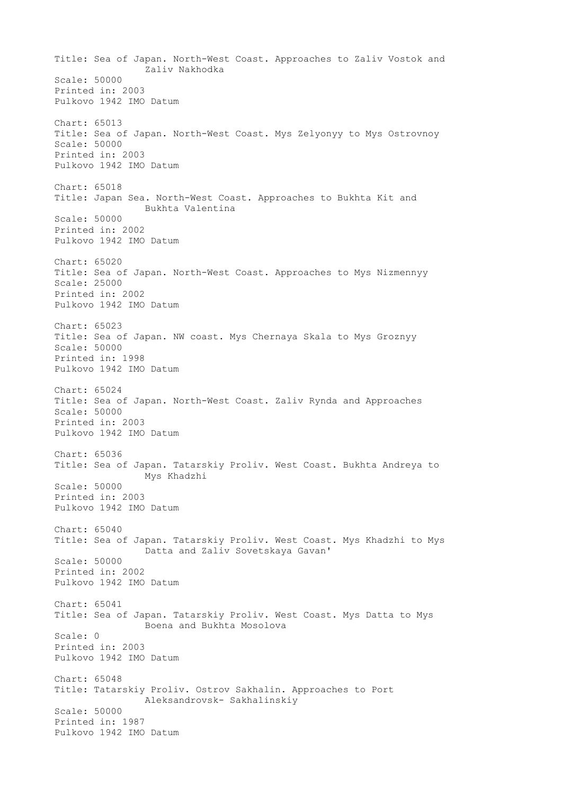Title: Sea of Japan. North-West Coast. Approaches to Zaliv Vostok and Zaliv Nakhodka Scale: 50000 Printed in: 2003 Pulkovo 1942 IMO Datum Chart: 65013 Title: Sea of Japan. North-West Coast. Mys Zelyonyy to Mys Ostrovnoy Scale: 50000 Printed in: 2003 Pulkovo 1942 IMO Datum Chart: 65018 Title: Japan Sea. North-West Coast. Approaches to Bukhta Kit and Bukhta Valentina Scale: 50000 Printed in: 2002 Pulkovo 1942 IMO Datum Chart: 65020 Title: Sea of Japan. North-West Coast. Approaches to Mys Nizmennyy Scale: 25000 Printed in: 2002 Pulkovo 1942 IMO Datum Chart: 65023 Title: Sea of Japan. NW coast. Mys Chernaya Skala to Mys Groznyy Scale: 50000 Printed in: 1998 Pulkovo 1942 IMO Datum Chart: 65024 Title: Sea of Japan. North-West Coast. Zaliv Rynda and Approaches Scale: 50000 Printed in: 2003 Pulkovo 1942 IMO Datum Chart: 65036 Title: Sea of Japan. Tatarskiy Proliv. West Coast. Bukhta Andreya to Mys Khadzhi Scale: 50000 Printed in: 2003 Pulkovo 1942 IMO Datum Chart: 65040 Title: Sea of Japan. Tatarskiy Proliv. West Coast. Mys Khadzhi to Mys Datta and Zaliv Sovetskaya Gavan' Scale: 50000 Printed in: 2002 Pulkovo 1942 IMO Datum Chart: 65041 Title: Sea of Japan. Tatarskiy Proliv. West Coast. Mys Datta to Mys Boena and Bukhta Mosolova Scale: 0 Printed in: 2003 Pulkovo 1942 IMO Datum Chart: 65048 Title: Tatarskiy Proliv. Ostrov Sakhalin. Approaches to Port Aleksandrovsk- Sakhalinskiy Scale: 50000 Printed in: 1987 Pulkovo 1942 IMO Datum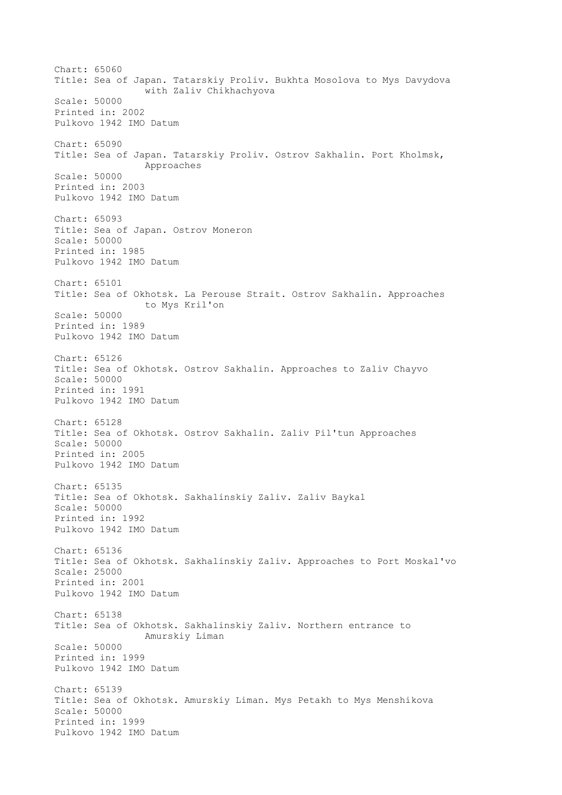Chart: 65060 Title: Sea of Japan. Tatarskiy Proliv. Bukhta Mosolova to Mys Davydova with Zaliv Chikhachyova Scale: 50000 Printed in: 2002 Pulkovo 1942 IMO Datum Chart: 65090 Title: Sea of Japan. Tatarskiy Proliv. Ostrov Sakhalin. Port Kholmsk, Approaches Scale: 50000 Printed in: 2003 Pulkovo 1942 IMO Datum Chart: 65093 Title: Sea of Japan. Ostrov Moneron Scale: 50000 Printed in: 1985 Pulkovo 1942 IMO Datum Chart: 65101 Title: Sea of Okhotsk. La Perouse Strait. Ostrov Sakhalin. Approaches to Mys Kril'on Scale: 50000 Printed in: 1989 Pulkovo 1942 IMO Datum Chart: 65126 Title: Sea of Okhotsk. Ostrov Sakhalin. Approaches to Zaliv Chayvo Scale: 50000 Printed in: 1991 Pulkovo 1942 IMO Datum Chart: 65128 Title: Sea of Okhotsk. Ostrov Sakhalin. Zaliv Pil'tun Approaches Scale: 50000 Printed in: 2005 Pulkovo 1942 IMO Datum Chart: 65135 Title: Sea of Okhotsk. Sakhalinskiy Zaliv. Zaliv Baykal Scale: 50000 Printed in: 1992 Pulkovo 1942 IMO Datum Chart: 65136 Title: Sea of Okhotsk. Sakhalinskiy Zaliv. Approaches to Port Moskal'vo Scale: 25000 Printed in: 2001 Pulkovo 1942 IMO Datum Chart: 65138 Title: Sea of Okhotsk. Sakhalinskiy Zaliv. Northern entrance to Amurskiy Liman Scale: 50000 Printed in: 1999 Pulkovo 1942 IMO Datum Chart: 65139 Title: Sea of Okhotsk. Amurskiy Liman. Mys Petakh to Mys Menshikova Scale: 50000 Printed in: 1999 Pulkovo 1942 IMO Datum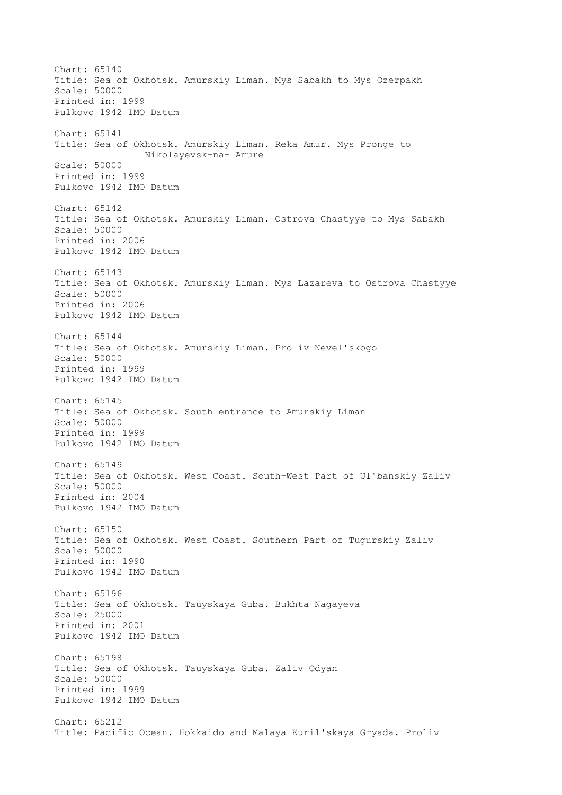Chart: 65140 Title: Sea of Okhotsk. Amurskiy Liman. Mys Sabakh to Mys Ozerpakh Scale: 50000 Printed in: 1999 Pulkovo 1942 IMO Datum Chart: 65141 Title: Sea of Okhotsk. Amurskiy Liman. Reka Amur. Mys Pronge to Nikolayevsk-na- Amure Scale: 50000 Printed in: 1999 Pulkovo 1942 IMO Datum Chart: 65142 Title: Sea of Okhotsk. Amurskiy Liman. Ostrova Chastyye to Mys Sabakh Scale: 50000 Printed in: 2006 Pulkovo 1942 IMO Datum Chart: 65143 Title: Sea of Okhotsk. Amurskiy Liman. Mys Lazareva to Ostrova Chastyye Scale: 50000 Printed in: 2006 Pulkovo 1942 IMO Datum Chart: 65144 Title: Sea of Okhotsk. Amurskiy Liman. Proliv Nevel'skogo Scale: 50000 Printed in: 1999 Pulkovo 1942 IMO Datum Chart: 65145 Title: Sea of Okhotsk. South entrance to Amurskiy Liman Scale: 50000 Printed in: 1999 Pulkovo 1942 IMO Datum Chart: 65149 Title: Sea of Okhotsk. West Coast. South-West Part of Ul'banskiy Zaliv Scale: 50000 Printed in: 2004 Pulkovo 1942 IMO Datum Chart: 65150 Title: Sea of Okhotsk. West Coast. Southern Part of Tugurskiy Zaliv Scale: 50000 Printed in: 1990 Pulkovo 1942 IMO Datum Chart: 65196 Title: Sea of Okhotsk. Tauyskaya Guba. Bukhta Nagayeva Scale: 25000 Printed in: 2001 Pulkovo 1942 IMO Datum Chart: 65198 Title: Sea of Okhotsk. Tauyskaya Guba. Zaliv Odyan Scale: 50000 Printed in: 1999 Pulkovo 1942 IMO Datum Chart: 65212 Title: Pacific Ocean. Hokkaido and Malaya Kuril'skaya Gryada. Proliv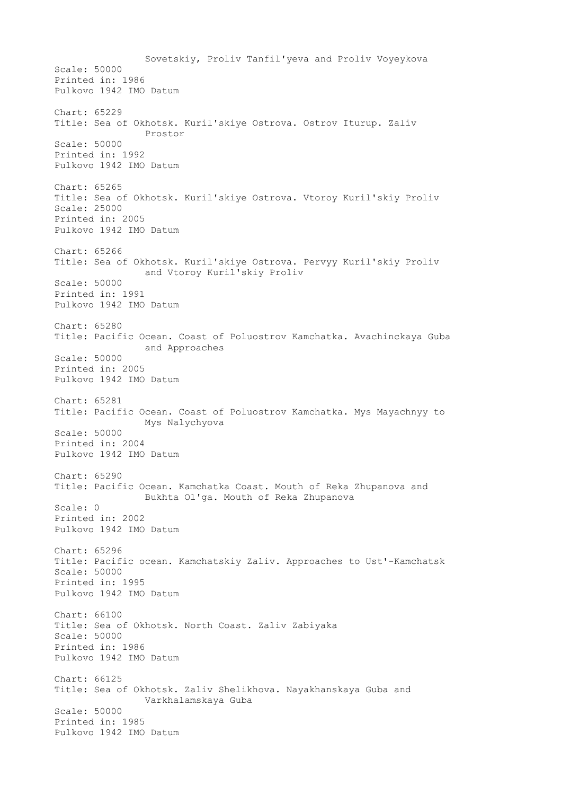Sovetskiy, Proliv Tanfil'yeva and Proliv Voyeykova Scale: 50000 Printed in: 1986 Pulkovo 1942 IMO Datum Chart: 65229 Title: Sea of Okhotsk. Kuril'skiye Ostrova. Ostrov Iturup. Zaliv Prostor Scale: 50000 Printed in: 1992 Pulkovo 1942 IMO Datum Chart: 65265 Title: Sea of Okhotsk. Kuril'skiye Ostrova. Vtoroy Kuril'skiy Proliv Scale: 25000 Printed in: 2005 Pulkovo 1942 IMO Datum Chart: 65266 Title: Sea of Okhotsk. Kuril'skiye Ostrova. Pervyy Kuril'skiy Proliv and Vtoroy Kuril'skiy Proliv Scale: 50000 Printed in: 1991 Pulkovo 1942 IMO Datum Chart: 65280 Title: Pacific Ocean. Coast of Poluostrov Kamchatka. Avachinckaya Guba and Approaches Scale: 50000 Printed in: 2005 Pulkovo 1942 IMO Datum Chart: 65281 Title: Pacific Ocean. Coast of Poluostrov Kamchatka. Mys Mayachnyy to Mys Nalychyova Scale: 50000 Printed in: 2004 Pulkovo 1942 IMO Datum Chart: 65290 Title: Pacific Ocean. Kamchatka Coast. Mouth of Reka Zhupanova and Bukhta Ol'ga. Mouth of Reka Zhupanova Scale: 0 Printed in: 2002 Pulkovo 1942 IMO Datum Chart: 65296 Title: Pacific ocean. Kamchatskiy Zaliv. Approaches to Ust'-Kamchatsk Scale: 50000 Printed in: 1995 Pulkovo 1942 IMO Datum Chart: 66100 Title: Sea of Okhotsk. North Coast. Zaliv Zabiyaka Scale: 50000 Printed in: 1986 Pulkovo 1942 IMO Datum Chart: 66125 Title: Sea of Okhotsk. Zaliv Shelikhova. Nayakhanskaya Guba and Varkhalamskaya Guba Scale: 50000 Printed in: 1985 Pulkovo 1942 IMO Datum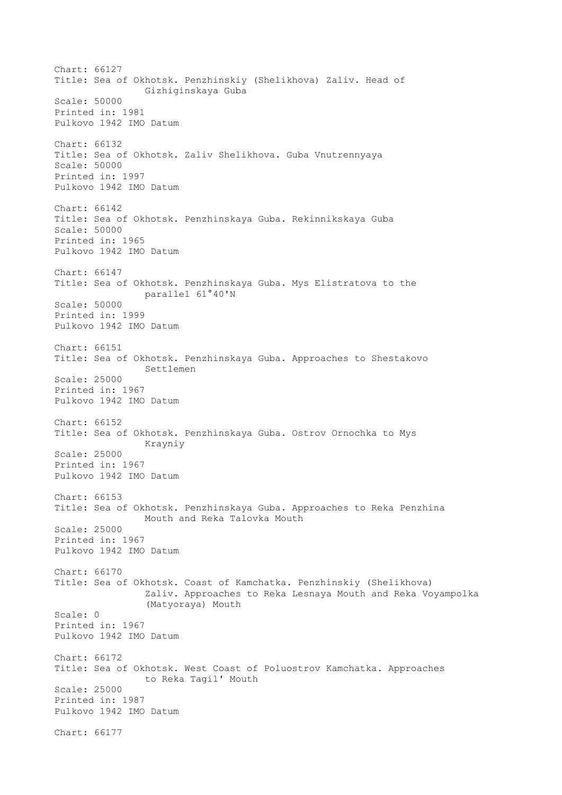Chart: 66127 Title: Sea of Okhotsk. Penzhinskiy (Shelikhova) Zaliv. Head of Gizhiginskaya Guba Scale: 50000 Printed in: 1981 Pulkovo 1942 IMO Datum Chart: 66132 Title: Sea of Okhotsk. Zaliv Shelikhova. Guba Vnutrennyaya Scale: 50000 Printed in: 1997 Pulkovo 1942 IMO Datum Chart: 66142 Title: Sea of Okhotsk. Penzhinskaya Guba. Rekinnikskaya Guba Scale: 50000 Printed in: 1965 Pulkovo 1942 IMO Datum Chart: 66147 Title: Sea of Okhotsk. Penzhinskaya Guba. Mys Elistratova to the parallel 61°40'N Scale: 50000 Printed in: 1999 Pulkovo 1942 IMO Datum Chart: 66151 Title: Sea of Okhotsk. Penzhinskaya Guba. Approaches to Shestakovo Settlemen Scale: 25000 Printed in: 1967 Pulkovo 1942 IMO Datum Chart: 66152 Title: Sea of Okhotsk. Penzhinskaya Guba. Ostrov Ornochka to Mys Krayniy Scale: 25000 Printed in: 1967 Pulkovo 1942 IMO Datum Chart: 66153 Title: Sea of Okhotsk. Penzhinskaya Guba. Approaches to Reka Penzhina Mouth and Reka Talovka Mouth Scale: 25000 Printed in: 1967 Pulkovo 1942 IMO Datum Chart: 66170 Title: Sea of Okhotsk. Coast of Kamchatka. Penzhinskiy (Shelikhova) Zaliv. Approaches to Reka Lesnaya Mouth and Reka Voyampolka (Matyoraya) Mouth Scale: 0 Printed in: 1967 Pulkovo 1942 IMO Datum Chart: 66172 Title: Sea of Okhotsk. West Coast of Poluostrov Kamchatka. Approaches to Reka Tagil' Mouth Scale: 25000 Printed in: 1987 Pulkovo 1942 IMO Datum Chart: 66177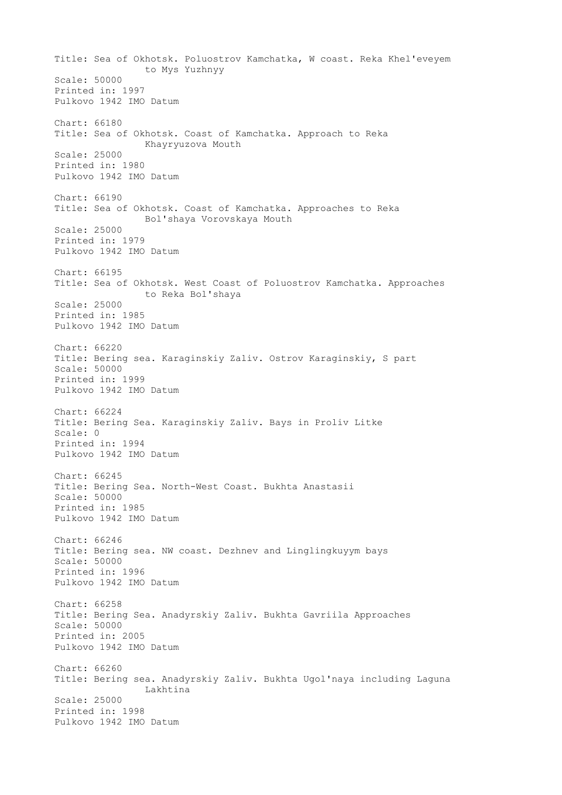Title: Sea of Okhotsk. Poluostrov Kamchatka, W coast. Reka Khel'eveyem to Mys Yuzhnyy Scale: 50000 Printed in: 1997 Pulkovo 1942 IMO Datum Chart: 66180 Title: Sea of Okhotsk. Coast of Kamchatka. Approach to Reka Khayryuzova Mouth Scale: 25000 Printed in: 1980 Pulkovo 1942 IMO Datum Chart: 66190 Title: Sea of Okhotsk. Coast of Kamchatka. Approaches to Reka Bol'shaya Vorovskaya Mouth Scale: 25000 Printed in: 1979 Pulkovo 1942 IMO Datum Chart: 66195 Title: Sea of Okhotsk. West Coast of Poluostrov Kamchatka. Approaches to Reka Bol'shaya Scale: 25000 Printed in: 1985 Pulkovo 1942 IMO Datum Chart: 66220 Title: Bering sea. Karaginskiy Zaliv. Ostrov Karaginskiy, S part Scale: 50000 Printed in: 1999 Pulkovo 1942 IMO Datum Chart: 66224 Title: Bering Sea. Karaginskiy Zaliv. Bays in Proliv Litke Scale: 0 Printed in: 1994 Pulkovo 1942 IMO Datum Chart: 66245 Title: Bering Sea. North-West Coast. Bukhta Anastasii Scale: 50000 Printed in: 1985 Pulkovo 1942 IMO Datum Chart: 66246 Title: Bering sea. NW coast. Dezhnev and Linglingkuyym bays Scale: 50000 Printed in: 1996 Pulkovo 1942 IMO Datum Chart: 66258 Title: Bering Sea. Anadyrskiy Zaliv. Bukhta Gavriila Approaches Scale: 50000 Printed in: 2005 Pulkovo 1942 IMO Datum Chart: 66260 Title: Bering sea. Anadyrskiy Zaliv. Bukhta Ugol'naya including Laguna Lakhtina Scale: 25000 Printed in: 1998 Pulkovo 1942 IMO Datum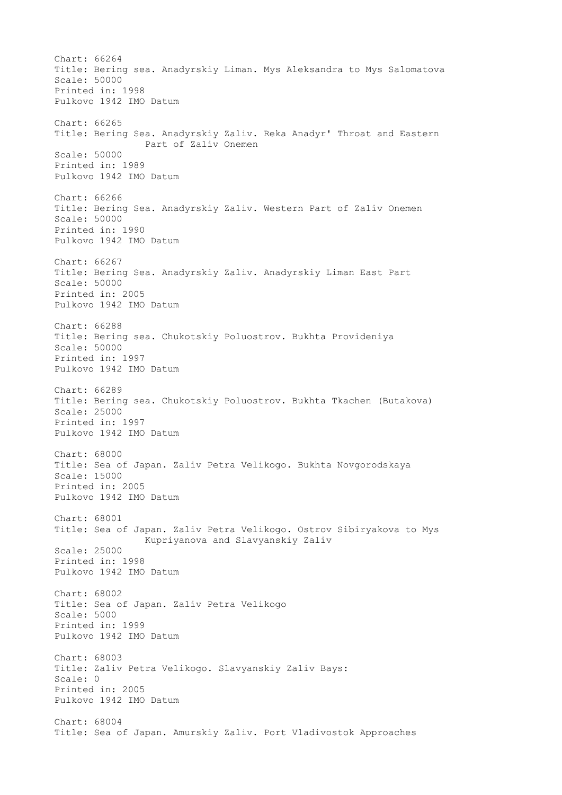Chart: 66264 Title: Bering sea. Anadyrskiy Liman. Mys Aleksandra to Mys Salomatova Scale: 50000 Printed in: 1998 Pulkovo 1942 IMO Datum Chart: 66265 Title: Bering Sea. Anadyrskiy Zaliv. Reka Anadyr' Throat and Eastern Part of Zaliv Onemen Scale: 50000 Printed in: 1989 Pulkovo 1942 IMO Datum Chart: 66266 Title: Bering Sea. Anadyrskiy Zaliv. Western Part of Zaliv Onemen Scale: 50000 Printed in: 1990 Pulkovo 1942 IMO Datum Chart: 66267 Title: Bering Sea. Anadyrskiy Zaliv. Anadyrskiy Liman East Part Scale: 50000 Printed in: 2005 Pulkovo 1942 IMO Datum Chart: 66288 Title: Bering sea. Chukotskiy Poluostrov. Bukhta Provideniya Scale: 50000 Printed in: 1997 Pulkovo 1942 IMO Datum Chart: 66289 Title: Bering sea. Chukotskiy Poluostrov. Bukhta Tkachen (Butakova) Scale: 25000 Printed in: 1997 Pulkovo 1942 IMO Datum Chart: 68000 Title: Sea of Japan. Zaliv Petra Velikogo. Bukhta Novgorodskaya Scale: 15000 Printed in: 2005 Pulkovo 1942 IMO Datum Chart: 68001 Title: Sea of Japan. Zaliv Petra Velikogo. Ostrov Sibiryakova to Mys Kupriyanova and Slavyanskiy Zaliv Scale: 25000 Printed in: 1998 Pulkovo 1942 IMO Datum Chart: 68002 Title: Sea of Japan. Zaliv Petra Velikogo Scale: 5000 Printed in: 1999 Pulkovo 1942 IMO Datum Chart: 68003 Title: Zaliv Petra Velikogo. Slavyanskiy Zaliv Bays: Scale: 0 Printed in: 2005 Pulkovo 1942 IMO Datum Chart: 68004 Title: Sea of Japan. Amurskiy Zaliv. Port Vladivostok Approaches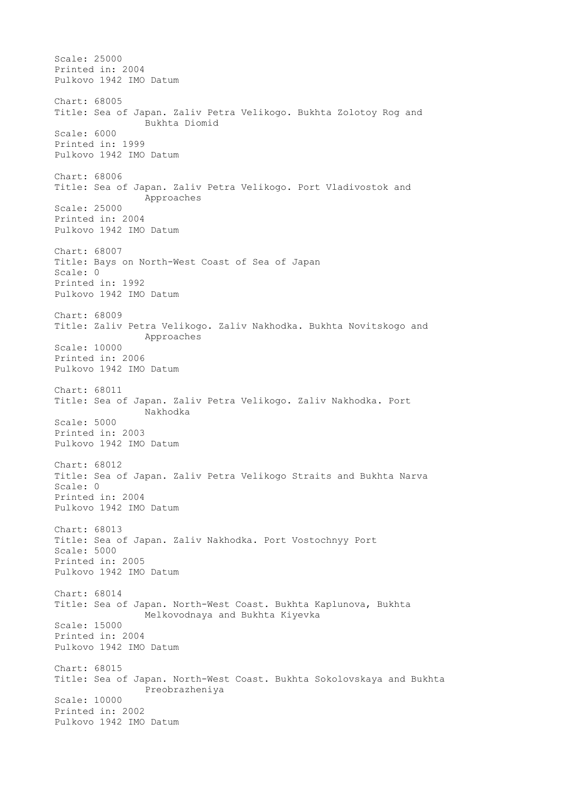Scale: 25000 Printed in: 2004 Pulkovo 1942 IMO Datum Chart: 68005 Title: Sea of Japan. Zaliv Petra Velikogo. Bukhta Zolotoy Rog and Bukhta Diomid Scale: 6000 Printed in: 1999 Pulkovo 1942 IMO Datum Chart: 68006 Title: Sea of Japan. Zaliv Petra Velikogo. Port Vladivostok and Approaches Scale: 25000 Printed in: 2004 Pulkovo 1942 IMO Datum Chart: 68007 Title: Bays on North-West Coast of Sea of Japan Scale: 0 Printed in: 1992 Pulkovo 1942 IMO Datum Chart: 68009 Title: Zaliv Petra Velikogo. Zaliv Nakhodka. Bukhta Novitskogo and Approaches Scale: 10000 Printed in: 2006 Pulkovo 1942 IMO Datum Chart: 68011 Title: Sea of Japan. Zaliv Petra Velikogo. Zaliv Nakhodka. Port Nakhodka Scale: 5000 Printed in: 2003 Pulkovo 1942 IMO Datum Chart: 68012 Title: Sea of Japan. Zaliv Petra Velikogo Straits and Bukhta Narva Scale: 0 Printed in: 2004 Pulkovo 1942 IMO Datum Chart: 68013 Title: Sea of Japan. Zaliv Nakhodka. Port Vostochnyy Port Scale: 5000 Printed in: 2005 Pulkovo 1942 IMO Datum Chart: 68014 Title: Sea of Japan. North-West Coast. Bukhta Kaplunova, Bukhta Melkovodnaya and Bukhta Kiyevka Scale: 15000 Printed in: 2004 Pulkovo 1942 IMO Datum Chart: 68015 Title: Sea of Japan. North-West Coast. Bukhta Sokolovskaya and Bukhta Preobrazheniya Scale: 10000 Printed in: 2002 Pulkovo 1942 IMO Datum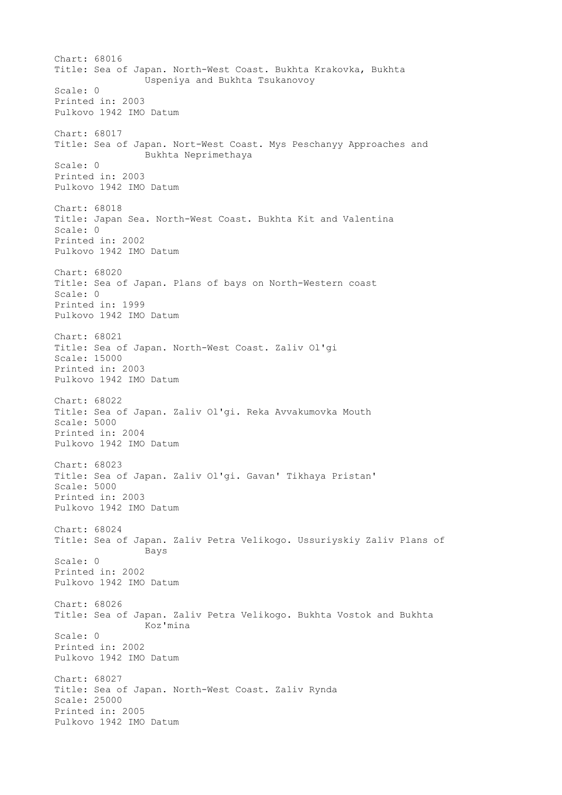Chart: 68016 Title: Sea of Japan. North-West Coast. Bukhta Krakovka, Bukhta Uspeniya and Bukhta Tsukanovoy Scale: 0 Printed in: 2003 Pulkovo 1942 IMO Datum Chart: 68017 Title: Sea of Japan. Nort-West Coast. Mys Peschanyy Approaches and Bukhta Neprimethaya Scale: 0 Printed in: 2003 Pulkovo 1942 IMO Datum Chart: 68018 Title: Japan Sea. North-West Coast. Bukhta Kit and Valentina Scale: 0 Printed in: 2002 Pulkovo 1942 IMO Datum Chart: 68020 Title: Sea of Japan. Plans of bays on North-Western coast Scale: 0 Printed in: 1999 Pulkovo 1942 IMO Datum Chart: 68021 Title: Sea of Japan. North-West Coast. Zaliv Ol'gi Scale: 15000 Printed in: 2003 Pulkovo 1942 IMO Datum Chart: 68022 Title: Sea of Japan. Zaliv Ol'gi. Reka Avvakumovka Mouth Scale: 5000 Printed in: 2004 Pulkovo 1942 IMO Datum Chart: 68023 Title: Sea of Japan. Zaliv Ol'gi. Gavan' Tikhaya Pristan' Scale: 5000 Printed in: 2003 Pulkovo 1942 IMO Datum Chart: 68024 Title: Sea of Japan. Zaliv Petra Velikogo. Ussuriyskiy Zaliv Plans of Bays Scale: 0 Printed in: 2002 Pulkovo 1942 IMO Datum Chart: 68026 Title: Sea of Japan. Zaliv Petra Velikogo. Bukhta Vostok and Bukhta Koz'mina Scale: 0 Printed in: 2002 Pulkovo 1942 IMO Datum Chart: 68027 Title: Sea of Japan. North-West Coast. Zaliv Rynda Scale: 25000 Printed in: 2005 Pulkovo 1942 IMO Datum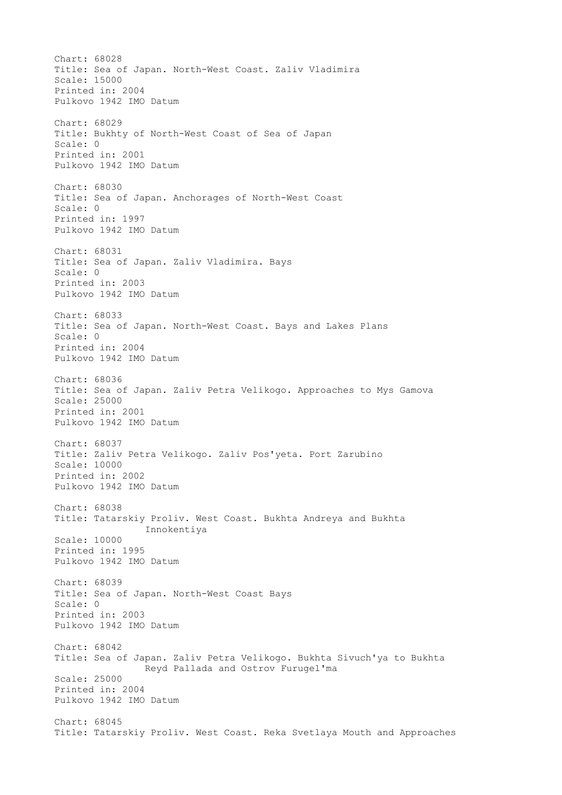Chart: 68028 Title: Sea of Japan. North-West Coast. Zaliv Vladimira Scale: 15000 Printed in: 2004 Pulkovo 1942 IMO Datum Chart: 68029 Title: Bukhty of North-West Coast of Sea of Japan Scale: 0 Printed in: 2001 Pulkovo 1942 IMO Datum Chart: 68030 Title: Sea of Japan. Anchorages of North-West Coast Scale: 0 Printed in: 1997 Pulkovo 1942 IMO Datum Chart: 68031 Title: Sea of Japan. Zaliv Vladimira. Bays Scale: 0 Printed in: 2003 Pulkovo 1942 IMO Datum Chart: 68033 Title: Sea of Japan. North-West Coast. Bays and Lakes Plans Scale: 0 Printed in: 2004 Pulkovo 1942 IMO Datum Chart: 68036 Title: Sea of Japan. Zaliv Petra Velikogo. Approaches to Mys Gamova Scale: 25000 Printed in: 2001 Pulkovo 1942 IMO Datum Chart: 68037 Title: Zaliv Petra Velikogo. Zaliv Pos'yeta. Port Zarubino Scale: 10000 Printed in: 2002 Pulkovo 1942 IMO Datum Chart: 68038 Title: Tatarskiy Proliv. West Coast. Bukhta Andreya and Bukhta Innokentiya Scale: 10000 Printed in: 1995 Pulkovo 1942 IMO Datum Chart: 68039 Title: Sea of Japan. North-West Coast Bays Scale: 0 Printed in: 2003 Pulkovo 1942 IMO Datum Chart: 68042 Title: Sea of Japan. Zaliv Petra Velikogo. Bukhta Sivuch'ya to Bukhta Reyd Pallada and Ostrov Furugel'ma Scale: 25000 Printed in: 2004 Pulkovo 1942 IMO Datum Chart: 68045 Title: Tatarskiy Proliv. West Coast. Reka Svetlaya Mouth and Approaches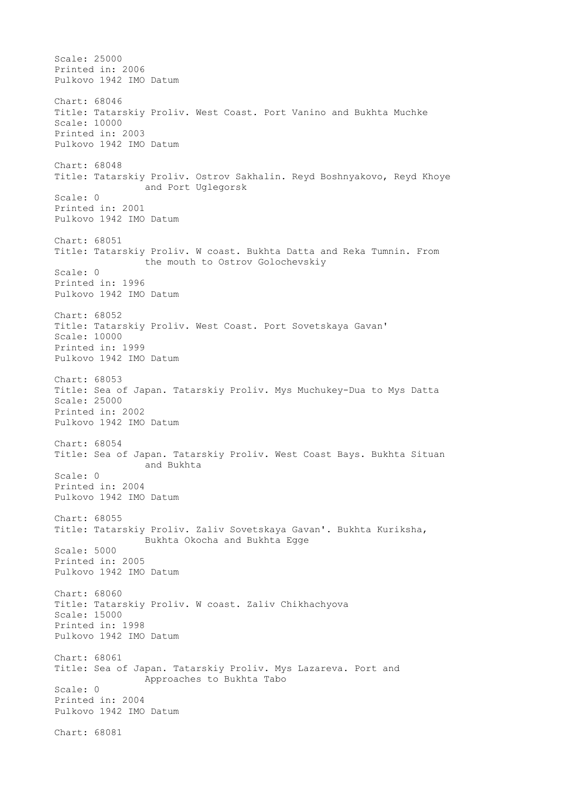Scale: 25000 Printed in: 2006 Pulkovo 1942 IMO Datum Chart: 68046 Title: Tatarskiy Proliv. West Coast. Port Vanino and Bukhta Muchke Scale: 10000 Printed in: 2003 Pulkovo 1942 IMO Datum Chart: 68048 Title: Tatarskiy Proliv. Ostrov Sakhalin. Reyd Boshnyakovo, Reyd Khoye and Port Uglegorsk Scale: 0 Printed in: 2001 Pulkovo 1942 IMO Datum Chart: 68051 Title: Tatarskiy Proliv. W coast. Bukhta Datta and Reka Tumnin. From the mouth to Ostrov Golochevskiy Scale: 0 Printed in: 1996 Pulkovo 1942 IMO Datum Chart: 68052 Title: Tatarskiy Proliv. West Coast. Port Sovetskaya Gavan' Scale: 10000 Printed in: 1999 Pulkovo 1942 IMO Datum Chart: 68053 Title: Sea of Japan. Tatarskiy Proliv. Mys Muchukey-Dua to Mys Datta Scale: 25000 Printed in: 2002 Pulkovo 1942 IMO Datum Chart: 68054 Title: Sea of Japan. Tatarskiy Proliv. West Coast Bays. Bukhta Situan and Bukhta Scale: 0 Printed in: 2004 Pulkovo 1942 IMO Datum Chart: 68055 Title: Tatarskiy Proliv. Zaliv Sovetskaya Gavan'. Bukhta Kuriksha, Bukhta Okocha and Bukhta Egge Scale: 5000 Printed in: 2005 Pulkovo 1942 IMO Datum Chart: 68060 Title: Tatarskiy Proliv. W coast. Zaliv Chikhachyova Scale: 15000 Printed in: 1998 Pulkovo 1942 IMO Datum Chart: 68061 Title: Sea of Japan. Tatarskiy Proliv. Mys Lazareva. Port and Approaches to Bukhta Tabo Scale: 0 Printed in: 2004 Pulkovo 1942 IMO Datum Chart: 68081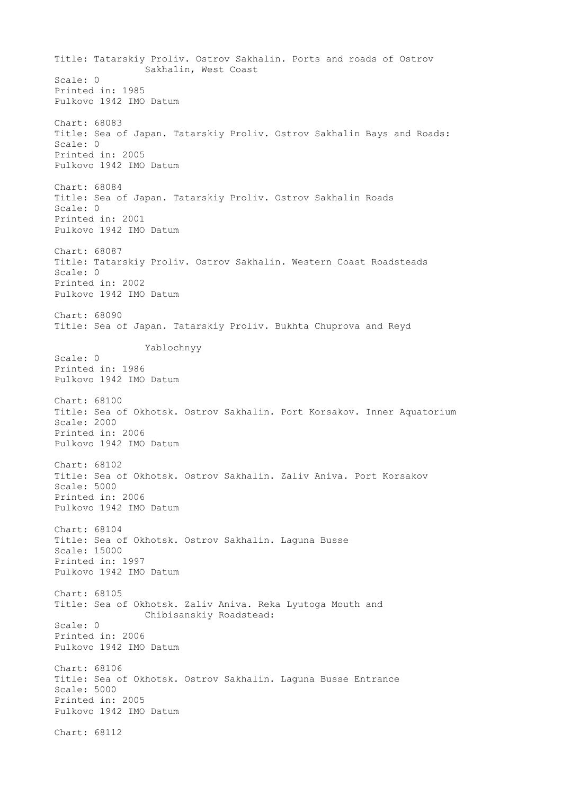Title: Tatarskiy Proliv. Ostrov Sakhalin. Ports and roads of Ostrov Sakhalin, West Coast Scale: 0 Printed in: 1985 Pulkovo 1942 IMO Datum Chart: 68083 Title: Sea of Japan. Tatarskiy Proliv. Ostrov Sakhalin Bays and Roads: Scale: 0 Printed in: 2005 Pulkovo 1942 IMO Datum Chart: 68084 Title: Sea of Japan. Tatarskiy Proliv. Ostrov Sakhalin Roads Scale: 0 Printed in: 2001 Pulkovo 1942 IMO Datum Chart: 68087 Title: Tatarskiy Proliv. Ostrov Sakhalin. Western Coast Roadsteads Scale: 0 Printed in: 2002 Pulkovo 1942 IMO Datum Chart: 68090 Title: Sea of Japan. Tatarskiy Proliv. Bukhta Chuprova and Reyd Yablochnyy Scale: 0 Printed in: 1986 Pulkovo 1942 IMO Datum Chart: 68100 Title: Sea of Okhotsk. Ostrov Sakhalin. Port Korsakov. Inner Aquatorium Scale: 2000 Printed in: 2006 Pulkovo 1942 IMO Datum Chart: 68102 Title: Sea of Okhotsk. Ostrov Sakhalin. Zaliv Aniva. Port Korsakov Scale: 5000 Printed in: 2006 Pulkovo 1942 IMO Datum Chart: 68104 Title: Sea of Okhotsk. Ostrov Sakhalin. Laguna Busse Scale: 15000 Printed in: 1997 Pulkovo 1942 IMO Datum Chart: 68105 Title: Sea of Okhotsk. Zaliv Aniva. Reka Lyutoga Mouth and Chibisanskiy Roadstead: Scale: 0 Printed in: 2006 Pulkovo 1942 IMO Datum Chart: 68106 Title: Sea of Okhotsk. Ostrov Sakhalin. Laguna Busse Entrance Scale: 5000 Printed in: 2005 Pulkovo 1942 IMO Datum Chart: 68112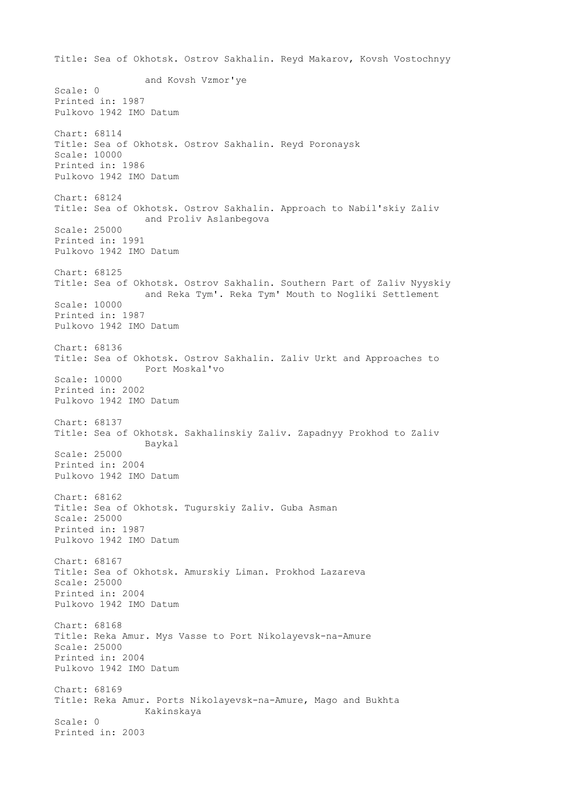Title: Sea of Okhotsk. Ostrov Sakhalin. Reyd Makarov, Kovsh Vostochnyy and Kovsh Vzmor'ye Scale: 0 Printed in: 1987 Pulkovo 1942 IMO Datum Chart: 68114 Title: Sea of Okhotsk. Ostrov Sakhalin. Reyd Poronaysk Scale: 10000 Printed in: 1986 Pulkovo 1942 IMO Datum Chart: 68124 Title: Sea of Okhotsk. Ostrov Sakhalin. Approach to Nabil'skiy Zaliv and Proliv Aslanbegova Scale: 25000 Printed in: 1991 Pulkovo 1942 IMO Datum Chart: 68125 Title: Sea of Okhotsk. Ostrov Sakhalin. Southern Part of Zaliv Nyyskiy and Reka Tym'. Reka Tym' Mouth to Nogliki Settlement Scale: 10000 Printed in: 1987 Pulkovo 1942 IMO Datum Chart: 68136 Title: Sea of Okhotsk. Ostrov Sakhalin. Zaliv Urkt and Approaches to Port Moskal'vo Scale: 10000 Printed in: 2002 Pulkovo 1942 IMO Datum Chart: 68137 Title: Sea of Okhotsk. Sakhalinskiy Zaliv. Zapadnyy Prokhod to Zaliv Baykal Scale: 25000 Printed in: 2004 Pulkovo 1942 IMO Datum Chart: 68162 Title: Sea of Okhotsk. Tugurskiy Zaliv. Guba Asman Scale: 25000 Printed in: 1987 Pulkovo 1942 IMO Datum Chart: 68167 Title: Sea of Okhotsk. Amurskiy Liman. Prokhod Lazareva Scale: 25000 Printed in: 2004 Pulkovo 1942 IMO Datum Chart: 68168 Title: Reka Amur. Mys Vasse to Port Nikolayevsk-na-Amure Scale: 25000 Printed in: 2004 Pulkovo 1942 IMO Datum Chart: 68169 Title: Reka Amur. Ports Nikolayevsk-na-Amure, Mago and Bukhta Kakinskaya Scale: 0 Printed in: 2003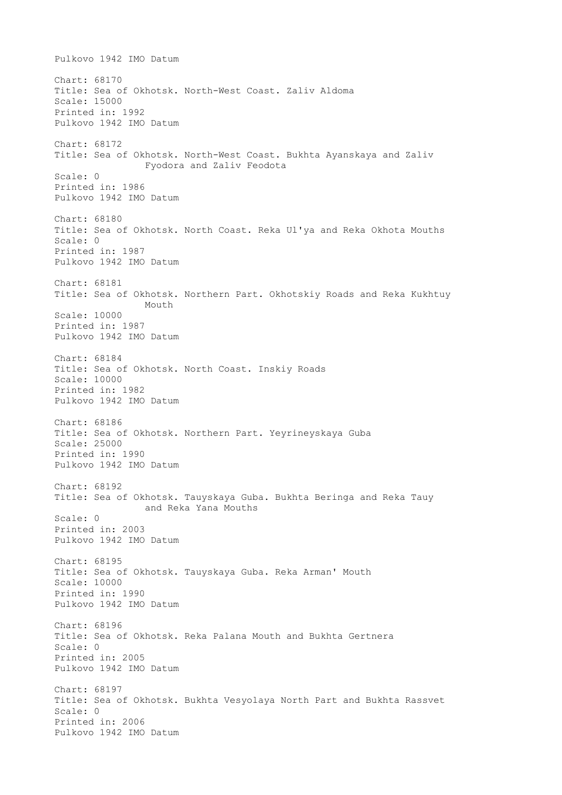Pulkovo 1942 IMO Datum Chart: 68170 Title: Sea of Okhotsk. North-West Coast. Zaliv Aldoma Scale: 15000 Printed in: 1992 Pulkovo 1942 IMO Datum Chart: 68172 Title: Sea of Okhotsk. North-West Coast. Bukhta Ayanskaya and Zaliv Fyodora and Zaliv Feodota Scale: 0 Printed in: 1986 Pulkovo 1942 IMO Datum Chart: 68180 Title: Sea of Okhotsk. North Coast. Reka Ul'ya and Reka Okhota Mouths Scale: 0 Printed in: 1987 Pulkovo 1942 IMO Datum Chart: 68181 Title: Sea of Okhotsk. Northern Part. Okhotskiy Roads and Reka Kukhtuy Mouth Scale: 10000 Printed in: 1987 Pulkovo 1942 IMO Datum Chart: 68184 Title: Sea of Okhotsk. North Coast. Inskiy Roads Scale: 10000 Printed in: 1982 Pulkovo 1942 IMO Datum Chart: 68186 Title: Sea of Okhotsk. Northern Part. Yeyrineyskaya Guba Scale: 25000 Printed in: 1990 Pulkovo 1942 IMO Datum Chart: 68192 Title: Sea of Okhotsk. Tauyskaya Guba. Bukhta Beringa and Reka Tauy and Reka Yana Mouths Scale: 0 Printed in: 2003 Pulkovo 1942 IMO Datum Chart: 68195 Title: Sea of Okhotsk. Tauyskaya Guba. Reka Arman' Mouth Scale: 10000 Printed in: 1990 Pulkovo 1942 IMO Datum Chart: 68196 Title: Sea of Okhotsk. Reka Palana Mouth and Bukhta Gertnera Scale: 0 Printed in: 2005 Pulkovo 1942 IMO Datum Chart: 68197 Title: Sea of Okhotsk. Bukhta Vesyolaya North Part and Bukhta Rassvet Scale: 0 Printed in: 2006 Pulkovo 1942 IMO Datum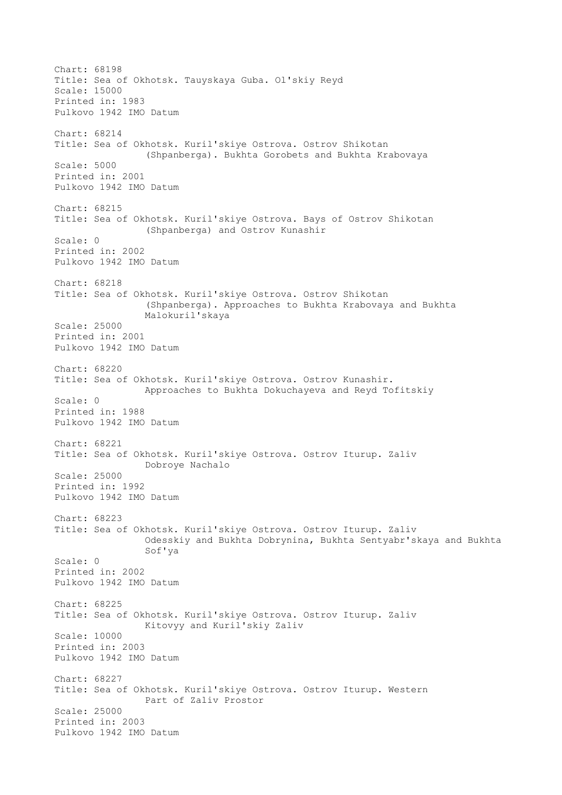Chart: 68198 Title: Sea of Okhotsk. Tauyskaya Guba. Ol'skiy Reyd Scale: 15000 Printed in: 1983 Pulkovo 1942 IMO Datum Chart: 68214 Title: Sea of Okhotsk. Kuril'skiye Ostrova. Ostrov Shikotan (Shpanberga). Bukhta Gorobets and Bukhta Krabovaya Scale: 5000 Printed in: 2001 Pulkovo 1942 IMO Datum Chart: 68215 Title: Sea of Okhotsk. Kuril'skiye Ostrova. Bays of Ostrov Shikotan (Shpanberga) and Ostrov Kunashir Scale: 0 Printed in: 2002 Pulkovo 1942 IMO Datum Chart: 68218 Title: Sea of Okhotsk. Kuril'skiye Ostrova. Ostrov Shikotan (Shpanberga). Approaches to Bukhta Krabovaya and Bukhta Malokuril'skaya Scale: 25000 Printed in: 2001 Pulkovo 1942 IMO Datum Chart: 68220 Title: Sea of Okhotsk. Kuril'skiye Ostrova. Ostrov Kunashir. Approaches to Bukhta Dokuchayeva and Reyd Tofitskiy Scale: 0 Printed in: 1988 Pulkovo 1942 IMO Datum Chart: 68221 Title: Sea of Okhotsk. Kuril'skiye Ostrova. Ostrov Iturup. Zaliv Dobroye Nachalo Scale: 25000 Printed in: 1992 Pulkovo 1942 IMO Datum Chart: 68223 Title: Sea of Okhotsk. Kuril'skiye Ostrova. Ostrov Iturup. Zaliv Odesskiy and Bukhta Dobrynina, Bukhta Sentyabr'skaya and Bukhta Sof'ya Scale: 0 Printed in: 2002 Pulkovo 1942 IMO Datum Chart: 68225 Title: Sea of Okhotsk. Kuril'skiye Ostrova. Ostrov Iturup. Zaliv Kitovyy and Kuril'skiy Zaliv Scale: 10000 Printed in: 2003 Pulkovo 1942 IMO Datum Chart: 68227 Title: Sea of Okhotsk. Kuril'skiye Ostrova. Ostrov Iturup. Western Part of Zaliv Prostor Scale: 25000 Printed in: 2003 Pulkovo 1942 IMO Datum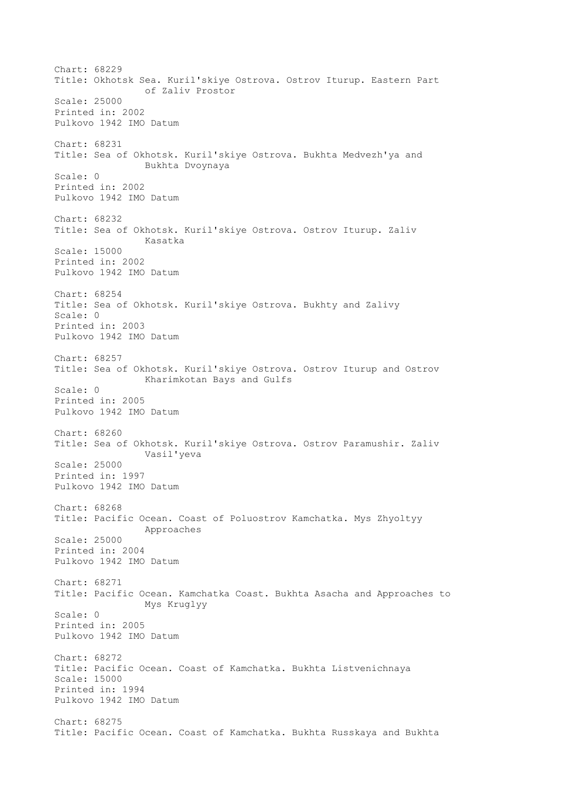Chart: 68229 Title: Okhotsk Sea. Kuril'skiye Ostrova. Ostrov Iturup. Eastern Part of Zaliv Prostor Scale: 25000 Printed in: 2002 Pulkovo 1942 IMO Datum Chart: 68231 Title: Sea of Okhotsk. Kuril'skiye Ostrova. Bukhta Medvezh'ya and Bukhta Dvoynaya Scale: 0 Printed in: 2002 Pulkovo 1942 IMO Datum Chart: 68232 Title: Sea of Okhotsk. Kuril'skiye Ostrova. Ostrov Iturup. Zaliv Kasatka Scale: 15000 Printed in: 2002 Pulkovo 1942 IMO Datum Chart: 68254 Title: Sea of Okhotsk. Kuril'skiye Ostrova. Bukhty and Zalivy Scale: 0 Printed in: 2003 Pulkovo 1942 IMO Datum Chart: 68257 Title: Sea of Okhotsk. Kuril'skiye Ostrova. Ostrov Iturup and Ostrov Kharimkotan Bays and Gulfs Scale: 0 Printed in: 2005 Pulkovo 1942 IMO Datum Chart: 68260 Title: Sea of Okhotsk. Kuril'skiye Ostrova. Ostrov Paramushir. Zaliv Vasil'yeva Scale: 25000 Printed in: 1997 Pulkovo 1942 IMO Datum Chart: 68268 Title: Pacific Ocean. Coast of Poluostrov Kamchatka. Mys Zhyoltyy Approaches Scale: 25000 Printed in: 2004 Pulkovo 1942 IMO Datum Chart: 68271 Title: Pacific Ocean. Kamchatka Coast. Bukhta Asacha and Approaches to Mys Kruglyy Scale: 0 Printed in: 2005 Pulkovo 1942 IMO Datum Chart: 68272 Title: Pacific Ocean. Coast of Kamchatka. Bukhta Listvenichnaya Scale: 15000 Printed in: 1994 Pulkovo 1942 IMO Datum Chart: 68275 Title: Pacific Ocean. Coast of Kamchatka. Bukhta Russkaya and Bukhta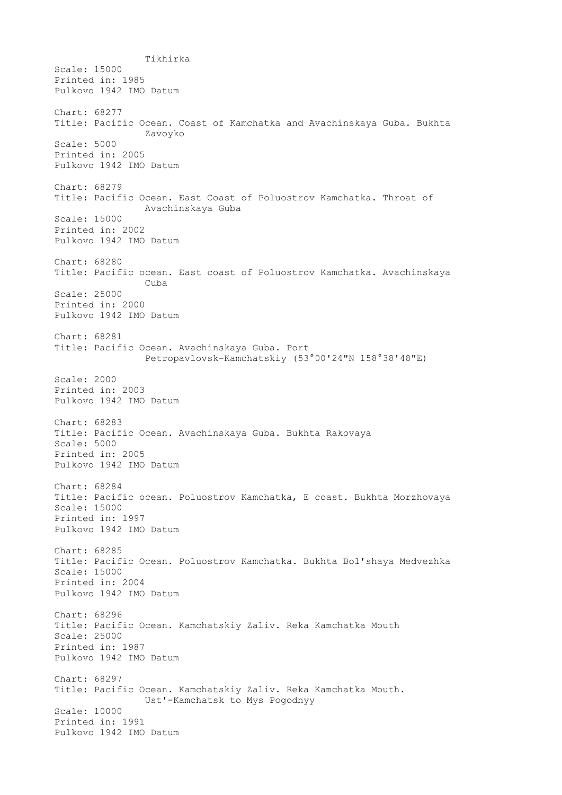Tikhirka Scale: 15000 Printed in: 1985 Pulkovo 1942 IMO Datum Chart: 68277 Title: Pacific Ocean. Coast of Kamchatka and Avachinskaya Guba. Bukhta Zavoyko Scale: 5000 Printed in: 2005 Pulkovo 1942 IMO Datum Chart: 68279 Title: Pacific Ocean. East Coast of Poluostrov Kamchatka. Throat of Avachinskaya Guba Scale: 15000 Printed in: 2002 Pulkovo 1942 IMO Datum Chart: 68280 Title: Pacific ocean. East coast of Poluostrov Kamchatka. Avachinskaya Cuba Scale: 25000 Printed in: 2000 Pulkovo 1942 IMO Datum Chart: 68281 Title: Pacific Ocean. Avachinskaya Guba. Port Petropavlovsk-Kamchatskiy (53°00'24"N 158°38'48"E) Scale: 2000 Printed in: 2003 Pulkovo 1942 IMO Datum Chart: 68283 Title: Pacific Ocean. Avachinskaya Guba. Bukhta Rakovaya Scale: 5000 Printed in: 2005 Pulkovo 1942 IMO Datum Chart: 68284 Title: Pacific ocean. Poluostrov Kamchatka, E coast. Bukhta Morzhovaya Scale: 15000 Printed in: 1997 Pulkovo 1942 IMO Datum Chart: 68285 Title: Pacific Ocean. Poluostrov Kamchatka. Bukhta Bol'shaya Medvezhka Scale: 15000 Printed in: 2004 Pulkovo 1942 IMO Datum Chart: 68296 Title: Pacific Ocean. Kamchatskiy Zaliv. Reka Kamchatka Mouth Scale: 25000 Printed in: 1987 Pulkovo 1942 IMO Datum Chart: 68297 Title: Pacific Ocean. Kamchatskiy Zaliv. Reka Kamchatka Mouth. Ust'-Kamchatsk to Mys Pogodnyy Scale: 10000 Printed in: 1991 Pulkovo 1942 IMO Datum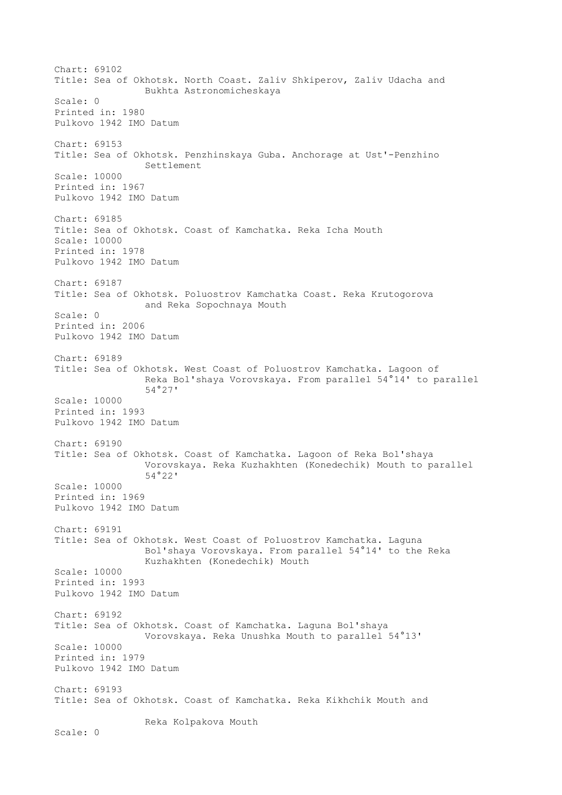Chart: 69102 Title: Sea of Okhotsk. North Coast. Zaliv Shkiperov, Zaliv Udacha and Bukhta Astronomicheskaya Scale: 0 Printed in: 1980 Pulkovo 1942 IMO Datum Chart: 69153 Title: Sea of Okhotsk. Penzhinskaya Guba. Anchorage at Ust'-Penzhino Settlement Scale: 10000 Printed in: 1967 Pulkovo 1942 IMO Datum Chart: 69185 Title: Sea of Okhotsk. Coast of Kamchatka. Reka Icha Mouth Scale: 10000 Printed in: 1978 Pulkovo 1942 IMO Datum Chart: 69187 Title: Sea of Okhotsk. Poluostrov Kamchatka Coast. Reka Krutogorova and Reka Sopochnaya Mouth Scale: 0 Printed in: 2006 Pulkovo 1942 IMO Datum Chart: 69189 Title: Sea of Okhotsk. West Coast of Poluostrov Kamchatka. Lagoon of Reka Bol'shaya Vorovskaya. From parallel 54°14' to parallel 54°27' Scale: 10000 Printed in: 1993 Pulkovo 1942 IMO Datum Chart: 69190 Title: Sea of Okhotsk. Coast of Kamchatka. Lagoon of Reka Bol'shaya Vorovskaya. Reka Kuzhakhten (Konedechik) Mouth to parallel 54°22' Scale: 10000 Printed in: 1969 Pulkovo 1942 IMO Datum Chart: 69191 Title: Sea of Okhotsk. West Coast of Poluostrov Kamchatka. Laguna Bol'shaya Vorovskaya. From parallel 54°14' to the Reka Kuzhakhten (Konedechik) Mouth Scale: 10000 Printed in: 1993 Pulkovo 1942 IMO Datum Chart: 69192 Title: Sea of Okhotsk. Coast of Kamchatka. Laguna Bol'shaya Vorovskaya. Reka Unushka Mouth to parallel 54°13' Scale: 10000 Printed in: 1979 Pulkovo 1942 IMO Datum Chart: 69193 Title: Sea of Okhotsk. Coast of Kamchatka. Reka Kikhchik Mouth and Reka Kolpakova Mouth Scale: 0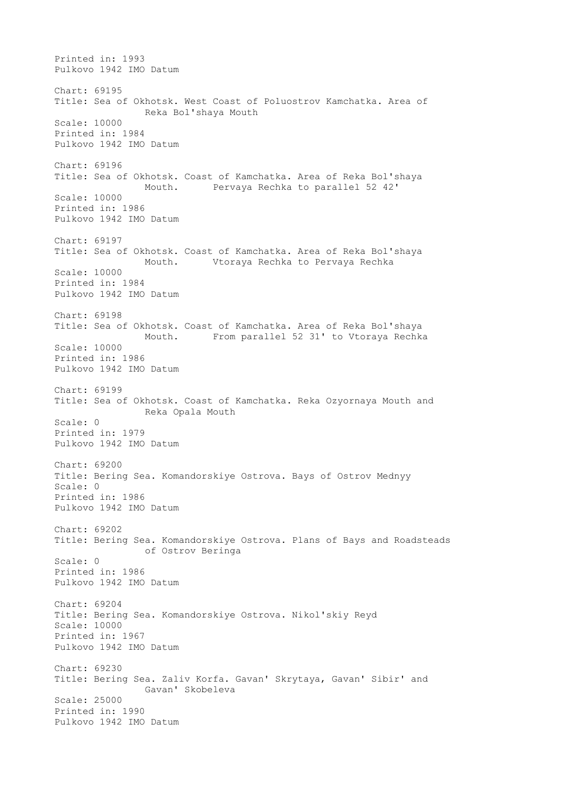Printed in: 1993 Pulkovo 1942 IMO Datum Chart: 69195 Title: Sea of Okhotsk. West Coast of Poluostrov Kamchatka. Area of Reka Bol'shaya Mouth Scale: 10000 Printed in: 1984 Pulkovo 1942 IMO Datum Chart: 69196 Title: Sea of Okhotsk. Coast of Kamchatka. Area of Reka Bol'shaya Mouth. Pervaya Rechka to parallel 52 42' Scale: 10000 Printed in: 1986 Pulkovo 1942 IMO Datum Chart: 69197 Title: Sea of Okhotsk. Coast of Kamchatka. Area of Reka Bol'shaya Mouth. Vtoraya Rechka to Pervaya Rechka Scale: 10000 Printed in: 1984 Pulkovo 1942 IMO Datum Chart: 69198 Title: Sea of Okhotsk. Coast of Kamchatka. Area of Reka Bol'shaya Mouth. From parallel 52 31' to Vtoraya Rechka Scale: 10000 Printed in: 1986 Pulkovo 1942 IMO Datum Chart: 69199 Title: Sea of Okhotsk. Coast of Kamchatka. Reka Ozyornaya Mouth and Reka Opala Mouth Scale: 0 Printed in: 1979 Pulkovo 1942 IMO Datum Chart: 69200 Title: Bering Sea. Komandorskiye Ostrova. Bays of Ostrov Mednyy Scale: 0 Printed in: 1986 Pulkovo 1942 IMO Datum Chart: 69202 Title: Bering Sea. Komandorskiye Ostrova. Plans of Bays and Roadsteads of Ostrov Beringa Scale: 0 Printed in: 1986 Pulkovo 1942 IMO Datum Chart: 69204 Title: Bering Sea. Komandorskiye Ostrova. Nikol'skiy Reyd Scale: 10000 Printed in: 1967 Pulkovo 1942 IMO Datum Chart: 69230 Title: Bering Sea. Zaliv Korfa. Gavan' Skrytaya, Gavan' Sibir' and Gavan' Skobeleva Scale: 25000 Printed in: 1990 Pulkovo 1942 IMO Datum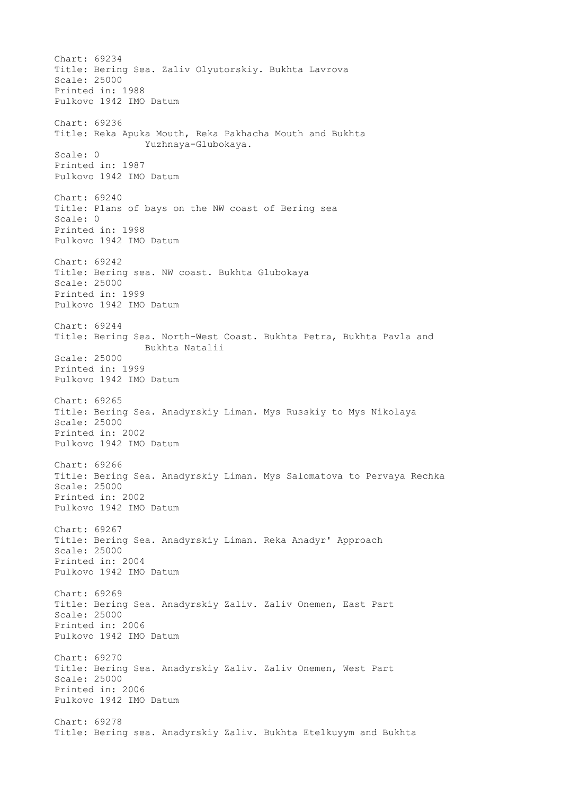Chart: 69234 Title: Bering Sea. Zaliv Olyutorskiy. Bukhta Lavrova Scale: 25000 Printed in: 1988 Pulkovo 1942 IMO Datum Chart: 69236 Title: Reka Apuka Mouth, Reka Pakhacha Mouth and Bukhta Yuzhnaya-Glubokaya. Scale: 0 Printed in: 1987 Pulkovo 1942 IMO Datum Chart: 69240 Title: Plans of bays on the NW coast of Bering sea Scale: 0 Printed in: 1998 Pulkovo 1942 IMO Datum Chart: 69242 Title: Bering sea. NW coast. Bukhta Glubokaya Scale: 25000 Printed in: 1999 Pulkovo 1942 IMO Datum Chart: 69244 Title: Bering Sea. North-West Coast. Bukhta Petra, Bukhta Pavla and Bukhta Natalii Scale: 25000 Printed in: 1999 Pulkovo 1942 IMO Datum Chart: 69265 Title: Bering Sea. Anadyrskiy Liman. Mys Russkiy to Mys Nikolaya Scale: 25000 Printed in: 2002 Pulkovo 1942 IMO Datum Chart: 69266 Title: Bering Sea. Anadyrskiy Liman. Mys Salomatova to Pervaya Rechka Scale: 25000 Printed in: 2002 Pulkovo 1942 IMO Datum Chart: 69267 Title: Bering Sea. Anadyrskiy Liman. Reka Anadyr' Approach Scale: 25000 Printed in: 2004 Pulkovo 1942 IMO Datum Chart: 69269 Title: Bering Sea. Anadyrskiy Zaliv. Zaliv Onemen, East Part Scale: 25000 Printed in: 2006 Pulkovo 1942 IMO Datum Chart: 69270 Title: Bering Sea. Anadyrskiy Zaliv. Zaliv Onemen, West Part Scale: 25000 Printed in: 2006 Pulkovo 1942 IMO Datum Chart: 69278 Title: Bering sea. Anadyrskiy Zaliv. Bukhta Etelkuyym and Bukhta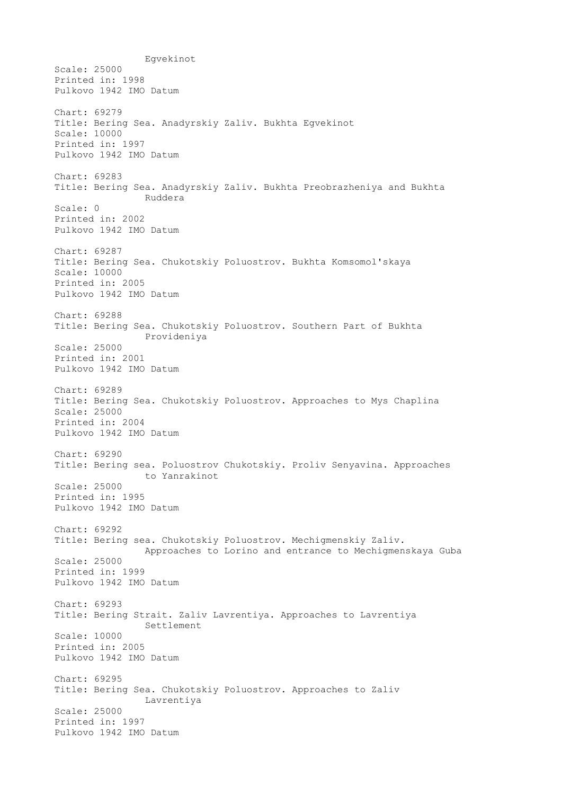Egvekinot Scale: 25000 Printed in: 1998 Pulkovo 1942 IMO Datum Chart: 69279 Title: Bering Sea. Anadyrskiy Zaliv. Bukhta Egvekinot Scale: 10000 Printed in: 1997 Pulkovo 1942 IMO Datum Chart: 69283 Title: Bering Sea. Anadyrskiy Zaliv. Bukhta Preobrazheniya and Bukhta Ruddera Scale: 0 Printed in: 2002 Pulkovo 1942 IMO Datum Chart: 69287 Title: Bering Sea. Chukotskiy Poluostrov. Bukhta Komsomol'skaya Scale: 10000 Printed in: 2005 Pulkovo 1942 IMO Datum Chart: 69288 Title: Bering Sea. Chukotskiy Poluostrov. Southern Part of Bukhta Provideniya Scale: 25000 Printed in: 2001 Pulkovo 1942 IMO Datum Chart: 69289 Title: Bering Sea. Chukotskiy Poluostrov. Approaches to Mys Chaplina Scale: 25000 Printed in: 2004 Pulkovo 1942 IMO Datum Chart: 69290 Title: Bering sea. Poluostrov Chukotskiy. Proliv Senyavina. Approaches to Yanrakinot Scale: 25000 Printed in: 1995 Pulkovo 1942 IMO Datum Chart: 69292 Title: Bering sea. Chukotskiy Poluostrov. Mechigmenskiy Zaliv. Approaches to Lorino and entrance to Mechigmenskaya Guba Scale: 25000 Printed in: 1999 Pulkovo 1942 IMO Datum Chart: 69293 Title: Bering Strait. Zaliv Lavrentiya. Approaches to Lavrentiya Settlement Scale: 10000 Printed in: 2005 Pulkovo 1942 IMO Datum Chart: 69295 Title: Bering Sea. Chukotskiy Poluostrov. Approaches to Zaliv Lavrentiya Scale: 25000 Printed in: 1997 Pulkovo 1942 IMO Datum